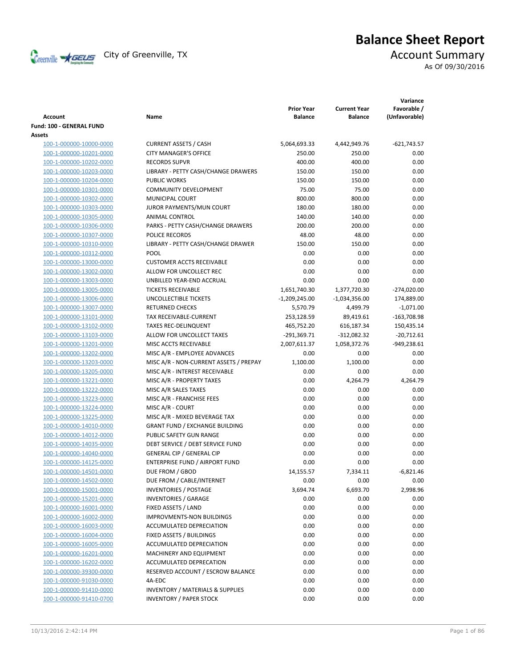Creenville  $\star$  GEUS</del> City of Greenville, TX **Account Summary** 

# **Balance Sheet Report**

As Of 09/30/2016

| Account                  | Name                                        | <b>Prior Year</b><br><b>Balance</b> | <b>Current Year</b><br><b>Balance</b> | Variance<br>Favorable /<br>(Unfavorable) |
|--------------------------|---------------------------------------------|-------------------------------------|---------------------------------------|------------------------------------------|
| Fund: 100 - GENERAL FUND |                                             |                                     |                                       |                                          |
| Assets                   |                                             |                                     |                                       |                                          |
| 100-1-000000-10000-0000  | <b>CURRENT ASSETS / CASH</b>                | 5,064,693.33                        | 4,442,949.76                          | $-621,743.57$                            |
| 100-1-000000-10201-0000  | <b>CITY MANAGER'S OFFICE</b>                | 250.00                              | 250.00                                | 0.00                                     |
| 100-1-000000-10202-0000  | <b>RECORDS SUPVR</b>                        | 400.00                              | 400.00                                | 0.00                                     |
| 100-1-000000-10203-0000  | LIBRARY - PETTY CASH/CHANGE DRAWERS         | 150.00                              | 150.00                                | 0.00                                     |
| 100-1-000000-10204-0000  | <b>PUBLIC WORKS</b>                         | 150.00                              | 150.00                                | 0.00                                     |
| 100-1-000000-10301-0000  | <b>COMMUNITY DEVELOPMENT</b>                | 75.00                               | 75.00                                 | 0.00                                     |
| 100-1-000000-10302-0000  | <b>MUNICIPAL COURT</b>                      | 800.00                              | 800.00                                | 0.00                                     |
| 100-1-000000-10303-0000  | JUROR PAYMENTS/MUN COURT                    | 180.00                              | 180.00                                | 0.00                                     |
| 100-1-000000-10305-0000  | ANIMAL CONTROL                              | 140.00                              | 140.00                                | 0.00                                     |
| 100-1-000000-10306-0000  | PARKS - PETTY CASH/CHANGE DRAWERS           | 200.00                              | 200.00                                | 0.00                                     |
| 100-1-000000-10307-0000  | POLICE RECORDS                              | 48.00                               | 48.00                                 | 0.00                                     |
| 100-1-000000-10310-0000  | LIBRARY - PETTY CASH/CHANGE DRAWER          | 150.00                              | 150.00                                | 0.00                                     |
| 100-1-000000-10312-0000  | POOL                                        | 0.00                                | 0.00                                  | 0.00                                     |
| 100-1-000000-13000-0000  | <b>CUSTOMER ACCTS RECEIVABLE</b>            | 0.00                                | 0.00                                  | 0.00                                     |
| 100-1-000000-13002-0000  | ALLOW FOR UNCOLLECT REC                     | 0.00                                | 0.00                                  | 0.00                                     |
| 100-1-000000-13003-0000  | UNBILLED YEAR-END ACCRUAL                   | 0.00                                | 0.00                                  | 0.00                                     |
| 100-1-000000-13005-0000  | <b>TICKETS RECEIVABLE</b>                   | 1,651,740.30                        | 1,377,720.30                          | $-274,020.00$                            |
| 100-1-000000-13006-0000  | UNCOLLECTIBLE TICKETS                       | $-1,209,245.00$                     | $-1,034,356.00$                       | 174,889.00                               |
| 100-1-000000-13007-0000  | <b>RETURNED CHECKS</b>                      | 5,570.79                            | 4,499.79                              | $-1,071.00$                              |
| 100-1-000000-13101-0000  | TAX RECEIVABLE-CURRENT                      | 253,128.59                          | 89,419.61                             | $-163,708.98$                            |
| 100-1-000000-13102-0000  | <b>TAXES REC-DELINQUENT</b>                 | 465,752.20                          | 616,187.34                            | 150,435.14                               |
| 100-1-000000-13103-0000  | ALLOW FOR UNCOLLECT TAXES                   | $-291,369.71$                       | $-312,082.32$                         | $-20,712.61$                             |
| 100-1-000000-13201-0000  | MISC ACCTS RECEIVABLE                       | 2,007,611.37                        | 1,058,372.76                          | -949,238.61                              |
| 100-1-000000-13202-0000  | MISC A/R - EMPLOYEE ADVANCES                | 0.00                                | 0.00                                  | 0.00                                     |
| 100-1-000000-13203-0000  | MISC A/R - NON-CURRENT ASSETS / PREPAY      | 1,100.00                            | 1,100.00                              | 0.00                                     |
| 100-1-000000-13205-0000  | MISC A/R - INTEREST RECEIVABLE              | 0.00                                | 0.00                                  | 0.00                                     |
| 100-1-000000-13221-0000  | MISC A/R - PROPERTY TAXES                   | 0.00                                | 4,264.79                              | 4,264.79                                 |
| 100-1-000000-13222-0000  | MISC A/R SALES TAXES                        | 0.00                                | 0.00                                  | 0.00                                     |
| 100-1-000000-13223-0000  | MISC A/R - FRANCHISE FEES                   | 0.00                                | 0.00                                  | 0.00                                     |
| 100-1-000000-13224-0000  | MISC A/R - COURT                            | 0.00                                | 0.00                                  | 0.00                                     |
| 100-1-000000-13225-0000  | MISC A/R - MIXED BEVERAGE TAX               | 0.00                                | 0.00                                  | 0.00                                     |
| 100-1-000000-14010-0000  | <b>GRANT FUND / EXCHANGE BUILDING</b>       | 0.00                                | 0.00                                  | 0.00                                     |
| 100-1-000000-14012-0000  | PUBLIC SAFETY GUN RANGE                     | 0.00                                | 0.00                                  | 0.00                                     |
| 100-1-000000-14035-0000  | DEBT SERVICE / DEBT SERVICE FUND            | 0.00                                | 0.00                                  | 0.00                                     |
| 100-1-000000-14040-0000  | <b>GENERAL CIP / GENERAL CIP</b>            | 0.00                                | 0.00                                  | 0.00                                     |
| 100-1-000000-14125-0000  | ENTERPRISE FUND / AIRPORT FUND              | 0.00                                | 0.00                                  | 0.00                                     |
| 100-1-000000-14501-0000  | DUE FROM / GBOD                             | 14,155.57                           | 7,334.11                              | $-6,821.46$                              |
| 100-1-000000-14502-0000  | DUE FROM / CABLE/INTERNET                   | 0.00                                | 0.00                                  | 0.00                                     |
| 100-1-000000-15001-0000  | <b>INVENTORIES / POSTAGE</b>                | 3,694.74                            | 6,693.70                              | 2,998.96                                 |
| 100-1-000000-15201-0000  | <b>INVENTORIES / GARAGE</b>                 | 0.00                                | 0.00                                  | 0.00                                     |
| 100-1-000000-16001-0000  | FIXED ASSETS / LAND                         | 0.00                                | 0.00                                  | 0.00                                     |
| 100-1-000000-16002-0000  | <b>IMPROVMENTS-NON BUILDINGS</b>            | 0.00                                | 0.00                                  | 0.00                                     |
| 100-1-000000-16003-0000  | ACCUMULATED DEPRECIATION                    | 0.00                                | 0.00                                  | 0.00                                     |
| 100-1-000000-16004-0000  | FIXED ASSETS / BUILDINGS                    | 0.00                                | 0.00                                  | 0.00                                     |
| 100-1-000000-16005-0000  | ACCUMULATED DEPRECIATION                    | 0.00                                | 0.00                                  | 0.00                                     |
| 100-1-000000-16201-0000  | MACHINERY AND EQUIPMENT                     | 0.00                                | 0.00                                  | 0.00                                     |
| 100-1-000000-16202-0000  | ACCUMULATED DEPRECATION                     | 0.00                                | 0.00                                  | 0.00                                     |
| 100-1-000000-39300-0000  | RESERVED ACCOUNT / ESCROW BALANCE           | 0.00                                | 0.00                                  | 0.00                                     |
| 100-1-000000-91030-0000  | 4A-EDC                                      | 0.00                                | 0.00                                  | 0.00                                     |
| 100-1-000000-91410-0000  | <b>INVENTORY / MATERIALS &amp; SUPPLIES</b> | 0.00                                | 0.00                                  | 0.00                                     |
| 100-1-000000-91410-0700  | <b>INVENTORY / PAPER STOCK</b>              | 0.00                                | 0.00                                  | 0.00                                     |
|                          |                                             |                                     |                                       |                                          |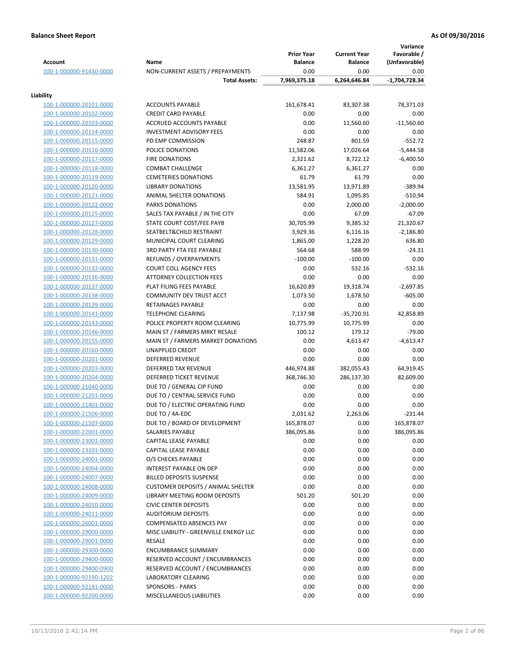| <b>Account</b>                                     | Name                                                                              | <b>Prior Year</b><br><b>Balance</b> | <b>Current Year</b><br><b>Balance</b> | Variance<br>Favorable /<br>(Unfavorable) |
|----------------------------------------------------|-----------------------------------------------------------------------------------|-------------------------------------|---------------------------------------|------------------------------------------|
| 100-1-000000-91430-0000                            | NON-CURRENT ASSETS / PREPAYMENTS                                                  | 0.00                                | 0.00                                  | 0.00                                     |
|                                                    | <b>Total Assets:</b>                                                              | 7,969,375.18                        | 6,264,646.84                          | -1,704,728.34                            |
| Liability                                          |                                                                                   |                                     |                                       |                                          |
| 100-1-000000-20101-0000                            | <b>ACCOUNTS PAYABLE</b>                                                           | 161,678.41                          | 83,307.38                             | 78,371.03                                |
| 100-1-000000-20102-0000                            | <b>CREDIT CARD PAYABLE</b>                                                        | 0.00                                | 0.00                                  | 0.00                                     |
| 100-1-000000-20103-0000                            | ACCRUED ACCOUNTS PAYABLE                                                          | 0.00                                | 11,560.60                             | $-11,560.60$                             |
| 100-1-000000-20114-0000                            | <b>INVESTMENT ADVISORY FEES</b>                                                   | 0.00                                | 0.00                                  | 0.00                                     |
| 100-1-000000-20115-0000                            | PD EMP COMMISSION                                                                 | 248.87                              | 801.59                                | $-552.72$                                |
| 100-1-000000-20116-0000                            | POLICE DONATIONS                                                                  | 11,582.06                           | 17,026.64                             | $-5,444.58$                              |
| 100-1-000000-20117-0000                            | <b>FIRE DONATIONS</b>                                                             | 2,321.62                            | 8,722.12                              | $-6,400.50$                              |
| 100-1-000000-20118-0000                            | <b>COMBAT CHALLENGE</b>                                                           | 6,361.27                            | 6,361.27                              | 0.00                                     |
| 100-1-000000-20119-0000                            | <b>CEMETERIES DONATIONS</b>                                                       | 61.79                               | 61.79                                 | 0.00                                     |
| 100-1-000000-20120-0000                            | <b>LIBRARY DONATIONS</b>                                                          | 13,581.95                           | 13,971.89                             | $-389.94$                                |
| 100-1-000000-20121-0000                            | ANIMAL SHELTER DONATIONS                                                          | 584.91                              | 1,095.85                              | $-510.94$                                |
| 100-1-000000-20122-0000                            | <b>PARKS DONATIONS</b>                                                            | 0.00                                | 2,000.00                              | $-2,000.00$                              |
| 100-1-000000-20125-0000                            | SALES TAX PAYABLE / IN THE CITY                                                   | 0.00                                | 67.09                                 | $-67.09$                                 |
| 100-1-000000-20127-0000                            | STATE COURT COST/FEE PAYB<br>SEATBELT&CHILD RESTRAINT                             | 30,705.99<br>3,929.36               | 9,385.32<br>6,116.16                  | 21,320.67<br>$-2,186.80$                 |
| 100-1-000000-20128-0000<br>100-1-000000-20129-0000 | MUNICIPAL COURT CLEARING                                                          | 1,865.00                            | 1,228.20                              | 636.80                                   |
| 100-1-000000-20130-0000                            | 3RD PARTY FTA FEE PAYABLE                                                         | 564.68                              | 588.99                                | $-24.31$                                 |
| 100-1-000000-20131-0000                            | REFUNDS / OVERPAYMENTS                                                            | $-100.00$                           | $-100.00$                             | 0.00                                     |
| 100-1-000000-20132-0000                            | <b>COURT COLL AGENCY FEES</b>                                                     | 0.00                                | 532.16                                | $-532.16$                                |
| 100-1-000000-20136-0000                            | <b>ATTORNEY COLLECTION FEES</b>                                                   | 0.00                                | 0.00                                  | 0.00                                     |
| 100-1-000000-20137-0000                            | PLAT FILING FEES PAYABLE                                                          | 16,620.89                           | 19,318.74                             | $-2,697.85$                              |
| 100-1-000000-20138-0000                            | COMMUNITY DEV TRUST ACCT                                                          | 1,073.50                            | 1,678.50                              | $-605.00$                                |
| 100-1-000000-20139-0000                            | RETAINAGES PAYABLE                                                                | 0.00                                | 0.00                                  | 0.00                                     |
| 100-1-000000-20141-0000                            | <b>TELEPHONE CLEARING</b>                                                         | 7,137.98                            | $-35,720.91$                          | 42,858.89                                |
| 100-1-000000-20143-0000                            | POLICE PROPERTY ROOM CLEARING                                                     | 10,775.99                           | 10,775.99                             | 0.00                                     |
| 100-1-000000-20146-0000                            | MAIN ST / FARMERS MRKT RESALE                                                     | 100.12                              | 179.12                                | $-79.00$                                 |
| 100-1-000000-20155-0000                            | MAIN ST / FARMERS MARKET DONATIONS                                                | 0.00                                | 4,613.47                              | $-4,613.47$                              |
| 100-1-000000-20160-0000                            | <b>UNAPPLIED CREDIT</b>                                                           | 0.00                                | 0.00                                  | 0.00                                     |
| 100-1-000000-20201-0000                            | <b>DEFERRED REVENUE</b>                                                           | 0.00                                | 0.00                                  | 0.00                                     |
| 100-1-000000-20203-0000                            | <b>DEFERRED TAX REVENUE</b>                                                       | 446,974.88                          | 382,055.43                            | 64,919.45                                |
| 100-1-000000-20204-0000                            | <b>DEFERRED TICKET REVENUE</b>                                                    | 368,746.30                          | 286,137.30                            | 82,609.00                                |
| 100-1-000000-21040-0000                            | DUE TO / GENERAL CIP FUND                                                         | 0.00                                | 0.00                                  | 0.00                                     |
| 100-1-000000-21201-0000                            | DUE TO / CENTRAL SERVICE FUND                                                     | 0.00                                | 0.00                                  | 0.00                                     |
| 100-1-000000-21401-0000                            | DUE TO / ELECTRIC OPERATING FUND                                                  | 0.00                                | 0.00                                  | 0.00                                     |
| 100-1-000000-21506-0000                            | DUE TO / 4A-EDC                                                                   | 2,031.62                            | 2,263.06                              | $-231.44$                                |
| 100-1-000000-21507-0000                            | DUE TO / BOARD OF DEVELOPMENT                                                     | 165,878.07                          | 0.00                                  | 165,878.07                               |
| 100-1-000000-22001-0000                            | SALARIES PAYABLE                                                                  | 386,095.86                          | 0.00                                  | 386,095.86                               |
| 100-1-000000-23001-0000                            | CAPITAL LEASE PAYABLE                                                             | 0.00                                | 0.00                                  | 0.00                                     |
| 100-1-000000-23101-0000                            | CAPITAL LEASE PAYABLE                                                             | 0.00                                | 0.00                                  | 0.00                                     |
| 100-1-000000-24001-0000                            | O/S CHECKS PAYABLE                                                                | 0.00                                | 0.00                                  | 0.00                                     |
| 100-1-000000-24004-0000                            | INTEREST PAYABLE ON DEP                                                           | 0.00                                | 0.00                                  | 0.00                                     |
| 100-1-000000-24007-0000                            | <b>BILLED DEPOSITS SUSPENSE</b>                                                   | 0.00                                | 0.00                                  | 0.00                                     |
| 100-1-000000-24008-0000                            | <b>CUSTOMER DEPOSITS / ANIMAL SHELTER</b><br><b>LIBRARY MEETING ROOM DEPOSITS</b> | 0.00                                | 0.00                                  | 0.00                                     |
| 100-1-000000-24009-0000<br>100-1-000000-24010-0000 | <b>CIVIC CENTER DEPOSITS</b>                                                      | 501.20<br>0.00                      | 501.20<br>0.00                        | 0.00<br>0.00                             |
| 100-1-000000-24011-0000                            | <b>AUDITORIUM DEPOSITS</b>                                                        | 0.00                                | 0.00                                  | 0.00                                     |
| 100-1-000000-26001-0000                            | COMPENSATED ABSENCES PAY                                                          | 0.00                                | 0.00                                  | 0.00                                     |
| 100-1-000000-29000-0000                            | MISC LIABILITY - GREENVILLE ENERGY LLC                                            | 0.00                                | 0.00                                  | 0.00                                     |
| 100-1-000000-29001-0000                            | RESALE                                                                            | 0.00                                | 0.00                                  | 0.00                                     |
| 100-1-000000-29300-0000                            | <b>ENCUMBRANCE SUMMARY</b>                                                        | 0.00                                | 0.00                                  | 0.00                                     |
| 100-1-000000-29400-0000                            | RESERVED ACCOUNT / ENCUMBRANCES                                                   | 0.00                                | 0.00                                  | 0.00                                     |
| 100-1-000000-29400-0900                            | RESERVED ACCOUNT / ENCUMBRANCES                                                   | 0.00                                | 0.00                                  | 0.00                                     |
| 100-1-000000-92190-1202                            | <b>LABORATORY CLEARING</b>                                                        | 0.00                                | 0.00                                  | 0.00                                     |
| 100-1-000000-92191-0000                            | <b>SPONSORS - PARKS</b>                                                           | 0.00                                | 0.00                                  | 0.00                                     |
| 100-1-000000-92200-0000                            | MISCELLANEOUS LIABILITIES                                                         | 0.00                                | 0.00                                  | 0.00                                     |
|                                                    |                                                                                   |                                     |                                       |                                          |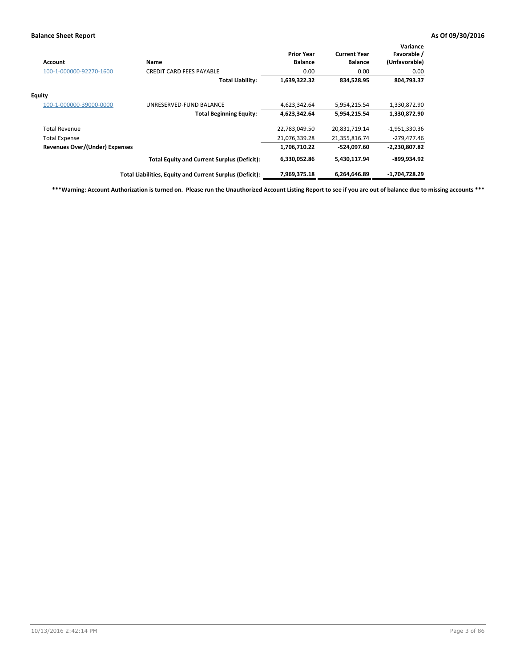| Account                               | Name                                                     | <b>Prior Year</b><br><b>Balance</b> | <b>Current Year</b><br><b>Balance</b> | Variance<br>Favorable /<br>(Unfavorable) |
|---------------------------------------|----------------------------------------------------------|-------------------------------------|---------------------------------------|------------------------------------------|
| 100-1-000000-92270-1600               | <b>CREDIT CARD FEES PAYABLE</b>                          | 0.00                                | 0.00                                  | 0.00                                     |
|                                       | <b>Total Liability:</b>                                  | 1,639,322.32                        | 834,528.95                            | 804,793.37                               |
| Equity                                |                                                          |                                     |                                       |                                          |
| 100-1-000000-39000-0000               | UNRESERVED-FUND BALANCE                                  | 4,623,342.64                        | 5,954,215.54                          | 1,330,872.90                             |
|                                       | <b>Total Beginning Equity:</b>                           | 4,623,342.64                        | 5,954,215.54                          | 1,330,872.90                             |
| <b>Total Revenue</b>                  |                                                          | 22,783,049.50                       | 20,831,719.14                         | $-1,951,330.36$                          |
| <b>Total Expense</b>                  |                                                          | 21,076,339.28                       | 21,355,816.74                         | $-279,477.46$                            |
| <b>Revenues Over/(Under) Expenses</b> |                                                          | 1,706,710.22                        | -524,097.60                           | $-2,230,807.82$                          |
|                                       | <b>Total Equity and Current Surplus (Deficit):</b>       | 6,330,052.86                        | 5,430,117.94                          | -899,934.92                              |
|                                       | Total Liabilities, Equity and Current Surplus (Deficit): | 7,969,375.18                        | 6,264,646.89                          | -1,704,728.29                            |

**\*\*\*Warning: Account Authorization is turned on. Please run the Unauthorized Account Listing Report to see if you are out of balance due to missing accounts \*\*\***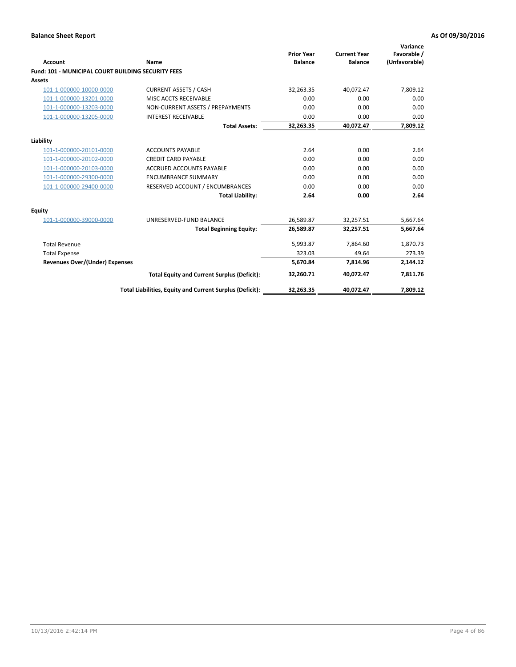| Account                                                   | Name                                                     | <b>Prior Year</b><br><b>Balance</b> | <b>Current Year</b><br><b>Balance</b> | Variance<br>Favorable /<br>(Unfavorable) |
|-----------------------------------------------------------|----------------------------------------------------------|-------------------------------------|---------------------------------------|------------------------------------------|
| <b>Fund: 101 - MUNICIPAL COURT BUILDING SECURITY FEES</b> |                                                          |                                     |                                       |                                          |
| <b>Assets</b>                                             |                                                          |                                     |                                       |                                          |
| 101-1-000000-10000-0000                                   | <b>CURRENT ASSETS / CASH</b>                             | 32,263.35                           | 40,072.47                             | 7,809.12                                 |
| 101-1-000000-13201-0000                                   | MISC ACCTS RECEIVABLE                                    | 0.00                                | 0.00                                  | 0.00                                     |
| 101-1-000000-13203-0000                                   | NON-CURRENT ASSETS / PREPAYMENTS                         | 0.00                                | 0.00                                  | 0.00                                     |
| 101-1-000000-13205-0000                                   | <b>INTEREST RECEIVABLE</b>                               | 0.00                                | 0.00                                  | 0.00                                     |
|                                                           | <b>Total Assets:</b>                                     | 32,263.35                           | 40,072.47                             | 7,809.12                                 |
| Liability                                                 |                                                          |                                     |                                       |                                          |
| 101-1-000000-20101-0000                                   | <b>ACCOUNTS PAYABLE</b>                                  | 2.64                                | 0.00                                  | 2.64                                     |
| 101-1-000000-20102-0000                                   | <b>CREDIT CARD PAYABLE</b>                               | 0.00                                | 0.00                                  | 0.00                                     |
| 101-1-000000-20103-0000                                   | <b>ACCRUED ACCOUNTS PAYABLE</b>                          | 0.00                                | 0.00                                  | 0.00                                     |
| 101-1-000000-29300-0000                                   | <b>ENCUMBRANCE SUMMARY</b>                               | 0.00                                | 0.00                                  | 0.00                                     |
| 101-1-000000-29400-0000                                   | RESERVED ACCOUNT / ENCUMBRANCES                          | 0.00                                | 0.00                                  | 0.00                                     |
|                                                           | <b>Total Liability:</b>                                  | 2.64                                | 0.00                                  | 2.64                                     |
| <b>Equity</b>                                             |                                                          |                                     |                                       |                                          |
| 101-1-000000-39000-0000                                   | UNRESERVED-FUND BALANCE                                  | 26,589.87                           | 32,257.51                             | 5,667.64                                 |
|                                                           | <b>Total Beginning Equity:</b>                           | 26,589.87                           | 32,257.51                             | 5,667.64                                 |
| <b>Total Revenue</b>                                      |                                                          | 5,993.87                            | 7,864.60                              | 1,870.73                                 |
| <b>Total Expense</b>                                      |                                                          | 323.03                              | 49.64                                 | 273.39                                   |
| <b>Revenues Over/(Under) Expenses</b>                     |                                                          | 5,670.84                            | 7,814.96                              | 2,144.12                                 |
|                                                           | <b>Total Equity and Current Surplus (Deficit):</b>       | 32,260.71                           | 40,072.47                             | 7,811.76                                 |
|                                                           | Total Liabilities, Equity and Current Surplus (Deficit): | 32,263.35                           | 40,072.47                             | 7,809.12                                 |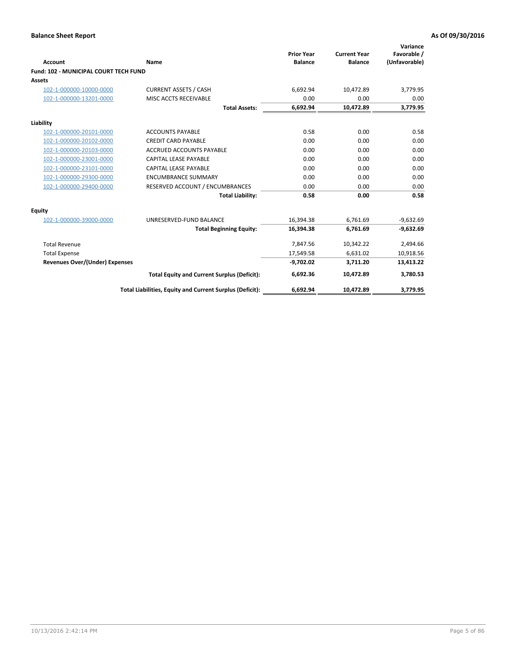|                                              |                                                          |                                     |                                       | Variance                     |
|----------------------------------------------|----------------------------------------------------------|-------------------------------------|---------------------------------------|------------------------------|
| <b>Account</b>                               | Name                                                     | <b>Prior Year</b><br><b>Balance</b> | <b>Current Year</b><br><b>Balance</b> | Favorable /<br>(Unfavorable) |
| <b>Fund: 102 - MUNICIPAL COURT TECH FUND</b> |                                                          |                                     |                                       |                              |
| <b>Assets</b>                                |                                                          |                                     |                                       |                              |
| 102-1-000000-10000-0000                      | <b>CURRENT ASSETS / CASH</b>                             | 6,692.94                            | 10,472.89                             | 3,779.95                     |
| 102-1-000000-13201-0000                      | MISC ACCTS RECEIVABLE                                    | 0.00                                | 0.00                                  | 0.00                         |
|                                              | <b>Total Assets:</b>                                     | 6,692.94                            | 10,472.89                             | 3,779.95                     |
| Liability                                    |                                                          |                                     |                                       |                              |
| 102-1-000000-20101-0000                      | <b>ACCOUNTS PAYABLE</b>                                  | 0.58                                | 0.00                                  | 0.58                         |
| 102-1-000000-20102-0000                      | <b>CREDIT CARD PAYABLE</b>                               | 0.00                                | 0.00                                  | 0.00                         |
| 102-1-000000-20103-0000                      | <b>ACCRUED ACCOUNTS PAYABLE</b>                          | 0.00                                | 0.00                                  | 0.00                         |
| 102-1-000000-23001-0000                      | <b>CAPITAL LEASE PAYABLE</b>                             | 0.00                                | 0.00                                  | 0.00                         |
| 102-1-000000-23101-0000                      | <b>CAPITAL LEASE PAYABLE</b>                             | 0.00                                | 0.00                                  | 0.00                         |
| 102-1-000000-29300-0000                      | <b>ENCUMBRANCE SUMMARY</b>                               | 0.00                                | 0.00                                  | 0.00                         |
| 102-1-000000-29400-0000                      | RESERVED ACCOUNT / ENCUMBRANCES                          | 0.00                                | 0.00                                  | 0.00                         |
|                                              | <b>Total Liability:</b>                                  | 0.58                                | 0.00                                  | 0.58                         |
| Equity                                       |                                                          |                                     |                                       |                              |
| 102-1-000000-39000-0000                      | UNRESERVED-FUND BALANCE                                  | 16,394.38                           | 6,761.69                              | $-9,632.69$                  |
|                                              | <b>Total Beginning Equity:</b>                           | 16,394.38                           | 6,761.69                              | $-9,632.69$                  |
| <b>Total Revenue</b>                         |                                                          | 7,847.56                            | 10,342.22                             | 2,494.66                     |
| <b>Total Expense</b>                         |                                                          | 17,549.58                           | 6,631.02                              | 10,918.56                    |
| <b>Revenues Over/(Under) Expenses</b>        |                                                          | $-9,702.02$                         | 3,711.20                              | 13,413.22                    |
|                                              | <b>Total Equity and Current Surplus (Deficit):</b>       | 6,692.36                            | 10,472.89                             | 3,780.53                     |
|                                              | Total Liabilities, Equity and Current Surplus (Deficit): | 6,692.94                            | 10,472.89                             | 3,779.95                     |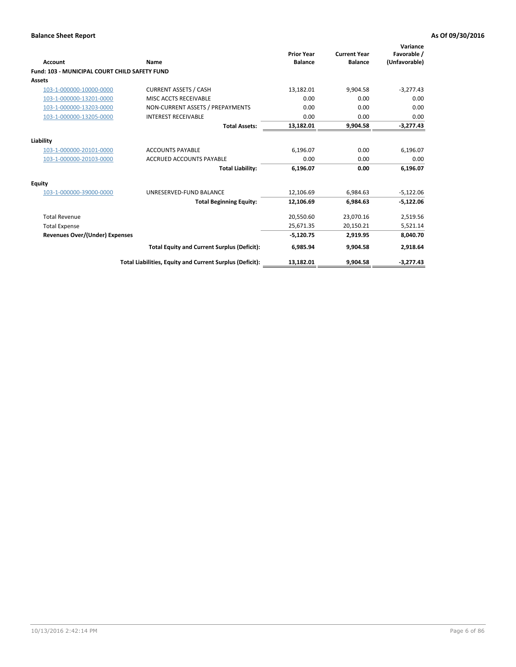| <b>Account</b>                                       | Name                                                     | <b>Prior Year</b><br><b>Balance</b> | <b>Current Year</b><br><b>Balance</b> | Variance<br>Favorable /<br>(Unfavorable) |
|------------------------------------------------------|----------------------------------------------------------|-------------------------------------|---------------------------------------|------------------------------------------|
| <b>Fund: 103 - MUNICIPAL COURT CHILD SAFETY FUND</b> |                                                          |                                     |                                       |                                          |
| <b>Assets</b>                                        |                                                          |                                     |                                       |                                          |
| 103-1-000000-10000-0000                              | <b>CURRENT ASSETS / CASH</b>                             | 13,182.01                           | 9,904.58                              | $-3,277.43$                              |
| 103-1-000000-13201-0000                              | MISC ACCTS RECEIVABLE                                    | 0.00                                | 0.00                                  | 0.00                                     |
| 103-1-000000-13203-0000                              | NON-CURRENT ASSETS / PREPAYMENTS                         | 0.00                                | 0.00                                  | 0.00                                     |
| 103-1-000000-13205-0000                              | <b>INTEREST RECEIVABLE</b>                               | 0.00                                | 0.00                                  | 0.00                                     |
|                                                      | <b>Total Assets:</b>                                     | 13,182.01                           | 9,904.58                              | $-3,277.43$                              |
| Liability                                            |                                                          |                                     |                                       |                                          |
| 103-1-000000-20101-0000                              | <b>ACCOUNTS PAYABLE</b>                                  | 6,196.07                            | 0.00                                  | 6,196.07                                 |
| 103-1-000000-20103-0000                              | <b>ACCRUED ACCOUNTS PAYABLE</b>                          | 0.00                                | 0.00                                  | 0.00                                     |
|                                                      | <b>Total Liability:</b>                                  | 6,196.07                            | 0.00                                  | 6,196.07                                 |
| Equity                                               |                                                          |                                     |                                       |                                          |
| 103-1-000000-39000-0000                              | UNRESERVED-FUND BALANCE                                  | 12,106.69                           | 6,984.63                              | $-5,122.06$                              |
|                                                      | <b>Total Beginning Equity:</b>                           | 12,106.69                           | 6.984.63                              | $-5,122.06$                              |
| <b>Total Revenue</b>                                 |                                                          | 20,550.60                           | 23,070.16                             | 2,519.56                                 |
| <b>Total Expense</b>                                 |                                                          | 25,671.35                           | 20,150.21                             | 5,521.14                                 |
| <b>Revenues Over/(Under) Expenses</b>                |                                                          | $-5,120.75$                         | 2,919.95                              | 8,040.70                                 |
|                                                      | <b>Total Equity and Current Surplus (Deficit):</b>       | 6,985.94                            | 9,904.58                              | 2,918.64                                 |
|                                                      | Total Liabilities, Equity and Current Surplus (Deficit): | 13,182.01                           | 9,904.58                              | $-3,277.43$                              |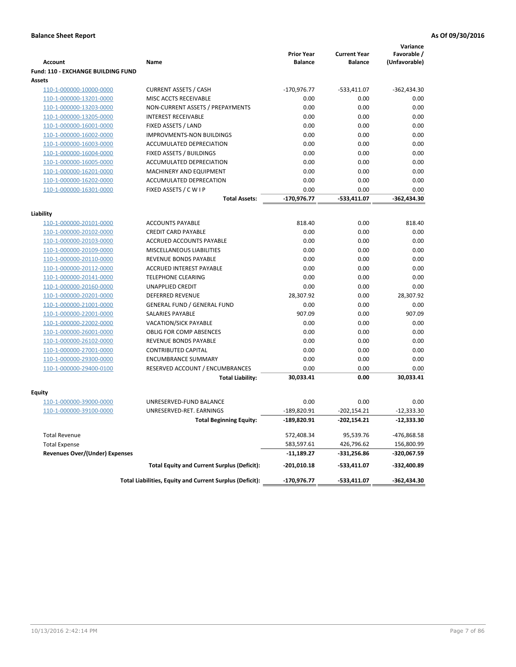|                                           |                                                          | <b>Prior Year</b> | <b>Current Year</b> | Variance<br>Favorable / |
|-------------------------------------------|----------------------------------------------------------|-------------------|---------------------|-------------------------|
| <b>Account</b>                            | Name                                                     | <b>Balance</b>    | <b>Balance</b>      | (Unfavorable)           |
| <b>Fund: 110 - EXCHANGE BUILDING FUND</b> |                                                          |                   |                     |                         |
| Assets                                    |                                                          |                   |                     |                         |
| 110-1-000000-10000-0000                   | <b>CURRENT ASSETS / CASH</b>                             | $-170,976.77$     | $-533,411.07$       | $-362,434.30$           |
| 110-1-000000-13201-0000                   | MISC ACCTS RECEIVABLE                                    | 0.00              | 0.00                | 0.00                    |
| 110-1-000000-13203-0000                   | NON-CURRENT ASSETS / PREPAYMENTS                         | 0.00              | 0.00                | 0.00                    |
| 110-1-000000-13205-0000                   | <b>INTEREST RECEIVABLE</b>                               | 0.00              | 0.00                | 0.00                    |
| 110-1-000000-16001-0000                   | FIXED ASSETS / LAND                                      | 0.00              | 0.00                | 0.00                    |
| 110-1-000000-16002-0000                   | <b>IMPROVMENTS-NON BUILDINGS</b>                         | 0.00              | 0.00                | 0.00                    |
| 110-1-000000-16003-0000                   | ACCUMULATED DEPRECIATION                                 | 0.00              | 0.00                | 0.00                    |
| 110-1-000000-16004-0000                   | FIXED ASSETS / BUILDINGS                                 | 0.00              | 0.00                | 0.00                    |
| 110-1-000000-16005-0000                   | ACCUMULATED DEPRECIATION                                 | 0.00              | 0.00                | 0.00                    |
| 110-1-000000-16201-0000                   | MACHINERY AND EQUIPMENT                                  | 0.00              | 0.00                | 0.00                    |
| 110-1-000000-16202-0000                   | ACCUMULATED DEPRECATION                                  | 0.00              | 0.00                | 0.00                    |
| 110-1-000000-16301-0000                   | FIXED ASSETS / C W I P                                   | 0.00              | 0.00                | 0.00                    |
|                                           | Total Assets:                                            | -170,976.77       | -533,411.07         | $-362,434.30$           |
| Liability                                 |                                                          |                   |                     |                         |
| 110-1-000000-20101-0000                   | <b>ACCOUNTS PAYABLE</b>                                  | 818.40            | 0.00                | 818.40                  |
| 110-1-000000-20102-0000                   | <b>CREDIT CARD PAYABLE</b>                               | 0.00              | 0.00                | 0.00                    |
| 110-1-000000-20103-0000                   | ACCRUED ACCOUNTS PAYABLE                                 | 0.00              | 0.00                | 0.00                    |
| 110-1-000000-20109-0000                   | MISCELLANEOUS LIABILITIES                                | 0.00              | 0.00                | 0.00                    |
| 110-1-000000-20110-0000                   | REVENUE BONDS PAYABLE                                    | 0.00              | 0.00                | 0.00                    |
| 110-1-000000-20112-0000                   | ACCRUED INTEREST PAYABLE                                 | 0.00              | 0.00                | 0.00                    |
| 110-1-000000-20141-0000                   | <b>TELEPHONE CLEARING</b>                                | 0.00              | 0.00                | 0.00                    |
| 110-1-000000-20160-0000                   | <b>UNAPPLIED CREDIT</b>                                  | 0.00              | 0.00                | 0.00                    |
| 110-1-000000-20201-0000                   | <b>DEFERRED REVENUE</b>                                  | 28,307.92         | 0.00                | 28,307.92               |
| 110-1-000000-21001-0000                   | <b>GENERAL FUND / GENERAL FUND</b>                       | 0.00              | 0.00                | 0.00                    |
| 110-1-000000-22001-0000                   | <b>SALARIES PAYABLE</b>                                  | 907.09            | 0.00                | 907.09                  |
| 110-1-000000-22002-0000                   | <b>VACATION/SICK PAYABLE</b>                             | 0.00              | 0.00                | 0.00                    |
| 110-1-000000-26001-0000                   | <b>OBLIG FOR COMP ABSENCES</b>                           | 0.00              | 0.00                | 0.00                    |
| 110-1-000000-26102-0000                   | REVENUE BONDS PAYABLE                                    | 0.00              | 0.00                | 0.00                    |
| 110-1-000000-27001-0000                   | <b>CONTRIBUTED CAPITAL</b>                               | 0.00              | 0.00                | 0.00                    |
| 110-1-000000-29300-0000                   | <b>ENCUMBRANCE SUMMARY</b>                               | 0.00              | 0.00                | 0.00                    |
| 110-1-000000-29400-0100                   | RESERVED ACCOUNT / ENCUMBRANCES                          | 0.00              | 0.00                | 0.00                    |
|                                           | <b>Total Liability:</b>                                  | 30,033.41         | 0.00                | 30,033.41               |
|                                           |                                                          |                   |                     |                         |
| Fquity                                    |                                                          |                   |                     |                         |
| 110-1-000000-39000-0000                   | UNRESERVED-FUND BALANCE                                  | 0.00              | 0.00                | 0.00                    |
| 110-1-000000-39100-0000                   | UNRESERVED-RET. EARNINGS                                 | $-189,820.91$     | $-202,154.21$       | $-12,333.30$            |
|                                           | <b>Total Beginning Equity:</b>                           | -189,820.91       | -202,154.21         | -12,333.30              |
| <b>Total Revenue</b>                      |                                                          | 572,408.34        | 95,539.76           | -476,868.58             |
| <b>Total Expense</b>                      |                                                          | 583,597.61        | 426,796.62          | 156,800.99              |
| <b>Revenues Over/(Under) Expenses</b>     |                                                          | -11,189.27        | -331,256.86         | -320,067.59             |
|                                           | <b>Total Equity and Current Surplus (Deficit):</b>       | -201,010.18       | $-533,411.07$       | -332,400.89             |
|                                           | Total Liabilities, Equity and Current Surplus (Deficit): | -170,976.77       | $-533,411.07$       | $-362,434.30$           |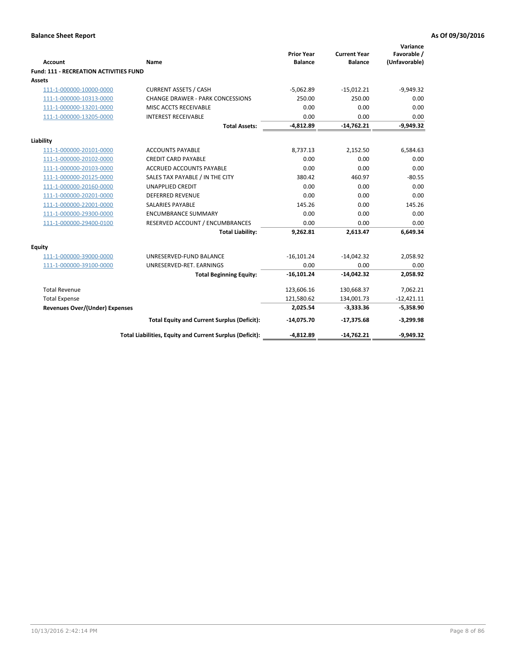|                                               |                                                          | <b>Prior Year</b> | <b>Current Year</b> | Variance<br>Favorable / |
|-----------------------------------------------|----------------------------------------------------------|-------------------|---------------------|-------------------------|
| Account                                       | Name                                                     | <b>Balance</b>    | <b>Balance</b>      | (Unfavorable)           |
| <b>Fund: 111 - RECREATION ACTIVITIES FUND</b> |                                                          |                   |                     |                         |
| Assets                                        |                                                          |                   |                     |                         |
| 111-1-000000-10000-0000                       | <b>CURRENT ASSETS / CASH</b>                             | $-5,062.89$       | $-15,012.21$        | $-9,949.32$             |
| 111-1-000000-10313-0000                       | <b>CHANGE DRAWER - PARK CONCESSIONS</b>                  | 250.00            | 250.00              | 0.00                    |
| 111-1-000000-13201-0000                       | MISC ACCTS RECEIVABLE                                    | 0.00              | 0.00                | 0.00                    |
| 111-1-000000-13205-0000                       | <b>INTEREST RECEIVABLE</b>                               | 0.00              | 0.00                | 0.00                    |
|                                               | <b>Total Assets:</b>                                     | $-4,812.89$       | $-14,762.21$        | $-9,949.32$             |
| Liability                                     |                                                          |                   |                     |                         |
| 111-1-000000-20101-0000                       | <b>ACCOUNTS PAYABLE</b>                                  | 8,737.13          | 2,152.50            | 6,584.63                |
| 111-1-000000-20102-0000                       | <b>CREDIT CARD PAYABLE</b>                               | 0.00              | 0.00                | 0.00                    |
| 111-1-000000-20103-0000                       | <b>ACCRUED ACCOUNTS PAYABLE</b>                          | 0.00              | 0.00                | 0.00                    |
| 111-1-000000-20125-0000                       | SALES TAX PAYABLE / IN THE CITY                          | 380.42            | 460.97              | $-80.55$                |
| 111-1-000000-20160-0000                       | <b>UNAPPLIED CREDIT</b>                                  | 0.00              | 0.00                | 0.00                    |
| 111-1-000000-20201-0000                       | <b>DEFERRED REVENUE</b>                                  | 0.00              | 0.00                | 0.00                    |
| 111-1-000000-22001-0000                       | <b>SALARIES PAYABLE</b>                                  | 145.26            | 0.00                | 145.26                  |
| 111-1-000000-29300-0000                       | <b>ENCUMBRANCE SUMMARY</b>                               | 0.00              | 0.00                | 0.00                    |
| 111-1-000000-29400-0100                       | RESERVED ACCOUNT / ENCUMBRANCES                          | 0.00              | 0.00                | 0.00                    |
|                                               | <b>Total Liability:</b>                                  | 9,262.81          | 2,613.47            | 6,649.34                |
| <b>Equity</b>                                 |                                                          |                   |                     |                         |
| 111-1-000000-39000-0000                       | UNRESERVED-FUND BALANCE                                  | $-16, 101.24$     | $-14,042.32$        | 2,058.92                |
| 111-1-000000-39100-0000                       | UNRESERVED-RET. EARNINGS                                 | 0.00              | 0.00                | 0.00                    |
|                                               | <b>Total Beginning Equity:</b>                           | $-16,101.24$      | $-14,042.32$        | 2,058.92                |
| <b>Total Revenue</b>                          |                                                          | 123,606.16        | 130,668.37          | 7,062.21                |
| <b>Total Expense</b>                          |                                                          | 121,580.62        | 134,001.73          | $-12,421.11$            |
| <b>Revenues Over/(Under) Expenses</b>         |                                                          | 2,025.54          | $-3,333.36$         | $-5,358.90$             |
|                                               | <b>Total Equity and Current Surplus (Deficit):</b>       | $-14,075.70$      | $-17,375.68$        | $-3,299.98$             |
|                                               | Total Liabilities, Equity and Current Surplus (Deficit): | $-4,812.89$       | $-14,762.21$        | $-9,949.32$             |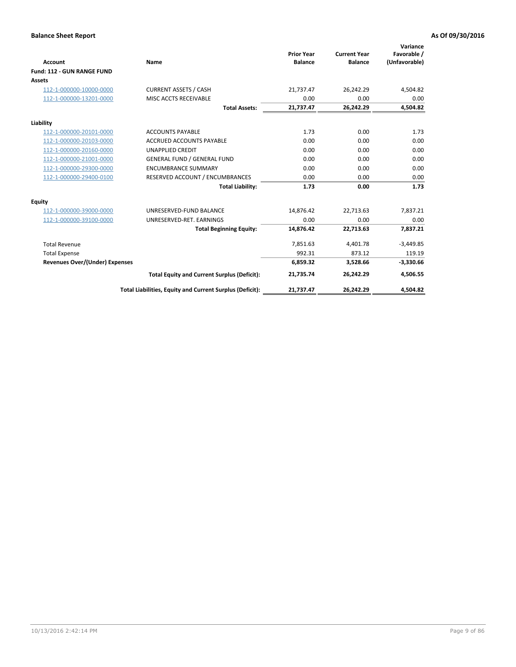|                                       |                                                          |                                     |                                       | Variance                     |
|---------------------------------------|----------------------------------------------------------|-------------------------------------|---------------------------------------|------------------------------|
| Account                               | Name                                                     | <b>Prior Year</b><br><b>Balance</b> | <b>Current Year</b><br><b>Balance</b> | Favorable /<br>(Unfavorable) |
| Fund: 112 - GUN RANGE FUND            |                                                          |                                     |                                       |                              |
| <b>Assets</b>                         |                                                          |                                     |                                       |                              |
| 112-1-000000-10000-0000               | <b>CURRENT ASSETS / CASH</b>                             | 21,737.47                           | 26,242.29                             | 4,504.82                     |
| 112-1-000000-13201-0000               | MISC ACCTS RECEIVABLE                                    | 0.00                                | 0.00                                  | 0.00                         |
|                                       | <b>Total Assets:</b>                                     | 21,737.47                           | 26,242.29                             | 4,504.82                     |
| Liability                             |                                                          |                                     |                                       |                              |
| 112-1-000000-20101-0000               | <b>ACCOUNTS PAYABLE</b>                                  | 1.73                                | 0.00                                  | 1.73                         |
| 112-1-000000-20103-0000               | <b>ACCRUED ACCOUNTS PAYABLE</b>                          | 0.00                                | 0.00                                  | 0.00                         |
| 112-1-000000-20160-0000               | <b>UNAPPLIED CREDIT</b>                                  | 0.00                                | 0.00                                  | 0.00                         |
| 112-1-000000-21001-0000               | <b>GENERAL FUND / GENERAL FUND</b>                       | 0.00                                | 0.00                                  | 0.00                         |
| 112-1-000000-29300-0000               | <b>ENCUMBRANCE SUMMARY</b>                               | 0.00                                | 0.00                                  | 0.00                         |
| 112-1-000000-29400-0100               | RESERVED ACCOUNT / ENCUMBRANCES                          | 0.00                                | 0.00                                  | 0.00                         |
|                                       | <b>Total Liability:</b>                                  | 1.73                                | 0.00                                  | 1.73                         |
| <b>Equity</b>                         |                                                          |                                     |                                       |                              |
| 112-1-000000-39000-0000               | UNRESERVED-FUND BALANCE                                  | 14,876.42                           | 22,713.63                             | 7,837.21                     |
| 112-1-000000-39100-0000               | UNRESERVED-RET. EARNINGS                                 | 0.00                                | 0.00                                  | 0.00                         |
|                                       | <b>Total Beginning Equity:</b>                           | 14.876.42                           | 22.713.63                             | 7,837.21                     |
| <b>Total Revenue</b>                  |                                                          | 7,851.63                            | 4,401.78                              | $-3,449.85$                  |
| <b>Total Expense</b>                  |                                                          | 992.31                              | 873.12                                | 119.19                       |
| <b>Revenues Over/(Under) Expenses</b> |                                                          | 6,859.32                            | 3,528.66                              | $-3,330.66$                  |
|                                       | <b>Total Equity and Current Surplus (Deficit):</b>       | 21,735.74                           | 26,242.29                             | 4,506.55                     |
|                                       | Total Liabilities, Equity and Current Surplus (Deficit): | 21,737.47                           | 26,242.29                             | 4,504.82                     |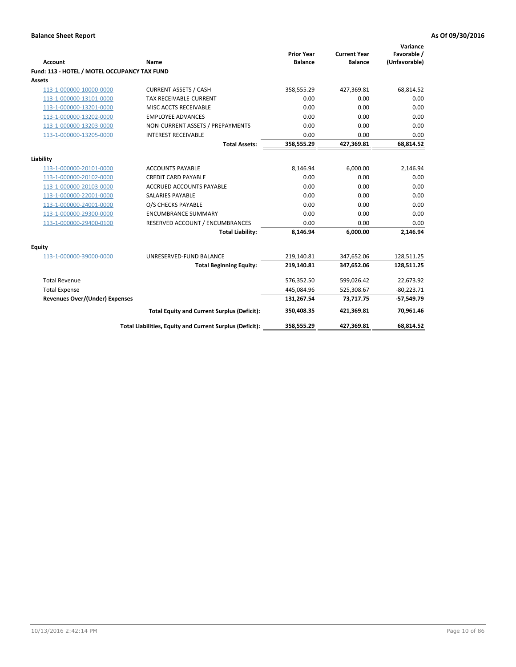| <b>Account</b>                               | Name                                                     | <b>Prior Year</b><br><b>Balance</b> | <b>Current Year</b><br><b>Balance</b> | Variance<br>Favorable /<br>(Unfavorable) |
|----------------------------------------------|----------------------------------------------------------|-------------------------------------|---------------------------------------|------------------------------------------|
| Fund: 113 - HOTEL / MOTEL OCCUPANCY TAX FUND |                                                          |                                     |                                       |                                          |
| <b>Assets</b>                                |                                                          |                                     |                                       |                                          |
| 113-1-000000-10000-0000                      | <b>CURRENT ASSETS / CASH</b>                             | 358,555.29                          | 427,369.81                            | 68,814.52                                |
| 113-1-000000-13101-0000                      | TAX RECEIVABLE-CURRENT                                   | 0.00                                | 0.00                                  | 0.00                                     |
| 113-1-000000-13201-0000                      | MISC ACCTS RECEIVABLE                                    | 0.00                                | 0.00                                  | 0.00                                     |
| 113-1-000000-13202-0000                      | <b>EMPLOYEE ADVANCES</b>                                 | 0.00                                | 0.00                                  | 0.00                                     |
| 113-1-000000-13203-0000                      | NON-CURRENT ASSETS / PREPAYMENTS                         | 0.00                                | 0.00                                  | 0.00                                     |
| 113-1-000000-13205-0000                      | <b>INTEREST RECEIVABLE</b>                               | 0.00                                | 0.00                                  | 0.00                                     |
|                                              | <b>Total Assets:</b>                                     | 358,555.29                          | 427,369.81                            | 68,814.52                                |
| Liability                                    |                                                          |                                     |                                       |                                          |
| 113-1-000000-20101-0000                      | <b>ACCOUNTS PAYABLE</b>                                  | 8,146.94                            | 6,000.00                              | 2,146.94                                 |
| 113-1-000000-20102-0000                      | <b>CREDIT CARD PAYABLE</b>                               | 0.00                                | 0.00                                  | 0.00                                     |
| 113-1-000000-20103-0000                      | <b>ACCRUED ACCOUNTS PAYABLE</b>                          | 0.00                                | 0.00                                  | 0.00                                     |
| 113-1-000000-22001-0000                      | <b>SALARIES PAYABLE</b>                                  | 0.00                                | 0.00                                  | 0.00                                     |
| 113-1-000000-24001-0000                      | O/S CHECKS PAYABLE                                       | 0.00                                | 0.00                                  | 0.00                                     |
| 113-1-000000-29300-0000                      | <b>ENCUMBRANCE SUMMARY</b>                               | 0.00                                | 0.00                                  | 0.00                                     |
| 113-1-000000-29400-0100                      | RESERVED ACCOUNT / ENCUMBRANCES                          | 0.00                                | 0.00                                  | 0.00                                     |
|                                              | <b>Total Liability:</b>                                  | 8,146.94                            | 6,000.00                              | 2,146.94                                 |
| Equity                                       |                                                          |                                     |                                       |                                          |
| 113-1-000000-39000-0000                      | UNRESERVED-FUND BALANCE                                  | 219,140.81                          | 347,652.06                            | 128,511.25                               |
|                                              | <b>Total Beginning Equity:</b>                           | 219,140.81                          | 347,652.06                            | 128,511.25                               |
| <b>Total Revenue</b>                         |                                                          | 576,352.50                          | 599,026.42                            | 22,673.92                                |
| <b>Total Expense</b>                         |                                                          | 445,084.96                          | 525,308.67                            | $-80,223.71$                             |
| <b>Revenues Over/(Under) Expenses</b>        |                                                          | 131,267.54                          | 73,717.75                             | $-57,549.79$                             |
|                                              | <b>Total Equity and Current Surplus (Deficit):</b>       | 350,408.35                          | 421,369.81                            | 70,961.46                                |
|                                              | Total Liabilities, Equity and Current Surplus (Deficit): | 358,555.29                          | 427,369.81                            | 68.814.52                                |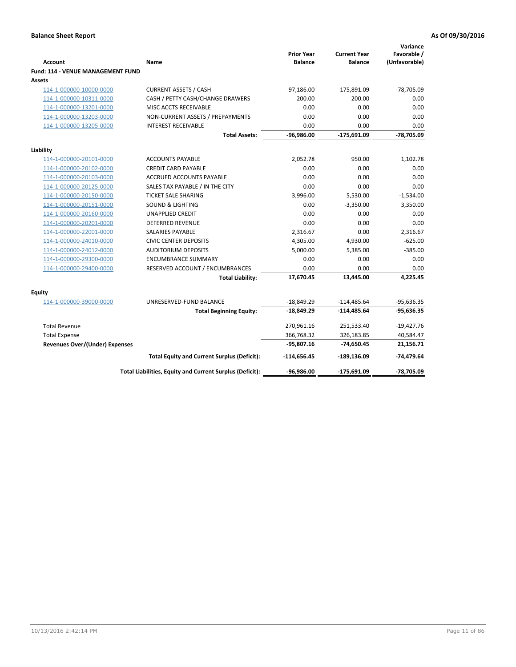| <b>Account</b>                              | Name                                                     | <b>Prior Year</b><br><b>Balance</b> | <b>Current Year</b><br><b>Balance</b> | Variance<br>Favorable /<br>(Unfavorable) |
|---------------------------------------------|----------------------------------------------------------|-------------------------------------|---------------------------------------|------------------------------------------|
| Fund: 114 - VENUE MANAGEMENT FUND<br>Assets |                                                          |                                     |                                       |                                          |
| 114-1-000000-10000-0000                     | <b>CURRENT ASSETS / CASH</b>                             | $-97,186.00$                        | $-175,891.09$                         | $-78,705.09$                             |
| 114-1-000000-10311-0000                     | CASH / PETTY CASH/CHANGE DRAWERS                         | 200.00                              | 200.00                                | 0.00                                     |
| 114-1-000000-13201-0000                     | MISC ACCTS RECEIVABLE                                    | 0.00                                | 0.00                                  | 0.00                                     |
| 114-1-000000-13203-0000                     | NON-CURRENT ASSETS / PREPAYMENTS                         | 0.00                                | 0.00                                  | 0.00                                     |
| 114-1-000000-13205-0000                     | <b>INTEREST RECEIVABLE</b>                               | 0.00                                | 0.00                                  | 0.00                                     |
|                                             | <b>Total Assets:</b>                                     | -96,986.00                          | -175,691.09                           | -78,705.09                               |
|                                             |                                                          |                                     |                                       |                                          |
| Liability                                   |                                                          |                                     |                                       |                                          |
| 114-1-000000-20101-0000                     | <b>ACCOUNTS PAYABLE</b>                                  | 2,052.78                            | 950.00                                | 1,102.78                                 |
| 114-1-000000-20102-0000                     | <b>CREDIT CARD PAYABLE</b>                               | 0.00                                | 0.00                                  | 0.00                                     |
| 114-1-000000-20103-0000                     | <b>ACCRUED ACCOUNTS PAYABLE</b>                          | 0.00                                | 0.00                                  | 0.00                                     |
| 114-1-000000-20125-0000                     | SALES TAX PAYABLE / IN THE CITY                          | 0.00                                | 0.00                                  | 0.00                                     |
| 114-1-000000-20150-0000                     | <b>TICKET SALE SHARING</b>                               | 3,996.00                            | 5,530.00                              | $-1,534.00$                              |
| 114-1-000000-20151-0000                     | <b>SOUND &amp; LIGHTING</b>                              | 0.00                                | $-3,350.00$                           | 3,350.00                                 |
| 114-1-000000-20160-0000                     | <b>UNAPPLIED CREDIT</b>                                  | 0.00                                | 0.00                                  | 0.00                                     |
| 114-1-000000-20201-0000                     | <b>DEFERRED REVENUE</b>                                  | 0.00                                | 0.00                                  | 0.00                                     |
| 114-1-000000-22001-0000                     | <b>SALARIES PAYABLE</b>                                  | 2,316.67                            | 0.00                                  | 2,316.67                                 |
| 114-1-000000-24010-0000                     | <b>CIVIC CENTER DEPOSITS</b>                             | 4,305.00                            | 4,930.00                              | $-625.00$                                |
| 114-1-000000-24012-0000                     | <b>AUDITORIUM DEPOSITS</b>                               | 5,000.00                            | 5,385.00                              | $-385.00$                                |
| 114-1-000000-29300-0000                     | <b>ENCUMBRANCE SUMMARY</b>                               | 0.00                                | 0.00                                  | 0.00                                     |
| 114-1-000000-29400-0000                     | RESERVED ACCOUNT / ENCUMBRANCES                          | 0.00                                | 0.00                                  | 0.00                                     |
|                                             | <b>Total Liability:</b>                                  | 17,670.45                           | 13,445.00                             | 4,225.45                                 |
| Equity                                      |                                                          |                                     |                                       |                                          |
| 114-1-000000-39000-0000                     | UNRESERVED-FUND BALANCE                                  | $-18,849.29$                        | $-114,485.64$                         | $-95,636.35$                             |
|                                             | <b>Total Beginning Equity:</b>                           | -18,849.29                          | -114,485.64                           | $-95,636.35$                             |
| <b>Total Revenue</b>                        |                                                          | 270,961.16                          | 251,533.40                            | $-19,427.76$                             |
| <b>Total Expense</b>                        |                                                          | 366,768.32                          | 326,183.85                            | 40,584.47                                |
| <b>Revenues Over/(Under) Expenses</b>       |                                                          | $-95,807.16$                        | $-74,650.45$                          | 21,156.71                                |
|                                             | <b>Total Equity and Current Surplus (Deficit):</b>       | -114,656.45                         | -189,136.09                           | -74,479.64                               |
|                                             | Total Liabilities, Equity and Current Surplus (Deficit): | -96,986.00                          | -175,691.09                           | -78,705.09                               |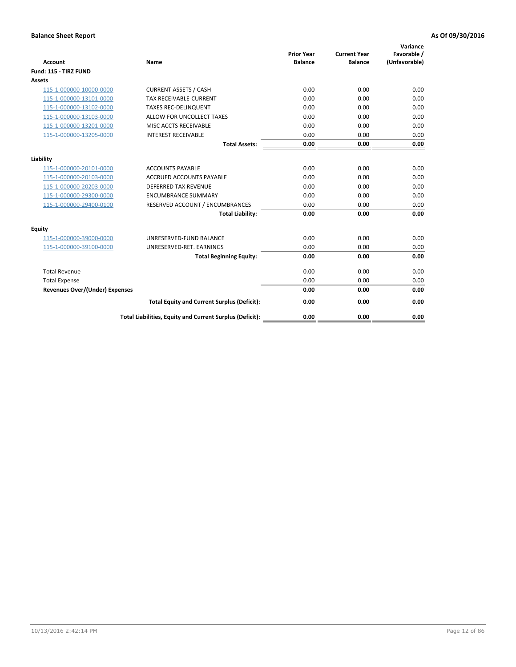| <b>Account</b>                        | Name                                                     | <b>Prior Year</b><br><b>Balance</b> | <b>Current Year</b><br><b>Balance</b> | Variance<br>Favorable /<br>(Unfavorable) |
|---------------------------------------|----------------------------------------------------------|-------------------------------------|---------------------------------------|------------------------------------------|
| Fund: 115 - TIRZ FUND                 |                                                          |                                     |                                       |                                          |
| Assets                                |                                                          |                                     |                                       |                                          |
| 115-1-000000-10000-0000               | <b>CURRENT ASSETS / CASH</b>                             | 0.00                                | 0.00                                  | 0.00                                     |
| 115-1-000000-13101-0000               | TAX RECEIVABLE-CURRENT                                   | 0.00                                | 0.00                                  | 0.00                                     |
| 115-1-000000-13102-0000               | <b>TAXES REC-DELINQUENT</b>                              | 0.00                                | 0.00                                  | 0.00                                     |
| 115-1-000000-13103-0000               | ALLOW FOR UNCOLLECT TAXES                                | 0.00                                | 0.00                                  | 0.00                                     |
| 115-1-000000-13201-0000               | MISC ACCTS RECEIVABLE                                    | 0.00                                | 0.00                                  | 0.00                                     |
| 115-1-000000-13205-0000               | <b>INTEREST RECEIVABLE</b>                               | 0.00                                | 0.00                                  | 0.00                                     |
|                                       | <b>Total Assets:</b>                                     | 0.00                                | 0.00                                  | 0.00                                     |
| Liability                             |                                                          |                                     |                                       |                                          |
| 115-1-000000-20101-0000               | <b>ACCOUNTS PAYABLE</b>                                  | 0.00                                | 0.00                                  | 0.00                                     |
| 115-1-000000-20103-0000               | <b>ACCRUED ACCOUNTS PAYABLE</b>                          | 0.00                                | 0.00                                  | 0.00                                     |
| 115-1-000000-20203-0000               | <b>DEFERRED TAX REVENUE</b>                              | 0.00                                | 0.00                                  | 0.00                                     |
| 115-1-000000-29300-0000               | <b>ENCUMBRANCE SUMMARY</b>                               | 0.00                                | 0.00                                  | 0.00                                     |
| 115-1-000000-29400-0100               | RESERVED ACCOUNT / ENCUMBRANCES                          | 0.00                                | 0.00                                  | 0.00                                     |
|                                       | <b>Total Liability:</b>                                  | 0.00                                | 0.00                                  | 0.00                                     |
| Equity                                |                                                          |                                     |                                       |                                          |
| 115-1-000000-39000-0000               | UNRESERVED-FUND BALANCE                                  | 0.00                                | 0.00                                  | 0.00                                     |
| 115-1-000000-39100-0000               | UNRESERVED-RET. EARNINGS                                 | 0.00                                | 0.00                                  | 0.00                                     |
|                                       | <b>Total Beginning Equity:</b>                           | 0.00                                | 0.00                                  | 0.00                                     |
| <b>Total Revenue</b>                  |                                                          | 0.00                                | 0.00                                  | 0.00                                     |
| <b>Total Expense</b>                  |                                                          | 0.00                                | 0.00                                  | 0.00                                     |
| <b>Revenues Over/(Under) Expenses</b> |                                                          | 0.00                                | 0.00                                  | 0.00                                     |
|                                       | <b>Total Equity and Current Surplus (Deficit):</b>       | 0.00                                | 0.00                                  | 0.00                                     |
|                                       | Total Liabilities, Equity and Current Surplus (Deficit): | 0.00                                | 0.00                                  | 0.00                                     |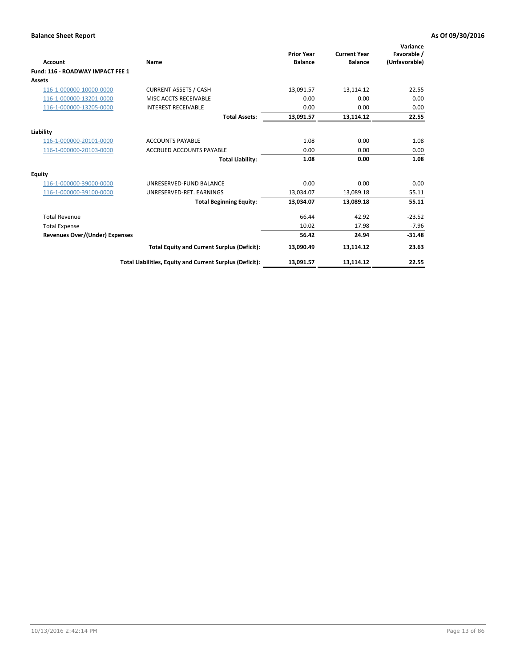| <b>Account</b>                        | Name                                                     | <b>Prior Year</b><br><b>Balance</b> | <b>Current Year</b><br><b>Balance</b> | Variance<br>Favorable /<br>(Unfavorable) |
|---------------------------------------|----------------------------------------------------------|-------------------------------------|---------------------------------------|------------------------------------------|
| Fund: 116 - ROADWAY IMPACT FEE 1      |                                                          |                                     |                                       |                                          |
| Assets                                |                                                          |                                     |                                       |                                          |
| 116-1-000000-10000-0000               | <b>CURRENT ASSETS / CASH</b>                             | 13,091.57                           | 13,114.12                             | 22.55                                    |
| 116-1-000000-13201-0000               | MISC ACCTS RECEIVABLE                                    | 0.00                                | 0.00                                  | 0.00                                     |
| 116-1-000000-13205-0000               | <b>INTEREST RECEIVABLE</b>                               | 0.00                                | 0.00                                  | 0.00                                     |
|                                       | <b>Total Assets:</b>                                     | 13,091.57                           | 13,114.12                             | 22.55                                    |
| Liability                             |                                                          |                                     |                                       |                                          |
| 116-1-000000-20101-0000               | <b>ACCOUNTS PAYABLE</b>                                  | 1.08                                | 0.00                                  | 1.08                                     |
| 116-1-000000-20103-0000               | <b>ACCRUED ACCOUNTS PAYABLE</b>                          | 0.00                                | 0.00                                  | 0.00                                     |
|                                       | <b>Total Liability:</b>                                  | 1.08                                | 0.00                                  | 1.08                                     |
| Equity                                |                                                          |                                     |                                       |                                          |
| 116-1-000000-39000-0000               | UNRESERVED-FUND BALANCE                                  | 0.00                                | 0.00                                  | 0.00                                     |
| 116-1-000000-39100-0000               | UNRESERVED-RET. EARNINGS                                 | 13,034.07                           | 13,089.18                             | 55.11                                    |
|                                       | <b>Total Beginning Equity:</b>                           | 13,034.07                           | 13.089.18                             | 55.11                                    |
| <b>Total Revenue</b>                  |                                                          | 66.44                               | 42.92                                 | $-23.52$                                 |
| <b>Total Expense</b>                  |                                                          | 10.02                               | 17.98                                 | $-7.96$                                  |
| <b>Revenues Over/(Under) Expenses</b> |                                                          | 56.42                               | 24.94                                 | $-31.48$                                 |
|                                       | <b>Total Equity and Current Surplus (Deficit):</b>       | 13,090.49                           | 13,114.12                             | 23.63                                    |
|                                       | Total Liabilities, Equity and Current Surplus (Deficit): | 13,091.57                           | 13,114.12                             | 22.55                                    |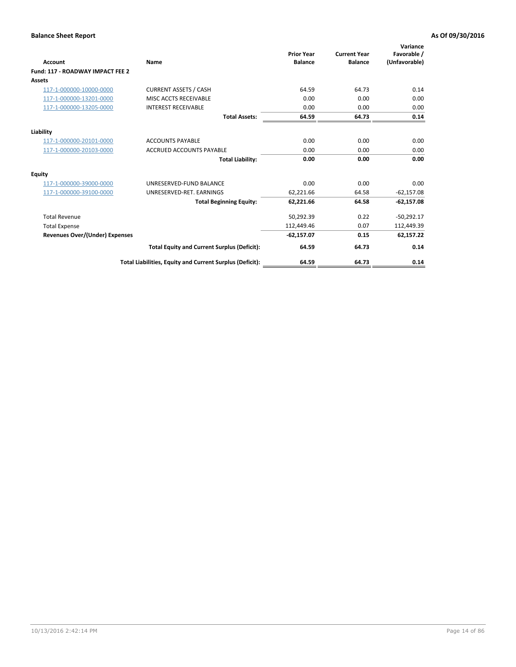| <b>Account</b>                        | Name                                                     | <b>Prior Year</b><br><b>Balance</b> | <b>Current Year</b><br><b>Balance</b> | Variance<br>Favorable /<br>(Unfavorable) |
|---------------------------------------|----------------------------------------------------------|-------------------------------------|---------------------------------------|------------------------------------------|
| Fund: 117 - ROADWAY IMPACT FEE 2      |                                                          |                                     |                                       |                                          |
| Assets                                |                                                          |                                     |                                       |                                          |
| 117-1-000000-10000-0000               | <b>CURRENT ASSETS / CASH</b>                             | 64.59                               | 64.73                                 | 0.14                                     |
| 117-1-000000-13201-0000               | MISC ACCTS RECEIVABLE                                    | 0.00                                | 0.00                                  | 0.00                                     |
| 117-1-000000-13205-0000               | <b>INTEREST RECEIVABLE</b>                               | 0.00                                | 0.00                                  | 0.00                                     |
|                                       | <b>Total Assets:</b>                                     | 64.59                               | 64.73                                 | 0.14                                     |
| Liability                             |                                                          |                                     |                                       |                                          |
| 117-1-000000-20101-0000               | <b>ACCOUNTS PAYABLE</b>                                  | 0.00                                | 0.00                                  | 0.00                                     |
| 117-1-000000-20103-0000               | <b>ACCRUED ACCOUNTS PAYABLE</b>                          | 0.00                                | 0.00                                  | 0.00                                     |
|                                       | <b>Total Liability:</b>                                  | 0.00                                | 0.00                                  | 0.00                                     |
| Equity                                |                                                          |                                     |                                       |                                          |
| 117-1-000000-39000-0000               | UNRESERVED-FUND BALANCE                                  | 0.00                                | 0.00                                  | 0.00                                     |
| 117-1-000000-39100-0000               | UNRESERVED-RET. EARNINGS                                 | 62,221.66                           | 64.58                                 | $-62,157.08$                             |
|                                       | <b>Total Beginning Equity:</b>                           | 62,221.66                           | 64.58                                 | $-62,157.08$                             |
| <b>Total Revenue</b>                  |                                                          | 50,292.39                           | 0.22                                  | $-50,292.17$                             |
| <b>Total Expense</b>                  |                                                          | 112,449.46                          | 0.07                                  | 112,449.39                               |
| <b>Revenues Over/(Under) Expenses</b> |                                                          | $-62,157.07$                        | 0.15                                  | 62,157.22                                |
|                                       | <b>Total Equity and Current Surplus (Deficit):</b>       | 64.59                               | 64.73                                 | 0.14                                     |
|                                       | Total Liabilities, Equity and Current Surplus (Deficit): | 64.59                               | 64.73                                 | 0.14                                     |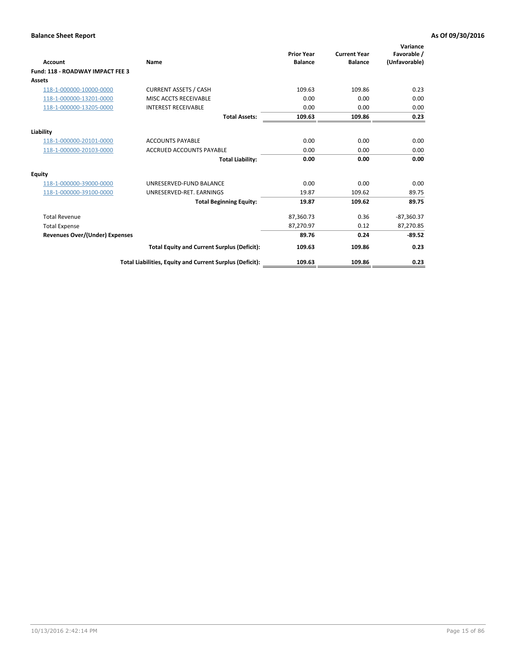| <b>Account</b>                        | Name                                                     | <b>Prior Year</b><br><b>Balance</b> | <b>Current Year</b><br><b>Balance</b> | Variance<br>Favorable /<br>(Unfavorable) |
|---------------------------------------|----------------------------------------------------------|-------------------------------------|---------------------------------------|------------------------------------------|
| Fund: 118 - ROADWAY IMPACT FEE 3      |                                                          |                                     |                                       |                                          |
| Assets                                |                                                          |                                     |                                       |                                          |
| 118-1-000000-10000-0000               | <b>CURRENT ASSETS / CASH</b>                             | 109.63                              | 109.86                                | 0.23                                     |
| 118-1-000000-13201-0000               | MISC ACCTS RECEIVABLE                                    | 0.00                                | 0.00                                  | 0.00                                     |
| 118-1-000000-13205-0000               | <b>INTEREST RECEIVABLE</b>                               | 0.00                                | 0.00                                  | 0.00                                     |
|                                       | <b>Total Assets:</b>                                     | 109.63                              | 109.86                                | 0.23                                     |
| Liability                             |                                                          |                                     |                                       |                                          |
| 118-1-000000-20101-0000               | <b>ACCOUNTS PAYABLE</b>                                  | 0.00                                | 0.00                                  | 0.00                                     |
| 118-1-000000-20103-0000               | <b>ACCRUED ACCOUNTS PAYABLE</b>                          | 0.00                                | 0.00                                  | 0.00                                     |
|                                       | <b>Total Liability:</b>                                  | 0.00                                | 0.00                                  | 0.00                                     |
| Equity                                |                                                          |                                     |                                       |                                          |
| 118-1-000000-39000-0000               | UNRESERVED-FUND BALANCE                                  | 0.00                                | 0.00                                  | 0.00                                     |
| 118-1-000000-39100-0000               | UNRESERVED-RET. EARNINGS                                 | 19.87                               | 109.62                                | 89.75                                    |
|                                       | <b>Total Beginning Equity:</b>                           | 19.87                               | 109.62                                | 89.75                                    |
| <b>Total Revenue</b>                  |                                                          | 87,360.73                           | 0.36                                  | $-87,360.37$                             |
| <b>Total Expense</b>                  |                                                          | 87,270.97                           | 0.12                                  | 87,270.85                                |
| <b>Revenues Over/(Under) Expenses</b> |                                                          | 89.76                               | 0.24                                  | $-89.52$                                 |
|                                       | <b>Total Equity and Current Surplus (Deficit):</b>       | 109.63                              | 109.86                                | 0.23                                     |
|                                       | Total Liabilities, Equity and Current Surplus (Deficit): | 109.63                              | 109.86                                | 0.23                                     |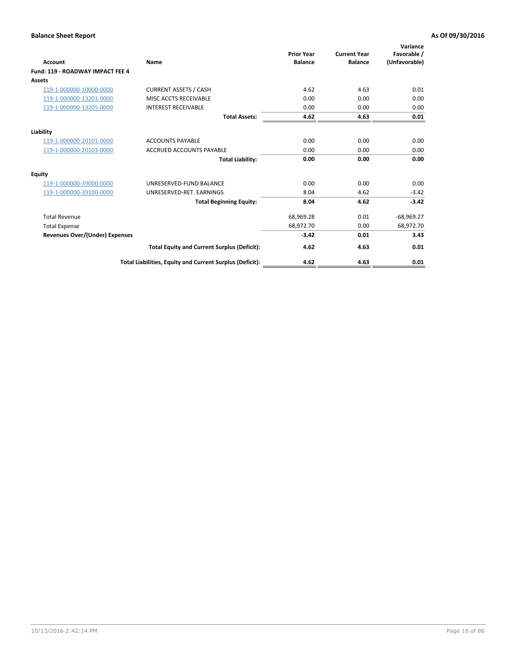| Account                               | Name                                                     | <b>Prior Year</b><br><b>Balance</b> | <b>Current Year</b><br><b>Balance</b> | Variance<br>Favorable /<br>(Unfavorable) |
|---------------------------------------|----------------------------------------------------------|-------------------------------------|---------------------------------------|------------------------------------------|
| Fund: 119 - ROADWAY IMPACT FEE 4      |                                                          |                                     |                                       |                                          |
| Assets                                |                                                          |                                     |                                       |                                          |
| 119-1-000000-10000-0000               | <b>CURRENT ASSETS / CASH</b>                             | 4.62                                | 4.63                                  | 0.01                                     |
| 119-1-000000-13201-0000               | <b>MISC ACCTS RECEIVABLE</b>                             | 0.00                                | 0.00                                  | 0.00                                     |
| 119-1-000000-13205-0000               | <b>INTEREST RECEIVABLE</b>                               | 0.00                                | 0.00                                  | 0.00                                     |
|                                       | <b>Total Assets:</b>                                     | 4.62                                | 4.63                                  | 0.01                                     |
| Liability                             |                                                          |                                     |                                       |                                          |
| 119-1-000000-20101-0000               | <b>ACCOUNTS PAYABLE</b>                                  | 0.00                                | 0.00                                  | 0.00                                     |
| 119-1-000000-20103-0000               | <b>ACCRUED ACCOUNTS PAYABLE</b>                          | 0.00                                | 0.00                                  | 0.00                                     |
|                                       | <b>Total Liability:</b>                                  | 0.00                                | 0.00                                  | 0.00                                     |
| Equity                                |                                                          |                                     |                                       |                                          |
| 119-1-000000-39000-0000               | UNRESERVED-FUND BALANCE                                  | 0.00                                | 0.00                                  | 0.00                                     |
| 119-1-000000-39100-0000               | UNRESERVED-RET. EARNINGS                                 | 8.04                                | 4.62                                  | $-3.42$                                  |
|                                       | <b>Total Beginning Equity:</b>                           | 8.04                                | 4.62                                  | $-3.42$                                  |
| <b>Total Revenue</b>                  |                                                          | 68,969.28                           | 0.01                                  | $-68,969.27$                             |
| <b>Total Expense</b>                  |                                                          | 68,972.70                           | 0.00                                  | 68,972.70                                |
| <b>Revenues Over/(Under) Expenses</b> |                                                          | $-3.42$                             | 0.01                                  | 3.43                                     |
|                                       | <b>Total Equity and Current Surplus (Deficit):</b>       | 4.62                                | 4.63                                  | 0.01                                     |
|                                       | Total Liabilities, Equity and Current Surplus (Deficit): | 4.62                                | 4.63                                  | 0.01                                     |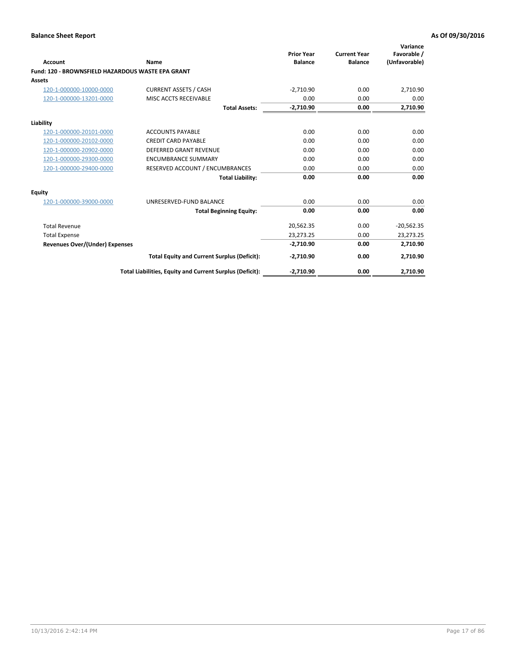| <b>Account</b>                                    | Name                                                     | <b>Prior Year</b><br><b>Balance</b> | <b>Current Year</b><br><b>Balance</b> | Variance<br>Favorable /<br>(Unfavorable) |
|---------------------------------------------------|----------------------------------------------------------|-------------------------------------|---------------------------------------|------------------------------------------|
| Fund: 120 - BROWNSFIELD HAZARDOUS WASTE EPA GRANT |                                                          |                                     |                                       |                                          |
| Assets                                            |                                                          |                                     |                                       |                                          |
| 120-1-000000-10000-0000                           | <b>CURRENT ASSETS / CASH</b>                             | $-2,710.90$                         | 0.00                                  | 2,710.90                                 |
| 120-1-000000-13201-0000                           | MISC ACCTS RECEIVABLE                                    | 0.00                                | 0.00                                  | 0.00                                     |
|                                                   | <b>Total Assets:</b>                                     | $-2,710.90$                         | 0.00                                  | 2,710.90                                 |
| Liability                                         |                                                          |                                     |                                       |                                          |
| 120-1-000000-20101-0000                           | <b>ACCOUNTS PAYABLE</b>                                  | 0.00                                | 0.00                                  | 0.00                                     |
| 120-1-000000-20102-0000                           | <b>CREDIT CARD PAYABLE</b>                               | 0.00                                | 0.00                                  | 0.00                                     |
| 120-1-000000-20902-0000                           | <b>DEFERRED GRANT REVENUE</b>                            | 0.00                                | 0.00                                  | 0.00                                     |
| 120-1-000000-29300-0000                           | <b>ENCUMBRANCE SUMMARY</b>                               | 0.00                                | 0.00                                  | 0.00                                     |
| 120-1-000000-29400-0000                           | RESERVED ACCOUNT / ENCUMBRANCES                          | 0.00                                | 0.00                                  | 0.00                                     |
|                                                   | <b>Total Liability:</b>                                  | 0.00                                | 0.00                                  | 0.00                                     |
| Equity                                            |                                                          |                                     |                                       |                                          |
| 120-1-000000-39000-0000                           | UNRESERVED-FUND BALANCE                                  | 0.00                                | 0.00                                  | 0.00                                     |
|                                                   | <b>Total Beginning Equity:</b>                           | 0.00                                | 0.00                                  | 0.00                                     |
| <b>Total Revenue</b>                              |                                                          | 20,562.35                           | 0.00                                  | $-20,562.35$                             |
| <b>Total Expense</b>                              |                                                          | 23,273.25                           | 0.00                                  | 23,273.25                                |
| <b>Revenues Over/(Under) Expenses</b>             |                                                          | $-2,710.90$                         | 0.00                                  | 2,710.90                                 |
|                                                   | <b>Total Equity and Current Surplus (Deficit):</b>       | $-2,710.90$                         | 0.00                                  | 2,710.90                                 |
|                                                   | Total Liabilities, Equity and Current Surplus (Deficit): | $-2,710.90$                         | 0.00                                  | 2,710.90                                 |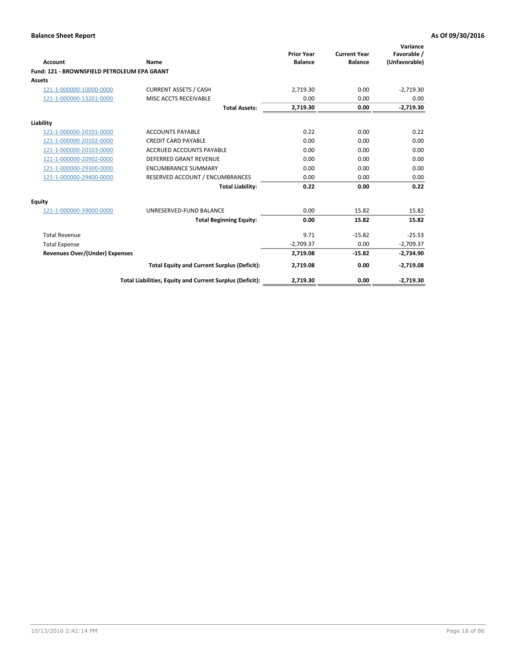| <b>Account</b>                              | Name                                                     | <b>Prior Year</b><br><b>Balance</b> | <b>Current Year</b><br><b>Balance</b> | Variance<br>Favorable /<br>(Unfavorable) |
|---------------------------------------------|----------------------------------------------------------|-------------------------------------|---------------------------------------|------------------------------------------|
| Fund: 121 - BROWNSFIELD PETROLEUM EPA GRANT |                                                          |                                     |                                       |                                          |
| <b>Assets</b>                               |                                                          |                                     |                                       |                                          |
| 121-1-000000-10000-0000                     | <b>CURRENT ASSETS / CASH</b>                             | 2,719.30                            | 0.00                                  | $-2,719.30$                              |
| 121-1-000000-13201-0000                     | <b>MISC ACCTS RECEIVABLE</b>                             | 0.00                                | 0.00                                  | 0.00                                     |
|                                             | <b>Total Assets:</b>                                     | 2,719.30                            | 0.00                                  | $-2,719.30$                              |
| Liability                                   |                                                          |                                     |                                       |                                          |
| 121-1-000000-20101-0000                     | <b>ACCOUNTS PAYABLE</b>                                  | 0.22                                | 0.00                                  | 0.22                                     |
| 121-1-000000-20102-0000                     | <b>CREDIT CARD PAYABLE</b>                               | 0.00                                | 0.00                                  | 0.00                                     |
| 121-1-000000-20103-0000                     | <b>ACCRUED ACCOUNTS PAYABLE</b>                          | 0.00                                | 0.00                                  | 0.00                                     |
| 121-1-000000-20902-0000                     | <b>DEFERRED GRANT REVENUE</b>                            | 0.00                                | 0.00                                  | 0.00                                     |
| 121-1-000000-29300-0000                     | <b>ENCUMBRANCE SUMMARY</b>                               | 0.00                                | 0.00                                  | 0.00                                     |
| 121-1-000000-29400-0000                     | RESERVED ACCOUNT / ENCUMBRANCES                          | 0.00                                | 0.00                                  | 0.00                                     |
|                                             | <b>Total Liability:</b>                                  | 0.22                                | 0.00                                  | 0.22                                     |
| <b>Equity</b>                               |                                                          |                                     |                                       |                                          |
| 121-1-000000-39000-0000                     | UNRESERVED-FUND BALANCE                                  | 0.00                                | 15.82                                 | 15.82                                    |
|                                             | <b>Total Beginning Equity:</b>                           | 0.00                                | 15.82                                 | 15.82                                    |
| <b>Total Revenue</b>                        |                                                          | 9.71                                | $-15.82$                              | $-25.53$                                 |
| <b>Total Expense</b>                        |                                                          | $-2,709.37$                         | 0.00                                  | $-2,709.37$                              |
| <b>Revenues Over/(Under) Expenses</b>       |                                                          | 2,719.08                            | $-15.82$                              | $-2,734.90$                              |
|                                             | <b>Total Equity and Current Surplus (Deficit):</b>       | 2,719.08                            | 0.00                                  | $-2,719.08$                              |
|                                             | Total Liabilities, Equity and Current Surplus (Deficit): | 2,719.30                            | 0.00                                  | $-2,719.30$                              |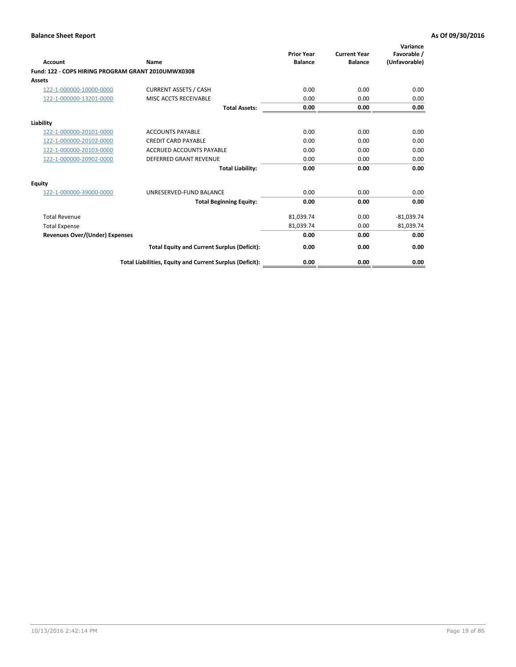| <b>Account</b>                                     | Name                                                     | <b>Prior Year</b><br><b>Balance</b> | <b>Current Year</b><br><b>Balance</b> | Variance<br>Favorable /<br>(Unfavorable) |
|----------------------------------------------------|----------------------------------------------------------|-------------------------------------|---------------------------------------|------------------------------------------|
| Fund: 122 - COPS HIRING PROGRAM GRANT 2010UMWX0308 |                                                          |                                     |                                       |                                          |
| Assets                                             |                                                          |                                     |                                       |                                          |
| 122-1-000000-10000-0000                            | <b>CURRENT ASSETS / CASH</b>                             | 0.00                                | 0.00                                  | 0.00                                     |
| 122-1-000000-13201-0000                            | MISC ACCTS RECEIVABLE                                    | 0.00                                | 0.00                                  | 0.00                                     |
|                                                    | <b>Total Assets:</b>                                     | 0.00                                | 0.00                                  | 0.00                                     |
| Liability                                          |                                                          |                                     |                                       |                                          |
| 122-1-000000-20101-0000                            | <b>ACCOUNTS PAYABLE</b>                                  | 0.00                                | 0.00                                  | 0.00                                     |
| 122-1-000000-20102-0000                            | <b>CREDIT CARD PAYABLE</b>                               | 0.00                                | 0.00                                  | 0.00                                     |
| 122-1-000000-20103-0000                            | <b>ACCRUED ACCOUNTS PAYABLE</b>                          | 0.00                                | 0.00                                  | 0.00                                     |
| 122-1-000000-20902-0000                            | <b>DEFERRED GRANT REVENUE</b>                            | 0.00                                | 0.00                                  | 0.00                                     |
|                                                    | <b>Total Liability:</b>                                  | 0.00                                | 0.00                                  | 0.00                                     |
| Equity                                             |                                                          |                                     |                                       |                                          |
| 122-1-000000-39000-0000                            | UNRESERVED-FUND BALANCE                                  | 0.00                                | 0.00                                  | 0.00                                     |
|                                                    | <b>Total Beginning Equity:</b>                           | 0.00                                | 0.00                                  | 0.00                                     |
| <b>Total Revenue</b>                               |                                                          | 81,039.74                           | 0.00                                  | $-81,039.74$                             |
| <b>Total Expense</b>                               |                                                          | 81,039.74                           | 0.00                                  | 81,039.74                                |
| <b>Revenues Over/(Under) Expenses</b>              |                                                          | 0.00                                | 0.00                                  | 0.00                                     |
|                                                    | <b>Total Equity and Current Surplus (Deficit):</b>       | 0.00                                | 0.00                                  | 0.00                                     |
|                                                    | Total Liabilities, Equity and Current Surplus (Deficit): | 0.00                                | 0.00                                  | 0.00                                     |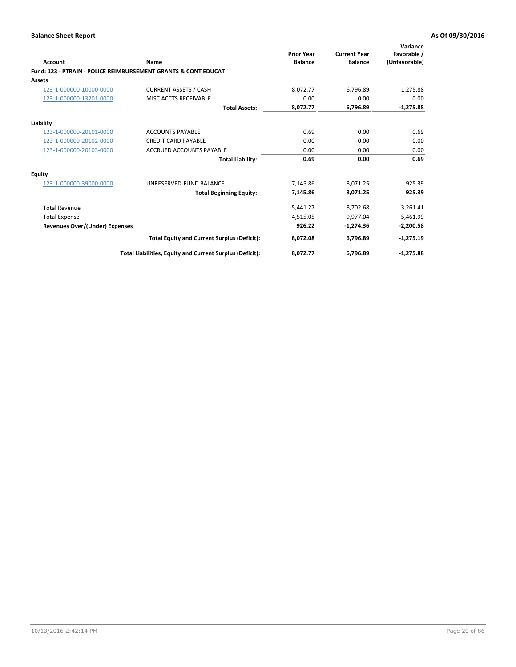| Account                               | Name                                                                      | <b>Prior Year</b><br><b>Balance</b> | <b>Current Year</b><br><b>Balance</b> | Variance<br>Favorable /<br>(Unfavorable) |
|---------------------------------------|---------------------------------------------------------------------------|-------------------------------------|---------------------------------------|------------------------------------------|
|                                       | <b>Fund: 123 - PTRAIN - POLICE REIMBURSEMENT GRANTS &amp; CONT EDUCAT</b> |                                     |                                       |                                          |
| <b>Assets</b>                         |                                                                           |                                     |                                       |                                          |
| 123-1-000000-10000-0000               | <b>CURRENT ASSETS / CASH</b>                                              | 8,072.77                            | 6,796.89                              | $-1,275.88$                              |
| 123-1-000000-13201-0000               | MISC ACCTS RECEIVABLE                                                     | 0.00                                | 0.00                                  | 0.00                                     |
|                                       | <b>Total Assets:</b>                                                      | 8,072.77                            | 6,796.89                              | $-1,275.88$                              |
| Liability                             |                                                                           |                                     |                                       |                                          |
| 123-1-000000-20101-0000               | <b>ACCOUNTS PAYABLE</b>                                                   | 0.69                                | 0.00                                  | 0.69                                     |
| 123-1-000000-20102-0000               | <b>CREDIT CARD PAYABLE</b>                                                | 0.00                                | 0.00                                  | 0.00                                     |
| 123-1-000000-20103-0000               | <b>ACCRUED ACCOUNTS PAYABLE</b>                                           | 0.00                                | 0.00                                  | 0.00                                     |
|                                       | <b>Total Liability:</b>                                                   | 0.69                                | 0.00                                  | 0.69                                     |
| <b>Equity</b>                         |                                                                           |                                     |                                       |                                          |
| 123-1-000000-39000-0000               | UNRESERVED-FUND BALANCE                                                   | 7,145.86                            | 8,071.25                              | 925.39                                   |
|                                       | <b>Total Beginning Equity:</b>                                            | 7,145.86                            | 8.071.25                              | 925.39                                   |
| <b>Total Revenue</b>                  |                                                                           | 5,441.27                            | 8,702.68                              | 3,261.41                                 |
| <b>Total Expense</b>                  |                                                                           | 4,515.05                            | 9,977.04                              | $-5,461.99$                              |
| <b>Revenues Over/(Under) Expenses</b> |                                                                           | 926.22                              | $-1,274.36$                           | $-2,200.58$                              |
|                                       | <b>Total Equity and Current Surplus (Deficit):</b>                        | 8,072.08                            | 6,796.89                              | $-1,275.19$                              |
|                                       | Total Liabilities, Equity and Current Surplus (Deficit):                  | 8,072.77                            | 6,796.89                              | $-1,275.88$                              |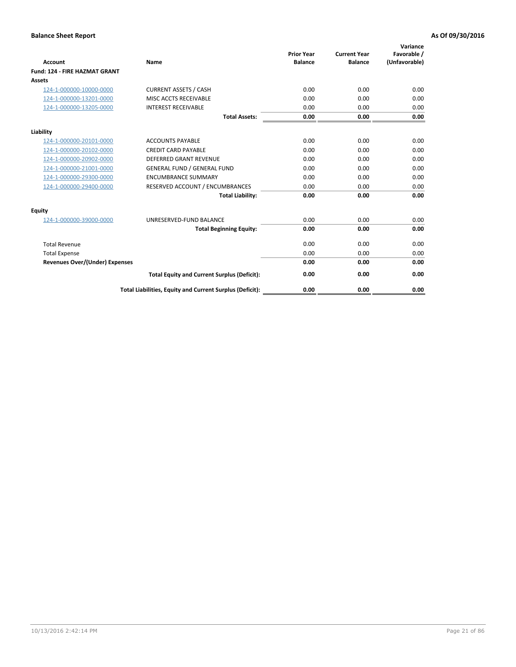| <b>Account</b>                        | <b>Name</b>                                              | <b>Prior Year</b><br><b>Balance</b> | <b>Current Year</b><br><b>Balance</b> | Variance<br>Favorable /<br>(Unfavorable) |
|---------------------------------------|----------------------------------------------------------|-------------------------------------|---------------------------------------|------------------------------------------|
| <b>Fund: 124 - FIRE HAZMAT GRANT</b>  |                                                          |                                     |                                       |                                          |
| Assets                                |                                                          |                                     |                                       |                                          |
| 124-1-000000-10000-0000               | <b>CURRENT ASSETS / CASH</b>                             | 0.00                                | 0.00                                  | 0.00                                     |
| 124-1-000000-13201-0000               | MISC ACCTS RECEIVABLE                                    | 0.00                                | 0.00                                  | 0.00                                     |
| 124-1-000000-13205-0000               | <b>INTEREST RECEIVABLE</b>                               | 0.00                                | 0.00                                  | 0.00                                     |
|                                       | <b>Total Assets:</b>                                     | 0.00                                | 0.00                                  | 0.00                                     |
| Liability                             |                                                          |                                     |                                       |                                          |
| 124-1-000000-20101-0000               | <b>ACCOUNTS PAYABLE</b>                                  | 0.00                                | 0.00                                  | 0.00                                     |
| 124-1-000000-20102-0000               | <b>CREDIT CARD PAYABLE</b>                               | 0.00                                | 0.00                                  | 0.00                                     |
| 124-1-000000-20902-0000               | <b>DEFERRED GRANT REVENUE</b>                            | 0.00                                | 0.00                                  | 0.00                                     |
| 124-1-000000-21001-0000               | <b>GENERAL FUND / GENERAL FUND</b>                       | 0.00                                | 0.00                                  | 0.00                                     |
| 124-1-000000-29300-0000               | <b>ENCUMBRANCE SUMMARY</b>                               | 0.00                                | 0.00                                  | 0.00                                     |
| 124-1-000000-29400-0000               | RESERVED ACCOUNT / ENCUMBRANCES                          | 0.00                                | 0.00                                  | 0.00                                     |
|                                       | <b>Total Liability:</b>                                  | 0.00                                | 0.00                                  | 0.00                                     |
| Equity                                |                                                          |                                     |                                       |                                          |
| 124-1-000000-39000-0000               | UNRESERVED-FUND BALANCE                                  | 0.00                                | 0.00                                  | 0.00                                     |
|                                       | <b>Total Beginning Equity:</b>                           | 0.00                                | 0.00                                  | 0.00                                     |
| <b>Total Revenue</b>                  |                                                          | 0.00                                | 0.00                                  | 0.00                                     |
| <b>Total Expense</b>                  |                                                          | 0.00                                | 0.00                                  | 0.00                                     |
| <b>Revenues Over/(Under) Expenses</b> |                                                          | 0.00                                | 0.00                                  | 0.00                                     |
|                                       | <b>Total Equity and Current Surplus (Deficit):</b>       | 0.00                                | 0.00                                  | 0.00                                     |
|                                       | Total Liabilities, Equity and Current Surplus (Deficit): | 0.00                                | 0.00                                  | 0.00                                     |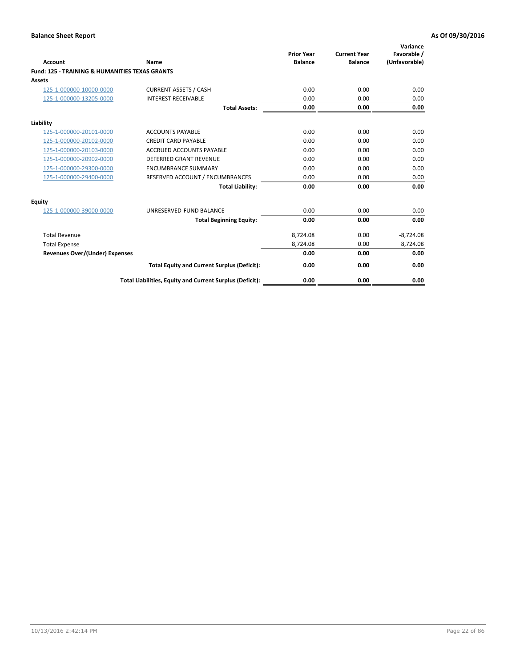| Account                                                   | Name                                                     | <b>Prior Year</b><br><b>Balance</b> | <b>Current Year</b><br><b>Balance</b> | Variance<br>Favorable /<br>(Unfavorable) |
|-----------------------------------------------------------|----------------------------------------------------------|-------------------------------------|---------------------------------------|------------------------------------------|
| <b>Fund: 125 - TRAINING &amp; HUMANITIES TEXAS GRANTS</b> |                                                          |                                     |                                       |                                          |
| <b>Assets</b>                                             |                                                          |                                     |                                       |                                          |
| 125-1-000000-10000-0000                                   | <b>CURRENT ASSETS / CASH</b>                             | 0.00                                | 0.00                                  | 0.00                                     |
| 125-1-000000-13205-0000                                   | <b>INTEREST RECEIVABLE</b>                               | 0.00                                | 0.00                                  | 0.00                                     |
|                                                           | <b>Total Assets:</b>                                     | 0.00                                | 0.00                                  | 0.00                                     |
| Liability                                                 |                                                          |                                     |                                       |                                          |
| 125-1-000000-20101-0000                                   | <b>ACCOUNTS PAYABLE</b>                                  | 0.00                                | 0.00                                  | 0.00                                     |
| 125-1-000000-20102-0000                                   | <b>CREDIT CARD PAYABLE</b>                               | 0.00                                | 0.00                                  | 0.00                                     |
| 125-1-000000-20103-0000                                   | <b>ACCRUED ACCOUNTS PAYABLE</b>                          | 0.00                                | 0.00                                  | 0.00                                     |
| 125-1-000000-20902-0000                                   | <b>DEFERRED GRANT REVENUE</b>                            | 0.00                                | 0.00                                  | 0.00                                     |
| 125-1-000000-29300-0000                                   | <b>ENCUMBRANCE SUMMARY</b>                               | 0.00                                | 0.00                                  | 0.00                                     |
| 125-1-000000-29400-0000                                   | RESERVED ACCOUNT / ENCUMBRANCES                          | 0.00                                | 0.00                                  | 0.00                                     |
|                                                           | <b>Total Liability:</b>                                  | 0.00                                | 0.00                                  | 0.00                                     |
| <b>Equity</b>                                             |                                                          |                                     |                                       |                                          |
| 125-1-000000-39000-0000                                   | UNRESERVED-FUND BALANCE                                  | 0.00                                | 0.00                                  | 0.00                                     |
|                                                           | <b>Total Beginning Equity:</b>                           | 0.00                                | 0.00                                  | 0.00                                     |
| <b>Total Revenue</b>                                      |                                                          | 8,724.08                            | 0.00                                  | $-8,724.08$                              |
| <b>Total Expense</b>                                      |                                                          | 8,724.08                            | 0.00                                  | 8,724.08                                 |
| <b>Revenues Over/(Under) Expenses</b>                     |                                                          | 0.00                                | 0.00                                  | 0.00                                     |
|                                                           | <b>Total Equity and Current Surplus (Deficit):</b>       | 0.00                                | 0.00                                  | 0.00                                     |
|                                                           | Total Liabilities, Equity and Current Surplus (Deficit): | 0.00                                | 0.00                                  | 0.00                                     |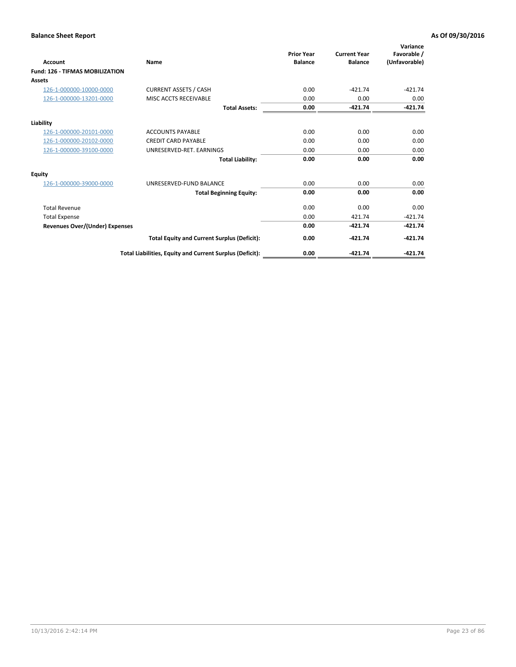| Account                                | Name                                                     | <b>Prior Year</b><br><b>Balance</b> | <b>Current Year</b><br><b>Balance</b> | Variance<br>Favorable /<br>(Unfavorable) |
|----------------------------------------|----------------------------------------------------------|-------------------------------------|---------------------------------------|------------------------------------------|
| <b>Fund: 126 - TIFMAS MOBILIZATION</b> |                                                          |                                     |                                       |                                          |
| Assets                                 |                                                          |                                     |                                       |                                          |
| 126-1-000000-10000-0000                | <b>CURRENT ASSETS / CASH</b>                             | 0.00                                | $-421.74$                             | $-421.74$                                |
| 126-1-000000-13201-0000                | MISC ACCTS RECEIVABLE                                    | 0.00                                | 0.00                                  | 0.00                                     |
|                                        | <b>Total Assets:</b>                                     | 0.00                                | $-421.74$                             | $-421.74$                                |
| Liability                              |                                                          |                                     |                                       |                                          |
| 126-1-000000-20101-0000                | <b>ACCOUNTS PAYABLE</b>                                  | 0.00                                | 0.00                                  | 0.00                                     |
| 126-1-000000-20102-0000                | <b>CREDIT CARD PAYABLE</b>                               | 0.00                                | 0.00                                  | 0.00                                     |
| 126-1-000000-39100-0000                | UNRESERVED-RET. EARNINGS                                 | 0.00                                | 0.00                                  | 0.00                                     |
|                                        | <b>Total Liability:</b>                                  | 0.00                                | 0.00                                  | 0.00                                     |
| Equity                                 |                                                          |                                     |                                       |                                          |
| 126-1-000000-39000-0000                | UNRESERVED-FUND BALANCE                                  | 0.00                                | 0.00                                  | 0.00                                     |
|                                        | <b>Total Beginning Equity:</b>                           | 0.00                                | 0.00                                  | 0.00                                     |
| <b>Total Revenue</b>                   |                                                          | 0.00                                | 0.00                                  | 0.00                                     |
| <b>Total Expense</b>                   |                                                          | 0.00                                | 421.74                                | $-421.74$                                |
| <b>Revenues Over/(Under) Expenses</b>  |                                                          | 0.00                                | $-421.74$                             | $-421.74$                                |
|                                        | <b>Total Equity and Current Surplus (Deficit):</b>       | 0.00                                | $-421.74$                             | $-421.74$                                |
|                                        | Total Liabilities, Equity and Current Surplus (Deficit): | 0.00                                | $-421.74$                             | $-421.74$                                |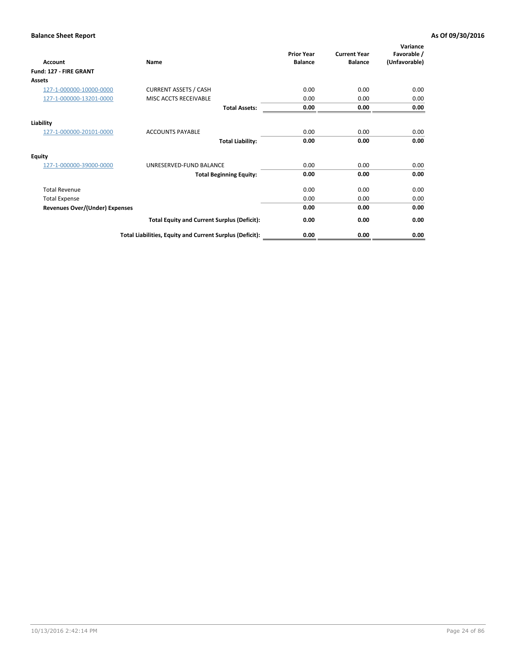| Account                               | Name                                                     | <b>Prior Year</b><br><b>Balance</b> | <b>Current Year</b><br><b>Balance</b> | Variance<br>Favorable /<br>(Unfavorable) |
|---------------------------------------|----------------------------------------------------------|-------------------------------------|---------------------------------------|------------------------------------------|
| Fund: 127 - FIRE GRANT                |                                                          |                                     |                                       |                                          |
| Assets                                |                                                          |                                     |                                       |                                          |
| 127-1-000000-10000-0000               | <b>CURRENT ASSETS / CASH</b>                             | 0.00                                | 0.00                                  | 0.00                                     |
| 127-1-000000-13201-0000               | MISC ACCTS RECEIVABLE                                    | 0.00                                | 0.00                                  | 0.00                                     |
|                                       | <b>Total Assets:</b>                                     | 0.00                                | 0.00                                  | 0.00                                     |
| Liability                             |                                                          |                                     |                                       |                                          |
| 127-1-000000-20101-0000               | <b>ACCOUNTS PAYABLE</b>                                  | 0.00                                | 0.00                                  | 0.00                                     |
|                                       | <b>Total Liability:</b>                                  | 0.00                                | 0.00                                  | 0.00                                     |
| <b>Equity</b>                         |                                                          |                                     |                                       |                                          |
| 127-1-000000-39000-0000               | UNRESERVED-FUND BALANCE                                  | 0.00                                | 0.00                                  | 0.00                                     |
|                                       | <b>Total Beginning Equity:</b>                           | 0.00                                | 0.00                                  | 0.00                                     |
| <b>Total Revenue</b>                  |                                                          | 0.00                                | 0.00                                  | 0.00                                     |
| <b>Total Expense</b>                  |                                                          | 0.00                                | 0.00                                  | 0.00                                     |
| <b>Revenues Over/(Under) Expenses</b> |                                                          | 0.00                                | 0.00                                  | 0.00                                     |
|                                       | <b>Total Equity and Current Surplus (Deficit):</b>       | 0.00                                | 0.00                                  | 0.00                                     |
|                                       | Total Liabilities, Equity and Current Surplus (Deficit): | 0.00                                | 0.00                                  | 0.00                                     |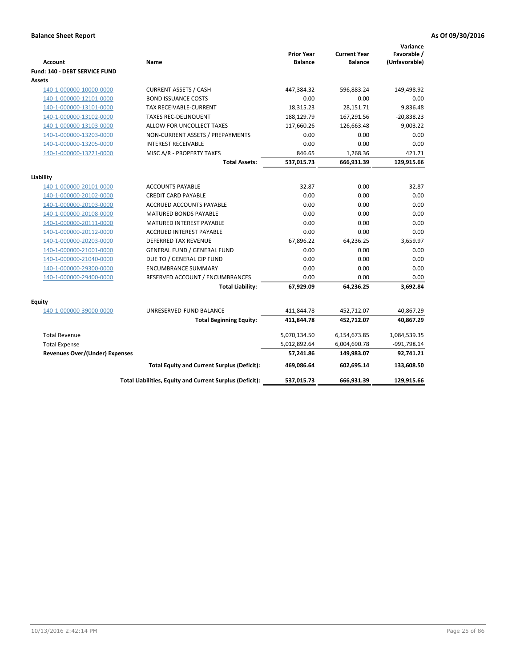| <b>Account</b>                        | Name                                                     | <b>Prior Year</b><br><b>Balance</b> | <b>Current Year</b><br><b>Balance</b> | Variance<br>Favorable /<br>(Unfavorable) |
|---------------------------------------|----------------------------------------------------------|-------------------------------------|---------------------------------------|------------------------------------------|
| Fund: 140 - DEBT SERVICE FUND         |                                                          |                                     |                                       |                                          |
| Assets                                |                                                          |                                     |                                       |                                          |
| 140-1-000000-10000-0000               | <b>CURRENT ASSETS / CASH</b>                             | 447,384.32                          | 596,883.24                            | 149,498.92                               |
| 140-1-000000-12101-0000               | <b>BOND ISSUANCE COSTS</b>                               | 0.00                                | 0.00                                  | 0.00                                     |
| 140-1-000000-13101-0000               | TAX RECEIVABLE-CURRENT                                   | 18,315.23                           | 28,151.71                             | 9,836.48                                 |
| 140-1-000000-13102-0000               | <b>TAXES REC-DELINQUENT</b>                              | 188,129.79                          | 167,291.56                            | $-20,838.23$                             |
| 140-1-000000-13103-0000               | ALLOW FOR UNCOLLECT TAXES                                | $-117,660.26$                       | $-126,663.48$                         | $-9,003.22$                              |
| 140-1-000000-13203-0000               | NON-CURRENT ASSETS / PREPAYMENTS                         | 0.00                                | 0.00                                  | 0.00                                     |
| 140-1-000000-13205-0000               | <b>INTEREST RECEIVABLE</b>                               | 0.00                                | 0.00                                  | 0.00                                     |
| 140-1-000000-13221-0000               | MISC A/R - PROPERTY TAXES                                | 846.65                              | 1,268.36                              | 421.71                                   |
|                                       | <b>Total Assets:</b>                                     | 537,015.73                          | 666,931.39                            | 129,915.66                               |
| Liability                             |                                                          |                                     |                                       |                                          |
| 140-1-000000-20101-0000               | <b>ACCOUNTS PAYABLE</b>                                  | 32.87                               | 0.00                                  | 32.87                                    |
| 140-1-000000-20102-0000               | <b>CREDIT CARD PAYABLE</b>                               | 0.00                                | 0.00                                  | 0.00                                     |
| 140-1-000000-20103-0000               | ACCRUED ACCOUNTS PAYABLE                                 | 0.00                                | 0.00                                  | 0.00                                     |
| 140-1-000000-20108-0000               | <b>MATURED BONDS PAYABLE</b>                             | 0.00                                | 0.00                                  | 0.00                                     |
| 140-1-000000-20111-0000               | MATURED INTEREST PAYABLE                                 | 0.00                                | 0.00                                  | 0.00                                     |
| 140-1-000000-20112-0000               | <b>ACCRUED INTEREST PAYABLE</b>                          | 0.00                                | 0.00                                  | 0.00                                     |
| 140-1-000000-20203-0000               | <b>DEFERRED TAX REVENUE</b>                              | 67,896.22                           | 64,236.25                             | 3,659.97                                 |
| 140-1-000000-21001-0000               | <b>GENERAL FUND / GENERAL FUND</b>                       | 0.00                                | 0.00                                  | 0.00                                     |
| 140-1-000000-21040-0000               | DUE TO / GENERAL CIP FUND                                | 0.00                                | 0.00                                  | 0.00                                     |
| 140-1-000000-29300-0000               | <b>ENCUMBRANCE SUMMARY</b>                               | 0.00                                | 0.00                                  | 0.00                                     |
| 140-1-000000-29400-0000               | RESERVED ACCOUNT / ENCUMBRANCES                          | 0.00                                | 0.00                                  | 0.00                                     |
|                                       | <b>Total Liability:</b>                                  | 67,929.09                           | 64,236.25                             | 3,692.84                                 |
| Equity                                |                                                          |                                     |                                       |                                          |
| 140-1-000000-39000-0000               | UNRESERVED-FUND BALANCE                                  | 411,844.78                          | 452,712.07                            | 40,867.29                                |
|                                       | <b>Total Beginning Equity:</b>                           | 411,844.78                          | 452,712.07                            | 40,867.29                                |
| <b>Total Revenue</b>                  |                                                          | 5,070,134.50                        | 6,154,673.85                          | 1,084,539.35                             |
| <b>Total Expense</b>                  |                                                          | 5,012,892.64                        |                                       |                                          |
| <b>Revenues Over/(Under) Expenses</b> |                                                          | 57,241.86                           | 6,004,690.78<br>149,983.07            | -991,798.14<br>92,741.21                 |
|                                       |                                                          | 469.086.64                          | 602.695.14                            |                                          |
|                                       | <b>Total Equity and Current Surplus (Deficit):</b>       |                                     |                                       | 133,608.50                               |
|                                       | Total Liabilities, Equity and Current Surplus (Deficit): | 537,015.73                          | 666.931.39                            | 129,915.66                               |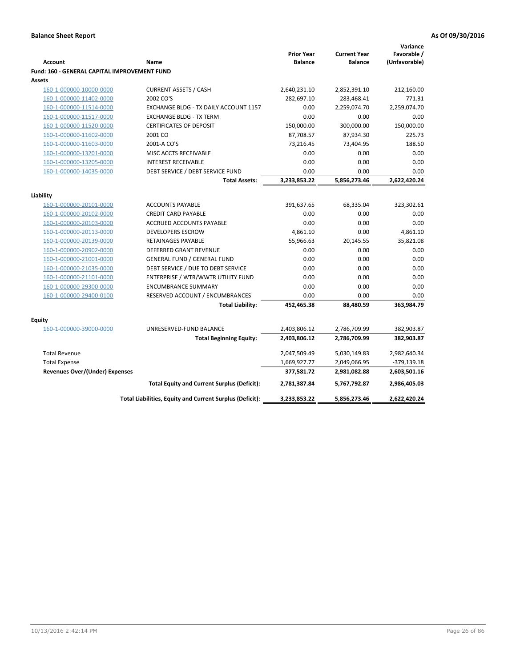|                                                     |                                                          |                                     |                                       | Variance                     |
|-----------------------------------------------------|----------------------------------------------------------|-------------------------------------|---------------------------------------|------------------------------|
| <b>Account</b>                                      | Name                                                     | <b>Prior Year</b><br><b>Balance</b> | <b>Current Year</b><br><b>Balance</b> | Favorable /<br>(Unfavorable) |
| <b>Fund: 160 - GENERAL CAPITAL IMPROVEMENT FUND</b> |                                                          |                                     |                                       |                              |
| Assets                                              |                                                          |                                     |                                       |                              |
| 160-1-000000-10000-0000                             | <b>CURRENT ASSETS / CASH</b>                             | 2,640,231.10                        | 2,852,391.10                          | 212,160.00                   |
| 160-1-000000-11402-0000                             | 2002 CO'S                                                | 282,697.10                          | 283,468.41                            | 771.31                       |
| 160-1-000000-11514-0000                             | EXCHANGE BLDG - TX DAILY ACCOUNT 1157                    | 0.00                                | 2,259,074.70                          | 2,259,074.70                 |
| 160-1-000000-11517-0000                             | <b>EXCHANGE BLDG - TX TERM</b>                           | 0.00                                | 0.00                                  | 0.00                         |
| 160-1-000000-11520-0000                             | <b>CERTIFICATES OF DEPOSIT</b>                           | 150,000.00                          | 300,000.00                            | 150,000.00                   |
| 160-1-000000-11602-0000                             | 2001 CO                                                  | 87,708.57                           | 87,934.30                             | 225.73                       |
| 160-1-000000-11603-0000                             | 2001-A CO'S                                              | 73,216.45                           | 73,404.95                             | 188.50                       |
| 160-1-000000-13201-0000                             | MISC ACCTS RECEIVABLE                                    | 0.00                                | 0.00                                  | 0.00                         |
| 160-1-000000-13205-0000                             | <b>INTEREST RECEIVABLE</b>                               | 0.00                                | 0.00                                  | 0.00                         |
| 160-1-000000-14035-0000                             | DEBT SERVICE / DEBT SERVICE FUND                         | 0.00                                | 0.00                                  | 0.00                         |
|                                                     | <b>Total Assets:</b>                                     | 3,233,853.22                        | 5,856,273.46                          | 2,622,420.24                 |
|                                                     |                                                          |                                     |                                       |                              |
| Liability                                           |                                                          |                                     |                                       |                              |
| 160-1-000000-20101-0000                             | <b>ACCOUNTS PAYABLE</b>                                  | 391,637.65                          | 68,335.04                             | 323,302.61                   |
| 160-1-000000-20102-0000                             | <b>CREDIT CARD PAYABLE</b>                               | 0.00                                | 0.00                                  | 0.00                         |
| 160-1-000000-20103-0000                             | ACCRUED ACCOUNTS PAYABLE                                 | 0.00                                | 0.00                                  | 0.00                         |
| 160-1-000000-20113-0000                             | DEVELOPERS ESCROW                                        | 4,861.10                            | 0.00                                  | 4,861.10                     |
| 160-1-000000-20139-0000                             | <b>RETAINAGES PAYABLE</b>                                | 55,966.63                           | 20,145.55                             | 35,821.08                    |
| 160-1-000000-20902-0000                             | DEFERRED GRANT REVENUE                                   | 0.00                                | 0.00                                  | 0.00                         |
| 160-1-000000-21001-0000                             | <b>GENERAL FUND / GENERAL FUND</b>                       | 0.00                                | 0.00                                  | 0.00                         |
| 160-1-000000-21035-0000                             | DEBT SERVICE / DUE TO DEBT SERVICE                       | 0.00                                | 0.00                                  | 0.00                         |
| 160-1-000000-21101-0000                             | ENTERPRISE / WTR/WWTR UTILITY FUND                       | 0.00                                | 0.00                                  | 0.00                         |
| 160-1-000000-29300-0000                             | <b>ENCUMBRANCE SUMMARY</b>                               | 0.00                                | 0.00                                  | 0.00                         |
| 160-1-000000-29400-0100                             | RESERVED ACCOUNT / ENCUMBRANCES                          | 0.00                                | 0.00                                  | 0.00                         |
|                                                     | <b>Total Liability:</b>                                  | 452,465.38                          | 88,480.59                             | 363,984.79                   |
|                                                     |                                                          |                                     |                                       |                              |
| <b>Equity</b>                                       |                                                          |                                     |                                       |                              |
| 160-1-000000-39000-0000                             | UNRESERVED-FUND BALANCE                                  | 2,403,806.12                        | 2,786,709.99                          | 382,903.87                   |
|                                                     | <b>Total Beginning Equity:</b>                           | 2,403,806.12                        | 2,786,709.99                          | 382,903.87                   |
| <b>Total Revenue</b>                                |                                                          | 2,047,509.49                        | 5,030,149.83                          | 2,982,640.34                 |
| <b>Total Expense</b>                                |                                                          | 1,669,927.77                        | 2,049,066.95                          | -379,139.18                  |
| Revenues Over/(Under) Expenses                      |                                                          | 377,581.72                          | 2,981,082.88                          | 2,603,501.16                 |
|                                                     | <b>Total Equity and Current Surplus (Deficit):</b>       | 2,781,387.84                        | 5,767,792.87                          | 2,986,405.03                 |
|                                                     | Total Liabilities, Equity and Current Surplus (Deficit): | 3,233,853.22                        | 5,856,273.46                          | 2,622,420.24                 |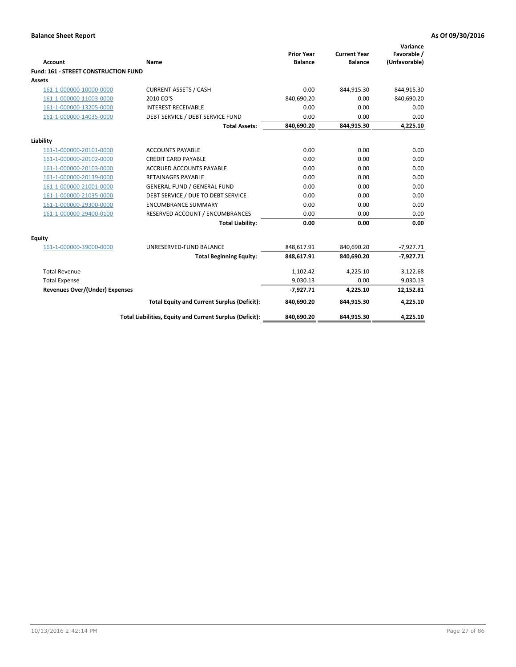| <b>Account</b>                        | Name                                                     | <b>Prior Year</b><br><b>Balance</b> | <b>Current Year</b><br><b>Balance</b> | Variance<br>Favorable /<br>(Unfavorable) |
|---------------------------------------|----------------------------------------------------------|-------------------------------------|---------------------------------------|------------------------------------------|
| Fund: 161 - STREET CONSTRUCTION FUND  |                                                          |                                     |                                       |                                          |
| <b>Assets</b>                         |                                                          |                                     |                                       |                                          |
| 161-1-000000-10000-0000               | <b>CURRENT ASSETS / CASH</b>                             | 0.00                                | 844,915.30                            | 844,915.30                               |
| 161-1-000000-11003-0000               | 2010 CO'S                                                | 840,690.20                          | 0.00                                  | $-840,690.20$                            |
| 161-1-000000-13205-0000               | <b>INTEREST RECEIVABLE</b>                               | 0.00                                | 0.00                                  | 0.00                                     |
| 161-1-000000-14035-0000               | DEBT SERVICE / DEBT SERVICE FUND                         | 0.00                                | 0.00                                  | 0.00                                     |
|                                       | <b>Total Assets:</b>                                     | 840,690.20                          | 844,915.30                            | 4,225.10                                 |
| Liability                             |                                                          |                                     |                                       |                                          |
| 161-1-000000-20101-0000               | <b>ACCOUNTS PAYABLE</b>                                  | 0.00                                | 0.00                                  | 0.00                                     |
| 161-1-000000-20102-0000               | <b>CREDIT CARD PAYABLE</b>                               | 0.00                                | 0.00                                  | 0.00                                     |
| 161-1-000000-20103-0000               | <b>ACCRUED ACCOUNTS PAYABLE</b>                          | 0.00                                | 0.00                                  | 0.00                                     |
| 161-1-000000-20139-0000               | <b>RETAINAGES PAYABLE</b>                                | 0.00                                | 0.00                                  | 0.00                                     |
| 161-1-000000-21001-0000               | <b>GENERAL FUND / GENERAL FUND</b>                       | 0.00                                | 0.00                                  | 0.00                                     |
| 161-1-000000-21035-0000               | DEBT SERVICE / DUE TO DEBT SERVICE                       | 0.00                                | 0.00                                  | 0.00                                     |
| 161-1-000000-29300-0000               | <b>ENCUMBRANCE SUMMARY</b>                               | 0.00                                | 0.00                                  | 0.00                                     |
| 161-1-000000-29400-0100               | RESERVED ACCOUNT / ENCUMBRANCES                          | 0.00                                | 0.00                                  | 0.00                                     |
|                                       | <b>Total Liability:</b>                                  | 0.00                                | 0.00                                  | 0.00                                     |
| <b>Equity</b>                         |                                                          |                                     |                                       |                                          |
| 161-1-000000-39000-0000               | UNRESERVED-FUND BALANCE                                  | 848,617.91                          | 840,690.20                            | $-7,927.71$                              |
|                                       | <b>Total Beginning Equity:</b>                           | 848,617.91                          | 840,690.20                            | $-7,927.71$                              |
| <b>Total Revenue</b>                  |                                                          | 1,102.42                            | 4,225.10                              | 3,122.68                                 |
| <b>Total Expense</b>                  |                                                          | 9,030.13                            | 0.00                                  | 9,030.13                                 |
| <b>Revenues Over/(Under) Expenses</b> |                                                          | $-7,927.71$                         | 4,225.10                              | 12,152.81                                |
|                                       | <b>Total Equity and Current Surplus (Deficit):</b>       | 840,690.20                          | 844,915.30                            | 4,225.10                                 |
|                                       | Total Liabilities, Equity and Current Surplus (Deficit): | 840,690.20                          | 844,915.30                            | 4,225.10                                 |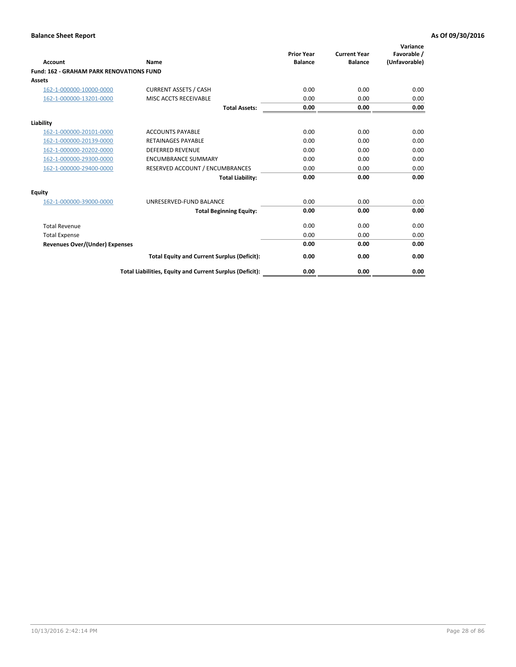| Account                                         | Name                                                     | <b>Prior Year</b><br><b>Balance</b> | <b>Current Year</b><br><b>Balance</b> | Variance<br>Favorable /<br>(Unfavorable) |
|-------------------------------------------------|----------------------------------------------------------|-------------------------------------|---------------------------------------|------------------------------------------|
| <b>Fund: 162 - GRAHAM PARK RENOVATIONS FUND</b> |                                                          |                                     |                                       |                                          |
| <b>Assets</b>                                   |                                                          |                                     |                                       |                                          |
| 162-1-000000-10000-0000                         | <b>CURRENT ASSETS / CASH</b>                             | 0.00                                | 0.00                                  | 0.00                                     |
| 162-1-000000-13201-0000                         | MISC ACCTS RECEIVABLE                                    | 0.00                                | 0.00                                  | 0.00                                     |
|                                                 | <b>Total Assets:</b>                                     | 0.00                                | 0.00                                  | 0.00                                     |
| Liability                                       |                                                          |                                     |                                       |                                          |
| 162-1-000000-20101-0000                         | <b>ACCOUNTS PAYABLE</b>                                  | 0.00                                | 0.00                                  | 0.00                                     |
| 162-1-000000-20139-0000                         | <b>RETAINAGES PAYABLE</b>                                | 0.00                                | 0.00                                  | 0.00                                     |
| 162-1-000000-20202-0000                         | <b>DEFERRED REVENUE</b>                                  | 0.00                                | 0.00                                  | 0.00                                     |
| 162-1-000000-29300-0000                         | <b>ENCUMBRANCE SUMMARY</b>                               | 0.00                                | 0.00                                  | 0.00                                     |
| 162-1-000000-29400-0000                         | RESERVED ACCOUNT / ENCUMBRANCES                          | 0.00                                | 0.00                                  | 0.00                                     |
|                                                 | <b>Total Liability:</b>                                  | 0.00                                | 0.00                                  | 0.00                                     |
| Equity                                          |                                                          |                                     |                                       |                                          |
| 162-1-000000-39000-0000                         | UNRESERVED-FUND BALANCE                                  | 0.00                                | 0.00                                  | 0.00                                     |
|                                                 | <b>Total Beginning Equity:</b>                           | 0.00                                | 0.00                                  | 0.00                                     |
| <b>Total Revenue</b>                            |                                                          | 0.00                                | 0.00                                  | 0.00                                     |
| <b>Total Expense</b>                            |                                                          | 0.00                                | 0.00                                  | 0.00                                     |
| <b>Revenues Over/(Under) Expenses</b>           |                                                          | 0.00                                | 0.00                                  | 0.00                                     |
|                                                 | <b>Total Equity and Current Surplus (Deficit):</b>       | 0.00                                | 0.00                                  | 0.00                                     |
|                                                 | Total Liabilities, Equity and Current Surplus (Deficit): | 0.00                                | 0.00                                  | 0.00                                     |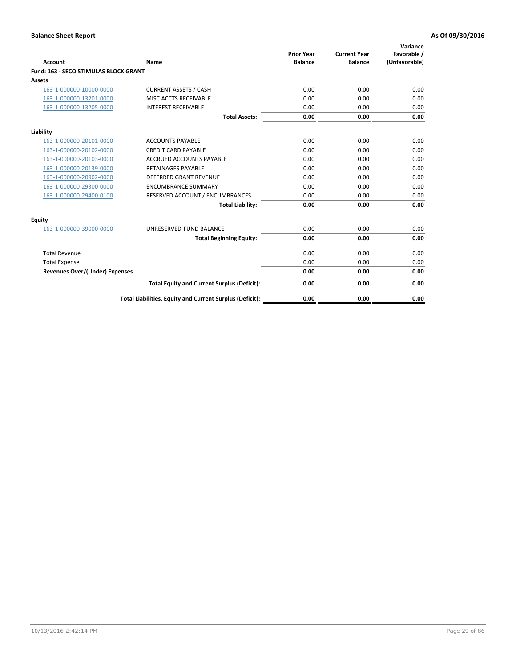| Account                                      | Name                                                     | <b>Prior Year</b><br><b>Balance</b> | <b>Current Year</b><br><b>Balance</b> | Variance<br>Favorable /<br>(Unfavorable) |
|----------------------------------------------|----------------------------------------------------------|-------------------------------------|---------------------------------------|------------------------------------------|
| <b>Fund: 163 - SECO STIMULAS BLOCK GRANT</b> |                                                          |                                     |                                       |                                          |
| <b>Assets</b>                                |                                                          |                                     |                                       |                                          |
| 163-1-000000-10000-0000                      | <b>CURRENT ASSETS / CASH</b>                             | 0.00                                | 0.00                                  | 0.00                                     |
| 163-1-000000-13201-0000                      | MISC ACCTS RECEIVABLE                                    | 0.00                                | 0.00                                  | 0.00                                     |
| 163-1-000000-13205-0000                      | <b>INTEREST RECEIVABLE</b>                               | 0.00                                | 0.00                                  | 0.00                                     |
|                                              | <b>Total Assets:</b>                                     | 0.00                                | 0.00                                  | 0.00                                     |
| Liability                                    |                                                          |                                     |                                       |                                          |
| 163-1-000000-20101-0000                      | <b>ACCOUNTS PAYABLE</b>                                  | 0.00                                | 0.00                                  | 0.00                                     |
| 163-1-000000-20102-0000                      | <b>CREDIT CARD PAYABLE</b>                               | 0.00                                | 0.00                                  | 0.00                                     |
| 163-1-000000-20103-0000                      | <b>ACCRUED ACCOUNTS PAYABLE</b>                          | 0.00                                | 0.00                                  | 0.00                                     |
| 163-1-000000-20139-0000                      | <b>RETAINAGES PAYABLE</b>                                | 0.00                                | 0.00                                  | 0.00                                     |
| 163-1-000000-20902-0000                      | <b>DEFERRED GRANT REVENUE</b>                            | 0.00                                | 0.00                                  | 0.00                                     |
| 163-1-000000-29300-0000                      | <b>ENCUMBRANCE SUMMARY</b>                               | 0.00                                | 0.00                                  | 0.00                                     |
| 163-1-000000-29400-0100                      | RESERVED ACCOUNT / ENCUMBRANCES                          | 0.00                                | 0.00                                  | 0.00                                     |
|                                              | <b>Total Liability:</b>                                  | 0.00                                | 0.00                                  | 0.00                                     |
| <b>Equity</b>                                |                                                          |                                     |                                       |                                          |
| 163-1-000000-39000-0000                      | UNRESERVED-FUND BALANCE                                  | 0.00                                | 0.00                                  | 0.00                                     |
|                                              | <b>Total Beginning Equity:</b>                           | 0.00                                | 0.00                                  | 0.00                                     |
| <b>Total Revenue</b>                         |                                                          | 0.00                                | 0.00                                  | 0.00                                     |
| <b>Total Expense</b>                         |                                                          | 0.00                                | 0.00                                  | 0.00                                     |
| Revenues Over/(Under) Expenses               |                                                          | 0.00                                | 0.00                                  | 0.00                                     |
|                                              | <b>Total Equity and Current Surplus (Deficit):</b>       | 0.00                                | 0.00                                  | 0.00                                     |
|                                              | Total Liabilities, Equity and Current Surplus (Deficit): | 0.00                                | 0.00                                  | 0.00                                     |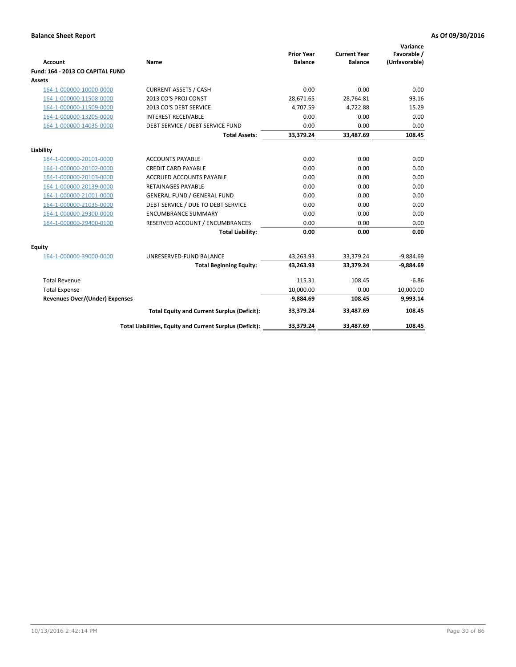| <b>Account</b>                        | <b>Name</b>                                              | <b>Prior Year</b><br><b>Balance</b> | <b>Current Year</b><br><b>Balance</b> | Variance<br>Favorable /<br>(Unfavorable) |
|---------------------------------------|----------------------------------------------------------|-------------------------------------|---------------------------------------|------------------------------------------|
| Fund: 164 - 2013 CO CAPITAL FUND      |                                                          |                                     |                                       |                                          |
| Assets                                |                                                          |                                     |                                       |                                          |
| 164-1-000000-10000-0000               | <b>CURRENT ASSETS / CASH</b>                             | 0.00                                | 0.00                                  | 0.00                                     |
| 164-1-000000-11508-0000               | 2013 CO'S PROJ CONST                                     | 28,671.65                           | 28,764.81                             | 93.16                                    |
| 164-1-000000-11509-0000               | 2013 CO'S DEBT SERVICE                                   | 4,707.59                            | 4,722.88                              | 15.29                                    |
| 164-1-000000-13205-0000               | <b>INTEREST RECEIVABLE</b>                               | 0.00                                | 0.00                                  | 0.00                                     |
| 164-1-000000-14035-0000               | DEBT SERVICE / DEBT SERVICE FUND                         | 0.00                                | 0.00                                  | 0.00                                     |
|                                       | <b>Total Assets:</b>                                     | 33,379.24                           | 33,487.69                             | 108.45                                   |
| Liability                             |                                                          |                                     |                                       |                                          |
| 164-1-000000-20101-0000               | <b>ACCOUNTS PAYABLE</b>                                  | 0.00                                | 0.00                                  | 0.00                                     |
| 164-1-000000-20102-0000               | <b>CREDIT CARD PAYABLE</b>                               | 0.00                                | 0.00                                  | 0.00                                     |
| 164-1-000000-20103-0000               | <b>ACCRUED ACCOUNTS PAYABLE</b>                          | 0.00                                | 0.00                                  | 0.00                                     |
| 164-1-000000-20139-0000               | <b>RETAINAGES PAYABLE</b>                                | 0.00                                | 0.00                                  | 0.00                                     |
| 164-1-000000-21001-0000               | <b>GENERAL FUND / GENERAL FUND</b>                       | 0.00                                | 0.00                                  | 0.00                                     |
| 164-1-000000-21035-0000               | DEBT SERVICE / DUE TO DEBT SERVICE                       | 0.00                                | 0.00                                  | 0.00                                     |
| 164-1-000000-29300-0000               | <b>ENCUMBRANCE SUMMARY</b>                               | 0.00                                | 0.00                                  | 0.00                                     |
| 164-1-000000-29400-0100               | RESERVED ACCOUNT / ENCUMBRANCES                          | 0.00                                | 0.00                                  | 0.00                                     |
|                                       | <b>Total Liability:</b>                                  | 0.00                                | 0.00                                  | 0.00                                     |
| Equity                                |                                                          |                                     |                                       |                                          |
| 164-1-000000-39000-0000               | UNRESERVED-FUND BALANCE                                  | 43,263.93                           | 33,379.24                             | $-9,884.69$                              |
|                                       | <b>Total Beginning Equity:</b>                           | 43,263.93                           | 33,379.24                             | $-9,884.69$                              |
| <b>Total Revenue</b>                  |                                                          | 115.31                              | 108.45                                | $-6.86$                                  |
| <b>Total Expense</b>                  |                                                          | 10,000.00                           | 0.00                                  | 10,000.00                                |
| <b>Revenues Over/(Under) Expenses</b> |                                                          | $-9,884.69$                         | 108.45                                | 9,993.14                                 |
|                                       | <b>Total Equity and Current Surplus (Deficit):</b>       | 33,379.24                           | 33,487.69                             | 108.45                                   |
|                                       | Total Liabilities, Equity and Current Surplus (Deficit): | 33,379.24                           | 33.487.69                             | 108.45                                   |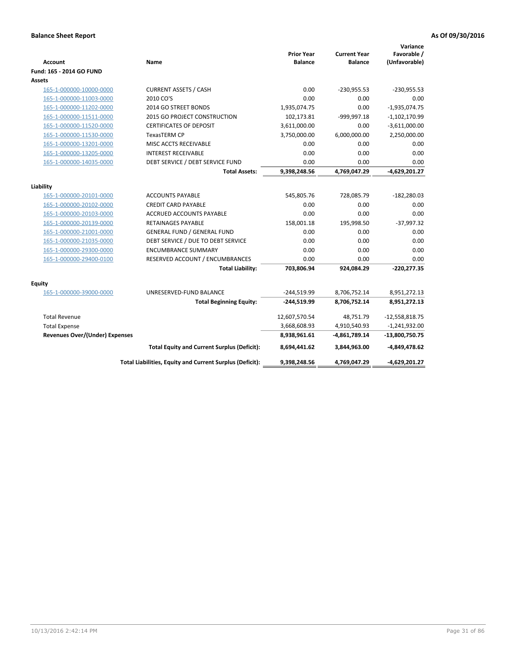| <b>Account</b>                        | Name                                                     | <b>Prior Year</b><br><b>Balance</b> | <b>Current Year</b><br><b>Balance</b> | Variance<br>Favorable /<br>(Unfavorable) |
|---------------------------------------|----------------------------------------------------------|-------------------------------------|---------------------------------------|------------------------------------------|
| Fund: 165 - 2014 GO FUND              |                                                          |                                     |                                       |                                          |
| Assets                                |                                                          |                                     |                                       |                                          |
| 165-1-000000-10000-0000               | <b>CURRENT ASSETS / CASH</b>                             | 0.00                                | $-230,955.53$                         | $-230,955.53$                            |
| 165-1-000000-11003-0000               | 2010 CO'S                                                | 0.00                                | 0.00                                  | 0.00                                     |
| 165-1-000000-11202-0000               | 2014 GO STREET BONDS                                     | 1,935,074.75                        | 0.00                                  | $-1,935,074.75$                          |
| 165-1-000000-11511-0000               | 2015 GO PROJECT CONSTRUCTION                             | 102,173.81                          | -999,997.18                           | $-1,102,170.99$                          |
| 165-1-000000-11520-0000               | <b>CERTIFICATES OF DEPOSIT</b>                           | 3,611,000.00                        | 0.00                                  | $-3,611,000.00$                          |
| 165-1-000000-11530-0000               | <b>TexasTERM CP</b>                                      | 3,750,000.00                        | 6,000,000.00                          | 2,250,000.00                             |
| 165-1-000000-13201-0000               | MISC ACCTS RECEIVABLE                                    | 0.00                                | 0.00                                  | 0.00                                     |
| 165-1-000000-13205-0000               | <b>INTEREST RECEIVABLE</b>                               | 0.00                                | 0.00                                  | 0.00                                     |
| 165-1-000000-14035-0000               | DEBT SERVICE / DEBT SERVICE FUND                         | 0.00                                | 0.00                                  | 0.00                                     |
|                                       | <b>Total Assets:</b>                                     | 9,398,248.56                        | 4,769,047.29                          | $-4,629,201.27$                          |
| Liability                             |                                                          |                                     |                                       |                                          |
| 165-1-000000-20101-0000               | <b>ACCOUNTS PAYABLE</b>                                  | 545,805.76                          | 728,085.79                            | $-182,280.03$                            |
| 165-1-000000-20102-0000               | <b>CREDIT CARD PAYABLE</b>                               | 0.00                                | 0.00                                  | 0.00                                     |
| 165-1-000000-20103-0000               | <b>ACCRUED ACCOUNTS PAYABLE</b>                          | 0.00                                | 0.00                                  | 0.00                                     |
| 165-1-000000-20139-0000               | <b>RETAINAGES PAYABLE</b>                                | 158,001.18                          | 195,998.50                            | $-37,997.32$                             |
| 165-1-000000-21001-0000               | <b>GENERAL FUND / GENERAL FUND</b>                       | 0.00                                | 0.00                                  | 0.00                                     |
| 165-1-000000-21035-0000               | DEBT SERVICE / DUE TO DEBT SERVICE                       | 0.00                                | 0.00                                  | 0.00                                     |
| 165-1-000000-29300-0000               | <b>ENCUMBRANCE SUMMARY</b>                               | 0.00                                | 0.00                                  | 0.00                                     |
| 165-1-000000-29400-0100               | RESERVED ACCOUNT / ENCUMBRANCES                          | 0.00                                | 0.00                                  | 0.00                                     |
|                                       | <b>Total Liability:</b>                                  | 703,806.94                          | 924,084.29                            | $-220,277.35$                            |
| <b>Equity</b>                         |                                                          |                                     |                                       |                                          |
| 165-1-000000-39000-0000               | UNRESERVED-FUND BALANCE                                  | $-244,519.99$                       | 8,706,752.14                          | 8,951,272.13                             |
|                                       | <b>Total Beginning Equity:</b>                           | $-244,519.99$                       | 8,706,752.14                          | 8,951,272.13                             |
| <b>Total Revenue</b>                  |                                                          | 12,607,570.54                       | 48,751.79                             | $-12,558,818.75$                         |
| <b>Total Expense</b>                  |                                                          | 3,668,608.93                        | 4,910,540.93                          | $-1,241,932.00$                          |
| <b>Revenues Over/(Under) Expenses</b> |                                                          | 8,938,961.61                        | $-4,861,789.14$                       | $-13,800,750.75$                         |
|                                       | <b>Total Equity and Current Surplus (Deficit):</b>       | 8,694,441.62                        | 3,844,963.00                          | $-4,849,478.62$                          |
|                                       | Total Liabilities, Equity and Current Surplus (Deficit): | 9,398,248.56                        | 4,769,047.29                          | $-4,629,201.27$                          |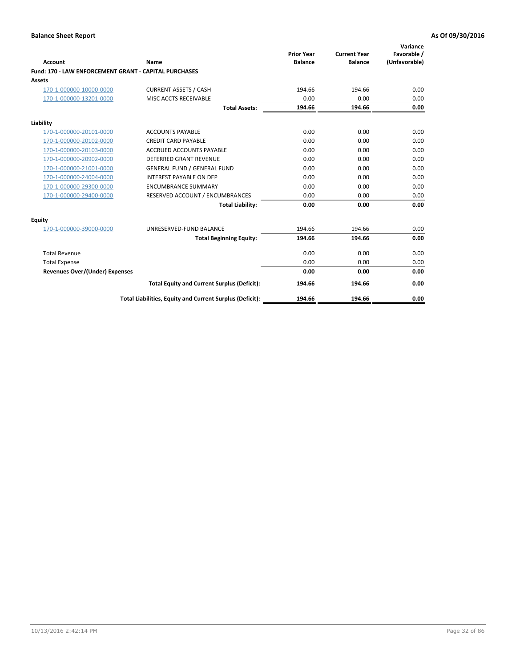| Account                                                      | Name                                                     | <b>Prior Year</b><br><b>Balance</b> | <b>Current Year</b><br><b>Balance</b> | Variance<br>Favorable /<br>(Unfavorable) |
|--------------------------------------------------------------|----------------------------------------------------------|-------------------------------------|---------------------------------------|------------------------------------------|
| <b>Fund: 170 - LAW ENFORCEMENT GRANT - CAPITAL PURCHASES</b> |                                                          |                                     |                                       |                                          |
| <b>Assets</b>                                                |                                                          |                                     |                                       |                                          |
| 170-1-000000-10000-0000                                      | <b>CURRENT ASSETS / CASH</b>                             | 194.66                              | 194.66                                | 0.00                                     |
| 170-1-000000-13201-0000                                      | MISC ACCTS RECEIVABLE                                    | 0.00                                | 0.00                                  | 0.00                                     |
|                                                              | <b>Total Assets:</b>                                     | 194.66                              | 194.66                                | 0.00                                     |
| Liability                                                    |                                                          |                                     |                                       |                                          |
| 170-1-000000-20101-0000                                      | <b>ACCOUNTS PAYABLE</b>                                  | 0.00                                | 0.00                                  | 0.00                                     |
| 170-1-000000-20102-0000                                      | <b>CREDIT CARD PAYABLE</b>                               | 0.00                                | 0.00                                  | 0.00                                     |
| 170-1-000000-20103-0000                                      | <b>ACCRUED ACCOUNTS PAYABLE</b>                          | 0.00                                | 0.00                                  | 0.00                                     |
| 170-1-000000-20902-0000                                      | <b>DEFERRED GRANT REVENUE</b>                            | 0.00                                | 0.00                                  | 0.00                                     |
| 170-1-000000-21001-0000                                      | <b>GENERAL FUND / GENERAL FUND</b>                       | 0.00                                | 0.00                                  | 0.00                                     |
| 170-1-000000-24004-0000                                      | <b>INTEREST PAYABLE ON DEP</b>                           | 0.00                                | 0.00                                  | 0.00                                     |
| 170-1-000000-29300-0000                                      | <b>ENCUMBRANCE SUMMARY</b>                               | 0.00                                | 0.00                                  | 0.00                                     |
| 170-1-000000-29400-0000                                      | RESERVED ACCOUNT / ENCUMBRANCES                          | 0.00                                | 0.00                                  | 0.00                                     |
|                                                              | <b>Total Liability:</b>                                  | 0.00                                | 0.00                                  | 0.00                                     |
| <b>Equity</b>                                                |                                                          |                                     |                                       |                                          |
| 170-1-000000-39000-0000                                      | UNRESERVED-FUND BALANCE                                  | 194.66                              | 194.66                                | 0.00                                     |
|                                                              | <b>Total Beginning Equity:</b>                           | 194.66                              | 194.66                                | 0.00                                     |
| <b>Total Revenue</b>                                         |                                                          | 0.00                                | 0.00                                  | 0.00                                     |
| <b>Total Expense</b>                                         |                                                          | 0.00                                | 0.00                                  | 0.00                                     |
| <b>Revenues Over/(Under) Expenses</b>                        |                                                          | 0.00                                | 0.00                                  | 0.00                                     |
|                                                              | <b>Total Equity and Current Surplus (Deficit):</b>       | 194.66                              | 194.66                                | 0.00                                     |
|                                                              | Total Liabilities, Equity and Current Surplus (Deficit): | 194.66                              | 194.66                                | 0.00                                     |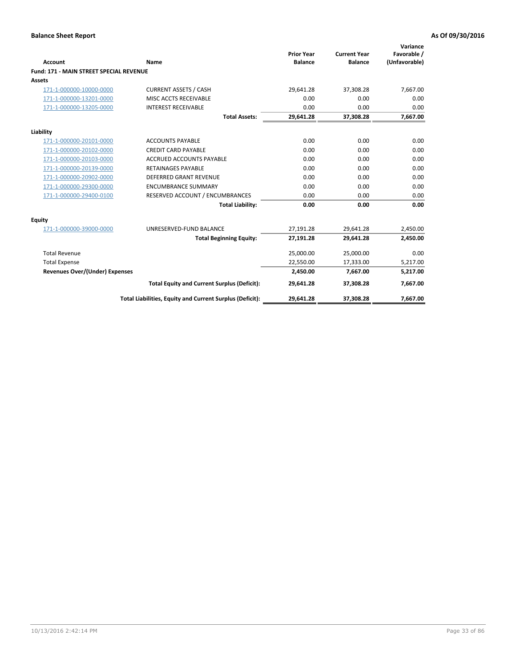|                                                |                                                          | <b>Prior Year</b> | <b>Current Year</b> | Variance<br>Favorable / |
|------------------------------------------------|----------------------------------------------------------|-------------------|---------------------|-------------------------|
| Account                                        | Name                                                     | <b>Balance</b>    | <b>Balance</b>      | (Unfavorable)           |
| <b>Fund: 171 - MAIN STREET SPECIAL REVENUE</b> |                                                          |                   |                     |                         |
| Assets                                         |                                                          |                   |                     |                         |
| 171-1-000000-10000-0000                        | <b>CURRENT ASSETS / CASH</b>                             | 29,641.28         | 37,308.28           | 7,667.00                |
| 171-1-000000-13201-0000                        | MISC ACCTS RECEIVABLE                                    | 0.00              | 0.00                | 0.00                    |
| 171-1-000000-13205-0000                        | <b>INTEREST RECEIVABLE</b>                               | 0.00              | 0.00                | 0.00                    |
|                                                | <b>Total Assets:</b>                                     | 29,641.28         | 37,308.28           | 7,667.00                |
| Liability                                      |                                                          |                   |                     |                         |
| 171-1-000000-20101-0000                        | <b>ACCOUNTS PAYABLE</b>                                  | 0.00              | 0.00                | 0.00                    |
| 171-1-000000-20102-0000                        | <b>CREDIT CARD PAYABLE</b>                               | 0.00              | 0.00                | 0.00                    |
| 171-1-000000-20103-0000                        | <b>ACCRUED ACCOUNTS PAYABLE</b>                          | 0.00              | 0.00                | 0.00                    |
| 171-1-000000-20139-0000                        | <b>RETAINAGES PAYABLE</b>                                | 0.00              | 0.00                | 0.00                    |
| 171-1-000000-20902-0000                        | <b>DEFERRED GRANT REVENUE</b>                            | 0.00              | 0.00                | 0.00                    |
| 171-1-000000-29300-0000                        | <b>ENCUMBRANCE SUMMARY</b>                               | 0.00              | 0.00                | 0.00                    |
| 171-1-000000-29400-0100                        | RESERVED ACCOUNT / ENCUMBRANCES                          | 0.00              | 0.00                | 0.00                    |
|                                                | <b>Total Liability:</b>                                  | 0.00              | 0.00                | 0.00                    |
| <b>Equity</b>                                  |                                                          |                   |                     |                         |
| 171-1-000000-39000-0000                        | UNRESERVED-FUND BALANCE                                  | 27,191.28         | 29,641.28           | 2,450.00                |
|                                                | <b>Total Beginning Equity:</b>                           | 27,191.28         | 29,641.28           | 2,450.00                |
| <b>Total Revenue</b>                           |                                                          | 25,000.00         | 25,000.00           | 0.00                    |
| <b>Total Expense</b>                           |                                                          | 22,550.00         | 17,333.00           | 5,217.00                |
| <b>Revenues Over/(Under) Expenses</b>          |                                                          | 2.450.00          | 7,667.00            | 5,217.00                |
|                                                | <b>Total Equity and Current Surplus (Deficit):</b>       | 29,641.28         | 37,308.28           | 7,667.00                |
|                                                | Total Liabilities, Equity and Current Surplus (Deficit): | 29,641.28         | 37,308.28           | 7,667.00                |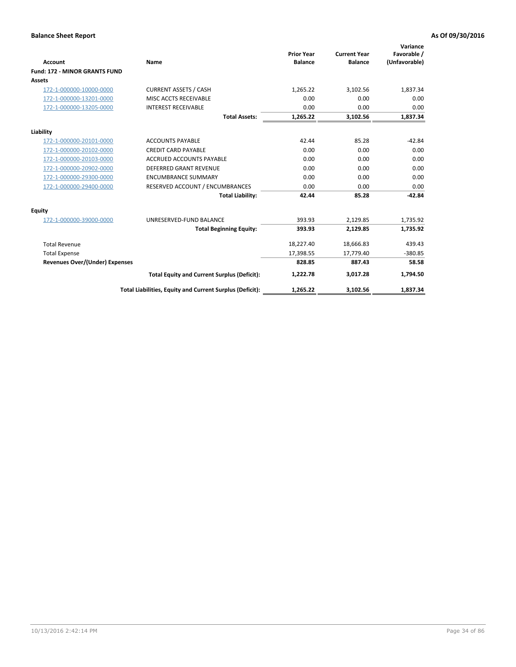|                                      |                                                          | <b>Prior Year</b> | <b>Current Year</b> | Variance<br>Favorable / |
|--------------------------------------|----------------------------------------------------------|-------------------|---------------------|-------------------------|
| <b>Account</b>                       | Name                                                     | <b>Balance</b>    | <b>Balance</b>      | (Unfavorable)           |
| <b>Fund: 172 - MINOR GRANTS FUND</b> |                                                          |                   |                     |                         |
| <b>Assets</b>                        |                                                          |                   |                     |                         |
| 172-1-000000-10000-0000              | <b>CURRENT ASSETS / CASH</b>                             | 1,265.22          | 3,102.56            | 1,837.34                |
| 172-1-000000-13201-0000              | MISC ACCTS RECEIVABLE                                    | 0.00              | 0.00                | 0.00                    |
| 172-1-000000-13205-0000              | <b>INTEREST RECEIVABLE</b>                               | 0.00              | 0.00                | 0.00                    |
|                                      | <b>Total Assets:</b>                                     | 1,265.22          | 3,102.56            | 1,837.34                |
| Liability                            |                                                          |                   |                     |                         |
| 172-1-000000-20101-0000              | <b>ACCOUNTS PAYABLE</b>                                  | 42.44             | 85.28               | $-42.84$                |
| 172-1-000000-20102-0000              | <b>CREDIT CARD PAYABLE</b>                               | 0.00              | 0.00                | 0.00                    |
| 172-1-000000-20103-0000              | <b>ACCRUED ACCOUNTS PAYABLE</b>                          | 0.00              | 0.00                | 0.00                    |
| 172-1-000000-20902-0000              | DEFERRED GRANT REVENUE                                   | 0.00              | 0.00                | 0.00                    |
| 172-1-000000-29300-0000              | <b>ENCUMBRANCE SUMMARY</b>                               | 0.00              | 0.00                | 0.00                    |
| 172-1-000000-29400-0000              | RESERVED ACCOUNT / ENCUMBRANCES                          | 0.00              | 0.00                | 0.00                    |
|                                      | <b>Total Liability:</b>                                  | 42.44             | 85.28               | $-42.84$                |
| Equity                               |                                                          |                   |                     |                         |
| 172-1-000000-39000-0000              | UNRESERVED-FUND BALANCE                                  | 393.93            | 2,129.85            | 1,735.92                |
|                                      | <b>Total Beginning Equity:</b>                           | 393.93            | 2,129.85            | 1,735.92                |
| <b>Total Revenue</b>                 |                                                          | 18,227.40         | 18,666.83           | 439.43                  |
| <b>Total Expense</b>                 |                                                          | 17,398.55         | 17,779.40           | $-380.85$               |
| Revenues Over/(Under) Expenses       |                                                          | 828.85            | 887.43              | 58.58                   |
|                                      | <b>Total Equity and Current Surplus (Deficit):</b>       | 1,222.78          | 3,017.28            | 1,794.50                |
|                                      | Total Liabilities, Equity and Current Surplus (Deficit): | 1,265.22          | 3,102.56            | 1,837.34                |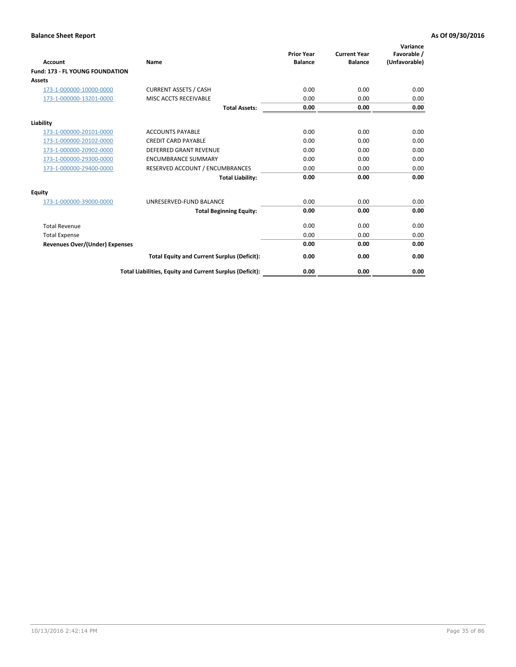| <b>Account</b>                         | <b>Name</b>                                              | <b>Prior Year</b><br><b>Balance</b> | <b>Current Year</b><br><b>Balance</b> | Variance<br>Favorable /<br>(Unfavorable) |
|----------------------------------------|----------------------------------------------------------|-------------------------------------|---------------------------------------|------------------------------------------|
| <b>Fund: 173 - FL YOUNG FOUNDATION</b> |                                                          |                                     |                                       |                                          |
| Assets                                 |                                                          |                                     |                                       |                                          |
| 173-1-000000-10000-0000                | <b>CURRENT ASSETS / CASH</b>                             | 0.00                                | 0.00                                  | 0.00                                     |
| 173-1-000000-13201-0000                | MISC ACCTS RECEIVABLE                                    | 0.00                                | 0.00                                  | 0.00                                     |
|                                        | <b>Total Assets:</b>                                     | 0.00                                | 0.00                                  | 0.00                                     |
| Liability                              |                                                          |                                     |                                       |                                          |
| 173-1-000000-20101-0000                | <b>ACCOUNTS PAYABLE</b>                                  | 0.00                                | 0.00                                  | 0.00                                     |
| 173-1-000000-20102-0000                | <b>CREDIT CARD PAYABLE</b>                               | 0.00                                | 0.00                                  | 0.00                                     |
| 173-1-000000-20902-0000                | <b>DEFERRED GRANT REVENUE</b>                            | 0.00                                | 0.00                                  | 0.00                                     |
| 173-1-000000-29300-0000                | <b>ENCUMBRANCE SUMMARY</b>                               | 0.00                                | 0.00                                  | 0.00                                     |
| 173-1-000000-29400-0000                | RESERVED ACCOUNT / ENCUMBRANCES                          | 0.00                                | 0.00                                  | 0.00                                     |
|                                        | <b>Total Liability:</b>                                  | 0.00                                | 0.00                                  | 0.00                                     |
| Equity                                 |                                                          |                                     |                                       |                                          |
| 173-1-000000-39000-0000                | UNRESERVED-FUND BALANCE                                  | 0.00                                | 0.00                                  | 0.00                                     |
|                                        | <b>Total Beginning Equity:</b>                           | 0.00                                | 0.00                                  | 0.00                                     |
| <b>Total Revenue</b>                   |                                                          | 0.00                                | 0.00                                  | 0.00                                     |
| <b>Total Expense</b>                   |                                                          | 0.00                                | 0.00                                  | 0.00                                     |
| <b>Revenues Over/(Under) Expenses</b>  |                                                          | 0.00                                | 0.00                                  | 0.00                                     |
|                                        | <b>Total Equity and Current Surplus (Deficit):</b>       | 0.00                                | 0.00                                  | 0.00                                     |
|                                        | Total Liabilities, Equity and Current Surplus (Deficit): | 0.00                                | 0.00                                  | 0.00                                     |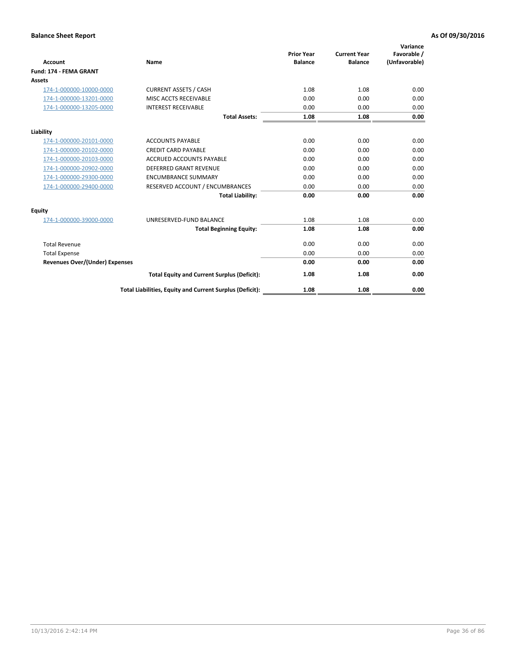| <b>Account</b>                        | <b>Name</b>                                              | <b>Prior Year</b><br><b>Balance</b> | <b>Current Year</b><br><b>Balance</b> | Variance<br>Favorable /<br>(Unfavorable) |
|---------------------------------------|----------------------------------------------------------|-------------------------------------|---------------------------------------|------------------------------------------|
| Fund: 174 - FEMA GRANT                |                                                          |                                     |                                       |                                          |
| Assets                                |                                                          |                                     |                                       |                                          |
| 174-1-000000-10000-0000               | <b>CURRENT ASSETS / CASH</b>                             | 1.08                                | 1.08                                  | 0.00                                     |
| 174-1-000000-13201-0000               | MISC ACCTS RECEIVABLE                                    | 0.00                                | 0.00                                  | 0.00                                     |
| 174-1-000000-13205-0000               | <b>INTEREST RECEIVABLE</b>                               | 0.00                                | 0.00                                  | 0.00                                     |
|                                       | <b>Total Assets:</b>                                     | 1.08                                | 1.08                                  | 0.00                                     |
| Liability                             |                                                          |                                     |                                       |                                          |
| 174-1-000000-20101-0000               | <b>ACCOUNTS PAYABLE</b>                                  | 0.00                                | 0.00                                  | 0.00                                     |
| 174-1-000000-20102-0000               | <b>CREDIT CARD PAYABLE</b>                               | 0.00                                | 0.00                                  | 0.00                                     |
| 174-1-000000-20103-0000               | <b>ACCRUED ACCOUNTS PAYABLE</b>                          | 0.00                                | 0.00                                  | 0.00                                     |
| 174-1-000000-20902-0000               | DEFERRED GRANT REVENUE                                   | 0.00                                | 0.00                                  | 0.00                                     |
| 174-1-000000-29300-0000               | <b>ENCUMBRANCE SUMMARY</b>                               | 0.00                                | 0.00                                  | 0.00                                     |
| 174-1-000000-29400-0000               | RESERVED ACCOUNT / ENCUMBRANCES                          | 0.00                                | 0.00                                  | 0.00                                     |
|                                       | <b>Total Liability:</b>                                  | 0.00                                | 0.00                                  | 0.00                                     |
| Equity                                |                                                          |                                     |                                       |                                          |
| 174-1-000000-39000-0000               | UNRESERVED-FUND BALANCE                                  | 1.08                                | 1.08                                  | 0.00                                     |
|                                       | <b>Total Beginning Equity:</b>                           | 1.08                                | 1.08                                  | 0.00                                     |
| <b>Total Revenue</b>                  |                                                          | 0.00                                | 0.00                                  | 0.00                                     |
| <b>Total Expense</b>                  |                                                          | 0.00                                | 0.00                                  | 0.00                                     |
| <b>Revenues Over/(Under) Expenses</b> |                                                          | 0.00                                | 0.00                                  | 0.00                                     |
|                                       | <b>Total Equity and Current Surplus (Deficit):</b>       | 1.08                                | 1.08                                  | 0.00                                     |
|                                       | Total Liabilities, Equity and Current Surplus (Deficit): | 1.08                                | 1.08                                  | 0.00                                     |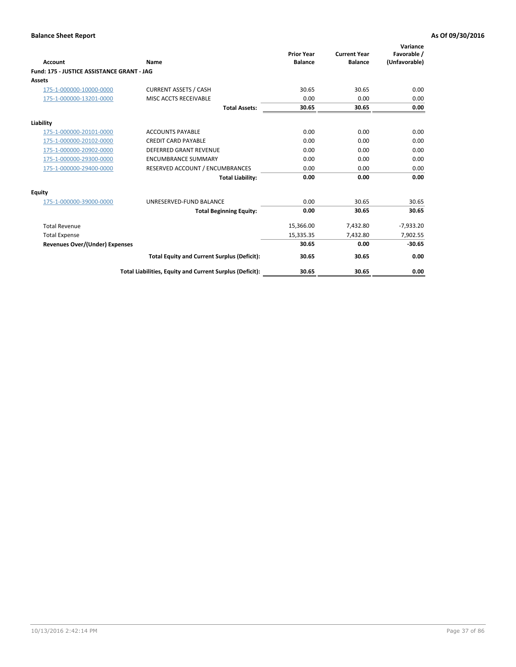| <b>Account</b>                             | Name                                                     | <b>Prior Year</b><br><b>Balance</b> | <b>Current Year</b><br><b>Balance</b> | Variance<br>Favorable /<br>(Unfavorable) |
|--------------------------------------------|----------------------------------------------------------|-------------------------------------|---------------------------------------|------------------------------------------|
| Fund: 175 - JUSTICE ASSISTANCE GRANT - JAG |                                                          |                                     |                                       |                                          |
| <b>Assets</b>                              |                                                          |                                     |                                       |                                          |
| 175-1-000000-10000-0000                    | <b>CURRENT ASSETS / CASH</b>                             | 30.65                               | 30.65                                 | 0.00                                     |
| 175-1-000000-13201-0000                    | <b>MISC ACCTS RECEIVABLE</b>                             | 0.00                                | 0.00                                  | 0.00                                     |
|                                            | <b>Total Assets:</b>                                     | 30.65                               | 30.65                                 | 0.00                                     |
| Liability                                  |                                                          |                                     |                                       |                                          |
| 175-1-000000-20101-0000                    | <b>ACCOUNTS PAYABLE</b>                                  | 0.00                                | 0.00                                  | 0.00                                     |
| 175-1-000000-20102-0000                    | <b>CREDIT CARD PAYABLE</b>                               | 0.00                                | 0.00                                  | 0.00                                     |
| 175-1-000000-20902-0000                    | DEFERRED GRANT REVENUE                                   | 0.00                                | 0.00                                  | 0.00                                     |
| 175-1-000000-29300-0000                    | <b>ENCUMBRANCE SUMMARY</b>                               | 0.00                                | 0.00                                  | 0.00                                     |
| 175-1-000000-29400-0000                    | RESERVED ACCOUNT / ENCUMBRANCES                          | 0.00                                | 0.00                                  | 0.00                                     |
|                                            | <b>Total Liability:</b>                                  | 0.00                                | 0.00                                  | 0.00                                     |
| <b>Equity</b>                              |                                                          |                                     |                                       |                                          |
| 175-1-000000-39000-0000                    | UNRESERVED-FUND BALANCE                                  | 0.00                                | 30.65                                 | 30.65                                    |
|                                            | <b>Total Beginning Equity:</b>                           | 0.00                                | 30.65                                 | 30.65                                    |
| <b>Total Revenue</b>                       |                                                          | 15,366.00                           | 7,432.80                              | $-7,933.20$                              |
| <b>Total Expense</b>                       |                                                          | 15,335.35                           | 7,432.80                              | 7,902.55                                 |
| <b>Revenues Over/(Under) Expenses</b>      |                                                          | 30.65                               | 0.00                                  | $-30.65$                                 |
|                                            | <b>Total Equity and Current Surplus (Deficit):</b>       | 30.65                               | 30.65                                 | 0.00                                     |
|                                            | Total Liabilities, Equity and Current Surplus (Deficit): | 30.65                               | 30.65                                 | 0.00                                     |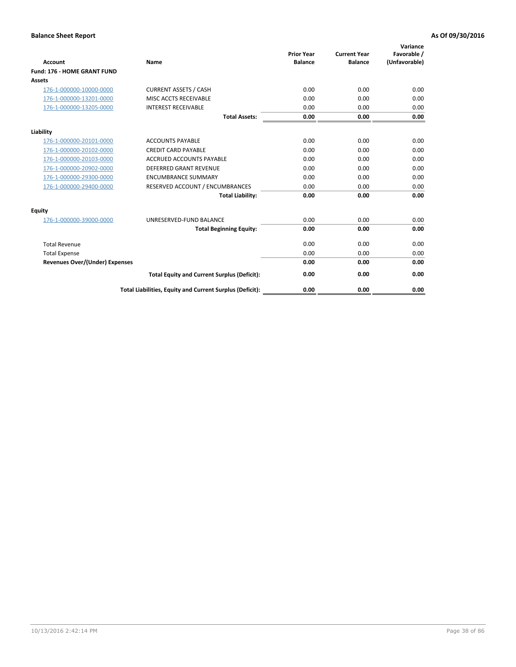| <b>Account</b>                        | <b>Name</b>                                              | <b>Prior Year</b><br><b>Balance</b> | <b>Current Year</b><br><b>Balance</b> | Variance<br>Favorable /<br>(Unfavorable) |
|---------------------------------------|----------------------------------------------------------|-------------------------------------|---------------------------------------|------------------------------------------|
| <b>Fund: 176 - HOME GRANT FUND</b>    |                                                          |                                     |                                       |                                          |
| Assets                                |                                                          |                                     |                                       |                                          |
| 176-1-000000-10000-0000               | <b>CURRENT ASSETS / CASH</b>                             | 0.00                                | 0.00                                  | 0.00                                     |
| 176-1-000000-13201-0000               | MISC ACCTS RECEIVABLE                                    | 0.00                                | 0.00                                  | 0.00                                     |
| 176-1-000000-13205-0000               | <b>INTEREST RECEIVABLE</b>                               | 0.00                                | 0.00                                  | 0.00                                     |
|                                       | <b>Total Assets:</b>                                     | 0.00                                | 0.00                                  | 0.00                                     |
| Liability                             |                                                          |                                     |                                       |                                          |
| 176-1-000000-20101-0000               | <b>ACCOUNTS PAYABLE</b>                                  | 0.00                                | 0.00                                  | 0.00                                     |
| 176-1-000000-20102-0000               | <b>CREDIT CARD PAYABLE</b>                               | 0.00                                | 0.00                                  | 0.00                                     |
| 176-1-000000-20103-0000               | <b>ACCRUED ACCOUNTS PAYABLE</b>                          | 0.00                                | 0.00                                  | 0.00                                     |
| 176-1-000000-20902-0000               | DEFERRED GRANT REVENUE                                   | 0.00                                | 0.00                                  | 0.00                                     |
| 176-1-000000-29300-0000               | <b>ENCUMBRANCE SUMMARY</b>                               | 0.00                                | 0.00                                  | 0.00                                     |
| 176-1-000000-29400-0000               | RESERVED ACCOUNT / ENCUMBRANCES                          | 0.00                                | 0.00                                  | 0.00                                     |
|                                       | <b>Total Liability:</b>                                  | 0.00                                | 0.00                                  | 0.00                                     |
| Equity                                |                                                          |                                     |                                       |                                          |
| 176-1-000000-39000-0000               | UNRESERVED-FUND BALANCE                                  | 0.00                                | 0.00                                  | 0.00                                     |
|                                       | <b>Total Beginning Equity:</b>                           | 0.00                                | 0.00                                  | 0.00                                     |
| <b>Total Revenue</b>                  |                                                          | 0.00                                | 0.00                                  | 0.00                                     |
| <b>Total Expense</b>                  |                                                          | 0.00                                | 0.00                                  | 0.00                                     |
| <b>Revenues Over/(Under) Expenses</b> |                                                          | 0.00                                | 0.00                                  | 0.00                                     |
|                                       | <b>Total Equity and Current Surplus (Deficit):</b>       | 0.00                                | 0.00                                  | 0.00                                     |
|                                       | Total Liabilities, Equity and Current Surplus (Deficit): | 0.00                                | 0.00                                  | 0.00                                     |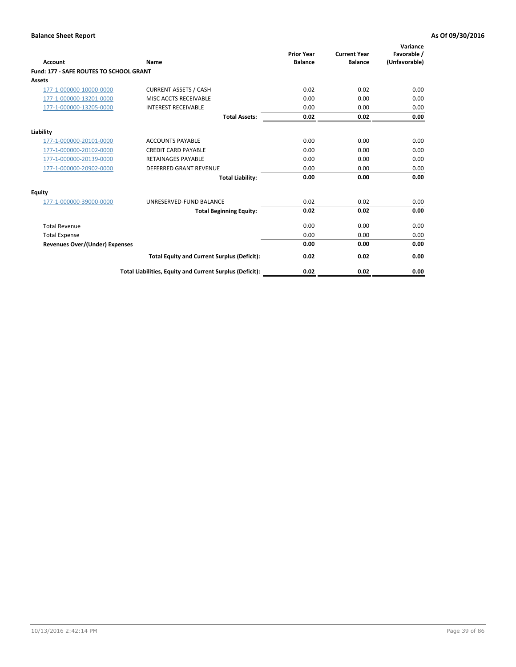| Account                                 | Name                                                     | <b>Prior Year</b><br><b>Balance</b> | <b>Current Year</b><br><b>Balance</b> | Variance<br>Favorable /<br>(Unfavorable) |
|-----------------------------------------|----------------------------------------------------------|-------------------------------------|---------------------------------------|------------------------------------------|
| Fund: 177 - SAFE ROUTES TO SCHOOL GRANT |                                                          |                                     |                                       |                                          |
| Assets                                  |                                                          |                                     |                                       |                                          |
| 177-1-000000-10000-0000                 | <b>CURRENT ASSETS / CASH</b>                             | 0.02                                | 0.02                                  | 0.00                                     |
| 177-1-000000-13201-0000                 | MISC ACCTS RECEIVABLE                                    | 0.00                                | 0.00                                  | 0.00                                     |
| 177-1-000000-13205-0000                 | <b>INTEREST RECEIVABLE</b>                               | 0.00                                | 0.00                                  | 0.00                                     |
|                                         | <b>Total Assets:</b>                                     | 0.02                                | 0.02                                  | 0.00                                     |
| Liability                               |                                                          |                                     |                                       |                                          |
| 177-1-000000-20101-0000                 | <b>ACCOUNTS PAYABLE</b>                                  | 0.00                                | 0.00                                  | 0.00                                     |
| 177-1-000000-20102-0000                 | <b>CREDIT CARD PAYABLE</b>                               | 0.00                                | 0.00                                  | 0.00                                     |
| 177-1-000000-20139-0000                 | <b>RETAINAGES PAYABLE</b>                                | 0.00                                | 0.00                                  | 0.00                                     |
| 177-1-000000-20902-0000                 | <b>DEFERRED GRANT REVENUE</b>                            | 0.00                                | 0.00                                  | 0.00                                     |
|                                         | <b>Total Liability:</b>                                  | 0.00                                | 0.00                                  | 0.00                                     |
| <b>Equity</b>                           |                                                          |                                     |                                       |                                          |
| 177-1-000000-39000-0000                 | UNRESERVED-FUND BALANCE                                  | 0.02                                | 0.02                                  | 0.00                                     |
|                                         | <b>Total Beginning Equity:</b>                           | 0.02                                | 0.02                                  | 0.00                                     |
| <b>Total Revenue</b>                    |                                                          | 0.00                                | 0.00                                  | 0.00                                     |
| <b>Total Expense</b>                    |                                                          | 0.00                                | 0.00                                  | 0.00                                     |
| Revenues Over/(Under) Expenses          |                                                          | 0.00                                | 0.00                                  | 0.00                                     |
|                                         | <b>Total Equity and Current Surplus (Deficit):</b>       | 0.02                                | 0.02                                  | 0.00                                     |
|                                         | Total Liabilities, Equity and Current Surplus (Deficit): | 0.02                                | 0.02                                  | 0.00                                     |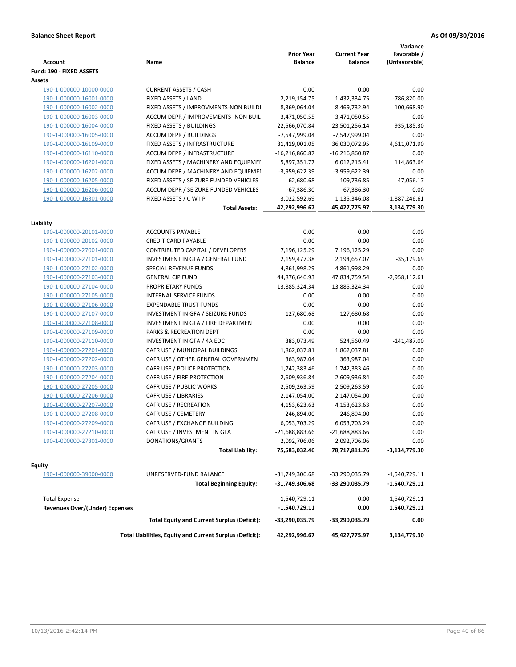| <b>Account</b>                 | Name                                                     | <b>Prior Year</b><br><b>Balance</b> | <b>Current Year</b><br><b>Balance</b> | Variance<br>Favorable /<br>(Unfavorable) |
|--------------------------------|----------------------------------------------------------|-------------------------------------|---------------------------------------|------------------------------------------|
| Fund: 190 - FIXED ASSETS       |                                                          |                                     |                                       |                                          |
| Assets                         |                                                          |                                     |                                       |                                          |
| 190-1-000000-10000-0000        | <b>CURRENT ASSETS / CASH</b>                             | 0.00                                | 0.00                                  | 0.00                                     |
| 190-1-000000-16001-0000        | FIXED ASSETS / LAND                                      | 2,219,154.75                        | 1,432,334.75                          | -786,820.00                              |
| 190-1-000000-16002-0000        | FIXED ASSETS / IMPROVMENTS-NON BUILDI                    | 8,369,064.04                        | 8,469,732.94                          | 100,668.90                               |
| 190-1-000000-16003-0000        | ACCUM DEPR / IMPROVEMENTS- NON BUIL                      | $-3,471,050.55$                     | $-3,471,050.55$                       | 0.00                                     |
| 190-1-000000-16004-0000        | FIXED ASSETS / BUILDINGS                                 | 22,566,070.84                       | 23,501,256.14                         | 935,185.30                               |
| 190-1-000000-16005-0000        | <b>ACCUM DEPR / BUILDINGS</b>                            | -7,547,999.04                       | -7,547,999.04                         | 0.00                                     |
| 190-1-000000-16109-0000        | FIXED ASSETS / INFRASTRUCTURE                            | 31,419,001.05                       | 36,030,072.95                         | 4,611,071.90                             |
| 190-1-000000-16110-0000        | ACCUM DEPR / INFRASTRUCTURE                              | $-16,216,860.87$                    | $-16,216,860.87$                      | 0.00                                     |
| 190-1-000000-16201-0000        | FIXED ASSETS / MACHINERY AND EQUIPMEN                    | 5,897,351.77                        | 6,012,215.41                          | 114,863.64                               |
| 190-1-000000-16202-0000        | ACCUM DEPR / MACHINERY AND EQUIPMEI                      | -3,959,622.39                       | -3,959,622.39                         | 0.00                                     |
| 190-1-000000-16205-0000        | FIXED ASSETS / SEIZURE FUNDED VEHICLES                   | 62,680.68                           | 109,736.85                            | 47,056.17                                |
| 190-1-000000-16206-0000        | ACCUM DEPR / SEIZURE FUNDED VEHICLES                     | $-67,386.30$                        | $-67,386.30$                          | 0.00                                     |
| 190-1-000000-16301-0000        | FIXED ASSETS / C W I P                                   | 3,022,592.69                        | 1,135,346.08                          | $-1,887,246.61$                          |
|                                | <b>Total Assets:</b>                                     | 42,292,996.67                       | 45,427,775.97                         | 3,134,779.30                             |
| Liability                      |                                                          |                                     |                                       |                                          |
| 190-1-000000-20101-0000        | <b>ACCOUNTS PAYABLE</b>                                  | 0.00                                | 0.00                                  | 0.00                                     |
| 190-1-000000-20102-0000        | <b>CREDIT CARD PAYABLE</b>                               | 0.00                                | 0.00                                  | 0.00                                     |
| 190-1-000000-27001-0000        | CONTRIBUTED CAPITAL / DEVELOPERS                         | 7,196,125.29                        | 7,196,125.29                          | 0.00                                     |
| 190-1-000000-27101-0000        | INVESTMENT IN GFA / GENERAL FUND                         | 2,159,477.38                        | 2,194,657.07                          | $-35,179.69$                             |
| 190-1-000000-27102-0000        | SPECIAL REVENUE FUNDS                                    | 4,861,998.29                        | 4,861,998.29                          | 0.00                                     |
| 190-1-000000-27103-0000        | <b>GENERAL CIP FUND</b>                                  | 44,876,646.93                       | 47,834,759.54                         | $-2,958,112.61$                          |
| 190-1-000000-27104-0000        | PROPRIETARY FUNDS                                        | 13,885,324.34                       | 13,885,324.34                         | 0.00                                     |
| 190-1-000000-27105-0000        | INTERNAL SERVICE FUNDS                                   | 0.00                                | 0.00                                  | 0.00                                     |
| 190-1-000000-27106-0000        | <b>EXPENDABLE TRUST FUNDS</b>                            | 0.00                                | 0.00                                  | 0.00                                     |
| 190-1-000000-27107-0000        | INVESTMENT IN GFA / SEIZURE FUNDS                        | 127,680.68                          | 127,680.68                            | 0.00                                     |
| 190-1-000000-27108-0000        | INVESTMENT IN GFA / FIRE DEPARTMEN                       | 0.00                                | 0.00                                  | 0.00                                     |
| 190-1-000000-27109-0000        | PARKS & RECREATION DEPT                                  | 0.00                                | 0.00                                  | 0.00                                     |
| 190-1-000000-27110-0000        | INVESTMENT IN GFA / 4A EDC                               | 383,073.49                          | 524,560.49                            | $-141,487.00$                            |
| 190-1-000000-27201-0000        | CAFR USE / MUNICIPAL BUILDINGS                           | 1,862,037.81                        | 1,862,037.81                          | 0.00                                     |
| 190-1-000000-27202-0000        | CAFR USE / OTHER GENERAL GOVERNMEN                       | 363,987.04                          | 363,987.04                            | 0.00                                     |
| 190-1-000000-27203-0000        | CAFR USE / POLICE PROTECTION                             | 1,742,383.46                        | 1,742,383.46                          | 0.00                                     |
| 190-1-000000-27204-0000        | CAFR USE / FIRE PROTECTION                               | 2,609,936.84                        | 2,609,936.84                          | 0.00                                     |
| 190-1-000000-27205-0000        | CAFR USE / PUBLIC WORKS                                  | 2,509,263.59                        | 2,509,263.59                          | 0.00                                     |
| 190-1-000000-27206-0000        | CAFR USE / LIBRARIES                                     | 2,147,054.00                        | 2,147,054.00                          | 0.00                                     |
| 190-1-000000-27207-0000        | CAFR USE / RECREATION                                    | 4,153,623.63                        | 4,153,623.63                          | 0.00                                     |
| 190-1-000000-27208-0000        | CAFR USE / CEMETERY                                      | 246,894.00                          | 246,894.00                            | 0.00                                     |
| 190-1-000000-27209-0000        | CAFR USE / EXCHANGE BUILDING                             | 6,053,703.29                        | 6,053,703.29                          | 0.00                                     |
| 190-1-000000-27210-0000        | CAFR USE / INVESTMENT IN GFA                             | -21,688,883.66                      | -21,688,883.66                        | 0.00                                     |
| 190-1-000000-27301-0000        | DONATIONS/GRANTS                                         | 2,092,706.06                        | 2,092,706.06                          | 0.00                                     |
|                                | <b>Total Liability:</b>                                  | 75,583,032.46                       | 78,717,811.76                         | -3,134,779.30                            |
|                                |                                                          |                                     |                                       |                                          |
| <b>Equity</b>                  |                                                          |                                     |                                       |                                          |
| 190-1-000000-39000-0000        | UNRESERVED-FUND BALANCE                                  | -31,749,306.68                      | -33,290,035.79                        | $-1,540,729.11$                          |
|                                | <b>Total Beginning Equity:</b>                           | -31,749,306.68                      | -33,290,035.79                        | -1,540,729.11                            |
| <b>Total Expense</b>           |                                                          | 1,540,729.11                        | 0.00                                  | 1,540,729.11                             |
| Revenues Over/(Under) Expenses |                                                          | $-1,540,729.11$                     | 0.00                                  | 1,540,729.11                             |
|                                | <b>Total Equity and Current Surplus (Deficit):</b>       | -33,290,035.79                      | -33,290,035.79                        | 0.00                                     |
|                                | Total Liabilities, Equity and Current Surplus (Deficit): | 42,292,996.67                       | 45,427,775.97                         | 3,134,779.30                             |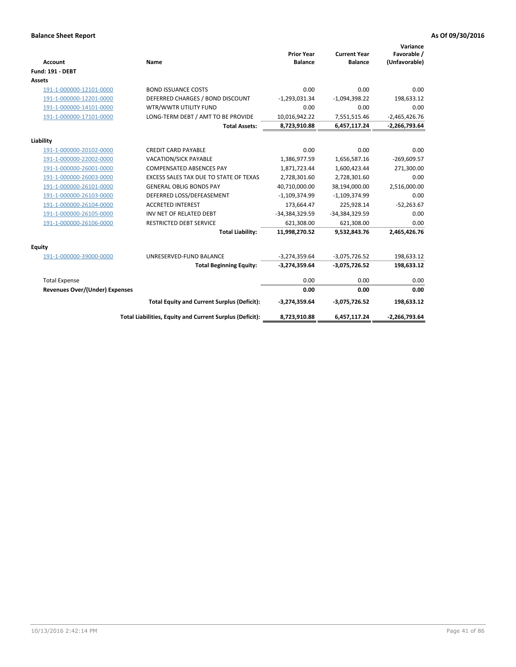| <b>Account</b>                 | Name                                                     | <b>Prior Year</b><br><b>Balance</b> | <b>Current Year</b><br><b>Balance</b> | Variance<br>Favorable /<br>(Unfavorable) |
|--------------------------------|----------------------------------------------------------|-------------------------------------|---------------------------------------|------------------------------------------|
| <b>Fund: 191 - DEBT</b>        |                                                          |                                     |                                       |                                          |
| <b>Assets</b>                  |                                                          |                                     |                                       |                                          |
| 191-1-000000-12101-0000        | <b>BOND ISSUANCE COSTS</b>                               | 0.00                                | 0.00                                  | 0.00                                     |
| 191-1-000000-12201-0000        | DEFERRED CHARGES / BOND DISCOUNT                         | $-1,293,031.34$                     | $-1,094,398.22$                       | 198,633.12                               |
| 191-1-000000-14101-0000        | WTR/WWTR UTILITY FUND                                    | 0.00                                | 0.00                                  | 0.00                                     |
| 191-1-000000-17101-0000        | LONG-TERM DEBT / AMT TO BE PROVIDE                       | 10,016,942.22                       | 7,551,515.46                          | $-2,465,426.76$                          |
|                                | <b>Total Assets:</b>                                     | 8,723,910.88                        | 6,457,117.24                          | $-2,266,793.64$                          |
| Liability                      |                                                          |                                     |                                       |                                          |
| 191-1-000000-20102-0000        | <b>CREDIT CARD PAYABLE</b>                               | 0.00                                | 0.00                                  | 0.00                                     |
| 191-1-000000-22002-0000        | <b>VACATION/SICK PAYABLE</b>                             | 1,386,977.59                        | 1,656,587.16                          | $-269,609.57$                            |
| 191-1-000000-26001-0000        | <b>COMPENSATED ABSENCES PAY</b>                          | 1,871,723.44                        | 1,600,423.44                          | 271,300.00                               |
| 191-1-000000-26003-0000        | EXCESS SALES TAX DUE TO STATE OF TEXAS                   | 2,728,301.60                        | 2,728,301.60                          | 0.00                                     |
| 191-1-000000-26101-0000        | <b>GENERAL OBLIG BONDS PAY</b>                           | 40,710,000.00                       | 38,194,000.00                         | 2,516,000.00                             |
| 191-1-000000-26103-0000        | DEFERRED LOSS/DEFEASEMENT                                | $-1,109,374.99$                     | $-1,109,374.99$                       | 0.00                                     |
| 191-1-000000-26104-0000        | <b>ACCRETED INTEREST</b>                                 | 173,664.47                          | 225,928.14                            | $-52,263.67$                             |
| 191-1-000000-26105-0000        | INV NET OF RELATED DEBT                                  | -34,384,329.59                      | -34,384,329.59                        | 0.00                                     |
| 191-1-000000-26106-0000        | <b>RESTRICTED DEBT SERVICE</b>                           | 621,308.00                          | 621,308.00                            | 0.00                                     |
|                                | <b>Total Liability:</b>                                  | 11,998,270.52                       | 9,532,843.76                          | 2,465,426.76                             |
| Equity                         |                                                          |                                     |                                       |                                          |
| 191-1-000000-39000-0000        | UNRESERVED-FUND BALANCE                                  | $-3,274,359.64$                     | $-3,075,726.52$                       | 198,633.12                               |
|                                | <b>Total Beginning Equity:</b>                           | $-3,274,359.64$                     | $-3,075,726.52$                       | 198,633.12                               |
| <b>Total Expense</b>           |                                                          | 0.00                                | 0.00                                  | 0.00                                     |
| Revenues Over/(Under) Expenses |                                                          | 0.00                                | 0.00                                  | 0.00                                     |
|                                | <b>Total Equity and Current Surplus (Deficit):</b>       | $-3,274,359.64$                     | $-3,075,726.52$                       | 198,633.12                               |
|                                | Total Liabilities, Equity and Current Surplus (Deficit): | 8,723,910.88                        | 6,457,117.24                          | $-2,266,793.64$                          |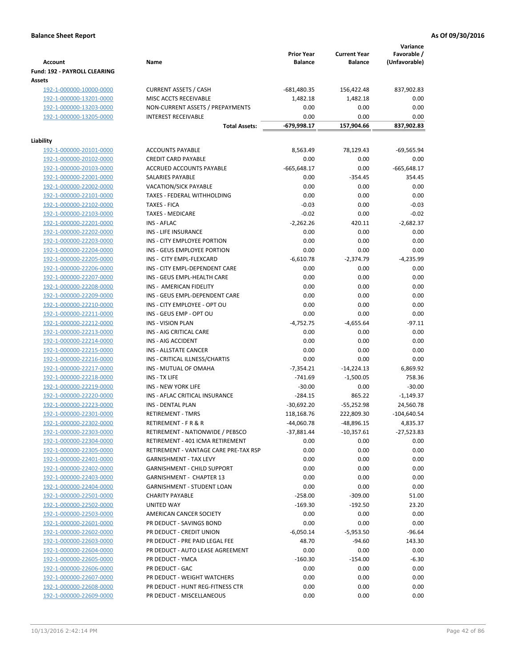| <b>Account</b>                                | Name                                  | <b>Prior Year</b><br><b>Balance</b> | <b>Current Year</b><br><b>Balance</b> | Variance<br>Favorable /<br>(Unfavorable) |
|-----------------------------------------------|---------------------------------------|-------------------------------------|---------------------------------------|------------------------------------------|
| <b>Fund: 192 - PAYROLL CLEARING</b><br>Assets |                                       |                                     |                                       |                                          |
| 192-1-000000-10000-0000                       | <b>CURRENT ASSETS / CASH</b>          | $-681,480.35$                       | 156,422.48                            | 837,902.83                               |
| 192-1-000000-13201-0000                       | MISC ACCTS RECEIVABLE                 | 1,482.18                            | 1,482.18                              | 0.00                                     |
| 192-1-000000-13203-0000                       | NON-CURRENT ASSETS / PREPAYMENTS      | 0.00                                | 0.00                                  | 0.00                                     |
| 192-1-000000-13205-0000                       | <b>INTEREST RECEIVABLE</b>            | 0.00                                | 0.00                                  | 0.00                                     |
|                                               | <b>Total Assets:</b>                  | -679,998.17                         | 157,904.66                            | 837,902.83                               |
| Liability                                     |                                       |                                     |                                       |                                          |
| 192-1-000000-20101-0000                       | <b>ACCOUNTS PAYABLE</b>               | 8,563.49                            | 78,129.43                             | $-69,565.94$                             |
| 192-1-000000-20102-0000                       | <b>CREDIT CARD PAYABLE</b>            | 0.00                                | 0.00                                  | 0.00                                     |
| 192-1-000000-20103-0000                       | ACCRUED ACCOUNTS PAYABLE              | $-665,648.17$                       | 0.00                                  | $-665,648.17$                            |
| 192-1-000000-22001-0000                       | SALARIES PAYABLE                      | 0.00                                | $-354.45$                             | 354.45                                   |
| 192-1-000000-22002-0000                       | <b>VACATION/SICK PAYABLE</b>          | 0.00                                | 0.00                                  | 0.00                                     |
| 192-1-000000-22101-0000                       | TAXES - FEDERAL WITHHOLDING           | 0.00                                | 0.00                                  | 0.00                                     |
| 192-1-000000-22102-0000                       | <b>TAXES - FICA</b>                   | $-0.03$                             | 0.00                                  | $-0.03$                                  |
| 192-1-000000-22103-0000                       | <b>TAXES - MEDICARE</b>               | $-0.02$                             | 0.00                                  | $-0.02$                                  |
| 192-1-000000-22201-0000                       | INS - AFLAC                           | $-2,262.26$                         | 420.11                                | $-2,682.37$                              |
| 192-1-000000-22202-0000                       | INS - LIFE INSURANCE                  | 0.00                                | 0.00                                  | 0.00                                     |
| 192-1-000000-22203-0000                       | INS - CITY EMPLOYEE PORTION           | 0.00                                | 0.00                                  | 0.00                                     |
| 192-1-000000-22204-0000                       | INS - GEUS EMPLOYEE PORTION           | 0.00                                | 0.00                                  | 0.00                                     |
| 192-1-000000-22205-0000                       | INS - CITY EMPL-FLEXCARD              | $-6,610.78$                         | $-2,374.79$                           | $-4,235.99$                              |
| 192-1-000000-22206-0000                       | INS - CITY EMPL-DEPENDENT CARE        | 0.00                                | 0.00                                  | 0.00                                     |
| 192-1-000000-22207-0000                       | INS - GEUS EMPL-HEALTH CARE           | 0.00                                | 0.00                                  | 0.00                                     |
| 192-1-000000-22208-0000                       | INS - AMERICAN FIDELITY               | 0.00                                | 0.00                                  | 0.00                                     |
| 192-1-000000-22209-0000                       | INS - GEUS EMPL-DEPENDENT CARE        | 0.00                                | 0.00                                  | 0.00                                     |
| 192-1-000000-22210-0000                       | INS - CITY EMPLOYEE - OPT OU          | 0.00                                | 0.00                                  | 0.00                                     |
| 192-1-000000-22211-0000                       | INS - GEUS EMP - OPT OU               | 0.00                                | 0.00                                  | 0.00                                     |
| 192-1-000000-22212-0000                       | <b>INS - VISION PLAN</b>              | $-4,752.75$                         | $-4,655.64$                           | $-97.11$                                 |
| 192-1-000000-22213-0000                       | INS - AIG CRITICAL CARE               | 0.00                                | 0.00                                  | 0.00                                     |
| 192-1-000000-22214-0000                       | INS - AIG ACCIDENT                    | 0.00                                | 0.00                                  | 0.00                                     |
| 192-1-000000-22215-0000                       | <b>INS - ALLSTATE CANCER</b>          | 0.00                                | 0.00                                  | 0.00                                     |
| 192-1-000000-22216-0000                       | INS - CRITICAL ILLNESS/CHARTIS        | 0.00                                | 0.00                                  | 0.00                                     |
| 192-1-000000-22217-0000                       | <b>INS - MUTUAL OF OMAHA</b>          | $-7,354.21$                         | $-14,224.13$                          | 6,869.92                                 |
| 192-1-000000-22218-0000                       | INS - TX LIFE                         | $-741.69$                           | $-1,500.05$                           | 758.36                                   |
| 192-1-000000-22219-0000                       | <b>INS - NEW YORK LIFE</b>            | $-30.00$                            | 0.00                                  | $-30.00$                                 |
| 192-1-000000-22220-0000                       | INS - AFLAC CRITICAL INSURANCE        | $-284.15$                           | 865.22                                | $-1,149.37$                              |
| 192-1-000000-22223-0000                       | INS - DENTAL PLAN                     | $-30,692.20$                        | $-55,252.98$                          | 24,560.78                                |
| 192-1-000000-22301-0000                       | <b>RETIREMENT - TMRS</b>              | 118,168.76                          | 222,809.30                            | -104,640.54                              |
| 192-1-000000-22302-0000                       | <b>RETIREMENT - F R &amp; R</b>       | $-44,060.78$                        | -48,896.15                            | 4,835.37                                 |
| 192-1-000000-22303-0000                       | RETIREMENT - NATIONWIDE / PEBSCO      | $-37,881.44$                        | $-10,357.61$                          | $-27,523.83$                             |
| 192-1-000000-22304-0000                       | RETIREMENT - 401 ICMA RETIREMENT      | 0.00                                | 0.00                                  | 0.00                                     |
| 192-1-000000-22305-0000                       | RETIREMENT - VANTAGE CARE PRE-TAX RSP | 0.00                                | 0.00                                  | 0.00                                     |
| 192-1-000000-22401-0000                       | <b>GARNISHMENT - TAX LEVY</b>         | 0.00                                | 0.00                                  | 0.00                                     |
| 192-1-000000-22402-0000                       | <b>GARNISHMENT - CHILD SUPPORT</b>    | 0.00                                | 0.00                                  | 0.00                                     |
| 192-1-000000-22403-0000                       | GARNISHMENT - CHAPTER 13              | 0.00                                | 0.00                                  | 0.00                                     |
| 192-1-000000-22404-0000                       | <b>GARNISHMENT - STUDENT LOAN</b>     | 0.00                                | 0.00                                  | 0.00                                     |
| 192-1-000000-22501-0000                       | <b>CHARITY PAYABLE</b>                | $-258.00$                           | $-309.00$                             | 51.00                                    |
| 192-1-000000-22502-0000                       | UNITED WAY                            | $-169.30$                           | $-192.50$                             | 23.20                                    |
| 192-1-000000-22503-0000                       | AMERICAN CANCER SOCIETY               | 0.00                                | 0.00                                  | 0.00                                     |
| 192-1-000000-22601-0000                       | PR DEDUCT - SAVINGS BOND              | 0.00                                | 0.00                                  | 0.00                                     |
| 192-1-000000-22602-0000                       | PR DEDUCT - CREDIT UNION              | $-6,050.14$                         | $-5,953.50$                           | $-96.64$                                 |
| 192-1-000000-22603-0000                       | PR DEDUCT - PRE PAID LEGAL FEE        | 48.70                               | $-94.60$                              | 143.30                                   |
| 192-1-000000-22604-0000                       | PR DEDUCT - AUTO LEASE AGREEMENT      | 0.00                                | 0.00                                  | 0.00                                     |
| 192-1-000000-22605-0000                       | PR DEDUCT - YMCA                      | $-160.30$                           | $-154.00$                             | $-6.30$                                  |
| 192-1-000000-22606-0000                       | PR DEDUCT - GAC                       | 0.00                                | 0.00                                  | 0.00                                     |
| 192-1-000000-22607-0000                       | PR DEDUCT - WEIGHT WATCHERS           | 0.00                                | 0.00                                  | 0.00                                     |
| 192-1-000000-22608-0000                       | PR DEDUCT - HUNT REG-FITNESS CTR      | 0.00                                | 0.00                                  | 0.00                                     |
| 192-1-000000-22609-0000                       | PR DEDUCT - MISCELLANEOUS             | 0.00                                | 0.00                                  | 0.00                                     |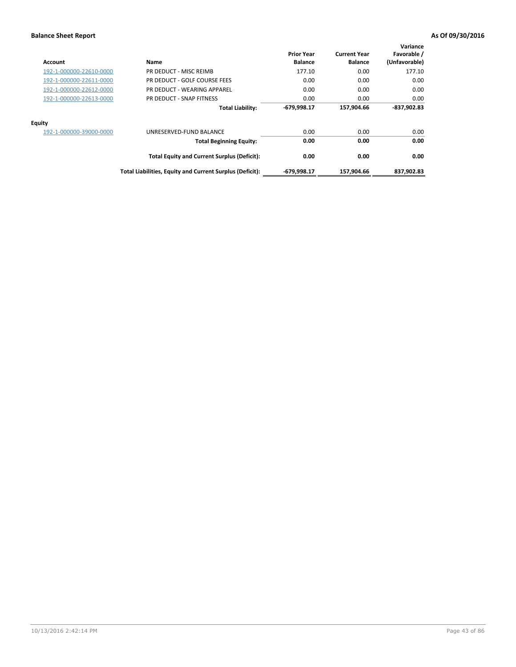| Account                 | Name                                                     | <b>Prior Year</b><br><b>Balance</b> | <b>Current Year</b><br><b>Balance</b> | Variance<br>Favorable /<br>(Unfavorable) |
|-------------------------|----------------------------------------------------------|-------------------------------------|---------------------------------------|------------------------------------------|
| 192-1-000000-22610-0000 | PR DEDUCT - MISC REIMB                                   | 177.10                              | 0.00                                  | 177.10                                   |
| 192-1-000000-22611-0000 | PR DEDUCT - GOLF COURSE FEES                             | 0.00                                | 0.00                                  | 0.00                                     |
| 192-1-000000-22612-0000 | PR DEDUCT - WEARING APPAREL                              | 0.00                                | 0.00                                  | 0.00                                     |
| 192-1-000000-22613-0000 | PR DEDUCT - SNAP FITNESS                                 | 0.00                                | 0.00                                  | 0.00                                     |
|                         | <b>Total Liability:</b>                                  | $-679,998.17$                       | 157,904.66                            | $-837,902.83$                            |
| <b>Equity</b>           |                                                          |                                     |                                       |                                          |
| 192-1-000000-39000-0000 | UNRESERVED-FUND BALANCE                                  | 0.00                                | 0.00                                  | 0.00                                     |
|                         | <b>Total Beginning Equity:</b>                           | 0.00                                | 0.00                                  | 0.00                                     |
|                         | <b>Total Equity and Current Surplus (Deficit):</b>       | 0.00                                | 0.00                                  | 0.00                                     |
|                         | Total Liabilities, Equity and Current Surplus (Deficit): | -679,998.17                         | 157.904.66                            | 837,902.83                               |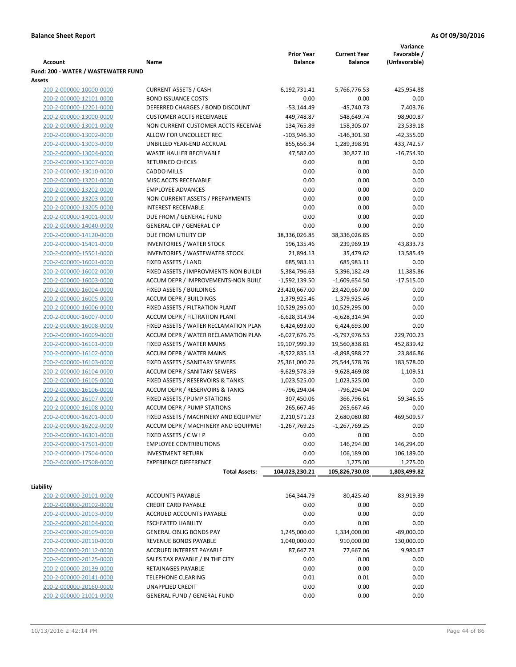|                                                    |                                            |                      |                      | Variance      |
|----------------------------------------------------|--------------------------------------------|----------------------|----------------------|---------------|
|                                                    |                                            | <b>Prior Year</b>    | <b>Current Year</b>  | Favorable /   |
| Account                                            | Name                                       | <b>Balance</b>       | <b>Balance</b>       | (Unfavorable) |
| Fund: 200 - WATER / WASTEWATER FUND                |                                            |                      |                      |               |
| Assets                                             | <b>CURRENT ASSETS / CASH</b>               |                      |                      | -425,954.88   |
| 200-2-000000-10000-0000<br>200-2-000000-12101-0000 | <b>BOND ISSUANCE COSTS</b>                 | 6,192,731.41<br>0.00 | 5,766,776.53<br>0.00 | 0.00          |
| 200-2-000000-12201-0000                            | DEFERRED CHARGES / BOND DISCOUNT           | $-53,144.49$         | $-45,740.73$         | 7,403.76      |
| 200-2-000000-13000-0000                            | <b>CUSTOMER ACCTS RECEIVABLE</b>           | 449,748.87           | 548,649.74           | 98,900.87     |
| 200-2-000000-13001-0000                            | NON CURRENT CUSTOMER ACCTS RECEIVAE        | 134,765.89           | 158,305.07           | 23,539.18     |
| 200-2-000000-13002-0000                            | ALLOW FOR UNCOLLECT REC                    | $-103,946.30$        | $-146,301.30$        | $-42,355.00$  |
| 200-2-000000-13003-0000                            | UNBILLED YEAR-END ACCRUAL                  | 855,656.34           | 1,289,398.91         | 433,742.57    |
| 200-2-000000-13004-0000                            | WASTE HAULER RECEIVABLE                    | 47,582.00            | 30,827.10            | $-16,754.90$  |
| 200-2-000000-13007-0000                            | <b>RETURNED CHECKS</b>                     | 0.00                 | 0.00                 | 0.00          |
| 200-2-000000-13010-0000                            | <b>CADDO MILLS</b>                         | 0.00                 | 0.00                 | 0.00          |
| 200-2-000000-13201-0000                            | MISC ACCTS RECEIVABLE                      | 0.00                 | 0.00                 | 0.00          |
| 200-2-000000-13202-0000                            | <b>EMPLOYEE ADVANCES</b>                   | 0.00                 | 0.00                 | 0.00          |
| 200-2-000000-13203-0000                            | NON-CURRENT ASSETS / PREPAYMENTS           | 0.00                 | 0.00                 | 0.00          |
| 200-2-000000-13205-0000                            | <b>INTEREST RECEIVABLE</b>                 | 0.00                 | 0.00                 | 0.00          |
| 200-2-000000-14001-0000                            | DUE FROM / GENERAL FUND                    | 0.00                 | 0.00                 | 0.00          |
| 200-2-000000-14040-0000                            | <b>GENERAL CIP / GENERAL CIP</b>           | 0.00                 | 0.00                 | 0.00          |
| 200-2-000000-14120-0000                            | DUE FROM UTILITY CIP                       | 38,336,026.85        | 38,336,026.85        | 0.00          |
| 200-2-000000-15401-0000                            | <b>INVENTORIES / WATER STOCK</b>           | 196,135.46           | 239,969.19           | 43,833.73     |
| 200-2-000000-15501-0000                            | <b>INVENTORIES / WASTEWATER STOCK</b>      | 21,894.13            | 35,479.62            | 13,585.49     |
| 200-2-000000-16001-0000                            | FIXED ASSETS / LAND                        | 685,983.11           | 685,983.11           | 0.00          |
| 200-2-000000-16002-0000                            | FIXED ASSETS / IMPROVMENTS-NON BUILDI      | 5,384,796.63         | 5,396,182.49         | 11,385.86     |
| 200-2-000000-16003-0000                            | ACCUM DEPR / IMPROVEMENTS-NON BUILI        | -1,592,139.50        | -1,609,654.50        | $-17,515.00$  |
| 200-2-000000-16004-0000                            | FIXED ASSETS / BUILDINGS                   | 23,420,667.00        | 23,420,667.00        | 0.00          |
| 200-2-000000-16005-0000                            | <b>ACCUM DEPR / BUILDINGS</b>              | $-1,379,925.46$      | $-1,379,925.46$      | 0.00          |
| 200-2-000000-16006-0000                            | FIXED ASSETS / FILTRATION PLANT            | 10,529,295.00        | 10,529,295.00        | 0.00          |
| 200-2-000000-16007-0000                            | ACCUM DEPR / FILTRATION PLANT              | -6,628,314.94        | -6,628,314.94        | 0.00          |
| 200-2-000000-16008-0000                            | FIXED ASSETS / WATER RECLAMATION PLAN      | 6,424,693.00         | 6,424,693.00         | 0.00          |
| 200-2-000000-16009-0000                            | ACCUM DEPR / WATER RECLAMATION PLAN        | $-6,027,676.76$      | -5,797,976.53        | 229,700.23    |
| 200-2-000000-16101-0000                            | FIXED ASSETS / WATER MAINS                 | 19,107,999.39        | 19,560,838.81        | 452,839.42    |
| 200-2-000000-16102-0000                            | <b>ACCUM DEPR / WATER MAINS</b>            | $-8,922,835.13$      | -8,898,988.27        | 23,846.86     |
| 200-2-000000-16103-0000                            | FIXED ASSETS / SANITARY SEWERS             | 25,361,000.76        | 25,544,578.76        | 183,578.00    |
| 200-2-000000-16104-0000                            | <b>ACCUM DEPR / SANITARY SEWERS</b>        | -9,629,578.59        | -9,628,469.08        | 1,109.51      |
| 200-2-000000-16105-0000                            | FIXED ASSETS / RESERVOIRS & TANKS          | 1,023,525.00         | 1,023,525.00         | 0.00          |
| 200-2-000000-16106-0000                            | <b>ACCUM DEPR / RESERVOIRS &amp; TANKS</b> | -796,294.04          | -796,294.04          | 0.00          |
| 200-2-000000-16107-0000                            | FIXED ASSETS / PUMP STATIONS               | 307,450.06           | 366,796.61           | 59,346.55     |
| 200-2-000000-16108-0000                            | <b>ACCUM DEPR / PUMP STATIONS</b>          | $-265,667.46$        | $-265,667.46$        | 0.00          |
| 200-2-000000-16201-0000                            | FIXED ASSETS / MACHINERY AND EQUIPMEN      | 2,210,571.23         | 2,680,080.80         | 469,509.57    |
| 200-2-000000-16202-0000                            | ACCUM DEPR / MACHINERY AND EQUIPMEI        | $-1,267,769.25$      | $-1,267,769.25$      | 0.00          |
| 200-2-000000-16301-0000                            | FIXED ASSETS / C W I P                     | 0.00                 | 0.00                 | 0.00          |
| 200-2-000000-17501-0000                            | <b>EMPLOYEE CONTRIBUTIONS</b>              | 0.00                 | 146,294.00           | 146,294.00    |
| 200-2-000000-17504-0000                            | <b>INVESTMENT RETURN</b>                   | 0.00                 | 106,189.00           | 106,189.00    |
| 200-2-000000-17508-0000                            | <b>EXPERIENCE DIFFERENCE</b>               | 0.00                 | 1,275.00             | 1,275.00      |
|                                                    | <b>Total Assets:</b>                       | 104,023,230.21       | 105,826,730.03       | 1,803,499.82  |
| Liability                                          |                                            |                      |                      |               |
| 200-2-000000-20101-0000                            | <b>ACCOUNTS PAYABLE</b>                    | 164,344.79           | 80,425.40            | 83,919.39     |
| 200-2-000000-20102-0000                            | <b>CREDIT CARD PAYABLE</b>                 | 0.00                 | 0.00                 | 0.00          |
| 200-2-000000-20103-0000                            | ACCRUED ACCOUNTS PAYABLE                   | 0.00                 | 0.00                 | 0.00          |
| 200-2-000000-20104-0000                            | <b>ESCHEATED LIABILITY</b>                 | 0.00                 | 0.00                 | 0.00          |
| 200-2-000000-20109-0000                            | <b>GENERAL OBLIG BONDS PAY</b>             | 1,245,000.00         | 1,334,000.00         | $-89,000.00$  |
| 200-2-000000-20110-0000                            | REVENUE BONDS PAYABLE                      | 1,040,000.00         | 910,000.00           | 130,000.00    |
| 200-2-000000-20112-0000                            | ACCRUED INTEREST PAYABLE                   | 87,647.73            | 77,667.06            | 9,980.67      |
| 200-2-000000-20125-0000                            | SALES TAX PAYABLE / IN THE CITY            | 0.00                 | 0.00                 | 0.00          |
| 200-2-000000-20139-0000                            | RETAINAGES PAYABLE                         | 0.00                 | 0.00                 | 0.00          |
| 200-2-000000-20141-0000                            | <b>TELEPHONE CLEARING</b>                  | 0.01                 | 0.01                 | 0.00          |
| 200-2-000000-20160-0000                            | <b>UNAPPLIED CREDIT</b>                    | 0.00                 | 0.00                 | 0.00          |
| 200-2-000000-21001-0000                            | <b>GENERAL FUND / GENERAL FUND</b>         | 0.00                 | 0.00                 | 0.00          |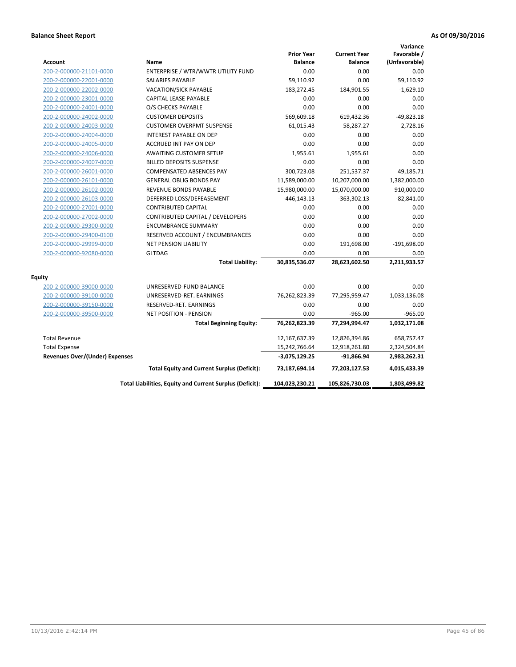| <b>Account</b>                        | Name                                                     | <b>Prior Year</b><br><b>Balance</b> | <b>Current Year</b><br><b>Balance</b> | Variance<br>Favorable /<br>(Unfavorable) |
|---------------------------------------|----------------------------------------------------------|-------------------------------------|---------------------------------------|------------------------------------------|
| 200-2-000000-21101-0000               | ENTERPRISE / WTR/WWTR UTILITY FUND                       | 0.00                                | 0.00                                  | 0.00                                     |
| 200-2-000000-22001-0000               | <b>SALARIES PAYABLE</b>                                  | 59,110.92                           | 0.00                                  | 59,110.92                                |
| 200-2-000000-22002-0000               | <b>VACATION/SICK PAYABLE</b>                             | 183,272.45                          | 184,901.55                            | $-1,629.10$                              |
| 200-2-000000-23001-0000               | CAPITAL LEASE PAYABLE                                    | 0.00                                | 0.00                                  | 0.00                                     |
| 200-2-000000-24001-0000               | O/S CHECKS PAYABLE                                       | 0.00                                | 0.00                                  | 0.00                                     |
| 200-2-000000-24002-0000               | <b>CUSTOMER DEPOSITS</b>                                 | 569,609.18                          | 619,432.36                            | $-49,823.18$                             |
| 200-2-000000-24003-0000               | <b>CUSTOMER OVERPMT SUSPENSE</b>                         | 61,015.43                           | 58,287.27                             | 2,728.16                                 |
| 200-2-000000-24004-0000               | <b>INTEREST PAYABLE ON DEP</b>                           | 0.00                                | 0.00                                  | 0.00                                     |
| 200-2-000000-24005-0000               | ACCRUED INT PAY ON DEP                                   | 0.00                                | 0.00                                  | 0.00                                     |
| 200-2-000000-24006-0000               | <b>AWAITING CUSTOMER SETUP</b>                           | 1,955.61                            | 1,955.61                              | 0.00                                     |
| 200-2-000000-24007-0000               | <b>BILLED DEPOSITS SUSPENSE</b>                          | 0.00                                | 0.00                                  | 0.00                                     |
| 200-2-000000-26001-0000               | <b>COMPENSATED ABSENCES PAY</b>                          | 300,723.08                          | 251,537.37                            | 49,185.71                                |
| 200-2-000000-26101-0000               | <b>GENERAL OBLIG BONDS PAY</b>                           | 11,589,000.00                       | 10,207,000.00                         | 1,382,000.00                             |
| 200-2-000000-26102-0000               | <b>REVENUE BONDS PAYABLE</b>                             | 15,980,000.00                       | 15,070,000.00                         | 910,000.00                               |
| 200-2-000000-26103-0000               | DEFERRED LOSS/DEFEASEMENT                                | $-446, 143.13$                      | $-363,302.13$                         | $-82,841.00$                             |
| 200-2-000000-27001-0000               | <b>CONTRIBUTED CAPITAL</b>                               | 0.00                                | 0.00                                  | 0.00                                     |
| 200-2-000000-27002-0000               | CONTRIBUTED CAPITAL / DEVELOPERS                         | 0.00                                | 0.00                                  | 0.00                                     |
| 200-2-000000-29300-0000               | <b>ENCUMBRANCE SUMMARY</b>                               | 0.00                                | 0.00                                  | 0.00                                     |
| 200-2-000000-29400-0100               | RESERVED ACCOUNT / ENCUMBRANCES                          | 0.00                                | 0.00                                  | 0.00                                     |
| 200-2-000000-29999-0000               | <b>NET PENSION LIABILITY</b>                             | 0.00                                | 191,698.00                            | $-191,698.00$                            |
| 200-2-000000-92080-0000               | <b>GLTDAG</b>                                            | 0.00                                | 0.00                                  | 0.00                                     |
|                                       | <b>Total Liability:</b>                                  | 30,835,536.07                       | 28,623,602.50                         | 2,211,933.57                             |
| <b>Equity</b>                         |                                                          |                                     |                                       |                                          |
| 200-2-000000-39000-0000               | UNRESERVED-FUND BALANCE                                  | 0.00                                | 0.00                                  | 0.00                                     |
| 200-2-000000-39100-0000               | UNRESERVED-RET. EARNINGS                                 | 76,262,823.39                       | 77,295,959.47                         | 1,033,136.08                             |
| 200-2-000000-39150-0000               | RESERVED-RET. EARNINGS                                   | 0.00                                | 0.00                                  | 0.00                                     |
| 200-2-000000-39500-0000               | <b>NET POSITION - PENSION</b>                            | 0.00                                | $-965.00$                             | $-965.00$                                |
|                                       | <b>Total Beginning Equity:</b>                           | 76,262,823.39                       | 77,294,994.47                         | 1,032,171.08                             |
| <b>Total Revenue</b>                  |                                                          | 12,167,637.39                       | 12,826,394.86                         | 658,757.47                               |
| <b>Total Expense</b>                  |                                                          | 15,242,766.64                       | 12,918,261.80                         | 2,324,504.84                             |
| <b>Revenues Over/(Under) Expenses</b> |                                                          | -3,075,129.25                       | $-91,866.94$                          | 2,983,262.31                             |
|                                       | <b>Total Equity and Current Surplus (Deficit):</b>       | 73,187,694.14                       | 77,203,127.53                         | 4,015,433.39                             |
|                                       | Total Liabilities, Equity and Current Surplus (Deficit): | 104,023,230.21                      | 105,826,730.03                        | 1,803,499.82                             |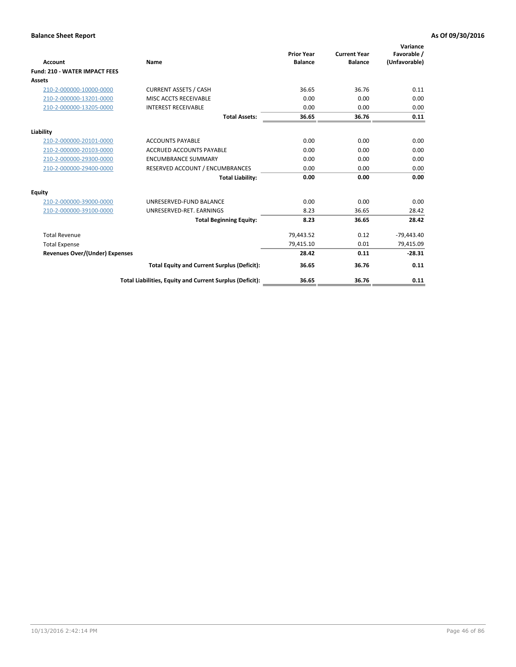| <b>Account</b>                        | Name                                                     | <b>Prior Year</b><br><b>Balance</b> | <b>Current Year</b><br><b>Balance</b> | Variance<br>Favorable /<br>(Unfavorable) |
|---------------------------------------|----------------------------------------------------------|-------------------------------------|---------------------------------------|------------------------------------------|
| <b>Fund: 210 - WATER IMPACT FEES</b>  |                                                          |                                     |                                       |                                          |
| <b>Assets</b>                         |                                                          |                                     |                                       |                                          |
| 210-2-000000-10000-0000               | <b>CURRENT ASSETS / CASH</b>                             | 36.65                               | 36.76                                 | 0.11                                     |
| 210-2-000000-13201-0000               | MISC ACCTS RECEIVABLE                                    | 0.00                                | 0.00                                  | 0.00                                     |
| 210-2-000000-13205-0000               | <b>INTEREST RECEIVABLE</b>                               | 0.00                                | 0.00                                  | 0.00                                     |
|                                       | <b>Total Assets:</b>                                     | 36.65                               | 36.76                                 | 0.11                                     |
| Liability                             |                                                          |                                     |                                       |                                          |
| 210-2-000000-20101-0000               | <b>ACCOUNTS PAYABLE</b>                                  | 0.00                                | 0.00                                  | 0.00                                     |
| 210-2-000000-20103-0000               | <b>ACCRUED ACCOUNTS PAYABLE</b>                          | 0.00                                | 0.00                                  | 0.00                                     |
| 210-2-000000-29300-0000               | <b>ENCUMBRANCE SUMMARY</b>                               | 0.00                                | 0.00                                  | 0.00                                     |
| 210-2-000000-29400-0000               | RESERVED ACCOUNT / ENCUMBRANCES                          | 0.00                                | 0.00                                  | 0.00                                     |
|                                       | <b>Total Liability:</b>                                  | 0.00                                | 0.00                                  | 0.00                                     |
| <b>Equity</b>                         |                                                          |                                     |                                       |                                          |
| 210-2-000000-39000-0000               | UNRESERVED-FUND BALANCE                                  | 0.00                                | 0.00                                  | 0.00                                     |
| 210-2-000000-39100-0000               | UNRESERVED-RET. EARNINGS                                 | 8.23                                | 36.65                                 | 28.42                                    |
|                                       | <b>Total Beginning Equity:</b>                           | 8.23                                | 36.65                                 | 28.42                                    |
| <b>Total Revenue</b>                  |                                                          | 79,443.52                           | 0.12                                  | $-79,443.40$                             |
| <b>Total Expense</b>                  |                                                          | 79,415.10                           | 0.01                                  | 79,415.09                                |
| <b>Revenues Over/(Under) Expenses</b> |                                                          | 28.42                               | 0.11                                  | $-28.31$                                 |
|                                       | <b>Total Equity and Current Surplus (Deficit):</b>       | 36.65                               | 36.76                                 | 0.11                                     |
|                                       | Total Liabilities, Equity and Current Surplus (Deficit): | 36.65                               | 36.76                                 | 0.11                                     |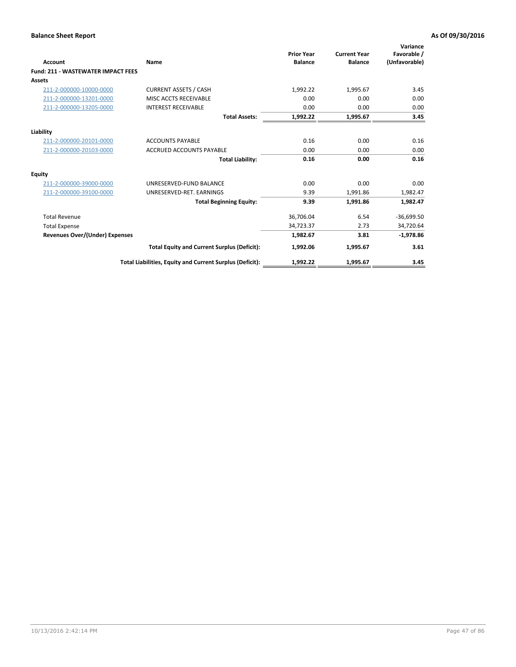| Account                                   | Name                                                     | <b>Prior Year</b><br><b>Balance</b> | <b>Current Year</b><br><b>Balance</b> | Variance<br>Favorable /<br>(Unfavorable) |
|-------------------------------------------|----------------------------------------------------------|-------------------------------------|---------------------------------------|------------------------------------------|
| <b>Fund: 211 - WASTEWATER IMPACT FEES</b> |                                                          |                                     |                                       |                                          |
| <b>Assets</b>                             |                                                          |                                     |                                       |                                          |
| 211-2-000000-10000-0000                   | <b>CURRENT ASSETS / CASH</b>                             | 1,992.22                            | 1,995.67                              | 3.45                                     |
| 211-2-000000-13201-0000                   | MISC ACCTS RECEIVABLE                                    | 0.00                                | 0.00                                  | 0.00                                     |
| 211-2-000000-13205-0000                   | <b>INTEREST RECEIVABLE</b>                               | 0.00                                | 0.00                                  | 0.00                                     |
|                                           | <b>Total Assets:</b>                                     | 1,992.22                            | 1,995.67                              | 3.45                                     |
| Liability                                 |                                                          |                                     |                                       |                                          |
| 211-2-000000-20101-0000                   | <b>ACCOUNTS PAYABLE</b>                                  | 0.16                                | 0.00                                  | 0.16                                     |
| 211-2-000000-20103-0000                   | <b>ACCRUED ACCOUNTS PAYABLE</b>                          | 0.00                                | 0.00                                  | 0.00                                     |
|                                           | <b>Total Liability:</b>                                  | 0.16                                | 0.00                                  | 0.16                                     |
| Equity                                    |                                                          |                                     |                                       |                                          |
| 211-2-000000-39000-0000                   | UNRESERVED-FUND BALANCE                                  | 0.00                                | 0.00                                  | 0.00                                     |
| 211-2-000000-39100-0000                   | UNRESERVED-RET. EARNINGS                                 | 9.39                                | 1,991.86                              | 1,982.47                                 |
|                                           | <b>Total Beginning Equity:</b>                           | 9.39                                | 1,991.86                              | 1,982.47                                 |
| <b>Total Revenue</b>                      |                                                          | 36,706.04                           | 6.54                                  | $-36,699.50$                             |
| <b>Total Expense</b>                      |                                                          | 34,723.37                           | 2.73                                  | 34,720.64                                |
| <b>Revenues Over/(Under) Expenses</b>     |                                                          | 1,982.67                            | 3.81                                  | $-1,978.86$                              |
|                                           | <b>Total Equity and Current Surplus (Deficit):</b>       | 1,992.06                            | 1,995.67                              | 3.61                                     |
|                                           | Total Liabilities, Equity and Current Surplus (Deficit): | 1,992.22                            | 1,995.67                              | 3.45                                     |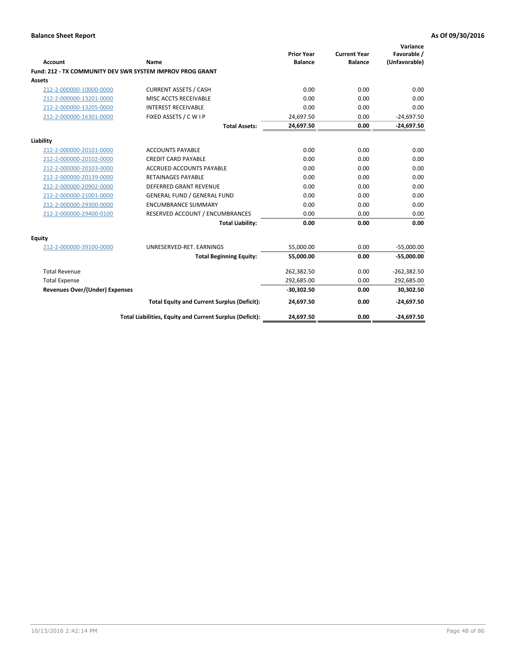| <b>Account</b>                        | Name                                                      | <b>Prior Year</b><br><b>Balance</b> | <b>Current Year</b><br><b>Balance</b> | Variance<br>Favorable /<br>(Unfavorable) |
|---------------------------------------|-----------------------------------------------------------|-------------------------------------|---------------------------------------|------------------------------------------|
|                                       | Fund: 212 - TX COMMUNITY DEV SWR SYSTEM IMPROV PROG GRANT |                                     |                                       |                                          |
| <b>Assets</b>                         |                                                           |                                     |                                       |                                          |
| 212-2-000000-10000-0000               | <b>CURRENT ASSETS / CASH</b>                              | 0.00                                | 0.00                                  | 0.00                                     |
| 212-2-000000-13201-0000               | MISC ACCTS RECEIVABLE                                     | 0.00                                | 0.00                                  | 0.00                                     |
| 212-2-000000-13205-0000               | <b>INTEREST RECEIVABLE</b>                                | 0.00                                | 0.00                                  | 0.00                                     |
| 212-2-000000-16301-0000               | FIXED ASSETS / C W I P                                    | 24,697.50                           | 0.00                                  | $-24,697.50$                             |
|                                       | <b>Total Assets:</b>                                      | 24,697.50                           | 0.00                                  | $-24,697.50$                             |
| Liability                             |                                                           |                                     |                                       |                                          |
| 212-2-000000-20101-0000               | <b>ACCOUNTS PAYABLE</b>                                   | 0.00                                | 0.00                                  | 0.00                                     |
| 212-2-000000-20102-0000               | <b>CREDIT CARD PAYABLE</b>                                | 0.00                                | 0.00                                  | 0.00                                     |
| 212-2-000000-20103-0000               | ACCRUED ACCOUNTS PAYABLE                                  | 0.00                                | 0.00                                  | 0.00                                     |
| 212-2-000000-20139-0000               | <b>RETAINAGES PAYABLE</b>                                 | 0.00                                | 0.00                                  | 0.00                                     |
| 212-2-000000-20902-0000               | <b>DEFERRED GRANT REVENUE</b>                             | 0.00                                | 0.00                                  | 0.00                                     |
| 212-2-000000-21001-0000               | <b>GENERAL FUND / GENERAL FUND</b>                        | 0.00                                | 0.00                                  | 0.00                                     |
| 212-2-000000-29300-0000               | <b>ENCUMBRANCE SUMMARY</b>                                | 0.00                                | 0.00                                  | 0.00                                     |
| 212-2-000000-29400-0100               | RESERVED ACCOUNT / ENCUMBRANCES                           | 0.00                                | 0.00                                  | 0.00                                     |
|                                       | <b>Total Liability:</b>                                   | 0.00                                | 0.00                                  | 0.00                                     |
| <b>Equity</b>                         |                                                           |                                     |                                       |                                          |
| 212-2-000000-39100-0000               | UNRESERVED-RET. EARNINGS                                  | 55,000.00                           | 0.00                                  | $-55,000.00$                             |
|                                       | <b>Total Beginning Equity:</b>                            | 55.000.00                           | 0.00                                  | $-55,000.00$                             |
| <b>Total Revenue</b>                  |                                                           | 262,382.50                          | 0.00                                  | $-262,382.50$                            |
| <b>Total Expense</b>                  |                                                           | 292,685.00                          | 0.00                                  | 292,685.00                               |
| <b>Revenues Over/(Under) Expenses</b> |                                                           | $-30,302.50$                        | 0.00                                  | 30,302.50                                |
|                                       | <b>Total Equity and Current Surplus (Deficit):</b>        | 24,697.50                           | 0.00                                  | $-24,697.50$                             |
|                                       | Total Liabilities, Equity and Current Surplus (Deficit):  | 24,697.50                           | 0.00                                  | $-24,697.50$                             |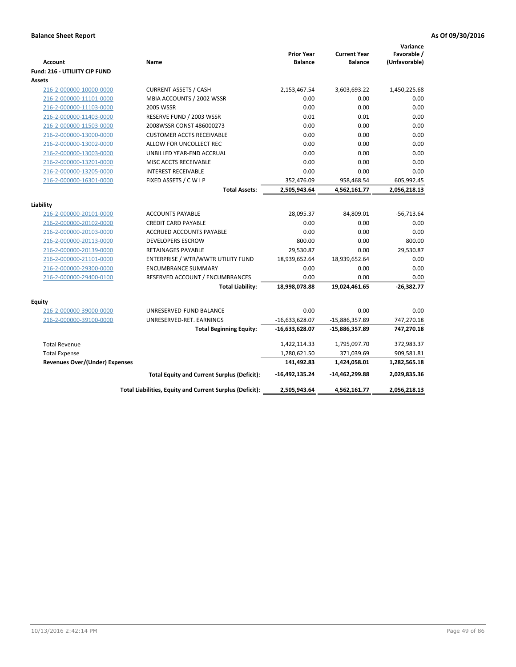|                                       |                                                          |                   |                     | Variance      |
|---------------------------------------|----------------------------------------------------------|-------------------|---------------------|---------------|
|                                       |                                                          | <b>Prior Year</b> | <b>Current Year</b> | Favorable /   |
| <b>Account</b>                        | Name                                                     | <b>Balance</b>    | <b>Balance</b>      | (Unfavorable) |
| <b>Fund: 216 - UTILIITY CIP FUND</b>  |                                                          |                   |                     |               |
| <b>Assets</b>                         |                                                          |                   |                     |               |
| 216-2-000000-10000-0000               | <b>CURRENT ASSETS / CASH</b>                             | 2,153,467.54      | 3,603,693.22        | 1,450,225.68  |
| 216-2-000000-11101-0000               | MBIA ACCOUNTS / 2002 WSSR                                | 0.00              | 0.00                | 0.00          |
| 216-2-000000-11103-0000               | <b>2005 WSSR</b>                                         | 0.00              | 0.00                | 0.00          |
| 216-2-000000-11403-0000               | RESERVE FUND / 2003 WSSR                                 | 0.01              | 0.01                | 0.00          |
| 216-2-000000-11503-0000               | 2008WSSR CONST 486000273                                 | 0.00              | 0.00                | 0.00          |
| 216-2-000000-13000-0000               | <b>CUSTOMER ACCTS RECEIVABLE</b>                         | 0.00              | 0.00                | 0.00          |
| 216-2-000000-13002-0000               | ALLOW FOR UNCOLLECT REC                                  | 0.00              | 0.00                | 0.00          |
| 216-2-000000-13003-0000               | UNBILLED YEAR-END ACCRUAL                                | 0.00              | 0.00                | 0.00          |
| 216-2-000000-13201-0000               | MISC ACCTS RECEIVABLE                                    | 0.00              | 0.00                | 0.00          |
| 216-2-000000-13205-0000               | <b>INTEREST RECEIVABLE</b>                               | 0.00              | 0.00                | 0.00          |
| 216-2-000000-16301-0000               | FIXED ASSETS / C W I P                                   | 352,476.09        | 958,468.54          | 605,992.45    |
|                                       | <b>Total Assets:</b>                                     | 2,505,943.64      | 4,562,161.77        | 2,056,218.13  |
|                                       |                                                          |                   |                     |               |
| Liability                             |                                                          |                   |                     |               |
| 216-2-000000-20101-0000               | <b>ACCOUNTS PAYABLE</b>                                  | 28,095.37         | 84,809.01           | $-56,713.64$  |
| 216-2-000000-20102-0000               | <b>CREDIT CARD PAYABLE</b>                               | 0.00              | 0.00                | 0.00          |
| 216-2-000000-20103-0000               | ACCRUED ACCOUNTS PAYABLE                                 | 0.00              | 0.00                | 0.00          |
| 216-2-000000-20113-0000               | <b>DEVELOPERS ESCROW</b>                                 | 800.00            | 0.00                | 800.00        |
| 216-2-000000-20139-0000               | RETAINAGES PAYABLE                                       | 29,530.87         | 0.00                | 29,530.87     |
| 216-2-000000-21101-0000               | ENTERPRISE / WTR/WWTR UTILITY FUND                       | 18,939,652.64     | 18,939,652.64       | 0.00          |
| 216-2-000000-29300-0000               | <b>ENCUMBRANCE SUMMARY</b>                               | 0.00              | 0.00                | 0.00          |
| 216-2-000000-29400-0100               | RESERVED ACCOUNT / ENCUMBRANCES                          | 0.00              | 0.00                | 0.00          |
|                                       | <b>Total Liability:</b>                                  | 18,998,078.88     | 19,024,461.65       | $-26,382.77$  |
| <b>Equity</b>                         |                                                          |                   |                     |               |
| 216-2-000000-39000-0000               | UNRESERVED-FUND BALANCE                                  | 0.00              | 0.00                | 0.00          |
| 216-2-000000-39100-0000               | UNRESERVED-RET. EARNINGS                                 | $-16,633,628.07$  | -15,886,357.89      | 747,270.18    |
|                                       | <b>Total Beginning Equity:</b>                           | $-16,633,628.07$  | $-15,886,357.89$    | 747,270.18    |
|                                       |                                                          |                   |                     |               |
| <b>Total Revenue</b>                  |                                                          | 1,422,114.33      | 1,795,097.70        | 372,983.37    |
| <b>Total Expense</b>                  |                                                          | 1,280,621.50      | 371,039.69          | 909,581.81    |
| <b>Revenues Over/(Under) Expenses</b> |                                                          | 141,492.83        | 1,424,058.01        | 1,282,565.18  |
|                                       | <b>Total Equity and Current Surplus (Deficit):</b>       | -16,492,135.24    | -14,462,299.88      | 2,029,835.36  |
|                                       | Total Liabilities, Equity and Current Surplus (Deficit): | 2,505,943.64      | 4,562,161.77        | 2,056,218.13  |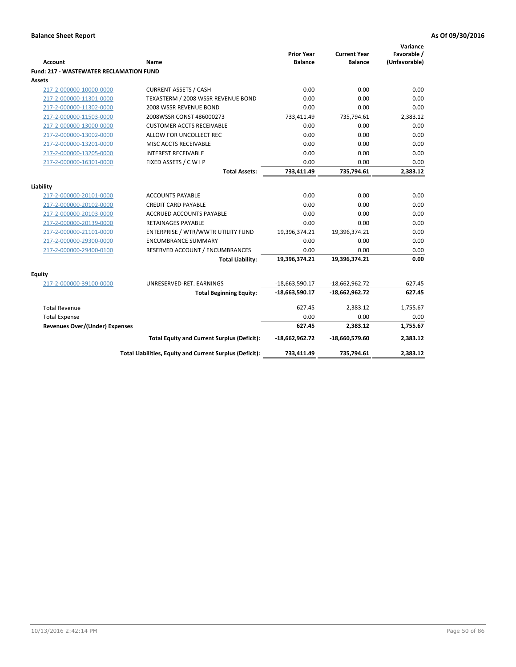|                                                |                                                          | <b>Prior Year</b> | <b>Current Year</b> | Variance<br>Favorable / |
|------------------------------------------------|----------------------------------------------------------|-------------------|---------------------|-------------------------|
| <b>Account</b>                                 | Name                                                     | <b>Balance</b>    | <b>Balance</b>      | (Unfavorable)           |
| <b>Fund: 217 - WASTEWATER RECLAMATION FUND</b> |                                                          |                   |                     |                         |
| <b>Assets</b>                                  |                                                          |                   |                     |                         |
| 217-2-000000-10000-0000                        | <b>CURRENT ASSETS / CASH</b>                             | 0.00              | 0.00                | 0.00                    |
| 217-2-000000-11301-0000                        | TEXASTERM / 2008 WSSR REVENUE BOND                       | 0.00              | 0.00                | 0.00                    |
| 217-2-000000-11302-0000                        | 2008 WSSR REVENUE BOND                                   | 0.00              | 0.00                | 0.00                    |
| 217-2-000000-11503-0000                        | 2008WSSR CONST 486000273                                 | 733,411.49        | 735,794.61          | 2,383.12                |
| 217-2-000000-13000-0000                        | <b>CUSTOMER ACCTS RECEIVABLE</b>                         | 0.00              | 0.00                | 0.00                    |
| 217-2-000000-13002-0000                        | ALLOW FOR UNCOLLECT REC                                  | 0.00              | 0.00                | 0.00                    |
| 217-2-000000-13201-0000                        | MISC ACCTS RECEIVABLE                                    | 0.00              | 0.00                | 0.00                    |
| 217-2-000000-13205-0000                        | <b>INTEREST RECEIVABLE</b>                               | 0.00              | 0.00                | 0.00                    |
| 217-2-000000-16301-0000                        | FIXED ASSETS / CWIP                                      | 0.00              | 0.00                | 0.00                    |
|                                                | <b>Total Assets:</b>                                     | 733,411.49        | 735,794.61          | 2,383.12                |
|                                                |                                                          |                   |                     |                         |
| Liability                                      |                                                          |                   |                     |                         |
| 217-2-000000-20101-0000                        | <b>ACCOUNTS PAYABLE</b>                                  | 0.00              | 0.00                | 0.00                    |
| 217-2-000000-20102-0000                        | <b>CREDIT CARD PAYABLE</b>                               | 0.00              | 0.00                | 0.00                    |
| 217-2-000000-20103-0000                        | <b>ACCRUED ACCOUNTS PAYABLE</b>                          | 0.00              | 0.00                | 0.00                    |
| 217-2-000000-20139-0000                        | <b>RETAINAGES PAYABLE</b>                                | 0.00              | 0.00                | 0.00                    |
| 217-2-000000-21101-0000                        | ENTERPRISE / WTR/WWTR UTILITY FUND                       | 19,396,374.21     | 19,396,374.21       | 0.00                    |
| 217-2-000000-29300-0000                        | <b>ENCUMBRANCE SUMMARY</b>                               | 0.00              | 0.00                | 0.00                    |
| 217-2-000000-29400-0100                        | RESERVED ACCOUNT / ENCUMBRANCES                          | 0.00              | 0.00                | 0.00                    |
|                                                | <b>Total Liability:</b>                                  | 19,396,374.21     | 19,396,374.21       | 0.00                    |
| <b>Equity</b>                                  |                                                          |                   |                     |                         |
| 217-2-000000-39100-0000                        | UNRESERVED-RET. EARNINGS                                 | $-18,663,590.17$  | $-18,662,962.72$    | 627.45                  |
|                                                | <b>Total Beginning Equity:</b>                           | $-18,663,590.17$  | $-18,662,962.72$    | 627.45                  |
| <b>Total Revenue</b>                           |                                                          | 627.45            | 2,383.12            | 1,755.67                |
| <b>Total Expense</b>                           |                                                          | 0.00              | 0.00                | 0.00                    |
| Revenues Over/(Under) Expenses                 |                                                          | 627.45            | 2,383.12            | 1,755.67                |
|                                                | <b>Total Equity and Current Surplus (Deficit):</b>       | $-18,662,962.72$  | -18,660,579.60      | 2,383.12                |
|                                                | Total Liabilities, Equity and Current Surplus (Deficit): | 733,411.49        | 735,794.61          | 2,383.12                |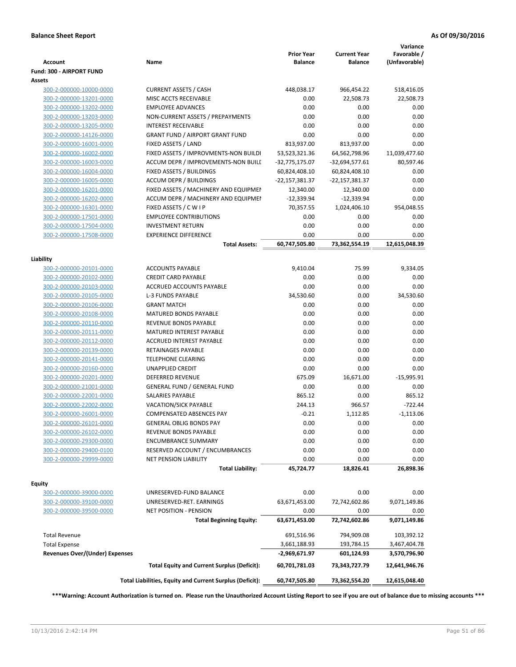| <b>Account</b>                        | Name                                                      | <b>Prior Year</b><br><b>Balance</b> | <b>Current Year</b><br><b>Balance</b> | Variance<br>Favorable /<br>(Unfavorable) |
|---------------------------------------|-----------------------------------------------------------|-------------------------------------|---------------------------------------|------------------------------------------|
| Fund: 300 - AIRPORT FUND              |                                                           |                                     |                                       |                                          |
| Assets                                |                                                           |                                     |                                       |                                          |
| 300-2-000000-10000-0000               | <b>CURRENT ASSETS / CASH</b>                              | 448,038.17                          | 966,454.22                            | 518,416.05                               |
| 300-2-000000-13201-0000               | MISC ACCTS RECEIVABLE                                     | 0.00                                | 22,508.73                             | 22,508.73                                |
| 300-2-000000-13202-0000               | <b>EMPLOYEE ADVANCES</b>                                  | 0.00                                | 0.00                                  | 0.00                                     |
| 300-2-000000-13203-0000               | NON-CURRENT ASSETS / PREPAYMENTS                          | 0.00                                | 0.00                                  | 0.00                                     |
| 300-2-000000-13205-0000               | <b>INTEREST RECEIVABLE</b>                                | 0.00                                | 0.00                                  | 0.00                                     |
| 300-2-000000-14126-0000               | <b>GRANT FUND / AIRPORT GRANT FUND</b>                    | 0.00                                | 0.00                                  | 0.00                                     |
| 300-2-000000-16001-0000               | FIXED ASSETS / LAND                                       | 813,937.00                          | 813,937.00                            | 0.00                                     |
| 300-2-000000-16002-0000               | FIXED ASSETS / IMPROVMENTS-NON BUILDI                     | 53,523,321.36                       | 64,562,798.96                         | 11,039,477.60                            |
| 300-2-000000-16003-0000               | ACCUM DEPR / IMPROVEMENTS-NON BUILI                       | -32,775,175.07                      | $-32,694,577.61$                      | 80,597.46                                |
| 300-2-000000-16004-0000               | FIXED ASSETS / BUILDINGS                                  | 60,824,408.10                       | 60,824,408.10                         | 0.00                                     |
| 300-2-000000-16005-0000               | <b>ACCUM DEPR / BUILDINGS</b>                             | -22,157,381.37                      | -22,157,381.37                        | 0.00                                     |
| 300-2-000000-16201-0000               | FIXED ASSETS / MACHINERY AND EQUIPMEN                     | 12,340.00                           | 12,340.00                             | 0.00                                     |
| 300-2-000000-16202-0000               | ACCUM DEPR / MACHINERY AND EQUIPMEI                       | $-12,339.94$                        | $-12,339.94$                          | 0.00                                     |
| 300-2-000000-16301-0000               | FIXED ASSETS / C W I P                                    | 70,357.55                           | 1,024,406.10                          | 954,048.55                               |
| 300-2-000000-17501-0000               | <b>EMPLOYEE CONTRIBUTIONS</b>                             | 0.00                                | 0.00                                  | 0.00                                     |
| 300-2-000000-17504-0000               | <b>INVESTMENT RETURN</b>                                  | 0.00                                | 0.00                                  | 0.00                                     |
| 300-2-000000-17508-0000               | <b>EXPERIENCE DIFFERENCE</b>                              | 0.00                                | 0.00                                  | 0.00                                     |
|                                       | <b>Total Assets:</b>                                      | 60,747,505.80                       | 73,362,554.19                         | 12,615,048.39                            |
|                                       |                                                           |                                     |                                       |                                          |
| Liability                             |                                                           |                                     |                                       |                                          |
| 300-2-000000-20101-0000               | <b>ACCOUNTS PAYABLE</b>                                   | 9,410.04                            | 75.99                                 | 9,334.05                                 |
| 300-2-000000-20102-0000               | <b>CREDIT CARD PAYABLE</b>                                | 0.00                                | 0.00                                  | 0.00                                     |
| 300-2-000000-20103-0000               | ACCRUED ACCOUNTS PAYABLE                                  | 0.00                                | 0.00                                  | 0.00                                     |
| 300-2-000000-20105-0000               | <b>L-3 FUNDS PAYABLE</b>                                  | 34,530.60                           | 0.00                                  | 34,530.60                                |
| 300-2-000000-20106-0000               | <b>GRANT MATCH</b>                                        | 0.00                                | 0.00                                  | 0.00                                     |
| 300-2-000000-20108-0000               | <b>MATURED BONDS PAYABLE</b>                              | 0.00                                | 0.00                                  | 0.00                                     |
| 300-2-000000-20110-0000               | REVENUE BONDS PAYABLE                                     | 0.00                                | 0.00                                  | 0.00                                     |
| 300-2-000000-20111-0000               | MATURED INTEREST PAYABLE                                  | 0.00                                | 0.00                                  | 0.00                                     |
| 300-2-000000-20112-0000               | <b>ACCRUED INTEREST PAYABLE</b>                           | 0.00                                | 0.00                                  | 0.00                                     |
| 300-2-000000-20139-0000               | RETAINAGES PAYABLE                                        | 0.00                                | 0.00                                  | 0.00                                     |
| 300-2-000000-20141-0000               | <b>TELEPHONE CLEARING</b>                                 | 0.00                                | 0.00                                  | 0.00                                     |
| 300-2-000000-20160-0000               | <b>UNAPPLIED CREDIT</b>                                   | 0.00                                | 0.00                                  | 0.00                                     |
| 300-2-000000-20201-0000               | <b>DEFERRED REVENUE</b>                                   | 675.09                              | 16,671.00                             | $-15,995.91$                             |
| 300-2-000000-21001-0000               | <b>GENERAL FUND / GENERAL FUND</b>                        | 0.00                                | 0.00                                  | 0.00                                     |
| 300-2-000000-22001-0000               | SALARIES PAYABLE                                          | 865.12                              | 0.00                                  | 865.12                                   |
| 300-2-000000-22002-0000               | <b>VACATION/SICK PAYABLE</b>                              | 244.13                              | 966.57                                | $-722.44$                                |
| 300-2-000000-26001-0000               | <b>COMPENSATED ABSENCES PAY</b>                           | $-0.21$                             | 1,112.85                              | $-1,113.06$                              |
| 300-2-000000-26101-0000               | <b>GENERAL OBLIG BONDS PAY</b>                            | 0.00                                | 0.00                                  | 0.00                                     |
| 300-2-000000-26102-0000               | REVENUE BONDS PAYABLE                                     | 0.00                                | 0.00                                  | 0.00                                     |
| 300-2-000000-29300-0000               | <b>ENCUMBRANCE SUMMARY</b>                                | 0.00                                | 0.00                                  | 0.00                                     |
| 300-2-000000-29400-0100               | RESERVED ACCOUNT / ENCUMBRANCES                           | 0.00                                | 0.00                                  | 0.00                                     |
| 300-2-000000-29999-0000               | NET PENSION LIABILITY                                     | 0.00                                | 0.00                                  | 0.00                                     |
|                                       | <b>Total Liability:</b>                                   | 45,724.77                           | 18,826.41                             | 26,898.36                                |
|                                       |                                                           |                                     |                                       |                                          |
| Equity<br>300-2-000000-39000-0000     | UNRESERVED-FUND BALANCE                                   | 0.00                                | 0.00                                  | 0.00                                     |
| 300-2-000000-39100-0000               |                                                           | 63,671,453.00                       | 72,742,602.86                         | 9,071,149.86                             |
|                                       | UNRESERVED-RET. EARNINGS<br><b>NET POSITION - PENSION</b> |                                     |                                       |                                          |
| 300-2-000000-39500-0000               |                                                           | 0.00                                | 0.00                                  | 0.00                                     |
|                                       | <b>Total Beginning Equity:</b>                            | 63,671,453.00                       | 72,742,602.86                         | 9,071,149.86                             |
| <b>Total Revenue</b>                  |                                                           | 691,516.96                          | 794,909.08                            | 103,392.12                               |
| <b>Total Expense</b>                  |                                                           | 3,661,188.93                        | 193,784.15                            | 3,467,404.78                             |
| <b>Revenues Over/(Under) Expenses</b> |                                                           | -2,969,671.97                       | 601,124.93                            | 3,570,796.90                             |
|                                       | <b>Total Equity and Current Surplus (Deficit):</b>        | 60,701,781.03                       | 73,343,727.79                         | 12,641,946.76                            |
|                                       | Total Liabilities, Equity and Current Surplus (Deficit):  | 60,747,505.80                       | 73,362,554.20                         | 12,615,048.40                            |
|                                       |                                                           |                                     |                                       |                                          |

**\*\*\*Warning: Account Authorization is turned on. Please run the Unauthorized Account Listing Report to see if you are out of balance due to missing accounts \*\*\***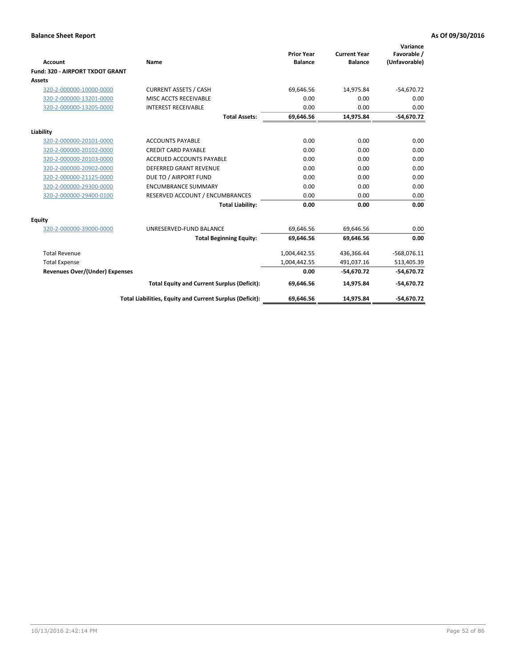|                                       |                                                          |                                     |                                       | Variance                     |
|---------------------------------------|----------------------------------------------------------|-------------------------------------|---------------------------------------|------------------------------|
| Account                               | Name                                                     | <b>Prior Year</b><br><b>Balance</b> | <b>Current Year</b><br><b>Balance</b> | Favorable /<br>(Unfavorable) |
| Fund: 320 - AIRPORT TXDOT GRANT       |                                                          |                                     |                                       |                              |
| Assets                                |                                                          |                                     |                                       |                              |
| 320-2-000000-10000-0000               | <b>CURRENT ASSETS / CASH</b>                             | 69,646.56                           | 14,975.84                             | $-54,670.72$                 |
| 320-2-000000-13201-0000               | MISC ACCTS RECEIVABLE                                    | 0.00                                | 0.00                                  | 0.00                         |
| 320-2-000000-13205-0000               | <b>INTEREST RECEIVABLE</b>                               | 0.00                                | 0.00                                  | 0.00                         |
|                                       | <b>Total Assets:</b>                                     | 69,646.56                           | 14,975.84                             | $-54,670.72$                 |
| Liability                             |                                                          |                                     |                                       |                              |
| 320-2-000000-20101-0000               | <b>ACCOUNTS PAYABLE</b>                                  | 0.00                                | 0.00                                  | 0.00                         |
| 320-2-000000-20102-0000               | <b>CREDIT CARD PAYABLE</b>                               | 0.00                                | 0.00                                  | 0.00                         |
| 320-2-000000-20103-0000               | <b>ACCRUED ACCOUNTS PAYABLE</b>                          | 0.00                                | 0.00                                  | 0.00                         |
| 320-2-000000-20902-0000               | <b>DEFERRED GRANT REVENUE</b>                            | 0.00                                | 0.00                                  | 0.00                         |
| 320-2-000000-21125-0000               | DUE TO / AIRPORT FUND                                    | 0.00                                | 0.00                                  | 0.00                         |
| 320-2-000000-29300-0000               | <b>ENCUMBRANCE SUMMARY</b>                               | 0.00                                | 0.00                                  | 0.00                         |
| 320-2-000000-29400-0100               | RESERVED ACCOUNT / ENCUMBRANCES                          | 0.00                                | 0.00                                  | 0.00                         |
|                                       | <b>Total Liability:</b>                                  | 0.00                                | 0.00                                  | 0.00                         |
| <b>Equity</b>                         |                                                          |                                     |                                       |                              |
| 320-2-000000-39000-0000               | UNRESERVED-FUND BALANCE                                  | 69,646.56                           | 69,646.56                             | 0.00                         |
|                                       | <b>Total Beginning Equity:</b>                           | 69.646.56                           | 69.646.56                             | 0.00                         |
| <b>Total Revenue</b>                  |                                                          | 1,004,442.55                        | 436,366.44                            | $-568,076.11$                |
| <b>Total Expense</b>                  |                                                          | 1,004,442.55                        | 491,037.16                            | 513,405.39                   |
| <b>Revenues Over/(Under) Expenses</b> |                                                          | 0.00                                | $-54.670.72$                          | $-54,670.72$                 |
|                                       | <b>Total Equity and Current Surplus (Deficit):</b>       | 69,646.56                           | 14,975.84                             | $-54,670.72$                 |
|                                       | Total Liabilities, Equity and Current Surplus (Deficit): | 69,646.56                           | 14.975.84                             | $-54.670.72$                 |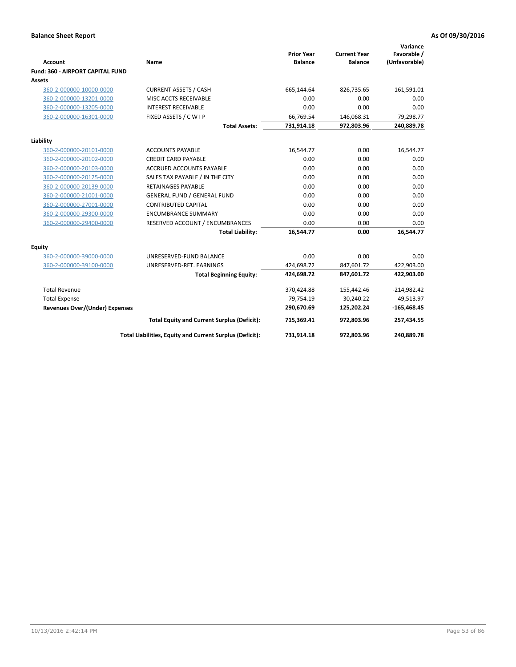| <b>Account</b>                          | Name                                                     | <b>Prior Year</b><br><b>Balance</b> | <b>Current Year</b><br><b>Balance</b> | Variance<br>Favorable /<br>(Unfavorable) |
|-----------------------------------------|----------------------------------------------------------|-------------------------------------|---------------------------------------|------------------------------------------|
| <b>Fund: 360 - AIRPORT CAPITAL FUND</b> |                                                          |                                     |                                       |                                          |
| <b>Assets</b>                           |                                                          |                                     |                                       |                                          |
| 360-2-000000-10000-0000                 | <b>CURRENT ASSETS / CASH</b>                             | 665,144.64                          | 826,735.65                            | 161,591.01                               |
| 360-2-000000-13201-0000                 | MISC ACCTS RECEIVABLE                                    | 0.00                                | 0.00                                  | 0.00                                     |
| 360-2-000000-13205-0000                 | <b>INTEREST RECEIVABLE</b>                               | 0.00                                | 0.00                                  | 0.00                                     |
| 360-2-000000-16301-0000                 | FIXED ASSETS / C W I P                                   | 66,769.54                           | 146,068.31                            | 79,298.77                                |
|                                         | <b>Total Assets:</b>                                     | 731,914.18                          | 972,803.96                            | 240,889.78                               |
| Liability                               |                                                          |                                     |                                       |                                          |
| 360-2-000000-20101-0000                 | <b>ACCOUNTS PAYABLE</b>                                  | 16,544.77                           | 0.00                                  | 16,544.77                                |
| 360-2-000000-20102-0000                 | <b>CREDIT CARD PAYABLE</b>                               | 0.00                                | 0.00                                  | 0.00                                     |
| 360-2-000000-20103-0000                 | ACCRUED ACCOUNTS PAYABLE                                 | 0.00                                | 0.00                                  | 0.00                                     |
| 360-2-000000-20125-0000                 | SALES TAX PAYABLE / IN THE CITY                          | 0.00                                | 0.00                                  | 0.00                                     |
| 360-2-000000-20139-0000                 | <b>RETAINAGES PAYABLE</b>                                | 0.00                                | 0.00                                  | 0.00                                     |
| 360-2-000000-21001-0000                 | <b>GENERAL FUND / GENERAL FUND</b>                       | 0.00                                | 0.00                                  | 0.00                                     |
| 360-2-000000-27001-0000                 | <b>CONTRIBUTED CAPITAL</b>                               | 0.00                                | 0.00                                  | 0.00                                     |
| 360-2-000000-29300-0000                 | <b>ENCUMBRANCE SUMMARY</b>                               | 0.00                                | 0.00                                  | 0.00                                     |
| 360-2-000000-29400-0000                 | RESERVED ACCOUNT / ENCUMBRANCES                          | 0.00                                | 0.00                                  | 0.00                                     |
|                                         | <b>Total Liability:</b>                                  | 16,544.77                           | 0.00                                  | 16,544.77                                |
| Equity                                  |                                                          |                                     |                                       |                                          |
| 360-2-000000-39000-0000                 | UNRESERVED-FUND BALANCE                                  | 0.00                                | 0.00                                  | 0.00                                     |
| 360-2-000000-39100-0000                 | UNRESERVED-RET. EARNINGS                                 | 424,698.72                          | 847,601.72                            | 422,903.00                               |
|                                         | <b>Total Beginning Equity:</b>                           | 424,698.72                          | 847,601.72                            | 422,903.00                               |
| <b>Total Revenue</b>                    |                                                          | 370,424.88                          | 155,442.46                            | $-214,982.42$                            |
| <b>Total Expense</b>                    |                                                          | 79,754.19                           | 30,240.22                             | 49,513.97                                |
| <b>Revenues Over/(Under) Expenses</b>   |                                                          | 290,670.69                          | 125,202.24                            | $-165,468.45$                            |
|                                         | <b>Total Equity and Current Surplus (Deficit):</b>       | 715,369.41                          | 972,803.96                            | 257,434.55                               |
|                                         | Total Liabilities, Equity and Current Surplus (Deficit): | 731,914.18                          | 972,803.96                            | 240,889.78                               |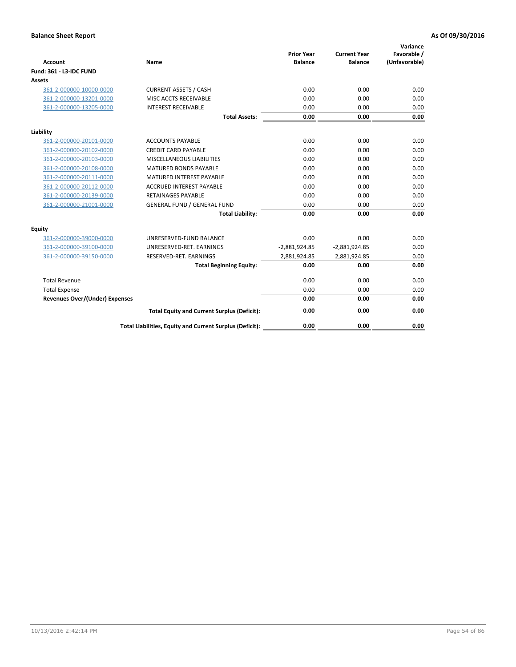| <b>Account</b>                        | <b>Name</b>                                              | <b>Prior Year</b><br><b>Balance</b> | <b>Current Year</b><br><b>Balance</b> | Variance<br>Favorable /<br>(Unfavorable) |
|---------------------------------------|----------------------------------------------------------|-------------------------------------|---------------------------------------|------------------------------------------|
| <b>Fund: 361 - L3-IDC FUND</b>        |                                                          |                                     |                                       |                                          |
| Assets                                |                                                          |                                     |                                       |                                          |
| 361-2-000000-10000-0000               | <b>CURRENT ASSETS / CASH</b>                             | 0.00                                | 0.00                                  | 0.00                                     |
| 361-2-000000-13201-0000               | MISC ACCTS RECEIVABLE                                    | 0.00                                | 0.00                                  | 0.00                                     |
| 361-2-000000-13205-0000               | <b>INTEREST RECEIVABLE</b>                               | 0.00                                | 0.00                                  | 0.00                                     |
|                                       | <b>Total Assets:</b>                                     | 0.00                                | 0.00                                  | 0.00                                     |
| Liability                             |                                                          |                                     |                                       |                                          |
| 361-2-000000-20101-0000               | <b>ACCOUNTS PAYABLE</b>                                  | 0.00                                | 0.00                                  | 0.00                                     |
| 361-2-000000-20102-0000               | <b>CREDIT CARD PAYABLE</b>                               | 0.00                                | 0.00                                  | 0.00                                     |
| 361-2-000000-20103-0000               | MISCELLANEOUS LIABILITIES                                | 0.00                                | 0.00                                  | 0.00                                     |
| 361-2-000000-20108-0000               | <b>MATURED BONDS PAYABLE</b>                             | 0.00                                | 0.00                                  | 0.00                                     |
| 361-2-000000-20111-0000               | <b>MATURED INTEREST PAYABLE</b>                          | 0.00                                | 0.00                                  | 0.00                                     |
| 361-2-000000-20112-0000               | <b>ACCRUED INTEREST PAYABLE</b>                          | 0.00                                | 0.00                                  | 0.00                                     |
| 361-2-000000-20139-0000               | <b>RETAINAGES PAYABLE</b>                                | 0.00                                | 0.00                                  | 0.00                                     |
| 361-2-000000-21001-0000               | <b>GENERAL FUND / GENERAL FUND</b>                       | 0.00                                | 0.00                                  | 0.00                                     |
|                                       | <b>Total Liability:</b>                                  | 0.00                                | 0.00                                  | 0.00                                     |
| Equity                                |                                                          |                                     |                                       |                                          |
| 361-2-000000-39000-0000               | UNRESERVED-FUND BALANCE                                  | 0.00                                | 0.00                                  | 0.00                                     |
| 361-2-000000-39100-0000               | UNRESERVED-RET. EARNINGS                                 | $-2,881,924.85$                     | $-2,881,924.85$                       | 0.00                                     |
| 361-2-000000-39150-0000               | RESERVED-RET. EARNINGS                                   | 2,881,924.85                        | 2,881,924.85                          | 0.00                                     |
|                                       | <b>Total Beginning Equity:</b>                           | 0.00                                | 0.00                                  | 0.00                                     |
| <b>Total Revenue</b>                  |                                                          | 0.00                                | 0.00                                  | 0.00                                     |
| <b>Total Expense</b>                  |                                                          | 0.00                                | 0.00                                  | 0.00                                     |
| <b>Revenues Over/(Under) Expenses</b> |                                                          | 0.00                                | 0.00                                  | 0.00                                     |
|                                       | <b>Total Equity and Current Surplus (Deficit):</b>       | 0.00                                | 0.00                                  | 0.00                                     |
|                                       | Total Liabilities, Equity and Current Surplus (Deficit): | 0.00                                | 0.00                                  | 0.00                                     |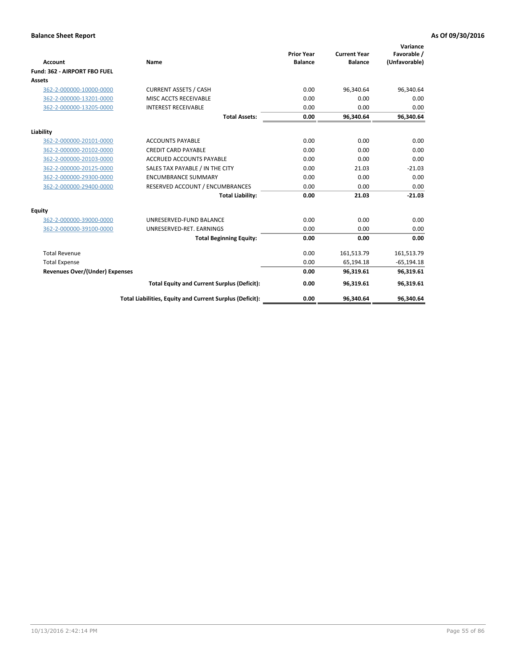|                                       |                                                          |                                     |                                       | Variance                     |
|---------------------------------------|----------------------------------------------------------|-------------------------------------|---------------------------------------|------------------------------|
| <b>Account</b>                        | Name                                                     | <b>Prior Year</b><br><b>Balance</b> | <b>Current Year</b><br><b>Balance</b> | Favorable /<br>(Unfavorable) |
| Fund: 362 - AIRPORT FBO FUEL          |                                                          |                                     |                                       |                              |
| Assets                                |                                                          |                                     |                                       |                              |
| 362-2-000000-10000-0000               | <b>CURRENT ASSETS / CASH</b>                             | 0.00                                | 96,340.64                             | 96,340.64                    |
| 362-2-000000-13201-0000               | MISC ACCTS RECEIVABLE                                    | 0.00                                | 0.00                                  | 0.00                         |
| 362-2-000000-13205-0000               | <b>INTEREST RECEIVABLE</b>                               | 0.00                                | 0.00                                  | 0.00                         |
|                                       | <b>Total Assets:</b>                                     | 0.00                                | 96,340.64                             | 96,340.64                    |
| Liability                             |                                                          |                                     |                                       |                              |
| 362-2-000000-20101-0000               | <b>ACCOUNTS PAYABLE</b>                                  | 0.00                                | 0.00                                  | 0.00                         |
| 362-2-000000-20102-0000               | <b>CREDIT CARD PAYABLE</b>                               | 0.00                                | 0.00                                  | 0.00                         |
| 362-2-000000-20103-0000               | <b>ACCRUED ACCOUNTS PAYABLE</b>                          | 0.00                                | 0.00                                  | 0.00                         |
| 362-2-000000-20125-0000               | SALES TAX PAYABLE / IN THE CITY                          | 0.00                                | 21.03                                 | $-21.03$                     |
| 362-2-000000-29300-0000               | <b>ENCUMBRANCE SUMMARY</b>                               | 0.00                                | 0.00                                  | 0.00                         |
| 362-2-000000-29400-0000               | RESERVED ACCOUNT / ENCUMBRANCES                          | 0.00                                | 0.00                                  | 0.00                         |
|                                       | <b>Total Liability:</b>                                  | 0.00                                | 21.03                                 | $-21.03$                     |
| <b>Equity</b>                         |                                                          |                                     |                                       |                              |
| 362-2-000000-39000-0000               | UNRESERVED-FUND BALANCE                                  | 0.00                                | 0.00                                  | 0.00                         |
| 362-2-000000-39100-0000               | UNRESERVED-RET. EARNINGS                                 | 0.00                                | 0.00                                  | 0.00                         |
|                                       | <b>Total Beginning Equity:</b>                           | 0.00                                | 0.00                                  | 0.00                         |
| <b>Total Revenue</b>                  |                                                          | 0.00                                | 161,513.79                            | 161,513.79                   |
| <b>Total Expense</b>                  |                                                          | 0.00                                | 65,194.18                             | $-65,194.18$                 |
| <b>Revenues Over/(Under) Expenses</b> |                                                          | 0.00                                | 96,319.61                             | 96,319.61                    |
|                                       | <b>Total Equity and Current Surplus (Deficit):</b>       | 0.00                                | 96,319.61                             | 96,319.61                    |
|                                       | Total Liabilities, Equity and Current Surplus (Deficit): | 0.00                                | 96,340.64                             | 96,340.64                    |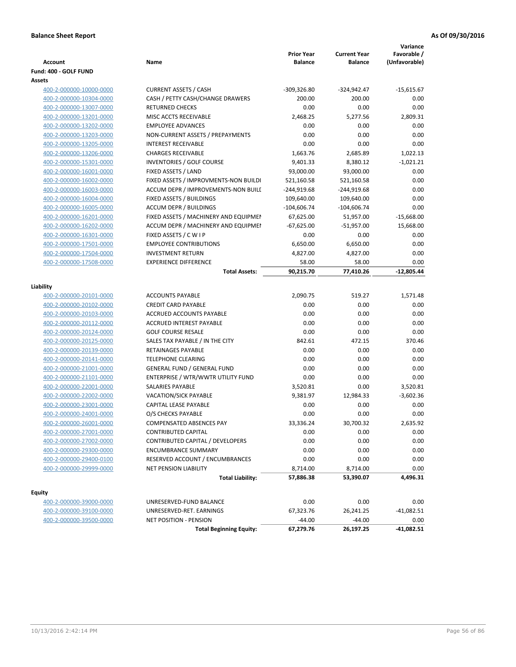| <b>Account</b>          | Name                                  | <b>Prior Year</b><br><b>Balance</b> | <b>Current Year</b><br><b>Balance</b> | Variance<br>Favorable /<br>(Unfavorable) |
|-------------------------|---------------------------------------|-------------------------------------|---------------------------------------|------------------------------------------|
| Fund: 400 - GOLF FUND   |                                       |                                     |                                       |                                          |
| Assets                  |                                       |                                     |                                       |                                          |
| 400-2-000000-10000-0000 | <b>CURRENT ASSETS / CASH</b>          | $-309,326.80$                       | $-324,942.47$                         | $-15,615.67$                             |
| 400-2-000000-10304-0000 | CASH / PETTY CASH/CHANGE DRAWERS      | 200.00                              | 200.00                                | 0.00                                     |
| 400-2-000000-13007-0000 | <b>RETURNED CHECKS</b>                | 0.00                                | 0.00                                  | 0.00                                     |
| 400-2-000000-13201-0000 | MISC ACCTS RECEIVABLE                 | 2,468.25                            | 5,277.56                              | 2,809.31                                 |
| 400-2-000000-13202-0000 | <b>EMPLOYEE ADVANCES</b>              | 0.00                                | 0.00                                  | 0.00                                     |
| 400-2-000000-13203-0000 | NON-CURRENT ASSETS / PREPAYMENTS      | 0.00                                | 0.00                                  | 0.00                                     |
| 400-2-000000-13205-0000 | <b>INTEREST RECEIVABLE</b>            | 0.00                                | 0.00                                  | 0.00                                     |
| 400-2-000000-13206-0000 | <b>CHARGES RECEIVABLE</b>             | 1,663.76                            | 2,685.89                              | 1,022.13                                 |
| 400-2-000000-15301-0000 | <b>INVENTORIES / GOLF COURSE</b>      | 9,401.33                            | 8,380.12                              | $-1,021.21$                              |
| 400-2-000000-16001-0000 | FIXED ASSETS / LAND                   | 93,000.00                           | 93,000.00                             | 0.00                                     |
| 400-2-000000-16002-0000 | FIXED ASSETS / IMPROVMENTS-NON BUILDI | 521,160.58                          | 521,160.58                            | 0.00                                     |
| 400-2-000000-16003-0000 | ACCUM DEPR / IMPROVEMENTS-NON BUILL   | $-244,919.68$                       | $-244,919.68$                         | 0.00                                     |
| 400-2-000000-16004-0000 | FIXED ASSETS / BUILDINGS              | 109,640.00                          | 109,640.00                            | 0.00                                     |
| 400-2-000000-16005-0000 | <b>ACCUM DEPR / BUILDINGS</b>         | $-104,606.74$                       | $-104,606.74$                         | 0.00                                     |
| 400-2-000000-16201-0000 | FIXED ASSETS / MACHINERY AND EQUIPMEN | 67,625.00                           | 51,957.00                             | $-15,668.00$                             |
| 400-2-000000-16202-0000 | ACCUM DEPR / MACHINERY AND EQUIPMEI   | $-67,625.00$                        | $-51,957.00$                          | 15,668.00                                |
| 400-2-000000-16301-0000 | FIXED ASSETS / C W I P                | 0.00                                | 0.00                                  | 0.00                                     |
| 400-2-000000-17501-0000 | <b>EMPLOYEE CONTRIBUTIONS</b>         | 6,650.00                            | 6,650.00                              | 0.00                                     |
| 400-2-000000-17504-0000 | <b>INVESTMENT RETURN</b>              | 4,827.00                            | 4,827.00                              | 0.00                                     |
| 400-2-000000-17508-0000 | <b>EXPERIENCE DIFFERENCE</b>          | 58.00                               | 58.00                                 | 0.00                                     |
|                         | <b>Total Assets:</b>                  | 90,215.70                           | 77,410.26                             | -12,805.44                               |
|                         |                                       |                                     |                                       |                                          |
| Liability               |                                       |                                     |                                       |                                          |
| 400-2-000000-20101-0000 | <b>ACCOUNTS PAYABLE</b>               | 2,090.75                            | 519.27                                | 1,571.48                                 |
| 400-2-000000-20102-0000 | <b>CREDIT CARD PAYABLE</b>            | 0.00                                | 0.00                                  | 0.00                                     |
| 400-2-000000-20103-0000 | ACCRUED ACCOUNTS PAYABLE              | 0.00                                | 0.00                                  | 0.00                                     |
| 400-2-000000-20112-0000 | ACCRUED INTEREST PAYABLE              | 0.00                                | 0.00                                  | 0.00                                     |
| 400-2-000000-20124-0000 | <b>GOLF COURSE RESALE</b>             | 0.00                                | 0.00                                  | 0.00                                     |
| 400-2-000000-20125-0000 | SALES TAX PAYABLE / IN THE CITY       | 842.61                              | 472.15                                | 370.46                                   |
| 400-2-000000-20139-0000 | RETAINAGES PAYABLE                    | 0.00                                | 0.00                                  | 0.00                                     |
| 400-2-000000-20141-0000 | <b>TELEPHONE CLEARING</b>             | 0.00                                | 0.00                                  | 0.00                                     |
| 400-2-000000-21001-0000 | <b>GENERAL FUND / GENERAL FUND</b>    | 0.00                                | 0.00                                  | 0.00                                     |
| 400-2-000000-21101-0000 | ENTERPRISE / WTR/WWTR UTILITY FUND    | 0.00                                | 0.00                                  | 0.00                                     |
| 400-2-000000-22001-0000 | <b>SALARIES PAYABLE</b>               | 3,520.81                            | 0.00                                  | 3,520.81                                 |
| 400-2-000000-22002-0000 | VACATION/SICK PAYABLE                 | 9,381.97                            | 12,984.33                             | $-3,602.36$                              |
| 400-2-000000-23001-0000 | CAPITAL LEASE PAYABLE                 | 0.00                                | 0.00                                  | 0.00                                     |
| 400-2-000000-24001-0000 | O/S CHECKS PAYABLE                    | 0.00                                | 0.00                                  | 0.00                                     |
| 400-2-000000-26001-0000 | COMPENSATED ABSENCES PAY              | 33,336.24                           | 30,700.32                             | 2,635.92                                 |
| 400-2-000000-27001-0000 | <b>CONTRIBUTED CAPITAL</b>            | 0.00                                | 0.00                                  | 0.00                                     |
| 400-2-000000-27002-0000 | CONTRIBUTED CAPITAL / DEVELOPERS      | 0.00                                | 0.00                                  | 0.00                                     |
| 400-2-000000-29300-0000 | ENCUMBRANCE SUMMARY                   | 0.00                                | 0.00                                  | 0.00                                     |
| 400-2-000000-29400-0100 | RESERVED ACCOUNT / ENCUMBRANCES       | 0.00                                | 0.00                                  | 0.00                                     |
| 400-2-000000-29999-0000 | <b>NET PENSION LIABILITY</b>          | 8,714.00                            | 8,714.00                              | 0.00                                     |
|                         | <b>Total Liability:</b>               | 57,886.38                           | 53,390.07                             | 4,496.31                                 |
| Equity                  |                                       |                                     |                                       |                                          |
| 400-2-000000-39000-0000 | UNRESERVED-FUND BALANCE               | 0.00                                | 0.00                                  | 0.00                                     |
| 400-2-000000-39100-0000 | UNRESERVED-RET. EARNINGS              | 67,323.76                           | 26,241.25                             | $-41,082.51$                             |
| 400-2-000000-39500-0000 | NET POSITION - PENSION                | $-44.00$                            | $-44.00$                              | 0.00                                     |
|                         | <b>Total Beginning Equity:</b>        | 67,279.76                           | 26,197.25                             | $-41,082.51$                             |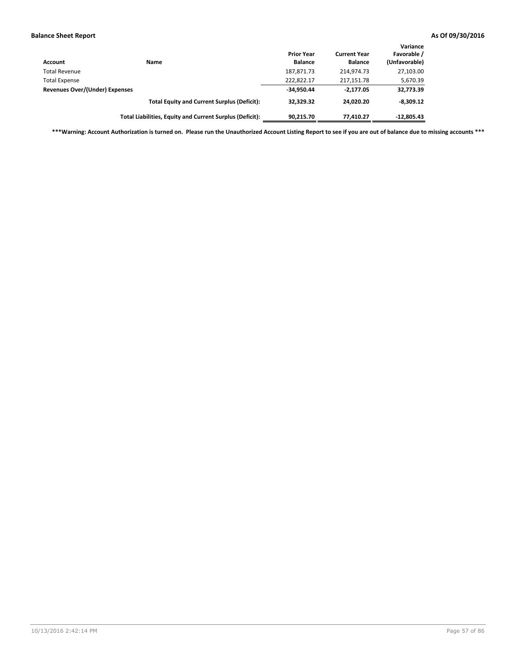| <b>Account</b>                 | Name                                                     | <b>Prior Year</b><br><b>Balance</b> | <b>Current Year</b><br><b>Balance</b> | Variance<br>Favorable /<br>(Unfavorable) |
|--------------------------------|----------------------------------------------------------|-------------------------------------|---------------------------------------|------------------------------------------|
| <b>Total Revenue</b>           |                                                          | 187,871.73                          | 214.974.73                            | 27,103.00                                |
| <b>Total Expense</b>           |                                                          | 222,822.17                          | 217,151.78                            | 5,670.39                                 |
| Revenues Over/(Under) Expenses |                                                          | $-34,950.44$                        | $-2.177.05$                           | 32,773.39                                |
|                                | <b>Total Equity and Current Surplus (Deficit):</b>       | 32.329.32                           | 24.020.20                             | $-8,309.12$                              |
|                                | Total Liabilities, Equity and Current Surplus (Deficit): | 90.215.70                           | 77,410.27                             | $-12,805.43$                             |

**\*\*\*Warning: Account Authorization is turned on. Please run the Unauthorized Account Listing Report to see if you are out of balance due to missing accounts \*\*\***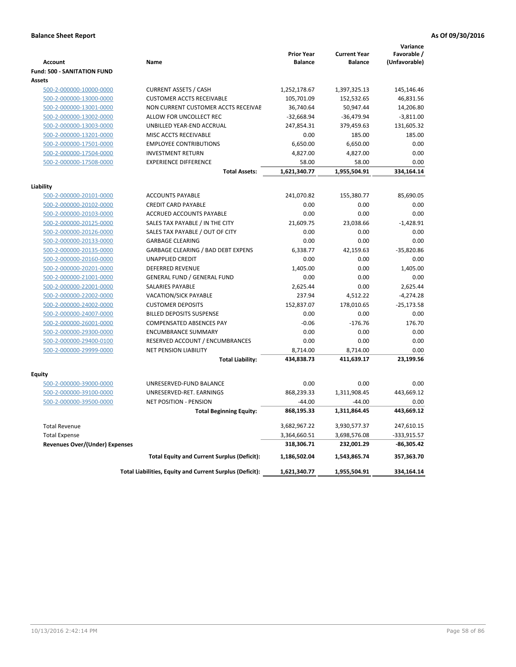|                                       |                                                          | <b>Prior Year</b> | <b>Current Year</b> | Variance<br>Favorable / |
|---------------------------------------|----------------------------------------------------------|-------------------|---------------------|-------------------------|
| <b>Account</b>                        | Name                                                     | <b>Balance</b>    | <b>Balance</b>      | (Unfavorable)           |
| <b>Fund: 500 - SANITATION FUND</b>    |                                                          |                   |                     |                         |
| <b>Assets</b>                         |                                                          |                   |                     |                         |
| 500-2-000000-10000-0000               | <b>CURRENT ASSETS / CASH</b>                             | 1,252,178.67      | 1,397,325.13        | 145,146.46              |
| 500-2-000000-13000-0000               | <b>CUSTOMER ACCTS RECEIVABLE</b>                         | 105,701.09        | 152,532.65          | 46,831.56               |
| 500-2-000000-13001-0000               | NON CURRENT CUSTOMER ACCTS RECEIVAE                      | 36,740.64         | 50,947.44           | 14,206.80               |
| 500-2-000000-13002-0000               | ALLOW FOR UNCOLLECT REC                                  | $-32,668.94$      | $-36,479.94$        | $-3,811.00$             |
| 500-2-000000-13003-0000               | UNBILLED YEAR-END ACCRUAL                                | 247,854.31        | 379,459.63          | 131,605.32              |
| 500-2-000000-13201-0000               | MISC ACCTS RECEIVABLE                                    | 0.00              | 185.00              | 185.00                  |
| 500-2-000000-17501-0000               | <b>EMPLOYEE CONTRIBUTIONS</b>                            | 6,650.00          | 6,650.00            | 0.00                    |
| 500-2-000000-17504-0000               | <b>INVESTMENT RETURN</b>                                 | 4,827.00          | 4,827.00            | 0.00                    |
| 500-2-000000-17508-0000               | <b>EXPERIENCE DIFFERENCE</b>                             | 58.00             | 58.00               | 0.00                    |
|                                       | <b>Total Assets:</b>                                     | 1,621,340.77      | 1,955,504.91        | 334,164.14              |
| Liability                             |                                                          |                   |                     |                         |
| 500-2-000000-20101-0000               | <b>ACCOUNTS PAYABLE</b>                                  | 241,070.82        | 155,380.77          | 85,690.05               |
| 500-2-000000-20102-0000               | <b>CREDIT CARD PAYABLE</b>                               | 0.00              | 0.00                | 0.00                    |
| 500-2-000000-20103-0000               | ACCRUED ACCOUNTS PAYABLE                                 | 0.00              | 0.00                | 0.00                    |
| 500-2-000000-20125-0000               | SALES TAX PAYABLE / IN THE CITY                          | 21,609.75         | 23,038.66           | $-1,428.91$             |
| 500-2-000000-20126-0000               | SALES TAX PAYABLE / OUT OF CITY                          | 0.00              | 0.00                | 0.00                    |
| 500-2-000000-20133-0000               | <b>GARBAGE CLEARING</b>                                  | 0.00              | 0.00                | 0.00                    |
| 500-2-000000-20135-0000               | <b>GARBAGE CLEARING / BAD DEBT EXPENS</b>                | 6,338.77          | 42,159.63           | $-35,820.86$            |
| 500-2-000000-20160-0000               | <b>UNAPPLIED CREDIT</b>                                  | 0.00              | 0.00                | 0.00                    |
| 500-2-000000-20201-0000               | DEFERRED REVENUE                                         | 1,405.00          | 0.00                | 1,405.00                |
| 500-2-000000-21001-0000               | <b>GENERAL FUND / GENERAL FUND</b>                       | 0.00              | 0.00                | 0.00                    |
| 500-2-000000-22001-0000               | <b>SALARIES PAYABLE</b>                                  | 2,625.44          | 0.00                | 2,625.44                |
| 500-2-000000-22002-0000               | VACATION/SICK PAYABLE                                    | 237.94            | 4,512.22            | $-4,274.28$             |
| 500-2-000000-24002-0000               | <b>CUSTOMER DEPOSITS</b>                                 | 152,837.07        | 178,010.65          | $-25,173.58$            |
| 500-2-000000-24007-0000               | <b>BILLED DEPOSITS SUSPENSE</b>                          | 0.00              | 0.00                | 0.00                    |
| 500-2-000000-26001-0000               | <b>COMPENSATED ABSENCES PAY</b>                          | $-0.06$           | $-176.76$           | 176.70                  |
| 500-2-000000-29300-0000               | <b>ENCUMBRANCE SUMMARY</b>                               | 0.00              | 0.00                | 0.00                    |
| 500-2-000000-29400-0100               | RESERVED ACCOUNT / ENCUMBRANCES                          | 0.00              | 0.00                | 0.00                    |
| 500-2-000000-29999-0000               | <b>NET PENSION LIABILITY</b>                             | 8,714.00          | 8,714.00            | 0.00                    |
|                                       | <b>Total Liability:</b>                                  | 434,838.73        | 411,639.17          | 23,199.56               |
|                                       |                                                          |                   |                     |                         |
| Equity                                |                                                          |                   |                     |                         |
| 500-2-000000-39000-0000               | UNRESERVED-FUND BALANCE                                  | 0.00              | 0.00                | 0.00                    |
| 500-2-000000-39100-0000               | UNRESERVED-RET. EARNINGS                                 | 868,239.33        | 1,311,908.45        | 443,669.12              |
| 500-2-000000-39500-0000               | <b>NET POSITION - PENSION</b>                            | $-44.00$          | $-44.00$            | 0.00                    |
|                                       | <b>Total Beginning Equity:</b>                           | 868,195.33        | 1,311,864.45        | 443,669.12              |
| <b>Total Revenue</b>                  |                                                          | 3,682,967.22      | 3,930,577.37        | 247,610.15              |
| <b>Total Expense</b>                  |                                                          | 3,364,660.51      | 3,698,576.08        | $-333,915.57$           |
| <b>Revenues Over/(Under) Expenses</b> |                                                          | 318,306.71        | 232,001.29          | $-86,305.42$            |
|                                       | <b>Total Equity and Current Surplus (Deficit):</b>       | 1,186,502.04      | 1,543,865.74        | 357,363.70              |
|                                       | Total Liabilities, Equity and Current Surplus (Deficit): | 1,621,340.77      | 1,955,504.91        | 334,164.14              |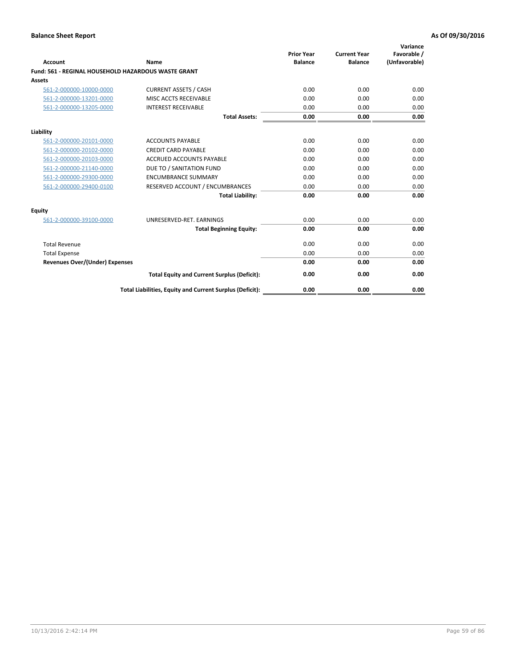| Account                                                    | Name                                                     | <b>Prior Year</b><br><b>Balance</b> | <b>Current Year</b><br><b>Balance</b> | Variance<br>Favorable /<br>(Unfavorable) |
|------------------------------------------------------------|----------------------------------------------------------|-------------------------------------|---------------------------------------|------------------------------------------|
| <b>Fund: 561 - REGINAL HOUSEHOLD HAZARDOUS WASTE GRANT</b> |                                                          |                                     |                                       |                                          |
| Assets                                                     |                                                          |                                     |                                       |                                          |
| 561-2-000000-10000-0000                                    | <b>CURRENT ASSETS / CASH</b>                             | 0.00                                | 0.00                                  | 0.00                                     |
| 561-2-000000-13201-0000                                    | MISC ACCTS RECEIVABLE                                    | 0.00                                | 0.00                                  | 0.00                                     |
| 561-2-000000-13205-0000                                    | <b>INTEREST RECEIVABLE</b>                               | 0.00                                | 0.00                                  | 0.00                                     |
|                                                            | <b>Total Assets:</b>                                     | 0.00                                | 0.00                                  | 0.00                                     |
| Liability                                                  |                                                          |                                     |                                       |                                          |
| 561-2-000000-20101-0000                                    | <b>ACCOUNTS PAYABLE</b>                                  | 0.00                                | 0.00                                  | 0.00                                     |
| 561-2-000000-20102-0000                                    | <b>CREDIT CARD PAYABLE</b>                               | 0.00                                | 0.00                                  | 0.00                                     |
| 561-2-000000-20103-0000                                    | <b>ACCRUED ACCOUNTS PAYABLE</b>                          | 0.00                                | 0.00                                  | 0.00                                     |
| 561-2-000000-21140-0000                                    | DUE TO / SANITATION FUND                                 | 0.00                                | 0.00                                  | 0.00                                     |
| 561-2-000000-29300-0000                                    | <b>ENCUMBRANCE SUMMARY</b>                               | 0.00                                | 0.00                                  | 0.00                                     |
| 561-2-000000-29400-0100                                    | RESERVED ACCOUNT / ENCUMBRANCES                          | 0.00                                | 0.00                                  | 0.00                                     |
|                                                            | <b>Total Liability:</b>                                  | 0.00                                | 0.00                                  | 0.00                                     |
| <b>Equity</b>                                              |                                                          |                                     |                                       |                                          |
| 561-2-000000-39100-0000                                    | UNRESERVED-RET. EARNINGS                                 | 0.00                                | 0.00                                  | 0.00                                     |
|                                                            | <b>Total Beginning Equity:</b>                           | 0.00                                | 0.00                                  | 0.00                                     |
| <b>Total Revenue</b>                                       |                                                          | 0.00                                | 0.00                                  | 0.00                                     |
| <b>Total Expense</b>                                       |                                                          | 0.00                                | 0.00                                  | 0.00                                     |
| <b>Revenues Over/(Under) Expenses</b>                      |                                                          | 0.00                                | 0.00                                  | 0.00                                     |
|                                                            | <b>Total Equity and Current Surplus (Deficit):</b>       | 0.00                                | 0.00                                  | 0.00                                     |
|                                                            | Total Liabilities, Equity and Current Surplus (Deficit): | 0.00                                | 0.00                                  | 0.00                                     |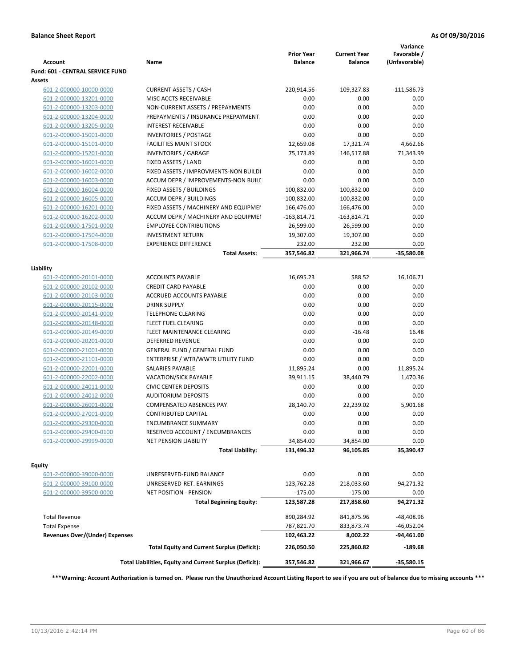| <b>Account</b>                        | Name                                                     | <b>Prior Year</b><br><b>Balance</b> | <b>Current Year</b><br><b>Balance</b> | Variance<br>Favorable /<br>(Unfavorable) |
|---------------------------------------|----------------------------------------------------------|-------------------------------------|---------------------------------------|------------------------------------------|
| Fund: 601 - CENTRAL SERVICE FUND      |                                                          |                                     |                                       |                                          |
| Assets                                |                                                          |                                     |                                       |                                          |
| 601-2-000000-10000-0000               | <b>CURRENT ASSETS / CASH</b>                             | 220,914.56                          | 109,327.83                            | $-111,586.73$                            |
| 601-2-000000-13201-0000               | MISC ACCTS RECEIVABLE                                    | 0.00                                | 0.00                                  | 0.00                                     |
| 601-2-000000-13203-0000               | NON-CURRENT ASSETS / PREPAYMENTS                         | 0.00                                | 0.00                                  | 0.00                                     |
| 601-2-000000-13204-0000               | PREPAYMENTS / INSURANCE PREPAYMENT                       | 0.00                                | 0.00                                  | 0.00                                     |
| 601-2-000000-13205-0000               | <b>INTEREST RECEIVABLE</b>                               | 0.00                                | 0.00                                  | 0.00                                     |
| 601-2-000000-15001-0000               | <b>INVENTORIES / POSTAGE</b>                             | 0.00                                | 0.00                                  | 0.00                                     |
| 601-2-000000-15101-0000               | <b>FACILITIES MAINT STOCK</b>                            | 12,659.08                           | 17,321.74                             | 4,662.66                                 |
| 601-2-000000-15201-0000               | <b>INVENTORIES / GARAGE</b>                              | 75,173.89                           | 146,517.88                            | 71,343.99                                |
| 601-2-000000-16001-0000               | FIXED ASSETS / LAND                                      | 0.00                                | 0.00                                  | 0.00                                     |
| 601-2-000000-16002-0000               | FIXED ASSETS / IMPROVMENTS-NON BUILDI                    | 0.00                                | 0.00                                  | 0.00                                     |
| 601-2-000000-16003-0000               | ACCUM DEPR / IMPROVEMENTS-NON BUILI                      | 0.00                                | 0.00                                  | 0.00                                     |
| 601-2-000000-16004-0000               | FIXED ASSETS / BUILDINGS                                 | 100,832.00                          | 100,832.00                            | 0.00                                     |
| 601-2-000000-16005-0000               | <b>ACCUM DEPR / BUILDINGS</b>                            | $-100,832.00$                       | $-100,832.00$                         | 0.00                                     |
| 601-2-000000-16201-0000               | FIXED ASSETS / MACHINERY AND EQUIPMEN                    | 166,476.00                          | 166,476.00                            | 0.00                                     |
| 601-2-000000-16202-0000               | ACCUM DEPR / MACHINERY AND EQUIPMEI                      | $-163,814.71$                       | -163,814.71                           | 0.00                                     |
| 601-2-000000-17501-0000               | <b>EMPLOYEE CONTRIBUTIONS</b>                            | 26,599.00                           | 26,599.00                             | 0.00                                     |
| 601-2-000000-17504-0000               | <b>INVESTMENT RETURN</b>                                 | 19,307.00                           | 19,307.00                             | 0.00                                     |
| 601-2-000000-17508-0000               | <b>EXPERIENCE DIFFERENCE</b>                             | 232.00                              | 232.00                                | 0.00                                     |
|                                       | <b>Total Assets:</b>                                     | 357,546.82                          | 321,966.74                            | $-35,580.08$                             |
| Liability                             |                                                          |                                     |                                       |                                          |
| 601-2-000000-20101-0000               | <b>ACCOUNTS PAYABLE</b>                                  | 16,695.23                           | 588.52                                | 16,106.71                                |
| 601-2-000000-20102-0000               | <b>CREDIT CARD PAYABLE</b>                               | 0.00                                | 0.00                                  | 0.00                                     |
| 601-2-000000-20103-0000               | ACCRUED ACCOUNTS PAYABLE                                 | 0.00                                | 0.00                                  | 0.00                                     |
| 601-2-000000-20115-0000               | <b>DRINK SUPPLY</b>                                      | 0.00                                | 0.00                                  | 0.00                                     |
| 601-2-000000-20141-0000               | <b>TELEPHONE CLEARING</b>                                | 0.00                                | 0.00                                  | 0.00                                     |
| 601-2-000000-20148-0000               | FLEET FUEL CLEARING                                      | 0.00                                | 0.00                                  | 0.00                                     |
| 601-2-000000-20149-0000               | FLEET MAINTENANCE CLEARING                               | 0.00                                | $-16.48$                              | 16.48                                    |
| 601-2-000000-20201-0000               | <b>DEFERRED REVENUE</b>                                  | 0.00                                | 0.00                                  | 0.00                                     |
| 601-2-000000-21001-0000               | <b>GENERAL FUND / GENERAL FUND</b>                       | 0.00                                | 0.00                                  | 0.00                                     |
| 601-2-000000-21101-0000               | ENTERPRISE / WTR/WWTR UTILITY FUND                       | 0.00                                | 0.00                                  | 0.00                                     |
| 601-2-000000-22001-0000               | SALARIES PAYABLE                                         | 11,895.24                           | 0.00                                  | 11,895.24                                |
| 601-2-000000-22002-0000               | <b>VACATION/SICK PAYABLE</b>                             | 39,911.15                           | 38,440.79                             | 1,470.36                                 |
| 601-2-000000-24011-0000               | <b>CIVIC CENTER DEPOSITS</b>                             | 0.00                                | 0.00                                  | 0.00                                     |
| 601-2-000000-24012-0000               | <b>AUDITORIUM DEPOSITS</b>                               | 0.00                                | 0.00                                  | 0.00                                     |
| 601-2-000000-26001-0000               | <b>COMPENSATED ABSENCES PAY</b>                          | 28,140.70                           | 22,239.02                             | 5,901.68                                 |
| 601-2-000000-27001-0000               | <b>CONTRIBUTED CAPITAL</b>                               | 0.00                                | 0.00                                  | 0.00                                     |
| 601-2-000000-29300-0000               | <b>ENCUMBRANCE SUMMARY</b>                               | 0.00                                | 0.00                                  | 0.00                                     |
| 601-2-000000-29400-0100               | RESERVED ACCOUNT / ENCUMBRANCES                          | 0.00                                | 0.00                                  | 0.00                                     |
| 601-2-000000-29999-0000               | NET PENSION LIABILITY                                    | 34,854.00                           | 34,854.00                             | 0.00                                     |
|                                       | <b>Total Liability:</b>                                  | 131,496.32                          | 96,105.85                             | 35,390.47                                |
|                                       |                                                          |                                     |                                       |                                          |
| Equity                                |                                                          |                                     |                                       |                                          |
| 601-2-000000-39000-0000               | UNRESERVED-FUND BALANCE                                  | 0.00                                | 0.00                                  | 0.00                                     |
| 601-2-000000-39100-0000               | UNRESERVED-RET. EARNINGS                                 | 123,762.28                          | 218,033.60                            | 94,271.32                                |
| 601-2-000000-39500-0000               | NET POSITION - PENSION<br><b>Total Beginning Equity:</b> | $-175.00$<br>123,587.28             | $-175.00$<br>217,858.60               | 0.00<br>94,271.32                        |
|                                       |                                                          |                                     |                                       |                                          |
| <b>Total Revenue</b>                  |                                                          | 890,284.92                          | 841,875.96                            | $-48,408.96$                             |
| <b>Total Expense</b>                  |                                                          | 787,821.70                          | 833,873.74                            | $-46,052.04$                             |
| <b>Revenues Over/(Under) Expenses</b> | <b>Total Equity and Current Surplus (Deficit):</b>       | 102,463.22<br>226,050.50            | 8,002.22<br>225,860.82                | -94,461.00<br>$-189.68$                  |
|                                       | Total Liabilities, Equity and Current Surplus (Deficit): | 357,546.82                          | 321,966.67                            | $-35,580.15$                             |
|                                       |                                                          |                                     |                                       |                                          |

**\*\*\*Warning: Account Authorization is turned on. Please run the Unauthorized Account Listing Report to see if you are out of balance due to missing accounts \*\*\***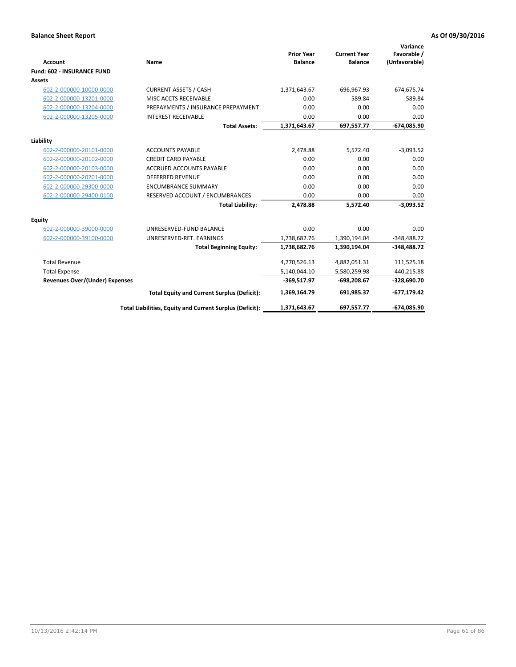|                                       |                                                          |                                     |                                       | Variance                     |
|---------------------------------------|----------------------------------------------------------|-------------------------------------|---------------------------------------|------------------------------|
| <b>Account</b>                        | Name                                                     | <b>Prior Year</b><br><b>Balance</b> | <b>Current Year</b><br><b>Balance</b> | Favorable /<br>(Unfavorable) |
| <b>Fund: 602 - INSURANCE FUND</b>     |                                                          |                                     |                                       |                              |
| <b>Assets</b>                         |                                                          |                                     |                                       |                              |
| 602-2-000000-10000-0000               | <b>CURRENT ASSETS / CASH</b>                             | 1,371,643.67                        | 696,967.93                            | $-674,675.74$                |
| 602-2-000000-13201-0000               | MISC ACCTS RECEIVABLE                                    | 0.00                                | 589.84                                | 589.84                       |
| 602-2-000000-13204-0000               | PREPAYMENTS / INSURANCE PREPAYMENT                       | 0.00                                | 0.00                                  | 0.00                         |
| 602-2-000000-13205-0000               | <b>INTEREST RECEIVABLE</b>                               | 0.00                                | 0.00                                  | 0.00                         |
|                                       | <b>Total Assets:</b>                                     | 1,371,643.67                        | 697,557.77                            | $-674,085.90$                |
| Liability                             |                                                          |                                     |                                       |                              |
| 602-2-000000-20101-0000               | <b>ACCOUNTS PAYABLE</b>                                  | 2,478.88                            | 5,572.40                              | $-3,093.52$                  |
| 602-2-000000-20102-0000               | <b>CREDIT CARD PAYABLE</b>                               | 0.00                                | 0.00                                  | 0.00                         |
| 602-2-000000-20103-0000               | <b>ACCRUED ACCOUNTS PAYABLE</b>                          | 0.00                                | 0.00                                  | 0.00                         |
| 602-2-000000-20201-0000               | <b>DEFERRED REVENUE</b>                                  | 0.00                                | 0.00                                  | 0.00                         |
| 602-2-000000-29300-0000               | <b>ENCUMBRANCE SUMMARY</b>                               | 0.00                                | 0.00                                  | 0.00                         |
| 602-2-000000-29400-0100               | RESERVED ACCOUNT / ENCUMBRANCES                          | 0.00                                | 0.00                                  | 0.00                         |
|                                       | <b>Total Liability:</b>                                  | 2,478.88                            | 5,572.40                              | $-3,093.52$                  |
| Equity                                |                                                          |                                     |                                       |                              |
| 602-2-000000-39000-0000               | UNRESERVED-FUND BALANCE                                  | 0.00                                | 0.00                                  | 0.00                         |
| 602-2-000000-39100-0000               | UNRESERVED-RET. EARNINGS                                 | 1,738,682.76                        | 1,390,194.04                          | $-348,488.72$                |
|                                       | <b>Total Beginning Equity:</b>                           | 1,738,682.76                        | 1,390,194.04                          | $-348,488.72$                |
| <b>Total Revenue</b>                  |                                                          | 4,770,526.13                        | 4,882,051.31                          | 111,525.18                   |
| <b>Total Expense</b>                  |                                                          | 5,140,044.10                        | 5,580,259.98                          | $-440,215.88$                |
| <b>Revenues Over/(Under) Expenses</b> |                                                          | $-369,517.97$                       | $-698,208.67$                         | $-328,690.70$                |
|                                       | <b>Total Equity and Current Surplus (Deficit):</b>       | 1,369,164.79                        | 691,985.37                            | $-677,179.42$                |
|                                       | Total Liabilities, Equity and Current Surplus (Deficit): | 1,371,643.67                        | 697,557.77                            | -674.085.90                  |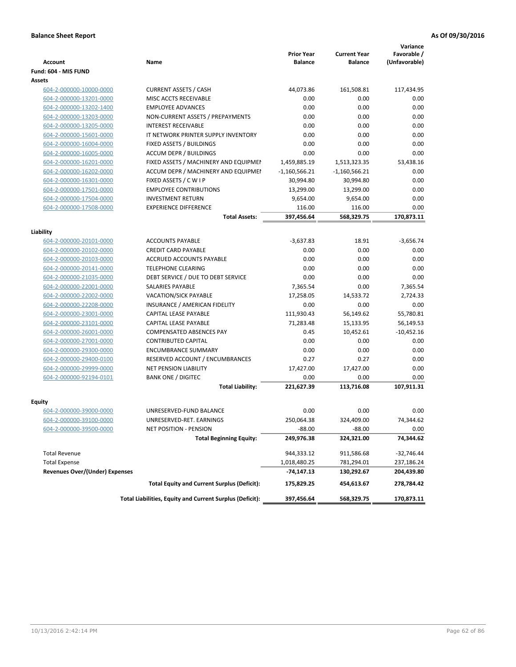|                                       |                                                          | <b>Prior Year</b> | <b>Current Year</b> | Variance<br>Favorable / |
|---------------------------------------|----------------------------------------------------------|-------------------|---------------------|-------------------------|
| <b>Account</b>                        | Name                                                     | <b>Balance</b>    | <b>Balance</b>      | (Unfavorable)           |
| Fund: 604 - MIS FUND                  |                                                          |                   |                     |                         |
| Assets                                |                                                          |                   |                     |                         |
| 604-2-000000-10000-0000               | <b>CURRENT ASSETS / CASH</b>                             | 44,073.86         | 161,508.81          | 117,434.95              |
| 604-2-000000-13201-0000               | MISC ACCTS RECEIVABLE                                    | 0.00              | 0.00                | 0.00                    |
| 604-2-000000-13202-1400               | <b>EMPLOYEE ADVANCES</b>                                 | 0.00              | 0.00                | 0.00                    |
| 604-2-000000-13203-0000               | NON-CURRENT ASSETS / PREPAYMENTS                         | 0.00              | 0.00                | 0.00                    |
| 604-2-000000-13205-0000               | <b>INTEREST RECEIVABLE</b>                               | 0.00              | 0.00                | 0.00                    |
| 604-2-000000-15601-0000               | IT NETWORK PRINTER SUPPLY INVENTORY                      | 0.00              | 0.00                | 0.00                    |
| 604-2-000000-16004-0000               | FIXED ASSETS / BUILDINGS                                 | 0.00              | 0.00                | 0.00                    |
| 604-2-000000-16005-0000               | <b>ACCUM DEPR / BUILDINGS</b>                            | 0.00              | 0.00                | 0.00                    |
| 604-2-000000-16201-0000               | FIXED ASSETS / MACHINERY AND EQUIPMEN                    | 1,459,885.19      | 1,513,323.35        | 53,438.16               |
| 604-2-000000-16202-0000               | ACCUM DEPR / MACHINERY AND EQUIPMEI                      | $-1,160,566.21$   | $-1,160,566.21$     | 0.00                    |
| 604-2-000000-16301-0000               | FIXED ASSETS / C W I P                                   | 30,994.80         | 30,994.80           | 0.00                    |
| 604-2-000000-17501-0000               | <b>EMPLOYEE CONTRIBUTIONS</b>                            | 13,299.00         | 13,299.00           | 0.00                    |
| 604-2-000000-17504-0000               | <b>INVESTMENT RETURN</b>                                 | 9,654.00          | 9,654.00            | 0.00                    |
| 604-2-000000-17508-0000               | <b>EXPERIENCE DIFFERENCE</b>                             | 116.00            | 116.00              | 0.00                    |
|                                       | <b>Total Assets:</b>                                     | 397,456.64        | 568,329.75          | 170,873.11              |
|                                       |                                                          |                   |                     |                         |
| Liability                             |                                                          |                   |                     |                         |
| 604-2-000000-20101-0000               | <b>ACCOUNTS PAYABLE</b>                                  | $-3,637.83$       | 18.91               | $-3,656.74$             |
| 604-2-000000-20102-0000               | <b>CREDIT CARD PAYABLE</b>                               | 0.00              | 0.00                | 0.00                    |
| 604-2-000000-20103-0000               | ACCRUED ACCOUNTS PAYABLE                                 | 0.00              | 0.00                | 0.00                    |
| 604-2-000000-20141-0000               | <b>TELEPHONE CLEARING</b>                                | 0.00              | 0.00                | 0.00                    |
| 604-2-000000-21035-0000               | DEBT SERVICE / DUE TO DEBT SERVICE                       | 0.00              | 0.00                | 0.00                    |
| 604-2-000000-22001-0000               | SALARIES PAYABLE                                         | 7,365.54          | 0.00                | 7,365.54                |
| 604-2-000000-22002-0000               | <b>VACATION/SICK PAYABLE</b>                             | 17,258.05         | 14,533.72           | 2,724.33                |
| 604-2-000000-22208-0000               | INSURANCE / AMERICAN FIDELITY                            | 0.00              | 0.00                | 0.00                    |
| 604-2-000000-23001-0000               | CAPITAL LEASE PAYABLE                                    | 111,930.43        | 56,149.62           | 55,780.81               |
| 604-2-000000-23101-0000               | CAPITAL LEASE PAYABLE                                    | 71,283.48         | 15,133.95           | 56,149.53               |
| 604-2-000000-26001-0000               | COMPENSATED ABSENCES PAY                                 | 0.45              | 10,452.61           | $-10,452.16$            |
| 604-2-000000-27001-0000               | <b>CONTRIBUTED CAPITAL</b>                               | 0.00              | 0.00                | 0.00                    |
| 604-2-000000-29300-0000               | <b>ENCUMBRANCE SUMMARY</b>                               | 0.00              | 0.00                | 0.00                    |
| 604-2-000000-29400-0100               | RESERVED ACCOUNT / ENCUMBRANCES                          | 0.27              | 0.27                | 0.00                    |
| 604-2-000000-29999-0000               | <b>NET PENSION LIABILITY</b>                             | 17,427.00         | 17,427.00           | 0.00                    |
| 604-2-000000-92194-0101               | <b>BANK ONE / DIGITEC</b>                                | 0.00              | 0.00                | 0.00                    |
|                                       | <b>Total Liability:</b>                                  | 221,627.39        | 113,716.08          | 107,911.31              |
|                                       |                                                          |                   |                     |                         |
| Equity                                |                                                          |                   |                     |                         |
| 604-2-000000-39000-0000               | UNRESERVED-FUND BALANCE                                  | 0.00              | 0.00                | 0.00                    |
| 604-2-000000-39100-0000               | UNRESERVED-RET. EARNINGS                                 | 250,064.38        | 324,409.00          | 74,344.62               |
| 604-2-000000-39500-0000               | NET POSITION - PENSION                                   | $-88.00$          | $-88.00$            | 0.00                    |
|                                       | <b>Total Beginning Equity:</b>                           | 249,976.38        | 324,321.00          | 74,344.62               |
| <b>Total Revenue</b>                  |                                                          | 944,333.12        | 911,586.68          | -32,746.44              |
| <b>Total Expense</b>                  |                                                          | 1,018,480.25      | 781,294.01          | 237,186.24              |
| <b>Revenues Over/(Under) Expenses</b> |                                                          | -74,147.13        | 130,292.67          | 204,439.80              |
|                                       | <b>Total Equity and Current Surplus (Deficit):</b>       | 175,829.25        | 454,613.67          | 278,784.42              |
|                                       | Total Liabilities, Equity and Current Surplus (Deficit): | 397,456.64        | 568,329.75          | 170,873.11              |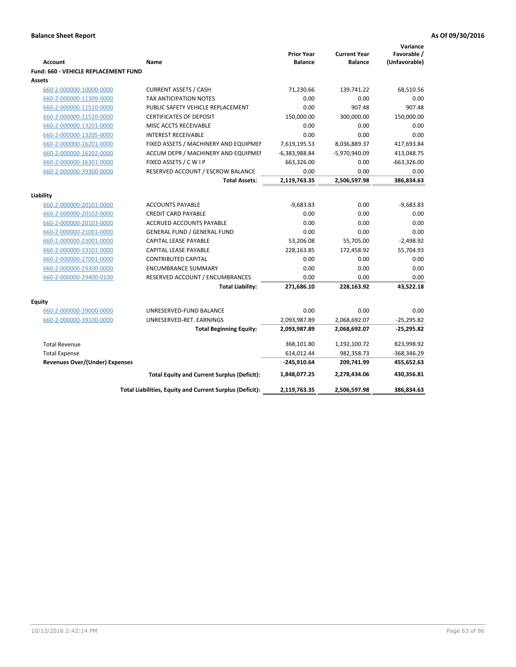| <b>Account</b><br><b>Fund: 660 - VEHICLE REPLACEMENT FUND</b> | Name                                                     | <b>Prior Year</b><br><b>Balance</b> | <b>Current Year</b><br><b>Balance</b> | Variance<br>Favorable /<br>(Unfavorable) |
|---------------------------------------------------------------|----------------------------------------------------------|-------------------------------------|---------------------------------------|------------------------------------------|
| <b>Assets</b>                                                 |                                                          |                                     |                                       |                                          |
| 660-2-000000-10000-0000                                       | <b>CURRENT ASSETS / CASH</b>                             | 71,230.66                           | 139,741.22                            | 68,510.56                                |
| 660-2-000000-11309-0000                                       | <b>TAX ANTICIPATION NOTES</b>                            | 0.00                                | 0.00                                  | 0.00                                     |
| 660-2-000000-11510-0000                                       | PUBLIC SAFETY VEHICLE REPLACEMENT                        | 0.00                                | 907.48                                | 907.48                                   |
| 660-2-000000-11520-0000                                       | <b>CERTIFICATES OF DEPOSIT</b>                           | 150,000.00                          | 300,000.00                            | 150,000.00                               |
| 660-2-000000-13201-0000                                       | MISC ACCTS RECEIVABLE                                    | 0.00                                | 0.00                                  | 0.00                                     |
| 660-2-000000-13205-0000                                       | <b>INTEREST RECEIVABLE</b>                               | 0.00                                | 0.00                                  | 0.00                                     |
| 660-2-000000-16201-0000                                       | FIXED ASSETS / MACHINERY AND EQUIPMEN                    | 7,619,195.53                        | 8,036,889.37                          | 417,693.84                               |
| 660-2-000000-16202-0000                                       | ACCUM DEPR / MACHINERY AND EQUIPMEI                      | $-6,383,988.84$                     | -5,970,940.09                         | 413,048.75                               |
| 660-2-000000-16301-0000                                       | FIXED ASSETS / C W I P                                   | 663,326.00                          | 0.00                                  | $-663,326.00$                            |
| 660-2-000000-39300-0000                                       | RESERVED ACCOUNT / ESCROW BALANCE                        | 0.00                                | 0.00                                  | 0.00                                     |
|                                                               | <b>Total Assets:</b>                                     | 2,119,763.35                        | 2,506,597.98                          | 386,834.63                               |
| Liability                                                     |                                                          |                                     |                                       |                                          |
| 660-2-000000-20101-0000                                       | <b>ACCOUNTS PAYABLE</b>                                  | $-9,683.83$                         | 0.00                                  | $-9,683.83$                              |
| 660-2-000000-20102-0000                                       | <b>CREDIT CARD PAYABLE</b>                               | 0.00                                | 0.00                                  | 0.00                                     |
| 660-2-000000-20103-0000                                       | <b>ACCRUED ACCOUNTS PAYABLE</b>                          | 0.00                                | 0.00                                  | 0.00                                     |
| 660-2-000000-21001-0000                                       | <b>GENERAL FUND / GENERAL FUND</b>                       | 0.00                                | 0.00                                  | 0.00                                     |
| 660-2-000000-23001-0000                                       | <b>CAPITAL LEASE PAYABLE</b>                             | 53,206.08                           | 55,705.00                             | $-2,498.92$                              |
| 660-2-000000-23101-0000                                       | <b>CAPITAL LEASE PAYABLE</b>                             | 228,163.85                          | 172,458.92                            | 55,704.93                                |
| 660-2-000000-27001-0000                                       | <b>CONTRIBUTED CAPITAL</b>                               | 0.00                                | 0.00                                  | 0.00                                     |
| 660-2-000000-29300-0000                                       | <b>ENCUMBRANCE SUMMARY</b>                               | 0.00                                | 0.00                                  | 0.00                                     |
| 660-2-000000-29400-0100                                       | RESERVED ACCOUNT / ENCUMBRANCES                          | 0.00                                | 0.00                                  | 0.00                                     |
|                                                               | <b>Total Liability:</b>                                  | 271,686.10                          | 228,163.92                            | 43,522.18                                |
|                                                               |                                                          |                                     |                                       |                                          |
| <b>Equity</b>                                                 |                                                          |                                     |                                       |                                          |
| 660-2-000000-39000-0000                                       | UNRESERVED-FUND BALANCE                                  | 0.00                                | 0.00                                  | 0.00                                     |
| 660-2-000000-39100-0000                                       | UNRESERVED-RET. EARNINGS                                 | 2,093,987.89                        | 2,068,692.07                          | $-25,295.82$                             |
|                                                               | <b>Total Beginning Equity:</b>                           | 2,093,987.89                        | 2,068,692.07                          | $-25,295.82$                             |
| <b>Total Revenue</b>                                          |                                                          | 368,101.80                          | 1,192,100.72                          | 823,998.92                               |
| <b>Total Expense</b>                                          |                                                          | 614,012.44                          | 982,358.73                            | -368,346.29                              |
| <b>Revenues Over/(Under) Expenses</b>                         |                                                          | $-245,910.64$                       | 209,741.99                            | 455,652.63                               |
|                                                               | <b>Total Equity and Current Surplus (Deficit):</b>       | 1,848,077.25                        | 2,278,434.06                          | 430,356.81                               |
|                                                               | Total Liabilities, Equity and Current Surplus (Deficit): | 2,119,763.35                        | 2,506,597.98                          | 386,834.63                               |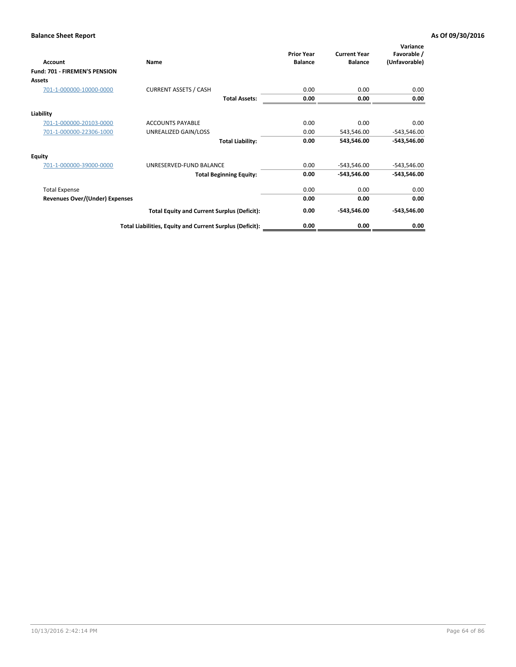| Account                               | Name                                                     | <b>Prior Year</b><br><b>Balance</b> | <b>Current Year</b><br><b>Balance</b> | Variance<br>Favorable /<br>(Unfavorable) |
|---------------------------------------|----------------------------------------------------------|-------------------------------------|---------------------------------------|------------------------------------------|
| <b>Fund: 701 - FIREMEN'S PENSION</b>  |                                                          |                                     |                                       |                                          |
| <b>Assets</b>                         |                                                          |                                     |                                       |                                          |
| 701-1-000000-10000-0000               | <b>CURRENT ASSETS / CASH</b>                             | 0.00                                | 0.00                                  | 0.00                                     |
|                                       | <b>Total Assets:</b>                                     | 0.00                                | 0.00                                  | 0.00                                     |
| Liability                             |                                                          |                                     |                                       |                                          |
| 701-1-000000-20103-0000               | <b>ACCOUNTS PAYABLE</b>                                  | 0.00                                | 0.00                                  | 0.00                                     |
| 701-1-000000-22306-1000               | UNREALIZED GAIN/LOSS                                     | 0.00                                | 543,546.00                            | $-543,546.00$                            |
|                                       | <b>Total Liability:</b>                                  | 0.00                                | 543,546.00                            | $-543,546.00$                            |
| <b>Equity</b>                         |                                                          |                                     |                                       |                                          |
| 701-1-000000-39000-0000               | UNRESERVED-FUND BALANCE                                  | 0.00                                | $-543,546.00$                         | $-543,546.00$                            |
|                                       | <b>Total Beginning Equity:</b>                           | 0.00                                | -543,546.00                           | -543,546.00                              |
| <b>Total Expense</b>                  |                                                          | 0.00                                | 0.00                                  | 0.00                                     |
| <b>Revenues Over/(Under) Expenses</b> |                                                          | 0.00                                | 0.00                                  | 0.00                                     |
|                                       | <b>Total Equity and Current Surplus (Deficit):</b>       | 0.00                                | -543,546.00                           | $-543,546.00$                            |
|                                       | Total Liabilities, Equity and Current Surplus (Deficit): | 0.00                                | 0.00                                  | 0.00                                     |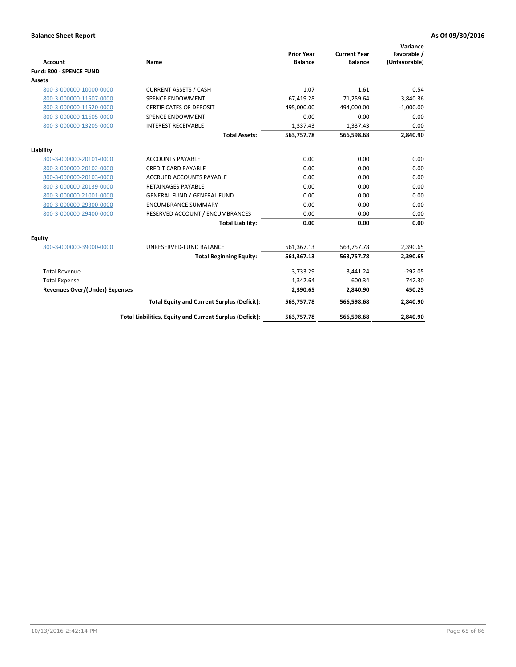|                                       |                                                          |                                     |                                       | Variance                     |
|---------------------------------------|----------------------------------------------------------|-------------------------------------|---------------------------------------|------------------------------|
| <b>Account</b>                        | Name                                                     | <b>Prior Year</b><br><b>Balance</b> | <b>Current Year</b><br><b>Balance</b> | Favorable /<br>(Unfavorable) |
| Fund: 800 - SPENCE FUND               |                                                          |                                     |                                       |                              |
| <b>Assets</b>                         |                                                          |                                     |                                       |                              |
| 800-3-000000-10000-0000               | <b>CURRENT ASSETS / CASH</b>                             | 1.07                                | 1.61                                  | 0.54                         |
| 800-3-000000-11507-0000               | <b>SPENCE ENDOWMENT</b>                                  | 67,419.28                           | 71,259.64                             | 3,840.36                     |
| 800-3-000000-11520-0000               | <b>CERTIFICATES OF DEPOSIT</b>                           | 495,000.00                          | 494,000.00                            | $-1,000.00$                  |
| 800-3-000000-11605-0000               | <b>SPENCE ENDOWMENT</b>                                  | 0.00                                | 0.00                                  | 0.00                         |
| 800-3-000000-13205-0000               | <b>INTEREST RECEIVABLE</b>                               | 1,337.43                            | 1,337.43                              | 0.00                         |
|                                       | <b>Total Assets:</b>                                     | 563,757.78                          | 566,598.68                            | 2,840.90                     |
| Liability                             |                                                          |                                     |                                       |                              |
| 800-3-000000-20101-0000               | <b>ACCOUNTS PAYABLE</b>                                  | 0.00                                | 0.00                                  | 0.00                         |
| 800-3-000000-20102-0000               | <b>CREDIT CARD PAYABLE</b>                               | 0.00                                | 0.00                                  | 0.00                         |
| 800-3-000000-20103-0000               | <b>ACCRUED ACCOUNTS PAYABLE</b>                          | 0.00                                | 0.00                                  | 0.00                         |
| 800-3-000000-20139-0000               | <b>RETAINAGES PAYABLE</b>                                | 0.00                                | 0.00                                  | 0.00                         |
| 800-3-000000-21001-0000               | <b>GENERAL FUND / GENERAL FUND</b>                       | 0.00                                | 0.00                                  | 0.00                         |
| 800-3-000000-29300-0000               | <b>ENCUMBRANCE SUMMARY</b>                               | 0.00                                | 0.00                                  | 0.00                         |
| 800-3-000000-29400-0000               | RESERVED ACCOUNT / ENCUMBRANCES                          | 0.00                                | 0.00                                  | 0.00                         |
|                                       | <b>Total Liability:</b>                                  | 0.00                                | 0.00                                  | 0.00                         |
| Equity                                |                                                          |                                     |                                       |                              |
| 800-3-000000-39000-0000               | UNRESERVED-FUND BALANCE                                  | 561,367.13                          | 563,757.78                            | 2,390.65                     |
|                                       | <b>Total Beginning Equity:</b>                           | 561,367.13                          | 563,757.78                            | 2,390.65                     |
| <b>Total Revenue</b>                  |                                                          | 3,733.29                            | 3,441.24                              | $-292.05$                    |
| <b>Total Expense</b>                  |                                                          | 1,342.64                            | 600.34                                | 742.30                       |
| <b>Revenues Over/(Under) Expenses</b> |                                                          | 2,390.65                            | 2,840.90                              | 450.25                       |
|                                       | <b>Total Equity and Current Surplus (Deficit):</b>       | 563,757.78                          | 566,598.68                            | 2,840.90                     |
|                                       | Total Liabilities, Equity and Current Surplus (Deficit): | 563,757.78                          | 566,598.68                            | 2,840.90                     |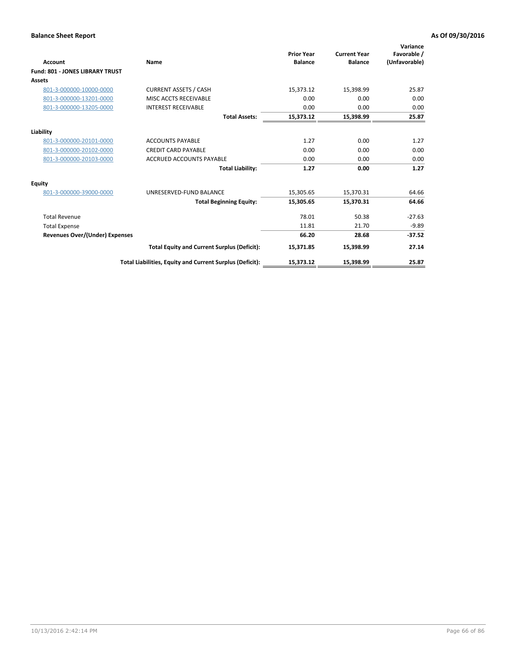| <b>Account</b>                         | Name                                                     | <b>Prior Year</b><br><b>Balance</b> | <b>Current Year</b><br><b>Balance</b> | Variance<br>Favorable /<br>(Unfavorable) |
|----------------------------------------|----------------------------------------------------------|-------------------------------------|---------------------------------------|------------------------------------------|
| <b>Fund: 801 - JONES LIBRARY TRUST</b> |                                                          |                                     |                                       |                                          |
| Assets                                 |                                                          |                                     |                                       |                                          |
| 801-3-000000-10000-0000                | <b>CURRENT ASSETS / CASH</b>                             | 15,373.12                           | 15,398.99                             | 25.87                                    |
| 801-3-000000-13201-0000                | MISC ACCTS RECEIVABLE                                    | 0.00                                | 0.00                                  | 0.00                                     |
| 801-3-000000-13205-0000                | <b>INTEREST RECEIVABLE</b>                               | 0.00                                | 0.00                                  | 0.00                                     |
|                                        | <b>Total Assets:</b>                                     | 15,373.12                           | 15,398.99                             | 25.87                                    |
| Liability                              |                                                          |                                     |                                       |                                          |
| 801-3-000000-20101-0000                | <b>ACCOUNTS PAYABLE</b>                                  | 1.27                                | 0.00                                  | 1.27                                     |
| 801-3-000000-20102-0000                | <b>CREDIT CARD PAYABLE</b>                               | 0.00                                | 0.00                                  | 0.00                                     |
| 801-3-000000-20103-0000                | <b>ACCRUED ACCOUNTS PAYABLE</b>                          | 0.00                                | 0.00                                  | 0.00                                     |
|                                        | <b>Total Liability:</b>                                  | 1.27                                | 0.00                                  | 1.27                                     |
| Equity                                 |                                                          |                                     |                                       |                                          |
| 801-3-000000-39000-0000                | UNRESERVED-FUND BALANCE                                  | 15,305.65                           | 15,370.31                             | 64.66                                    |
|                                        | <b>Total Beginning Equity:</b>                           | 15,305.65                           | 15,370.31                             | 64.66                                    |
| <b>Total Revenue</b>                   |                                                          | 78.01                               | 50.38                                 | $-27.63$                                 |
| <b>Total Expense</b>                   |                                                          | 11.81                               | 21.70                                 | $-9.89$                                  |
| <b>Revenues Over/(Under) Expenses</b>  |                                                          | 66.20                               | 28.68                                 | $-37.52$                                 |
|                                        | <b>Total Equity and Current Surplus (Deficit):</b>       | 15,371.85                           | 15,398.99                             | 27.14                                    |
|                                        | Total Liabilities, Equity and Current Surplus (Deficit): | 15,373.12                           | 15,398.99                             | 25.87                                    |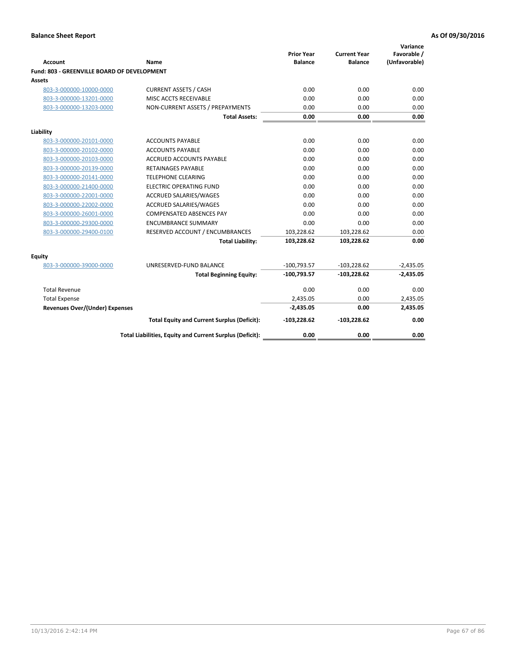| Account                                     | <b>Name</b>                                              | <b>Prior Year</b><br><b>Balance</b> | <b>Current Year</b><br><b>Balance</b> | Variance<br>Favorable /<br>(Unfavorable) |
|---------------------------------------------|----------------------------------------------------------|-------------------------------------|---------------------------------------|------------------------------------------|
| Fund: 803 - GREENVILLE BOARD OF DEVELOPMENT |                                                          |                                     |                                       |                                          |
| Assets                                      |                                                          |                                     |                                       |                                          |
| 803-3-000000-10000-0000                     | <b>CURRENT ASSETS / CASH</b>                             | 0.00                                | 0.00                                  | 0.00                                     |
| 803-3-000000-13201-0000                     | MISC ACCTS RECEIVABLE                                    | 0.00                                | 0.00                                  | 0.00                                     |
| 803-3-000000-13203-0000                     | NON-CURRENT ASSETS / PREPAYMENTS                         | 0.00                                | 0.00                                  | 0.00                                     |
|                                             | <b>Total Assets:</b>                                     | 0.00                                | 0.00                                  | 0.00                                     |
| Liability                                   |                                                          |                                     |                                       |                                          |
| 803-3-000000-20101-0000                     | <b>ACCOUNTS PAYABLE</b>                                  | 0.00                                | 0.00                                  | 0.00                                     |
| 803-3-000000-20102-0000                     | <b>ACCOUNTS PAYABLE</b>                                  | 0.00                                | 0.00                                  | 0.00                                     |
| 803-3-000000-20103-0000                     | <b>ACCRUED ACCOUNTS PAYABLE</b>                          | 0.00                                | 0.00                                  | 0.00                                     |
| 803-3-000000-20139-0000                     | <b>RETAINAGES PAYABLE</b>                                | 0.00                                | 0.00                                  | 0.00                                     |
| 803-3-000000-20141-0000                     | <b>TELEPHONE CLEARING</b>                                | 0.00                                | 0.00                                  | 0.00                                     |
| 803-3-000000-21400-0000                     | <b>ELECTRIC OPERATING FUND</b>                           | 0.00                                | 0.00                                  | 0.00                                     |
| 803-3-000000-22001-0000                     | ACCRUED SALARIES/WAGES                                   | 0.00                                | 0.00                                  | 0.00                                     |
| 803-3-000000-22002-0000                     | <b>ACCRUED SALARIES/WAGES</b>                            | 0.00                                | 0.00                                  | 0.00                                     |
| 803-3-000000-26001-0000                     | <b>COMPENSATED ABSENCES PAY</b>                          | 0.00                                | 0.00                                  | 0.00                                     |
| 803-3-000000-29300-0000                     | <b>ENCUMBRANCE SUMMARY</b>                               | 0.00                                | 0.00                                  | 0.00                                     |
| 803-3-000000-29400-0100                     | RESERVED ACCOUNT / ENCUMBRANCES                          | 103,228.62                          | 103,228.62                            | 0.00                                     |
|                                             | <b>Total Liability:</b>                                  | 103,228.62                          | 103,228.62                            | 0.00                                     |
| <b>Equity</b>                               |                                                          |                                     |                                       |                                          |
| 803-3-000000-39000-0000                     | UNRESERVED-FUND BALANCE                                  | $-100,793.57$                       | $-103,228.62$                         | $-2,435.05$                              |
|                                             | <b>Total Beginning Equity:</b>                           | $-100,793.57$                       | $-103,228.62$                         | $-2,435.05$                              |
| <b>Total Revenue</b>                        |                                                          | 0.00                                | 0.00                                  | 0.00                                     |
| <b>Total Expense</b>                        |                                                          | 2,435.05                            | 0.00                                  | 2,435.05                                 |
| Revenues Over/(Under) Expenses              |                                                          | $-2,435.05$                         | 0.00                                  | 2,435.05                                 |
|                                             | <b>Total Equity and Current Surplus (Deficit):</b>       | $-103,228.62$                       | $-103,228.62$                         | 0.00                                     |
|                                             | Total Liabilities, Equity and Current Surplus (Deficit): | 0.00                                | 0.00                                  | 0.00                                     |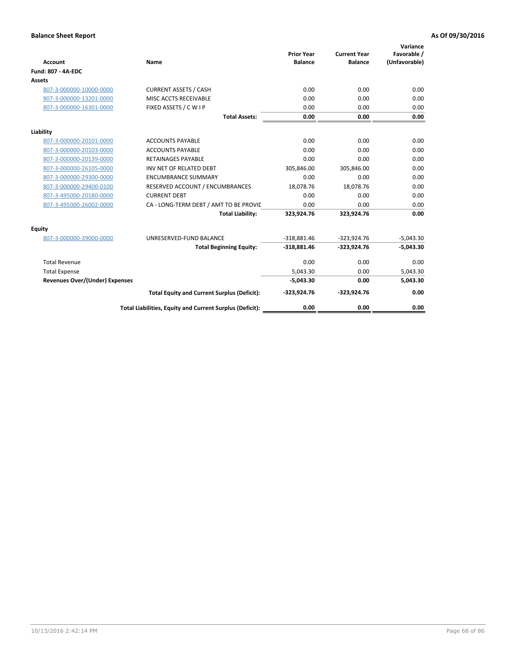| <b>Account</b>                        | Name                                                     | <b>Prior Year</b><br><b>Balance</b> | <b>Current Year</b><br><b>Balance</b> | Variance<br>Favorable /<br>(Unfavorable) |
|---------------------------------------|----------------------------------------------------------|-------------------------------------|---------------------------------------|------------------------------------------|
| <b>Fund: 807 - 4A-EDC</b>             |                                                          |                                     |                                       |                                          |
| <b>Assets</b>                         |                                                          |                                     |                                       |                                          |
| 807-3-000000-10000-0000               | <b>CURRENT ASSETS / CASH</b>                             | 0.00                                | 0.00                                  | 0.00                                     |
| 807-3-000000-13201-0000               | MISC ACCTS RECEIVABLE                                    | 0.00                                | 0.00                                  | 0.00                                     |
| 807-3-000000-16301-0000               | FIXED ASSETS / C W I P                                   | 0.00                                | 0.00                                  | 0.00                                     |
|                                       | <b>Total Assets:</b>                                     | 0.00                                | 0.00                                  | 0.00                                     |
| Liability                             |                                                          |                                     |                                       |                                          |
| 807-3-000000-20101-0000               | <b>ACCOUNTS PAYABLE</b>                                  | 0.00                                | 0.00                                  | 0.00                                     |
| 807-3-000000-20103-0000               | <b>ACCOUNTS PAYABLE</b>                                  | 0.00                                | 0.00                                  | 0.00                                     |
| 807-3-000000-20139-0000               | <b>RETAINAGES PAYABLE</b>                                | 0.00                                | 0.00                                  | 0.00                                     |
| 807-3-000000-26105-0000               | INV NET OF RELATED DEBT                                  | 305,846.00                          | 305,846.00                            | 0.00                                     |
| 807-3-000000-29300-0000               | <b>ENCUMBRANCE SUMMARY</b>                               | 0.00                                | 0.00                                  | 0.00                                     |
| 807-3-000000-29400-0100               | RESERVED ACCOUNT / ENCUMBRANCES                          | 18,078.76                           | 18,078.76                             | 0.00                                     |
| 807-3-495000-20180-0000               | <b>CURRENT DEBT</b>                                      | 0.00                                | 0.00                                  | 0.00                                     |
| 807-3-495000-26002-0000               | CA - LONG-TERM DEBT / AMT TO BE PROVIL                   | 0.00                                | 0.00                                  | 0.00                                     |
|                                       | <b>Total Liability:</b>                                  | 323,924.76                          | 323,924.76                            | 0.00                                     |
| Equity                                |                                                          |                                     |                                       |                                          |
| 807-3-000000-39000-0000               | UNRESERVED-FUND BALANCE                                  | $-318,881.46$                       | $-323,924.76$                         | $-5,043.30$                              |
|                                       | <b>Total Beginning Equity:</b>                           | $-318,881.46$                       | $-323,924.76$                         | $-5,043.30$                              |
| <b>Total Revenue</b>                  |                                                          | 0.00                                | 0.00                                  | 0.00                                     |
| <b>Total Expense</b>                  |                                                          | 5.043.30                            | 0.00                                  | 5,043.30                                 |
| <b>Revenues Over/(Under) Expenses</b> |                                                          | $-5,043.30$                         | 0.00                                  | 5,043.30                                 |
|                                       | <b>Total Equity and Current Surplus (Deficit):</b>       | $-323,924.76$                       | $-323,924.76$                         | 0.00                                     |
|                                       | Total Liabilities, Equity and Current Surplus (Deficit): | 0.00                                | 0.00                                  | 0.00                                     |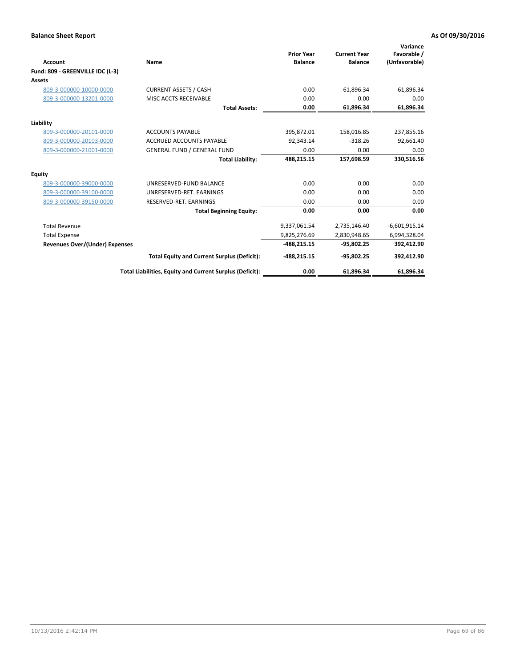| <b>Account</b><br>Fund: 809 - GREENVILLE IDC (L-3) | <b>Name</b>                                              | <b>Prior Year</b><br><b>Balance</b> | <b>Current Year</b><br><b>Balance</b> | Variance<br>Favorable /<br>(Unfavorable) |
|----------------------------------------------------|----------------------------------------------------------|-------------------------------------|---------------------------------------|------------------------------------------|
| Assets                                             |                                                          |                                     |                                       |                                          |
| 809-3-000000-10000-0000                            | <b>CURRENT ASSETS / CASH</b>                             | 0.00                                | 61,896.34                             | 61,896.34                                |
| 809-3-000000-13201-0000                            | MISC ACCTS RECEIVABLE                                    | 0.00                                | 0.00                                  | 0.00                                     |
|                                                    | <b>Total Assets:</b>                                     | 0.00                                | 61,896.34                             | 61,896.34                                |
| Liability                                          |                                                          |                                     |                                       |                                          |
| 809-3-000000-20101-0000                            | <b>ACCOUNTS PAYABLE</b>                                  | 395,872.01                          | 158,016.85                            | 237,855.16                               |
| 809-3-000000-20103-0000                            | <b>ACCRUED ACCOUNTS PAYABLE</b>                          | 92,343.14                           | $-318.26$                             | 92,661.40                                |
| 809-3-000000-21001-0000                            | <b>GENERAL FUND / GENERAL FUND</b>                       | 0.00                                | 0.00                                  | 0.00                                     |
|                                                    | <b>Total Liability:</b>                                  | 488,215.15                          | 157,698.59                            | 330,516.56                               |
| Equity                                             |                                                          |                                     |                                       |                                          |
| 809-3-000000-39000-0000                            | UNRESERVED-FUND BALANCE                                  | 0.00                                | 0.00                                  | 0.00                                     |
| 809-3-000000-39100-0000                            | UNRESERVED-RET. EARNINGS                                 | 0.00                                | 0.00                                  | 0.00                                     |
| 809-3-000000-39150-0000                            | RESERVED-RET. EARNINGS                                   | 0.00                                | 0.00                                  | 0.00                                     |
|                                                    | <b>Total Beginning Equity:</b>                           | 0.00                                | 0.00                                  | 0.00                                     |
| <b>Total Revenue</b>                               |                                                          | 9,337,061.54                        | 2,735,146.40                          | $-6,601,915.14$                          |
| <b>Total Expense</b>                               |                                                          | 9,825,276.69                        | 2,830,948.65                          | 6,994,328.04                             |
| <b>Revenues Over/(Under) Expenses</b>              |                                                          | $-488,215.15$                       | $-95,802.25$                          | 392,412.90                               |
|                                                    | <b>Total Equity and Current Surplus (Deficit):</b>       | $-488,215.15$                       | $-95,802.25$                          | 392,412.90                               |
|                                                    | Total Liabilities, Equity and Current Surplus (Deficit): | 0.00                                | 61,896.34                             | 61,896.34                                |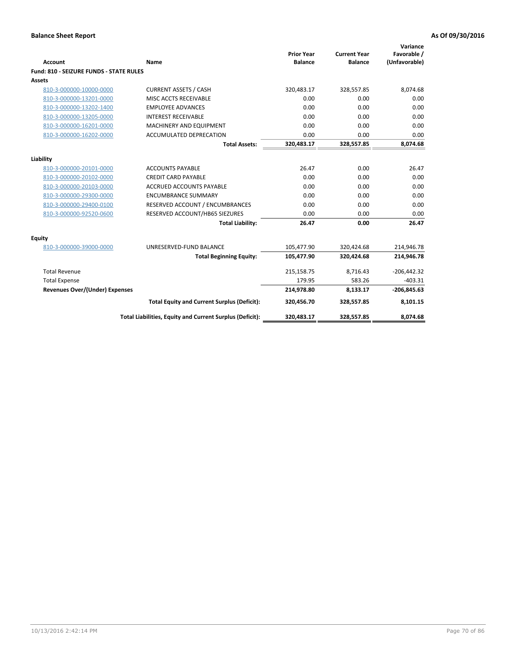| <b>Account</b>                          | <b>Name</b>                                                   | <b>Prior Year</b><br><b>Balance</b> | <b>Current Year</b><br><b>Balance</b> | Variance<br>Favorable /<br>(Unfavorable) |
|-----------------------------------------|---------------------------------------------------------------|-------------------------------------|---------------------------------------|------------------------------------------|
| Fund: 810 - SEIZURE FUNDS - STATE RULES |                                                               |                                     |                                       |                                          |
| <b>Assets</b>                           |                                                               |                                     |                                       |                                          |
| 810-3-000000-10000-0000                 | <b>CURRENT ASSETS / CASH</b>                                  | 320,483.17                          | 328,557.85                            | 8,074.68                                 |
| 810-3-000000-13201-0000                 | MISC ACCTS RECEIVABLE                                         | 0.00                                | 0.00                                  | 0.00                                     |
| 810-3-000000-13202-1400                 | <b>EMPLOYEE ADVANCES</b>                                      | 0.00                                | 0.00                                  | 0.00                                     |
| 810-3-000000-13205-0000                 | <b>INTEREST RECEIVABLE</b>                                    | 0.00                                | 0.00                                  | 0.00                                     |
| 810-3-000000-16201-0000                 | MACHINERY AND EQUIPMENT                                       | 0.00                                | 0.00                                  | 0.00                                     |
| 810-3-000000-16202-0000                 | ACCUMULATED DEPRECATION                                       | 0.00                                | 0.00                                  | 0.00                                     |
|                                         | <b>Total Assets:</b>                                          | 320,483.17                          | 328,557.85                            | 8,074.68                                 |
|                                         |                                                               |                                     |                                       |                                          |
| Liability                               |                                                               | 26.47                               | 0.00                                  | 26.47                                    |
| 810-3-000000-20101-0000                 | <b>ACCOUNTS PAYABLE</b>                                       |                                     |                                       |                                          |
| 810-3-000000-20102-0000                 | <b>CREDIT CARD PAYABLE</b><br><b>ACCRUED ACCOUNTS PAYABLE</b> | 0.00<br>0.00                        | 0.00<br>0.00                          | 0.00<br>0.00                             |
| 810-3-000000-20103-0000                 |                                                               |                                     |                                       |                                          |
| 810-3-000000-29300-0000                 | <b>ENCUMBRANCE SUMMARY</b>                                    | 0.00                                | 0.00                                  | 0.00                                     |
| 810-3-000000-29400-0100                 | RESERVED ACCOUNT / ENCUMBRANCES                               | 0.00                                | 0.00                                  | 0.00                                     |
| 810-3-000000-92520-0600                 | RESERVED ACCOUNT/HB65 SIEZURES                                | 0.00                                | 0.00                                  | 0.00                                     |
|                                         | <b>Total Liability:</b>                                       | 26.47                               | 0.00                                  | 26.47                                    |
| <b>Equity</b>                           |                                                               |                                     |                                       |                                          |
| 810-3-000000-39000-0000                 | UNRESERVED-FUND BALANCE                                       | 105,477.90                          | 320,424.68                            | 214,946.78                               |
|                                         | <b>Total Beginning Equity:</b>                                | 105,477.90                          | 320,424.68                            | 214,946.78                               |
| <b>Total Revenue</b>                    |                                                               | 215,158.75                          | 8.716.43                              | $-206,442.32$                            |
| <b>Total Expense</b>                    |                                                               | 179.95                              | 583.26                                | $-403.31$                                |
| Revenues Over/(Under) Expenses          |                                                               | 214,978.80                          | 8,133.17                              | $-206,845.63$                            |
|                                         | <b>Total Equity and Current Surplus (Deficit):</b>            | 320,456.70                          | 328,557.85                            | 8,101.15                                 |
|                                         | Total Liabilities, Equity and Current Surplus (Deficit):      | 320,483.17                          | 328,557.85                            | 8,074.68                                 |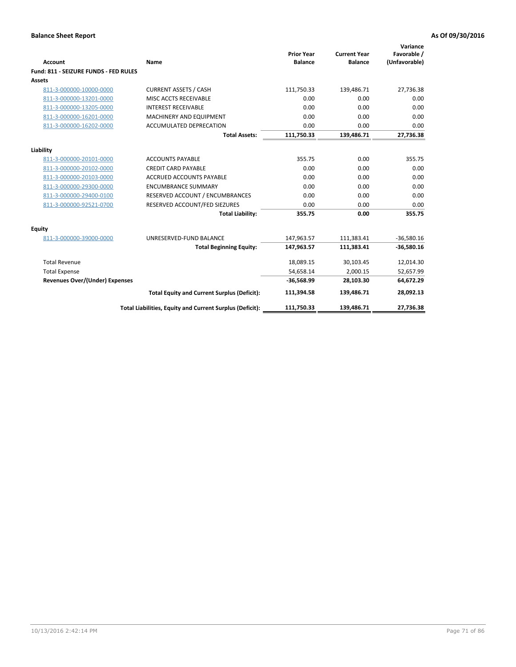| <b>Account</b>                        | Name                                                     | <b>Prior Year</b><br><b>Balance</b> | <b>Current Year</b><br><b>Balance</b> | Variance<br>Favorable /<br>(Unfavorable) |
|---------------------------------------|----------------------------------------------------------|-------------------------------------|---------------------------------------|------------------------------------------|
| Fund: 811 - SEIZURE FUNDS - FED RULES |                                                          |                                     |                                       |                                          |
| <b>Assets</b>                         |                                                          |                                     |                                       |                                          |
| 811-3-000000-10000-0000               | <b>CURRENT ASSETS / CASH</b>                             | 111,750.33                          | 139,486.71                            | 27,736.38                                |
| 811-3-000000-13201-0000               | MISC ACCTS RECEIVABLE                                    | 0.00                                | 0.00                                  | 0.00                                     |
| 811-3-000000-13205-0000               | <b>INTEREST RECEIVABLE</b>                               | 0.00                                | 0.00                                  | 0.00                                     |
| 811-3-000000-16201-0000               | <b>MACHINERY AND EQUIPMENT</b>                           | 0.00                                | 0.00                                  | 0.00                                     |
| 811-3-000000-16202-0000               | <b>ACCUMULATED DEPRECATION</b>                           | 0.00                                | 0.00                                  | 0.00                                     |
|                                       | <b>Total Assets:</b>                                     | 111,750.33                          | 139,486.71                            | 27,736.38                                |
| Liability                             |                                                          |                                     |                                       |                                          |
| 811-3-000000-20101-0000               | <b>ACCOUNTS PAYABLE</b>                                  | 355.75                              | 0.00                                  | 355.75                                   |
| 811-3-000000-20102-0000               | <b>CREDIT CARD PAYABLE</b>                               | 0.00                                | 0.00                                  | 0.00                                     |
| 811-3-000000-20103-0000               | <b>ACCRUED ACCOUNTS PAYABLE</b>                          | 0.00                                | 0.00                                  | 0.00                                     |
| 811-3-000000-29300-0000               | <b>ENCUMBRANCE SUMMARY</b>                               | 0.00                                | 0.00                                  | 0.00                                     |
| 811-3-000000-29400-0100               | RESERVED ACCOUNT / ENCUMBRANCES                          | 0.00                                | 0.00                                  | 0.00                                     |
| 811-3-000000-92521-0700               | RESERVED ACCOUNT/FED SIEZURES                            | 0.00                                | 0.00                                  | 0.00                                     |
|                                       | <b>Total Liability:</b>                                  | 355.75                              | 0.00                                  | 355.75                                   |
| <b>Equity</b>                         |                                                          |                                     |                                       |                                          |
| 811-3-000000-39000-0000               | UNRESERVED-FUND BALANCE                                  | 147,963.57                          | 111,383.41                            | $-36,580.16$                             |
|                                       | <b>Total Beginning Equity:</b>                           | 147,963.57                          | 111,383.41                            | $-36,580.16$                             |
| <b>Total Revenue</b>                  |                                                          | 18,089.15                           | 30,103.45                             | 12,014.30                                |
| <b>Total Expense</b>                  |                                                          | 54,658.14                           | 2,000.15                              | 52,657.99                                |
| <b>Revenues Over/(Under) Expenses</b> |                                                          | $-36,568.99$                        | 28,103.30                             | 64,672.29                                |
|                                       | <b>Total Equity and Current Surplus (Deficit):</b>       | 111,394.58                          | 139,486.71                            | 28,092.13                                |
|                                       | Total Liabilities, Equity and Current Surplus (Deficit): | 111,750.33                          | 139.486.71                            | 27,736.38                                |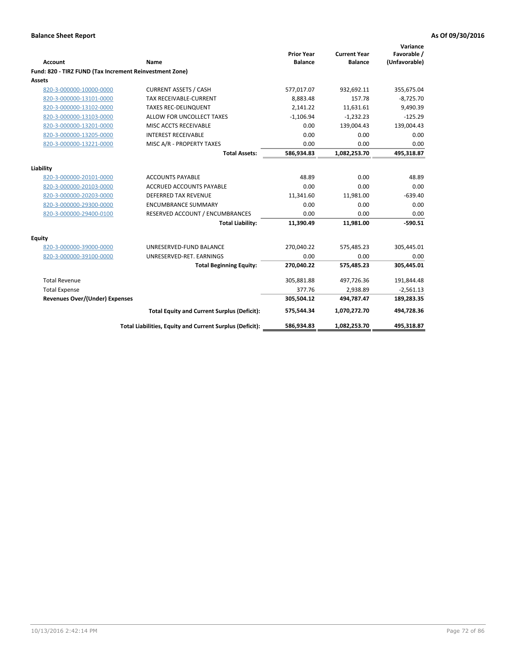| <b>Account</b>                                          | Name                                                     | <b>Prior Year</b><br><b>Balance</b> | <b>Current Year</b><br><b>Balance</b> | Variance<br>Favorable /<br>(Unfavorable) |
|---------------------------------------------------------|----------------------------------------------------------|-------------------------------------|---------------------------------------|------------------------------------------|
| Fund: 820 - TIRZ FUND (Tax Increment Reinvestment Zone) |                                                          |                                     |                                       |                                          |
| <b>Assets</b>                                           |                                                          |                                     |                                       |                                          |
| 820-3-000000-10000-0000                                 | <b>CURRENT ASSETS / CASH</b>                             | 577,017.07                          | 932,692.11                            | 355,675.04                               |
| 820-3-000000-13101-0000                                 | <b>TAX RECEIVABLE-CURRENT</b>                            | 8,883.48                            | 157.78                                | $-8,725.70$                              |
| 820-3-000000-13102-0000                                 | <b>TAXES REC-DELINQUENT</b>                              | 2,141.22                            | 11,631.61                             | 9,490.39                                 |
| 820-3-000000-13103-0000                                 | ALLOW FOR UNCOLLECT TAXES                                | $-1,106.94$                         | $-1,232.23$                           | $-125.29$                                |
| 820-3-000000-13201-0000                                 | MISC ACCTS RECEIVABLE                                    | 0.00                                | 139,004.43                            | 139,004.43                               |
| 820-3-000000-13205-0000                                 | <b>INTEREST RECEIVABLE</b>                               | 0.00                                | 0.00                                  | 0.00                                     |
| 820-3-000000-13221-0000                                 | MISC A/R - PROPERTY TAXES                                | 0.00                                | 0.00                                  | 0.00                                     |
|                                                         | <b>Total Assets:</b>                                     | 586,934.83                          | 1,082,253.70                          | 495,318.87                               |
| Liability                                               |                                                          |                                     |                                       |                                          |
| 820-3-000000-20101-0000                                 | <b>ACCOUNTS PAYABLE</b>                                  | 48.89                               | 0.00                                  | 48.89                                    |
| 820-3-000000-20103-0000                                 | <b>ACCRUED ACCOUNTS PAYABLE</b>                          | 0.00                                | 0.00                                  | 0.00                                     |
| 820-3-000000-20203-0000                                 | DEFERRED TAX REVENUE                                     | 11,341.60                           | 11,981.00                             | $-639.40$                                |
| 820-3-000000-29300-0000                                 | <b>ENCUMBRANCE SUMMARY</b>                               | 0.00                                | 0.00                                  | 0.00                                     |
| 820-3-000000-29400-0100                                 | RESERVED ACCOUNT / ENCUMBRANCES                          | 0.00                                | 0.00                                  | 0.00                                     |
|                                                         | <b>Total Liability:</b>                                  | 11,390.49                           | 11,981.00                             | $-590.51$                                |
| <b>Equity</b>                                           |                                                          |                                     |                                       |                                          |
| 820-3-000000-39000-0000                                 | UNRESERVED-FUND BALANCE                                  | 270,040.22                          | 575,485.23                            | 305,445.01                               |
| 820-3-000000-39100-0000                                 | UNRESERVED-RET. EARNINGS                                 | 0.00                                | 0.00                                  | 0.00                                     |
|                                                         | <b>Total Beginning Equity:</b>                           | 270,040.22                          | 575,485.23                            | 305,445.01                               |
| <b>Total Revenue</b>                                    |                                                          | 305,881.88                          | 497,726.36                            | 191,844.48                               |
| <b>Total Expense</b>                                    |                                                          | 377.76                              | 2,938.89                              | $-2,561.13$                              |
| <b>Revenues Over/(Under) Expenses</b>                   |                                                          | 305,504.12                          | 494.787.47                            | 189,283.35                               |
|                                                         | <b>Total Equity and Current Surplus (Deficit):</b>       | 575,544.34                          | 1,070,272.70                          | 494,728.36                               |
|                                                         | Total Liabilities, Equity and Current Surplus (Deficit): | 586,934.83                          | 1,082,253.70                          | 495,318.87                               |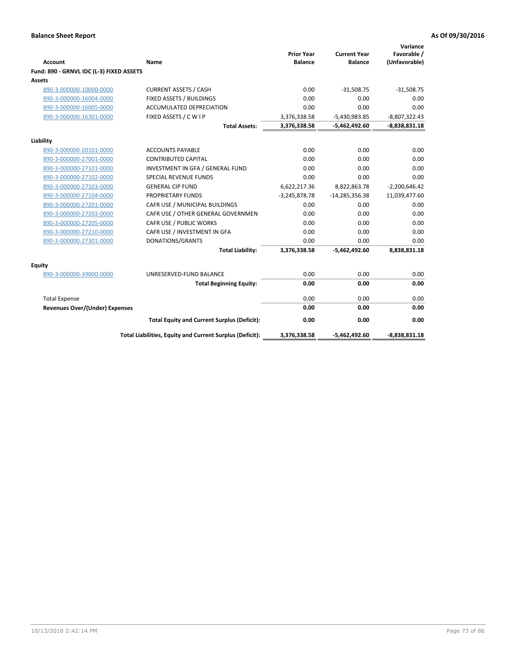|                                          |                                                          | <b>Prior Year</b> | <b>Current Year</b> | Variance<br>Favorable / |
|------------------------------------------|----------------------------------------------------------|-------------------|---------------------|-------------------------|
| <b>Account</b>                           | Name                                                     | <b>Balance</b>    | <b>Balance</b>      | (Unfavorable)           |
| Fund: 890 - GRNVL IDC (L-3) FIXED ASSETS |                                                          |                   |                     |                         |
| <b>Assets</b>                            |                                                          |                   |                     |                         |
| 890-3-000000-10000-0000                  | <b>CURRENT ASSETS / CASH</b>                             | 0.00              | $-31,508.75$        | $-31,508.75$            |
| 890-3-000000-16004-0000                  | FIXED ASSETS / BUILDINGS                                 | 0.00              | 0.00                | 0.00                    |
| 890-3-000000-16005-0000                  | <b>ACCUMULATED DEPRECIATION</b>                          | 0.00              | 0.00                | 0.00                    |
| 890-3-000000-16301-0000                  | FIXED ASSETS / C W I P                                   | 3,376,338.58      | $-5,430,983.85$     | $-8,807,322.43$         |
|                                          | <b>Total Assets:</b>                                     | 3,376,338.58      | -5,462,492.60       | $-8,838,831.18$         |
| Liability                                |                                                          |                   |                     |                         |
| 890-3-000000-20101-0000                  | <b>ACCOUNTS PAYABLE</b>                                  | 0.00              | 0.00                | 0.00                    |
| 890-3-000000-27001-0000                  | <b>CONTRIBUTED CAPITAL</b>                               | 0.00              | 0.00                | 0.00                    |
| 890-3-000000-27101-0000                  | INVESTMENT IN GFA / GENERAL FUND                         | 0.00              | 0.00                | 0.00                    |
| 890-3-000000-27102-0000                  | <b>SPECIAL REVENUE FUNDS</b>                             | 0.00              | 0.00                | 0.00                    |
| 890-3-000000-27103-0000                  | <b>GENERAL CIP FUND</b>                                  | 6,622,217.36      | 8,822,863.78        | $-2,200,646.42$         |
| 890-3-000000-27104-0000                  | PROPRIETARY FUNDS                                        | $-3,245,878.78$   | $-14,285,356.38$    | 11,039,477.60           |
| 890-3-000000-27201-0000                  | CAFR USE / MUNICIPAL BUILDINGS                           | 0.00              | 0.00                | 0.00                    |
| 890-3-000000-27202-0000                  | CAFR USE / OTHER GENERAL GOVERNMEN                       | 0.00              | 0.00                | 0.00                    |
| 890-3-000000-27205-0000                  | CAFR USE / PUBLIC WORKS                                  | 0.00              | 0.00                | 0.00                    |
| 890-3-000000-27210-0000                  | CAFR USE / INVESTMENT IN GFA                             | 0.00              | 0.00                | 0.00                    |
| 890-3-000000-27301-0000                  | DONATIONS/GRANTS                                         | 0.00              | 0.00                | 0.00                    |
|                                          | <b>Total Liability:</b>                                  | 3,376,338.58      | $-5,462,492.60$     | 8,838,831.18            |
| <b>Equity</b>                            |                                                          |                   |                     |                         |
| 890-3-000000-39000-0000                  | UNRESERVED-FUND BALANCE                                  | 0.00              | 0.00                | 0.00                    |
|                                          | <b>Total Beginning Equity:</b>                           | 0.00              | 0.00                | 0.00                    |
| <b>Total Expense</b>                     |                                                          | 0.00              | 0.00                | 0.00                    |
| <b>Revenues Over/(Under) Expenses</b>    |                                                          | 0.00              | 0.00                | 0.00                    |
|                                          | <b>Total Equity and Current Surplus (Deficit):</b>       | 0.00              | 0.00                | 0.00                    |
|                                          | Total Liabilities, Equity and Current Surplus (Deficit): | 3,376,338.58      | $-5,462,492.60$     | $-8,838,831.18$         |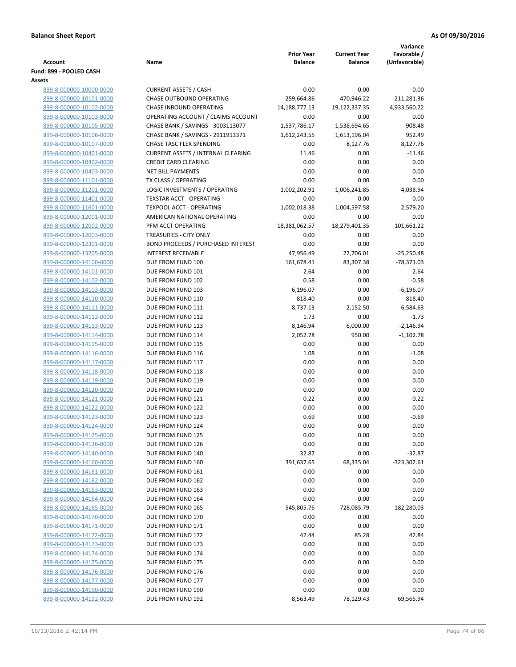| <b>Account</b>                                     | Name                                                          | <b>Prior Year</b><br><b>Balance</b> | <b>Current Year</b><br><b>Balance</b> | Variance<br>Favorable /<br>(Unfavorable) |
|----------------------------------------------------|---------------------------------------------------------------|-------------------------------------|---------------------------------------|------------------------------------------|
| Fund: 899 - POOLED CASH                            |                                                               |                                     |                                       |                                          |
| Assets                                             |                                                               |                                     |                                       |                                          |
| 899-8-000000-10000-0000                            | <b>CURRENT ASSETS / CASH</b>                                  | 0.00                                | 0.00                                  | 0.00                                     |
| 899-8-000000-10101-0000                            | <b>CHASE OUTBOUND OPERATING</b>                               | $-259,664.86$                       | -470,946.22                           | $-211,281.36$                            |
| 899-8-000000-10102-0000                            | CHASE INBOUND OPERATING                                       | 14,188,777.13                       | 19,122,337.35                         | 4,933,560.22                             |
| 899-8-000000-10103-0000                            | OPERATING ACCOUNT / CLAIMS ACCOUNT                            | 0.00                                | 0.00                                  | 0.00                                     |
| 899-8-000000-10105-0000<br>899-8-000000-10106-0000 | CHASE BANK / SAVINGS - 3003113077                             | 1,537,786.17                        | 1,538,694.65                          | 908.48                                   |
|                                                    | CHASE BANK / SAVINGS - 2911913371<br>CHASE TASC FLEX SPENDING | 1,612,243.55<br>0.00                | 1,613,196.04                          | 952.49                                   |
| 899-8-000000-10107-0000<br>899-8-000000-10401-0000 | <b>CURRENT ASSETS / INTERNAL CLEARING</b>                     | 11.46                               | 8,127.76<br>0.00                      | 8,127.76<br>$-11.46$                     |
| 899-8-000000-10402-0000                            | <b>CREDIT CARD CLEARING</b>                                   | 0.00                                | 0.00                                  | 0.00                                     |
| 899-8-000000-10403-0000                            | <b>NET BILL PAYMENTS</b>                                      | 0.00                                | 0.00                                  | 0.00                                     |
| 899-8-000000-11101-0000                            | TX CLASS / OPERATING                                          | 0.00                                | 0.00                                  | 0.00                                     |
| 899-8-000000-11201-0000                            | LOGIC INVESTMENTS / OPERATING                                 | 1,002,202.91                        | 1,006,241.85                          | 4,038.94                                 |
| 899-8-000000-11401-0000                            | <b>TEXSTAR ACCT - OPERATING</b>                               | 0.00                                | 0.00                                  | 0.00                                     |
| 899-8-000000-11601-0000                            | <b>TEXPOOL ACCT - OPERATING</b>                               | 1,002,018.38                        | 1,004,597.58                          | 2,579.20                                 |
| 899-8-000000-12001-0000                            | AMERICAN NATIONAL OPERATING                                   | 0.00                                | 0.00                                  | 0.00                                     |
| 899-8-000000-12002-0000                            | PFM ACCT OPERATING                                            | 18,381,062.57                       | 18,279,401.35                         | $-101,661.22$                            |
| 899-8-000000-12003-0000                            | TREASURIES - CITY ONLY                                        | 0.00                                | 0.00                                  | 0.00                                     |
| 899-8-000000-12301-0000                            | <b>BOND PROCEEDS / PURCHASED INTEREST</b>                     | 0.00                                | 0.00                                  | 0.00                                     |
| 899-8-000000-13205-0000                            | <b>INTEREST RECEIVABLE</b>                                    | 47,956.49                           | 22,706.01                             | $-25,250.48$                             |
| 899-8-000000-14100-0000                            | DUE FROM FUND 100                                             | 161,678.41                          | 83,307.38                             | $-78,371.03$                             |
| 899-8-000000-14101-0000                            | DUE FROM FUND 101                                             | 2.64                                | 0.00                                  | $-2.64$                                  |
| 899-8-000000-14102-0000                            | DUE FROM FUND 102                                             | 0.58                                | 0.00                                  | $-0.58$                                  |
| 899-8-000000-14103-0000                            | DUE FROM FUND 103                                             | 6,196.07                            | 0.00                                  | $-6,196.07$                              |
| 899-8-000000-14110-0000                            | DUE FROM FUND 110                                             | 818.40                              | 0.00                                  | $-818.40$                                |
| 899-8-000000-14111-0000                            | DUE FROM FUND 111                                             | 8,737.13                            | 2,152.50                              | $-6,584.63$                              |
| 899-8-000000-14112-0000                            | DUE FROM FUND 112                                             | 1.73                                | 0.00                                  | $-1.73$                                  |
| 899-8-000000-14113-0000                            | DUE FROM FUND 113                                             | 8,146.94                            | 6,000.00                              | $-2,146.94$                              |
| 899-8-000000-14114-0000                            | DUE FROM FUND 114                                             | 2,052.78                            | 950.00                                | $-1,102.78$                              |
| 899-8-000000-14115-0000                            | DUE FROM FUND 115                                             | 0.00                                | 0.00                                  | 0.00                                     |
| 899-8-000000-14116-0000                            | DUE FROM FUND 116                                             | 1.08                                | 0.00                                  | $-1.08$                                  |
| 899-8-000000-14117-0000                            | DUE FROM FUND 117                                             | 0.00                                | 0.00                                  | 0.00                                     |
| 899-8-000000-14118-0000                            | DUE FROM FUND 118                                             | 0.00                                | 0.00                                  | 0.00                                     |
| 899-8-000000-14119-0000                            | DUE FROM FUND 119                                             | 0.00                                | 0.00                                  | 0.00                                     |
| 899-8-000000-14120-0000<br>899-8-000000-14121-0000 | DUE FROM FUND 120<br>DUE FROM FUND 121                        | 0.00<br>0.22                        | 0.00<br>0.00                          | 0.00<br>$-0.22$                          |
| 899-8-000000-14122-0000                            | DUE FROM FUND 122                                             | 0.00                                | 0.00                                  | 0.00                                     |
| 899-8-000000-14123-0000                            | DUE FROM FUND 123                                             | 0.69                                | 0.00                                  | $-0.69$                                  |
| 899-8-000000-14124-0000                            | DUE FROM FUND 124                                             | 0.00                                | 0.00                                  | 0.00                                     |
| 899-8-000000-14125-0000                            | DUE FROM FUND 125                                             | 0.00                                | 0.00                                  | 0.00                                     |
| 899-8-000000-14126-0000                            | DUE FROM FUND 126                                             | 0.00                                | 0.00                                  | 0.00                                     |
| 899-8-000000-14140-0000                            | DUE FROM FUND 140                                             | 32.87                               | 0.00                                  | $-32.87$                                 |
| 899-8-000000-14160-0000                            | DUE FROM FUND 160                                             | 391,637.65                          | 68,335.04                             | $-323,302.61$                            |
| 899-8-000000-14161-0000                            | DUE FROM FUND 161                                             | 0.00                                | 0.00                                  | 0.00                                     |
| 899-8-000000-14162-0000                            | DUE FROM FUND 162                                             | 0.00                                | 0.00                                  | 0.00                                     |
| 899-8-000000-14163-0000                            | DUE FROM FUND 163                                             | 0.00                                | 0.00                                  | 0.00                                     |
| 899-8-000000-14164-0000                            | DUE FROM FUND 164                                             | 0.00                                | 0.00                                  | 0.00                                     |
| 899-8-000000-14165-0000                            | DUE FROM FUND 165                                             | 545,805.76                          | 728,085.79                            | 182,280.03                               |
| 899-8-000000-14170-0000                            | DUE FROM FUND 170                                             | 0.00                                | 0.00                                  | 0.00                                     |
| 899-8-000000-14171-0000                            | DUE FROM FUND 171                                             | 0.00                                | 0.00                                  | 0.00                                     |
| 899-8-000000-14172-0000                            | DUE FROM FUND 172                                             | 42.44                               | 85.28                                 | 42.84                                    |
| 899-8-000000-14173-0000                            | DUE FROM FUND 173                                             | 0.00                                | 0.00                                  | 0.00                                     |
| 899-8-000000-14174-0000                            | DUE FROM FUND 174                                             | 0.00                                | 0.00                                  | 0.00                                     |
| 899-8-000000-14175-0000                            | DUE FROM FUND 175                                             | 0.00                                | 0.00                                  | 0.00                                     |
| 899-8-000000-14176-0000                            | DUE FROM FUND 176                                             | 0.00                                | 0.00                                  | 0.00                                     |
| 899-8-000000-14177-0000                            | DUE FROM FUND 177                                             | 0.00                                | 0.00                                  | 0.00                                     |
| 899-8-000000-14190-0000                            | DUE FROM FUND 190                                             | 0.00                                | 0.00                                  | 0.00                                     |
| 899-8-000000-14192-0000                            | DUE FROM FUND 192                                             | 8,563.49                            | 78,129.43                             | 69,565.94                                |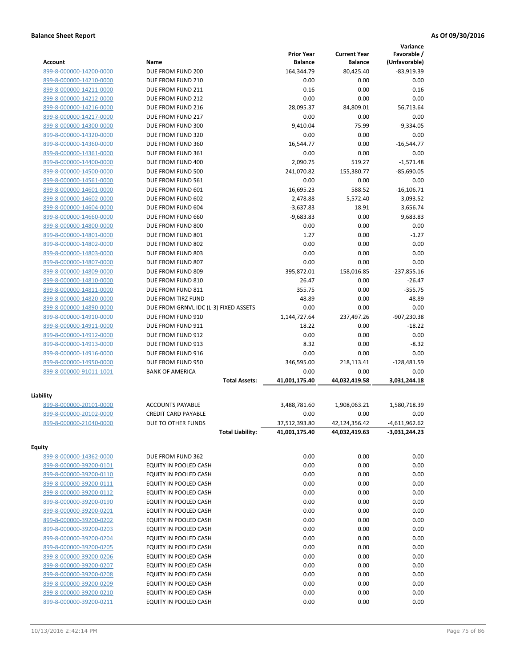|                         |                                       |                   |                     | Variance        |
|-------------------------|---------------------------------------|-------------------|---------------------|-----------------|
|                         |                                       | <b>Prior Year</b> | <b>Current Year</b> | Favorable /     |
| <b>Account</b>          | Name                                  | <b>Balance</b>    | <b>Balance</b>      | (Unfavorable)   |
| 899-8-000000-14200-0000 | DUE FROM FUND 200                     | 164,344.79        | 80,425.40           | $-83,919.39$    |
| 899-8-000000-14210-0000 | DUE FROM FUND 210                     | 0.00              | 0.00                | 0.00            |
| 899-8-000000-14211-0000 | DUE FROM FUND 211                     | 0.16              | 0.00                | $-0.16$         |
| 899-8-000000-14212-0000 | DUE FROM FUND 212                     | 0.00              | 0.00                | 0.00            |
| 899-8-000000-14216-0000 | DUE FROM FUND 216                     | 28,095.37         | 84,809.01           | 56,713.64       |
| 899-8-000000-14217-0000 | DUE FROM FUND 217                     | 0.00              | 0.00                | 0.00            |
| 899-8-000000-14300-0000 | DUE FROM FUND 300                     | 9,410.04          | 75.99               | $-9,334.05$     |
| 899-8-000000-14320-0000 | DUE FROM FUND 320                     | 0.00              | 0.00                | 0.00            |
| 899-8-000000-14360-0000 | DUE FROM FUND 360                     | 16,544.77         | 0.00                | $-16,544.77$    |
| 899-8-000000-14361-0000 | DUE FROM FUND 361                     | 0.00              | 0.00                | 0.00            |
| 899-8-000000-14400-0000 | DUE FROM FUND 400                     | 2,090.75          | 519.27              | $-1,571.48$     |
| 899-8-000000-14500-0000 | DUE FROM FUND 500                     | 241,070.82        | 155,380.77          | $-85,690.05$    |
| 899-8-000000-14561-0000 | DUE FROM FUND 561                     | 0.00              | 0.00                | 0.00            |
| 899-8-000000-14601-0000 | DUE FROM FUND 601                     | 16,695.23         | 588.52              | $-16, 106.71$   |
| 899-8-000000-14602-0000 | DUE FROM FUND 602                     | 2,478.88          | 5,572.40            | 3,093.52        |
| 899-8-000000-14604-0000 | DUE FROM FUND 604                     | $-3,637.83$       | 18.91               | 3,656.74        |
| 899-8-000000-14660-0000 | DUE FROM FUND 660                     | $-9,683.83$       | 0.00                | 9,683.83        |
| 899-8-000000-14800-0000 | DUE FROM FUND 800                     | 0.00              | 0.00                | 0.00            |
| 899-8-000000-14801-0000 | DUE FROM FUND 801                     | 1.27              | 0.00                | $-1.27$         |
| 899-8-000000-14802-0000 | DUE FROM FUND 802                     | 0.00              | 0.00                | 0.00            |
| 899-8-000000-14803-0000 | DUE FROM FUND 803                     | 0.00              | 0.00                | 0.00            |
| 899-8-000000-14807-0000 | DUE FROM FUND 807                     | 0.00              | 0.00                | 0.00            |
| 899-8-000000-14809-0000 | DUE FROM FUND 809                     | 395,872.01        | 158,016.85          | $-237,855.16$   |
| 899-8-000000-14810-0000 | DUE FROM FUND 810                     | 26.47             | 0.00                | $-26.47$        |
| 899-8-000000-14811-0000 | DUE FROM FUND 811                     | 355.75            | 0.00                | $-355.75$       |
| 899-8-000000-14820-0000 | DUE FROM TIRZ FUND                    | 48.89             | 0.00                | $-48.89$        |
| 899-8-000000-14890-0000 | DUE FROM GRNVL IDC (L-3) FIXED ASSETS | 0.00              | 0.00                | 0.00            |
| 899-8-000000-14910-0000 | DUE FROM FUND 910                     | 1,144,727.64      | 237,497.26          | -907,230.38     |
| 899-8-000000-14911-0000 | DUE FROM FUND 911                     | 18.22             | 0.00                | $-18.22$        |
| 899-8-000000-14912-0000 | DUE FROM FUND 912                     | 0.00              | 0.00                | 0.00            |
| 899-8-000000-14913-0000 | DUE FROM FUND 913                     | 8.32              | 0.00                | $-8.32$         |
| 899-8-000000-14916-0000 | DUE FROM FUND 916                     | 0.00              | 0.00                | 0.00            |
| 899-8-000000-14950-0000 | DUE FROM FUND 950                     | 346,595.00        | 218,113.41          | $-128,481.59$   |
| 899-8-000000-91011-1001 | <b>BANK OF AMERICA</b>                | 0.00              | 0.00                | 0.00            |
|                         | <b>Total Assets:</b>                  | 41,001,175.40     | 44,032,419.58       | 3,031,244.18    |
| Liability               |                                       |                   |                     |                 |
| 899-8-000000-20101-0000 | <b>ACCOUNTS PAYABLE</b>               | 3,488,781.60      | 1,908,063.21        | 1,580,718.39    |
| 899-8-000000-20102-0000 | <b>CREDIT CARD PAYABLE</b>            | 0.00              | 0.00                | 0.00            |
| 899-8-000000-21040-0000 | DUE TO OTHER FUNDS                    | 37,512,393.80     | 42,124,356.42       | $-4,611,962.62$ |
|                         | <b>Total Liability:</b>               | 41,001,175.40     | 44,032,419.63       | -3,031,244.23   |
|                         |                                       |                   |                     |                 |
| <b>Equity</b>           |                                       |                   |                     |                 |
| 899-8-000000-14362-0000 | DUE FROM FUND 362                     | 0.00              | 0.00                | 0.00            |
| 899-8-000000-39200-0101 | EQUITY IN POOLED CASH                 | 0.00              | 0.00                | 0.00            |
| 899-8-000000-39200-0110 | EQUITY IN POOLED CASH                 | 0.00              | 0.00                | 0.00            |
| 899-8-000000-39200-0111 | EQUITY IN POOLED CASH                 | 0.00              | 0.00                | 0.00            |
| 899-8-000000-39200-0112 | EQUITY IN POOLED CASH                 | 0.00              | 0.00                | 0.00            |
| 899-8-000000-39200-0190 | EQUITY IN POOLED CASH                 | 0.00              | 0.00                | 0.00            |
| 899-8-000000-39200-0201 | EQUITY IN POOLED CASH                 | 0.00              | 0.00                | 0.00            |
| 899-8-000000-39200-0202 | EQUITY IN POOLED CASH                 | 0.00              | 0.00                | 0.00            |
| 899-8-000000-39200-0203 | EQUITY IN POOLED CASH                 | 0.00              | 0.00                | 0.00            |
| 899-8-000000-39200-0204 | EQUITY IN POOLED CASH                 | 0.00              | 0.00                | 0.00            |
|                         |                                       |                   |                     |                 |
| 899-8-000000-39200-0205 | EQUITY IN POOLED CASH                 | 0.00              | 0.00                | 0.00            |
| 899-8-000000-39200-0206 | EQUITY IN POOLED CASH                 | 0.00              | 0.00                | 0.00            |
| 899-8-000000-39200-0207 | EQUITY IN POOLED CASH                 | 0.00              | 0.00                | 0.00            |
| 899-8-000000-39200-0208 | EQUITY IN POOLED CASH                 | 0.00              | 0.00                | 0.00            |
| 899-8-000000-39200-0209 | EQUITY IN POOLED CASH                 | 0.00              | 0.00                | 0.00            |
| 899-8-000000-39200-0210 | EQUITY IN POOLED CASH                 | 0.00              | 0.00                | 0.00            |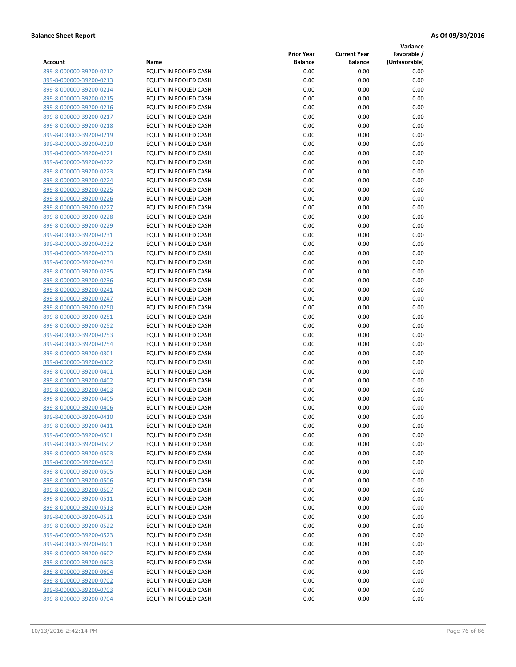**Variance**

| Account                                            | Name                                           | <b>Prior Year</b><br><b>Balance</b> | <b>Current Year</b><br><b>Balance</b> | Favorable /<br>(Unfavorable) |
|----------------------------------------------------|------------------------------------------------|-------------------------------------|---------------------------------------|------------------------------|
| 899-8-000000-39200-0212                            | EQUITY IN POOLED CASH                          | 0.00                                | 0.00                                  | 0.00                         |
| 899-8-000000-39200-0213                            | EQUITY IN POOLED CASH                          | 0.00                                | 0.00                                  | 0.00                         |
| 899-8-000000-39200-0214                            | EQUITY IN POOLED CASH                          | 0.00                                | 0.00                                  | 0.00                         |
| 899-8-000000-39200-0215                            | EQUITY IN POOLED CASH                          | 0.00                                | 0.00                                  | 0.00                         |
| 899-8-000000-39200-0216                            | <b>EQUITY IN POOLED CASH</b>                   | 0.00                                | 0.00                                  | 0.00                         |
| 899-8-000000-39200-0217                            | EQUITY IN POOLED CASH                          | 0.00                                | 0.00                                  | 0.00                         |
| 899-8-000000-39200-0218                            | EQUITY IN POOLED CASH                          | 0.00                                | 0.00                                  | 0.00                         |
| 899-8-000000-39200-0219                            | EQUITY IN POOLED CASH                          | 0.00                                | 0.00                                  | 0.00                         |
| 899-8-000000-39200-0220                            | EQUITY IN POOLED CASH                          | 0.00                                | 0.00                                  | 0.00                         |
| 899-8-000000-39200-0221                            | EQUITY IN POOLED CASH                          | 0.00                                | 0.00                                  | 0.00                         |
| 899-8-000000-39200-0222                            | EQUITY IN POOLED CASH                          | 0.00                                | 0.00                                  | 0.00                         |
| 899-8-000000-39200-0223                            | EQUITY IN POOLED CASH                          | 0.00                                | 0.00                                  | 0.00                         |
| 899-8-000000-39200-0224                            | EQUITY IN POOLED CASH                          | 0.00                                | 0.00                                  | 0.00                         |
| 899-8-000000-39200-0225                            | EQUITY IN POOLED CASH                          | 0.00                                | 0.00                                  | 0.00                         |
| 899-8-000000-39200-0226                            | EQUITY IN POOLED CASH                          | 0.00                                | 0.00                                  | 0.00                         |
| 899-8-000000-39200-0227                            | EQUITY IN POOLED CASH                          | 0.00                                | 0.00                                  | 0.00                         |
| 899-8-000000-39200-0228                            | EQUITY IN POOLED CASH                          | 0.00                                | 0.00                                  | 0.00                         |
| 899-8-000000-39200-0229                            | EQUITY IN POOLED CASH                          | 0.00                                | 0.00                                  | 0.00                         |
| 899-8-000000-39200-0231                            | EQUITY IN POOLED CASH                          | 0.00                                | 0.00                                  | 0.00                         |
| 899-8-000000-39200-0232                            | EQUITY IN POOLED CASH                          | 0.00                                | 0.00                                  | 0.00                         |
| 899-8-000000-39200-0233                            | <b>EQUITY IN POOLED CASH</b>                   | 0.00                                | 0.00                                  | 0.00                         |
| 899-8-000000-39200-0234                            | EQUITY IN POOLED CASH                          | 0.00                                | 0.00                                  | 0.00                         |
| 899-8-000000-39200-0235                            | <b>EQUITY IN POOLED CASH</b>                   | 0.00                                | 0.00                                  | 0.00                         |
| 899-8-000000-39200-0236                            | EQUITY IN POOLED CASH                          | 0.00                                | 0.00                                  | 0.00                         |
| 899-8-000000-39200-0241                            | EQUITY IN POOLED CASH                          | 0.00                                | 0.00                                  | 0.00                         |
| 899-8-000000-39200-0247                            | EQUITY IN POOLED CASH                          | 0.00                                | 0.00                                  | 0.00                         |
| 899-8-000000-39200-0250                            | EQUITY IN POOLED CASH                          | 0.00                                | 0.00                                  | 0.00                         |
| 899-8-000000-39200-0251                            | EQUITY IN POOLED CASH                          | 0.00                                | 0.00                                  | 0.00                         |
| 899-8-000000-39200-0252                            | EQUITY IN POOLED CASH                          | 0.00                                | 0.00                                  | 0.00                         |
| 899-8-000000-39200-0253                            | EQUITY IN POOLED CASH                          | 0.00                                | 0.00                                  | 0.00                         |
| 899-8-000000-39200-0254                            | EQUITY IN POOLED CASH                          | 0.00                                | 0.00                                  | 0.00                         |
| 899-8-000000-39200-0301<br>899-8-000000-39200-0302 | EQUITY IN POOLED CASH<br>EQUITY IN POOLED CASH | 0.00<br>0.00                        | 0.00<br>0.00                          | 0.00<br>0.00                 |
| 899-8-000000-39200-0401                            | EQUITY IN POOLED CASH                          | 0.00                                | 0.00                                  | 0.00                         |
| 899-8-000000-39200-0402                            | EQUITY IN POOLED CASH                          | 0.00                                | 0.00                                  | 0.00                         |
| 899-8-000000-39200-0403                            | EQUITY IN POOLED CASH                          | 0.00                                | 0.00                                  | 0.00                         |
| 899-8-000000-39200-0405                            | EQUITY IN POOLED CASH                          | 0.00                                | 0.00                                  | 0.00                         |
| 899-8-000000-39200-0406                            | <b>EQUITY IN POOLED CASH</b>                   | 0.00                                | 0.00                                  | 0.00                         |
| 899-8-000000-39200-0410                            | EQUITY IN POOLED CASH                          | 0.00                                | 0.00                                  | 0.00                         |
| 899-8-000000-39200-0411                            | EQUITY IN POOLED CASH                          | 0.00                                | 0.00                                  | 0.00                         |
| 899-8-000000-39200-0501                            | EQUITY IN POOLED CASH                          | 0.00                                | 0.00                                  | 0.00                         |
| 899-8-000000-39200-0502                            | EQUITY IN POOLED CASH                          | 0.00                                | 0.00                                  | 0.00                         |
| 899-8-000000-39200-0503                            | EQUITY IN POOLED CASH                          | 0.00                                | 0.00                                  | 0.00                         |
| 899-8-000000-39200-0504                            | EQUITY IN POOLED CASH                          | 0.00                                | 0.00                                  | 0.00                         |
| 899-8-000000-39200-0505                            | EQUITY IN POOLED CASH                          | 0.00                                | 0.00                                  | 0.00                         |
| 899-8-000000-39200-0506                            | EQUITY IN POOLED CASH                          | 0.00                                | 0.00                                  | 0.00                         |
| 899-8-000000-39200-0507                            | EQUITY IN POOLED CASH                          | 0.00                                | 0.00                                  | 0.00                         |
| 899-8-000000-39200-0511                            | EQUITY IN POOLED CASH                          | 0.00                                | 0.00                                  | 0.00                         |
| 899-8-000000-39200-0513                            | EQUITY IN POOLED CASH                          | 0.00                                | 0.00                                  | 0.00                         |
| 899-8-000000-39200-0521                            | EQUITY IN POOLED CASH                          | 0.00                                | 0.00                                  | 0.00                         |
| 899-8-000000-39200-0522                            | EQUITY IN POOLED CASH                          | 0.00                                | 0.00                                  | 0.00                         |
| 899-8-000000-39200-0523                            | EQUITY IN POOLED CASH                          | 0.00                                | 0.00                                  | 0.00                         |
| 899-8-000000-39200-0601                            | EQUITY IN POOLED CASH                          | 0.00                                | 0.00                                  | 0.00                         |
| 899-8-000000-39200-0602                            | EQUITY IN POOLED CASH                          | 0.00                                | 0.00                                  | 0.00                         |
| 899-8-000000-39200-0603                            | EQUITY IN POOLED CASH                          | 0.00                                | 0.00                                  | 0.00                         |
| 899-8-000000-39200-0604                            | EQUITY IN POOLED CASH                          | 0.00                                | 0.00                                  | 0.00                         |
| 899-8-000000-39200-0702                            | EQUITY IN POOLED CASH                          | 0.00                                | 0.00                                  | 0.00                         |
| 899-8-000000-39200-0703<br>899-8-000000-39200-0704 | EQUITY IN POOLED CASH<br>EQUITY IN POOLED CASH | 0.00<br>0.00                        | 0.00<br>0.00                          | 0.00<br>0.00                 |
|                                                    |                                                |                                     |                                       |                              |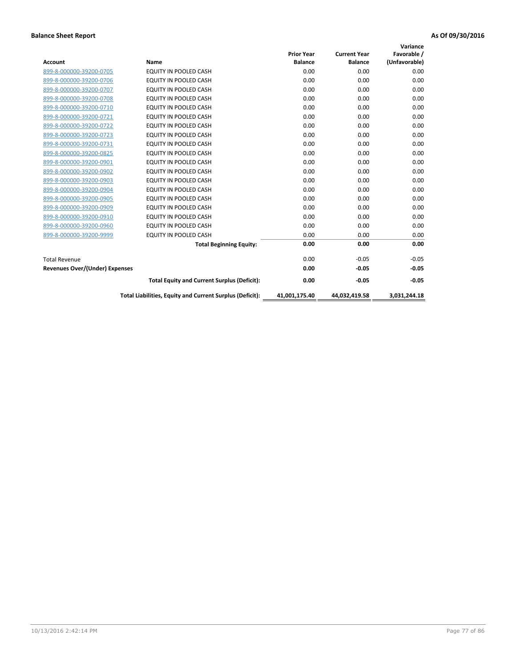|                                       |                                                          |                   |                     | Variance      |
|---------------------------------------|----------------------------------------------------------|-------------------|---------------------|---------------|
|                                       |                                                          | <b>Prior Year</b> | <b>Current Year</b> | Favorable /   |
| <b>Account</b>                        | Name                                                     | <b>Balance</b>    | <b>Balance</b>      | (Unfavorable) |
| 899-8-000000-39200-0705               | EQUITY IN POOLED CASH                                    | 0.00              | 0.00                | 0.00          |
| 899-8-000000-39200-0706               | <b>EQUITY IN POOLED CASH</b>                             | 0.00              | 0.00                | 0.00          |
| 899-8-000000-39200-0707               | EQUITY IN POOLED CASH                                    | 0.00              | 0.00                | 0.00          |
| 899-8-000000-39200-0708               | <b>EQUITY IN POOLED CASH</b>                             | 0.00              | 0.00                | 0.00          |
| 899-8-000000-39200-0710               | <b>EQUITY IN POOLED CASH</b>                             | 0.00              | 0.00                | 0.00          |
| 899-8-000000-39200-0721               | <b>EQUITY IN POOLED CASH</b>                             | 0.00              | 0.00                | 0.00          |
| 899-8-000000-39200-0722               | EQUITY IN POOLED CASH                                    | 0.00              | 0.00                | 0.00          |
| 899-8-000000-39200-0723               | EQUITY IN POOLED CASH                                    | 0.00              | 0.00                | 0.00          |
| 899-8-000000-39200-0731               | <b>EQUITY IN POOLED CASH</b>                             | 0.00              | 0.00                | 0.00          |
| 899-8-000000-39200-0825               | <b>EQUITY IN POOLED CASH</b>                             | 0.00              | 0.00                | 0.00          |
| 899-8-000000-39200-0901               | <b>EQUITY IN POOLED CASH</b>                             | 0.00              | 0.00                | 0.00          |
| 899-8-000000-39200-0902               | EQUITY IN POOLED CASH                                    | 0.00              | 0.00                | 0.00          |
| 899-8-000000-39200-0903               | <b>EQUITY IN POOLED CASH</b>                             | 0.00              | 0.00                | 0.00          |
| 899-8-000000-39200-0904               | EQUITY IN POOLED CASH                                    | 0.00              | 0.00                | 0.00          |
| 899-8-000000-39200-0905               | <b>EQUITY IN POOLED CASH</b>                             | 0.00              | 0.00                | 0.00          |
| 899-8-000000-39200-0909               | <b>EQUITY IN POOLED CASH</b>                             | 0.00              | 0.00                | 0.00          |
| 899-8-000000-39200-0910               | EQUITY IN POOLED CASH                                    | 0.00              | 0.00                | 0.00          |
| 899-8-000000-39200-0960               | <b>EQUITY IN POOLED CASH</b>                             | 0.00              | 0.00                | 0.00          |
| 899-8-000000-39200-9999               | EQUITY IN POOLED CASH                                    | 0.00              | 0.00                | 0.00          |
|                                       | <b>Total Beginning Equity:</b>                           | 0.00              | 0.00                | 0.00          |
| <b>Total Revenue</b>                  |                                                          | 0.00              | $-0.05$             | $-0.05$       |
| <b>Revenues Over/(Under) Expenses</b> |                                                          | 0.00              | $-0.05$             | $-0.05$       |
|                                       | <b>Total Equity and Current Surplus (Deficit):</b>       | 0.00              | $-0.05$             | $-0.05$       |
|                                       | Total Liabilities, Equity and Current Surplus (Deficit): | 41,001,175.40     | 44.032.419.58       | 3.031.244.18  |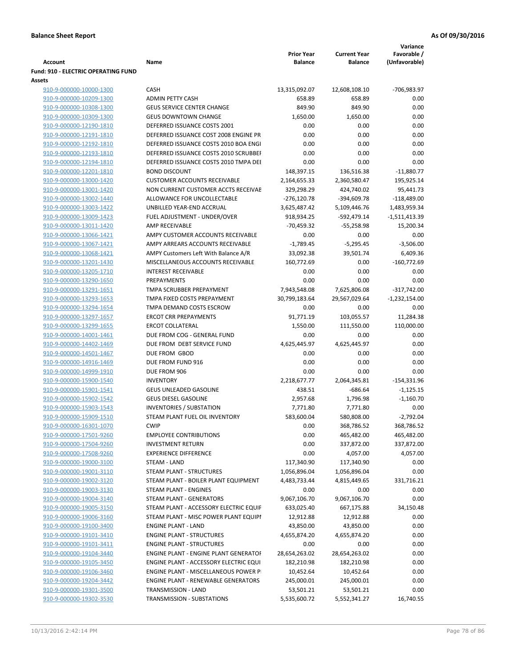|                                                    |                                                           | <b>Prior Year</b> | <b>Current Year</b>      | Variance<br>Favorable /  |
|----------------------------------------------------|-----------------------------------------------------------|-------------------|--------------------------|--------------------------|
| <b>Account</b>                                     | Name                                                      | <b>Balance</b>    | <b>Balance</b>           | (Unfavorable)            |
| Fund: 910 - ELECTRIC OPERATING FUND                |                                                           |                   |                          |                          |
| Assets                                             |                                                           |                   |                          |                          |
| 910-9-000000-10000-1300                            | CASH                                                      | 13,315,092.07     | 12,608,108.10            | -706,983.97              |
| 910-9-000000-10209-1300                            | <b>ADMIN PETTY CASH</b>                                   | 658.89            | 658.89                   | 0.00                     |
| 910-9-000000-10308-1300                            | <b>GEUS SERVICE CENTER CHANGE</b>                         | 849.90            | 849.90                   | 0.00                     |
| 910-9-000000-10309-1300                            | <b>GEUS DOWNTOWN CHANGE</b>                               | 1,650.00          | 1,650.00                 | 0.00                     |
| 910-9-000000-12190-1810                            | DEFERRED ISSUANCE COSTS 2001                              | 0.00              | 0.00                     | 0.00                     |
| 910-9-000000-12191-1810                            | DEFERRED ISSUANCE COST 2008 ENGINE PR                     | 0.00              | 0.00                     | 0.00                     |
| 910-9-000000-12192-1810                            | DEFERRED ISSUANCE COSTS 2010 BOA ENGI                     | 0.00              | 0.00                     | 0.00                     |
| 910-9-000000-12193-1810                            | DEFERRED ISSUANCE COSTS 2010 SCRUBBEI                     | 0.00              | 0.00                     | 0.00                     |
| 910-9-000000-12194-1810                            | DEFERRED ISSUANCE COSTS 2010 TMPA DEI                     | 0.00              | 0.00                     | 0.00                     |
| 910-9-000000-12201-1810                            | <b>BOND DISCOUNT</b>                                      | 148,397.15        | 136,516.38               | $-11,880.77$             |
| 910-9-000000-13000-1420                            | <b>CUSTOMER ACCOUNTS RECEIVABLE</b>                       | 2,164,655.33      | 2,360,580.47             | 195,925.14               |
| 910-9-000000-13001-1420                            | NON CURRENT CUSTOMER ACCTS RECEIVAE                       | 329,298.29        | 424,740.02               | 95,441.73                |
| 910-9-000000-13002-1440                            | ALLOWANCE FOR UNCOLLECTABLE                               | $-276,120.78$     | $-394,609.78$            | $-118,489.00$            |
| 910-9-000000-13003-1422                            | UNBILLED YEAR-END ACCRUAL                                 | 3,625,487.42      | 5,109,446.76             | 1,483,959.34             |
| 910-9-000000-13009-1423                            | FUEL ADJUSTMENT - UNDER/OVER                              | 918,934.25        | -592,479.14              | $-1,511,413.39$          |
| 910-9-000000-13011-1420                            | AMP RECEIVABLE                                            | -70,459.32        | $-55,258.98$             | 15,200.34                |
| 910-9-000000-13066-1421                            | AMPY CUSTOMER ACCOUNTS RECEIVABLE                         | 0.00              | 0.00                     | 0.00                     |
| 910-9-000000-13067-1421                            | AMPY ARREARS ACCOUNTS RECEIVABLE                          | $-1,789.45$       | $-5,295.45$              | $-3,506.00$              |
| 910-9-000000-13068-1421                            | AMPY Customers Left With Balance A/R                      | 33,092.38         | 39,501.74                | 6,409.36                 |
| 910-9-000000-13201-1430                            | MISCELLANEOUS ACCOUNTS RECEIVABLE                         | 160,772.69        | 0.00                     | $-160,772.69$            |
| 910-9-000000-13205-1710                            | <b>INTEREST RECEIVABLE</b>                                | 0.00              | 0.00                     | 0.00                     |
| 910-9-000000-13290-1650                            | PREPAYMENTS                                               | 0.00              | 0.00                     | 0.00                     |
| 910-9-000000-13291-1651                            | TMPA SCRUBBER PREPAYMENT                                  | 7,943,548.08      | 7,625,806.08             | $-317,742.00$            |
| 910-9-000000-13293-1653                            | TMPA FIXED COSTS PREPAYMENT                               | 30,799,183.64     | 29,567,029.64            | $-1,232,154.00$          |
| 910-9-000000-13294-1654                            | TMPA DEMAND COSTS ESCROW                                  | 0.00              | 0.00                     | 0.00                     |
| 910-9-000000-13297-1657                            | <b>ERCOT CRR PREPAYMENTS</b>                              | 91,771.19         | 103,055.57               | 11,284.38                |
| 910-9-000000-13299-1655                            | <b>ERCOT COLLATERAL</b>                                   | 1,550.00          | 111,550.00               | 110,000.00               |
| 910-9-000000-14001-1461                            | DUE FROM COG - GENERAL FUND                               | 0.00              | 0.00                     | 0.00                     |
| 910-9-000000-14402-1469                            | DUE FROM DEBT SERVICE FUND                                | 4,625,445.97      | 4,625,445.97             | 0.00                     |
| 910-9-000000-14501-1467                            | DUE FROM GBOD                                             | 0.00              | 0.00                     | 0.00                     |
| 910-9-000000-14916-1469                            | DUE FROM FUND 916                                         | 0.00              | 0.00                     | 0.00                     |
| 910-9-000000-14999-1910                            | DUE FROM 906                                              | 0.00              | 0.00                     | 0.00                     |
| 910-9-000000-15900-1540                            | <b>INVENTORY</b>                                          | 2,218,677.77      | 2,064,345.81             | $-154,331.96$            |
| 910-9-000000-15901-1541                            | <b>GEUS UNLEADED GASOLINE</b>                             | 438.51            | $-686.64$                | $-1,125.15$              |
| 910-9-000000-15902-1542                            | <b>GEUS DIESEL GASOLINE</b>                               | 2,957.68          | 1,796.98                 | $-1,160.70$              |
| 910-9-000000-15903-1543                            | <b>INVENTORIES / SUBSTATION</b>                           | 7,771.80          | 7,771.80                 | 0.00                     |
| 910-9-000000-15909-1510                            | STEAM PLANT FUEL OIL INVENTORY                            | 583,600.04        | 580,808.00               | $-2,792.04$              |
| 910-9-000000-16301-1070                            | <b>CWIP</b>                                               | 0.00              | 368,786.52               | 368,786.52               |
| 910-9-000000-17501-9260<br>910-9-000000-17504-9260 | <b>EMPLOYEE CONTRIBUTIONS</b><br><b>INVESTMENT RETURN</b> | 0.00<br>0.00      | 465,482.00<br>337,872.00 | 465,482.00<br>337,872.00 |
| 910-9-000000-17508-9260                            | <b>EXPERIENCE DIFFERENCE</b>                              | 0.00              | 4,057.00                 | 4,057.00                 |
| 910-9-000000-19000-3100                            | STEAM - LAND                                              | 117,340.90        | 117,340.90               | 0.00                     |
| 910-9-000000-19001-3110                            | STEAM PLANT - STRUCTURES                                  | 1,056,896.04      | 1,056,896.04             | 0.00                     |
| 910-9-000000-19002-3120                            | STEAM PLANT - BOILER PLANT EQUIPMENT                      | 4,483,733.44      | 4,815,449.65             | 331,716.21               |
| 910-9-000000-19003-3130                            | STEAM PLANT - ENGINES                                     | 0.00              | 0.00                     | 0.00                     |
| 910-9-000000-19004-3140                            | STEAM PLANT - GENERATORS                                  | 9,067,106.70      | 9,067,106.70             | 0.00                     |
| 910-9-000000-19005-3150                            | STEAM PLANT - ACCESSORY ELECTRIC EQUIF                    | 633,025.40        | 667,175.88               | 34,150.48                |
| 910-9-000000-19006-3160                            | STEAM PLANT - MISC POWER PLANT EQUIPI                     | 12,912.88         | 12,912.88                | 0.00                     |
| 910-9-000000-19100-3400                            | <b>ENGINE PLANT - LAND</b>                                | 43,850.00         | 43,850.00                | 0.00                     |
| 910-9-000000-19101-3410                            | <b>ENGINE PLANT - STRUCTURES</b>                          | 4,655,874.20      | 4,655,874.20             | 0.00                     |
| 910-9-000000-19101-3411                            | <b>ENGINE PLANT - STRUCTURES</b>                          | 0.00              | 0.00                     | 0.00                     |
| 910-9-000000-19104-3440                            | ENGINE PLANT - ENGINE PLANT GENERATOF                     | 28,654,263.02     | 28,654,263.02            | 0.00                     |
| 910-9-000000-19105-3450                            | ENGINE PLANT - ACCESSORY ELECTRIC EQUI                    | 182,210.98        | 182,210.98               | 0.00                     |
| 910-9-000000-19106-3460                            | ENGINE PLANT - MISCELLANEOUS POWER P                      | 10,452.64         | 10,452.64                | 0.00                     |
| 910-9-000000-19204-3442                            | <b>ENGINE PLANT - RENEWABLE GENERATORS</b>                | 245,000.01        | 245,000.01               | 0.00                     |
| 910-9-000000-19301-3500                            | TRANSMISSION - LAND                                       | 53,501.21         | 53,501.21                | 0.00                     |
| 910-9-000000-19302-3530                            | TRANSMISSION - SUBSTATIONS                                | 5,535,600.72      | 5,552,341.27             | 16,740.55                |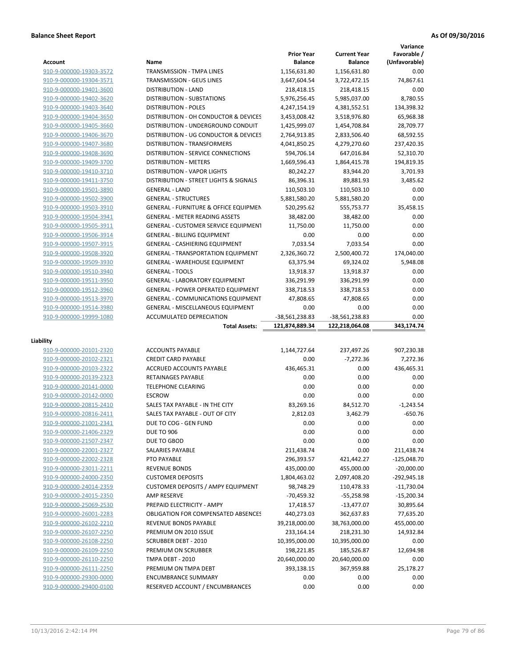|                         |                                                                      |                   |                     | Variance      |
|-------------------------|----------------------------------------------------------------------|-------------------|---------------------|---------------|
|                         |                                                                      | <b>Prior Year</b> | <b>Current Year</b> | Favorable /   |
| Account                 | Name                                                                 | <b>Balance</b>    | <b>Balance</b>      | (Unfavorable) |
| 910-9-000000-19303-3572 | TRANSMISSION - TMPA LINES                                            | 1,156,631.80      | 1,156,631.80        | 0.00          |
| 910-9-000000-19304-3571 | <b>TRANSMISSION - GEUS LINES</b>                                     | 3,647,604.54      | 3,722,472.15        | 74,867.61     |
| 910-9-000000-19401-3600 | <b>DISTRIBUTION - LAND</b>                                           | 218,418.15        | 218,418.15          | 0.00          |
| 910-9-000000-19402-3620 | <b>DISTRIBUTION - SUBSTATIONS</b>                                    | 5,976,256.45      | 5,985,037.00        | 8,780.55      |
| 910-9-000000-19403-3640 | <b>DISTRIBUTION - POLES</b>                                          | 4,247,154.19      | 4,381,552.51        | 134,398.32    |
| 910-9-000000-19404-3650 | DISTRIBUTION - OH CONDUCTOR & DEVICES                                | 3,453,008.42      | 3,518,976.80        | 65,968.38     |
| 910-9-000000-19405-3660 | DISTRIBUTION - UNDERGROUND CONDUIT                                   | 1,425,999.07      | 1,454,708.84        | 28,709.77     |
| 910-9-000000-19406-3670 | DISTRIBUTION - UG CONDUCTOR & DEVICES                                | 2,764,913.85      | 2,833,506.40        | 68,592.55     |
| 910-9-000000-19407-3680 | <b>DISTRIBUTION - TRANSFORMERS</b>                                   | 4,041,850.25      | 4,279,270.60        | 237,420.35    |
| 910-9-000000-19408-3690 | <b>DISTRIBUTION - SERVICE CONNECTIONS</b>                            | 594,706.14        | 647,016.84          | 52,310.70     |
| 910-9-000000-19409-3700 | <b>DISTRIBUTION - METERS</b>                                         | 1,669,596.43      | 1,864,415.78        | 194,819.35    |
| 910-9-000000-19410-3710 | <b>DISTRIBUTION - VAPOR LIGHTS</b>                                   | 80,242.27         | 83,944.20           | 3,701.93      |
| 910-9-000000-19411-3750 | DISTRIBUTION - STREET LIGHTS & SIGNALS                               | 86,396.31         | 89,881.93           | 3,485.62      |
| 910-9-000000-19501-3890 | <b>GENERAL - LAND</b>                                                | 110,503.10        | 110,503.10          | 0.00          |
| 910-9-000000-19502-3900 | <b>GENERAL - STRUCTURES</b>                                          | 5,881,580.20      | 5,881,580.20        | 0.00          |
| 910-9-000000-19503-3910 | <b>GENERAL - FURNITURE &amp; OFFICE EQUIPMEN</b>                     | 520,295.62        | 555,753.77          | 35,458.15     |
| 910-9-000000-19504-3941 | <b>GENERAL - METER READING ASSETS</b>                                | 38,482.00         | 38,482.00           | 0.00          |
| 910-9-000000-19505-3911 | GENERAL - CUSTOMER SERVICE EQUIPMENT                                 | 11,750.00         | 11,750.00           | 0.00          |
| 910-9-000000-19506-3914 | <b>GENERAL - BILLING EQUIPMENT</b>                                   | 0.00              | 0.00                | 0.00          |
| 910-9-000000-19507-3915 | GENERAL - CASHIERING EQUIPMENT                                       | 7,033.54          | 7,033.54            | 0.00          |
| 910-9-000000-19508-3920 | <b>GENERAL - TRANSPORTATION EQUIPMENT</b>                            | 2,326,360.72      | 2,500,400.72        | 174,040.00    |
| 910-9-000000-19509-3930 | <b>GENERAL - WAREHOUSE EQUIPMENT</b>                                 | 63,375.94         | 69,324.02           | 5,948.08      |
| 910-9-000000-19510-3940 | <b>GENERAL - TOOLS</b>                                               | 13,918.37         | 13,918.37           | 0.00          |
| 910-9-000000-19511-3950 | <b>GENERAL - LABORATORY EQUIPMENT</b>                                | 336,291.99        | 336,291.99          | 0.00          |
| 910-9-000000-19512-3960 | <b>GENERAL - POWER OPERATED EQUIPMENT</b>                            | 338,718.53        | 338,718.53          | 0.00          |
| 910-9-000000-19513-3970 | <b>GENERAL - COMMUNICATIONS EQUIPMENT</b>                            | 47,808.65         | 47,808.65           | 0.00          |
| 910-9-000000-19514-3980 | <b>GENERAL - MISCELLANEOUS EQUIPMENT</b><br>ACCUMULATED DEPRECIATION | 0.00              | 0.00                | 0.00<br>0.00  |
|                         |                                                                      |                   |                     |               |
| 910-9-000000-19999-1080 |                                                                      | -38,561,238.83    | -38,561,238.83      |               |
|                         | <b>Total Assets:</b>                                                 | 121,874,889.34    | 122,218,064.08      | 343,174.74    |
| Liability               |                                                                      |                   |                     |               |
| 910-9-000000-20101-2320 | <b>ACCOUNTS PAYABLE</b>                                              | 1,144,727.64      | 237,497.26          | 907,230.38    |
| 910-9-000000-20102-2321 | <b>CREDIT CARD PAYABLE</b>                                           | 0.00              | $-7,272.36$         | 7,272.36      |
| 910-9-000000-20103-2322 | ACCRUED ACCOUNTS PAYABLE                                             | 436,465.31        | 0.00                | 436,465.31    |
| 910-9-000000-20139-2323 | RETAINAGES PAYABLE                                                   | 0.00              | 0.00                | 0.00          |
| 910-9-000000-20141-0000 | <b>TELEPHONE CLEARING</b>                                            | 0.00              | 0.00                | 0.00          |
| 910-9-000000-20142-0000 | <b>ESCROW</b>                                                        | 0.00              | 0.00                | 0.00          |
| 910-9-000000-20815-2410 | SALES TAX PAYABLE - IN THE CITY                                      | 83,269.16         | 84,512.70           | $-1,243.54$   |
| 910-9-000000-20816-2411 | SALES TAX PAYABLE - OUT OF CITY                                      | 2,812.03          | 3,462.79            | $-650.76$     |
| 910-9-000000-21001-2341 | DUE TO COG - GEN FUND                                                | 0.00              | 0.00                | 0.00          |
| 910-9-000000-21406-2329 | <b>DUE TO 906</b>                                                    | 0.00              | 0.00                | 0.00          |
| 910-9-000000-21507-2347 | DUE TO GBOD                                                          | 0.00              | 0.00                | 0.00          |
| 910-9-000000-22001-2327 | SALARIES PAYABLE                                                     | 211,438.74        | 0.00                | 211,438.74    |
| 910-9-000000-22002-2328 | PTO PAYABLE                                                          | 296,393.57        | 421,442.27          | $-125,048.70$ |
| 910-9-000000-23011-2211 | <b>REVENUE BONDS</b>                                                 | 435,000.00        | 455,000.00          | $-20,000.00$  |
| 910-9-000000-24000-2350 | <b>CUSTOMER DEPOSITS</b>                                             | 1,804,463.02      | 2,097,408.20        | -292,945.18   |
| 910-9-000000-24014-2359 | <b>CUSTOMER DEPOSITS / AMPY EQUIPMENT</b>                            | 98,748.29         | 110,478.33          | $-11,730.04$  |
| 910-9-000000-24015-2350 | AMP RESERVE                                                          | $-70,459.32$      | $-55,258.98$        | $-15,200.34$  |
| 910-9-000000-25069-2530 | PREPAID ELECTRICITY - AMPY                                           | 17,418.57         | $-13,477.07$        | 30,895.64     |
| 910-9-000000-26001-2283 | <b>OBLIGATION FOR COMPENSATED ABSENCES</b>                           | 440,273.03        | 362,637.83          | 77,635.20     |
| 910-9-000000-26102-2210 | REVENUE BONDS PAYABLE                                                | 39,218,000.00     | 38,763,000.00       | 455,000.00    |
| 910-9-000000-26107-2250 | PREMIUM ON 2010 ISSUE                                                | 233,164.14        | 218,231.30          | 14,932.84     |
| 910-9-000000-26108-2250 | <b>SCRUBBER DEBT - 2010</b>                                          | 10,395,000.00     | 10,395,000.00       | 0.00          |
| 910-9-000000-26109-2250 | PREMIUM ON SCRUBBER                                                  | 198,221.85        | 185,526.87          | 12,694.98     |
| 910-9-000000-26110-2250 | TMPA DEBT - 2010                                                     | 20,640,000.00     | 20,640,000.00       | 0.00          |
| 910-9-000000-26111-2250 | PREMIUM ON TMPA DEBT                                                 | 393,138.15        | 367,959.88          | 25,178.27     |
| 910-9-000000-29300-0000 | <b>ENCUMBRANCE SUMMARY</b>                                           | 0.00              | 0.00                | 0.00          |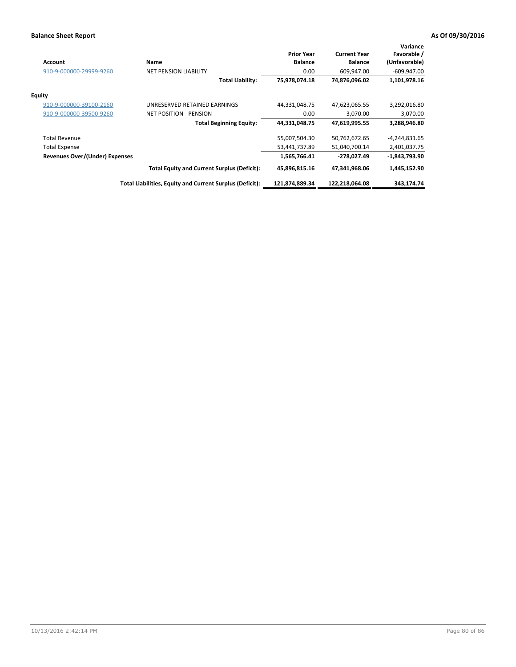| <b>Account</b>                        | Name                                                     | <b>Prior Year</b><br><b>Balance</b> | <b>Current Year</b><br><b>Balance</b> | Variance<br>Favorable /<br>(Unfavorable) |
|---------------------------------------|----------------------------------------------------------|-------------------------------------|---------------------------------------|------------------------------------------|
| 910-9-000000-29999-9260               | <b>NET PENSION LIABILITY</b>                             | 0.00                                | 609,947.00                            | $-609,947.00$                            |
|                                       | <b>Total Liability:</b>                                  | 75,978,074.18                       | 74,876,096.02                         | 1,101,978.16                             |
| <b>Equity</b>                         |                                                          |                                     |                                       |                                          |
| 910-9-000000-39100-2160               | UNRESERVED RETAINED EARNINGS                             | 44,331,048.75                       | 47,623,065.55                         | 3,292,016.80                             |
| 910-9-000000-39500-9260               | <b>NET POSITION - PENSION</b>                            | 0.00                                | $-3,070.00$                           | $-3,070.00$                              |
|                                       | <b>Total Beginning Equity:</b>                           | 44,331,048.75                       | 47,619,995.55                         | 3,288,946.80                             |
| <b>Total Revenue</b>                  |                                                          | 55,007,504.30                       | 50,762,672.65                         | -4,244,831.65                            |
| <b>Total Expense</b>                  |                                                          | 53,441,737.89                       | 51,040,700.14                         | 2,401,037.75                             |
| <b>Revenues Over/(Under) Expenses</b> |                                                          | 1,565,766.41                        | -278,027.49                           | $-1,843,793.90$                          |
|                                       | <b>Total Equity and Current Surplus (Deficit):</b>       | 45,896,815.16                       | 47,341,968.06                         | 1,445,152.90                             |
|                                       | Total Liabilities, Equity and Current Surplus (Deficit): | 121,874,889.34                      | 122,218,064.08                        | 343.174.74                               |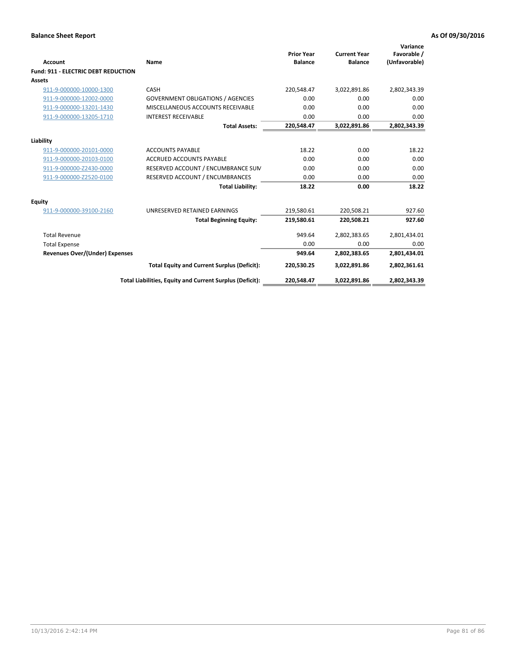| Account                                    | Name                                                     | <b>Prior Year</b><br><b>Balance</b> | <b>Current Year</b><br><b>Balance</b> | Variance<br>Favorable /<br>(Unfavorable) |
|--------------------------------------------|----------------------------------------------------------|-------------------------------------|---------------------------------------|------------------------------------------|
| <b>Fund: 911 - ELECTRIC DEBT REDUCTION</b> |                                                          |                                     |                                       |                                          |
| Assets                                     |                                                          |                                     |                                       |                                          |
| 911-9-000000-10000-1300                    | CASH                                                     | 220,548.47                          | 3,022,891.86                          | 2,802,343.39                             |
| 911-9-000000-12002-0000                    | <b>GOVERNMENT OBLIGATIONS / AGENCIES</b>                 | 0.00                                | 0.00                                  | 0.00                                     |
| 911-9-000000-13201-1430                    | MISCELLANEOUS ACCOUNTS RECEIVABLE                        | 0.00                                | 0.00                                  | 0.00                                     |
| 911-9-000000-13205-1710                    | <b>INTEREST RECEIVABLE</b>                               | 0.00                                | 0.00                                  | 0.00                                     |
|                                            | <b>Total Assets:</b>                                     | 220,548.47                          | 3,022,891.86                          | 2,802,343.39                             |
| Liability                                  |                                                          |                                     |                                       |                                          |
| 911-9-000000-20101-0000                    | <b>ACCOUNTS PAYABLE</b>                                  | 18.22                               | 0.00                                  | 18.22                                    |
| 911-9-000000-20103-0100                    | <b>ACCRUED ACCOUNTS PAYABLE</b>                          | 0.00                                | 0.00                                  | 0.00                                     |
| 911-9-000000-Z2430-0000                    | RESERVED ACCOUNT / ENCUMBRANCE SUM                       | 0.00                                | 0.00                                  | 0.00                                     |
| 911-9-000000-Z2520-0100                    | RESERVED ACCOUNT / ENCUMBRANCES                          | 0.00                                | 0.00                                  | 0.00                                     |
|                                            | <b>Total Liability:</b>                                  | 18.22                               | 0.00                                  | 18.22                                    |
| <b>Equity</b>                              |                                                          |                                     |                                       |                                          |
| 911-9-000000-39100-2160                    | UNRESERVED RETAINED EARNINGS                             | 219,580.61                          | 220,508.21                            | 927.60                                   |
|                                            | <b>Total Beginning Equity:</b>                           | 219,580.61                          | 220.508.21                            | 927.60                                   |
| <b>Total Revenue</b>                       |                                                          | 949.64                              | 2,802,383.65                          | 2,801,434.01                             |
| <b>Total Expense</b>                       |                                                          | 0.00                                | 0.00                                  | 0.00                                     |
| <b>Revenues Over/(Under) Expenses</b>      |                                                          | 949.64                              | 2,802,383.65                          | 2,801,434.01                             |
|                                            | <b>Total Equity and Current Surplus (Deficit):</b>       | 220,530.25                          | 3,022,891.86                          | 2,802,361.61                             |
|                                            | Total Liabilities, Equity and Current Surplus (Deficit): | 220,548.47                          | 3,022,891.86                          | 2,802,343.39                             |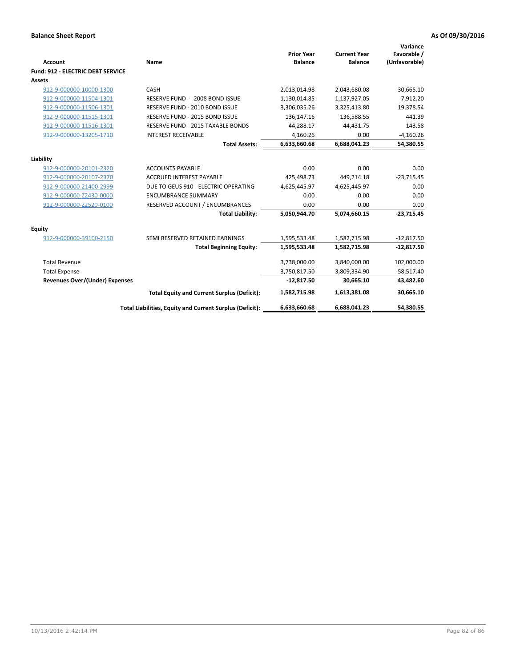| Account                                  | Name                                                     | <b>Prior Year</b><br><b>Balance</b> | <b>Current Year</b><br><b>Balance</b> | Variance<br>Favorable /<br>(Unfavorable) |
|------------------------------------------|----------------------------------------------------------|-------------------------------------|---------------------------------------|------------------------------------------|
| <b>Fund: 912 - ELECTRIC DEBT SERVICE</b> |                                                          |                                     |                                       |                                          |
| <b>Assets</b>                            |                                                          |                                     |                                       |                                          |
| 912-9-000000-10000-1300                  | CASH                                                     | 2,013,014.98                        | 2,043,680.08                          | 30,665.10                                |
| 912-9-000000-11504-1301                  | RESERVE FUND - 2008 BOND ISSUE                           | 1,130,014.85                        | 1,137,927.05                          | 7,912.20                                 |
| 912-9-000000-11506-1301                  | RESERVE FUND - 2010 BOND ISSUE                           | 3,306,035.26                        | 3,325,413.80                          | 19,378.54                                |
| 912-9-000000-11515-1301                  | RESERVE FUND - 2015 BOND ISSUE                           | 136,147.16                          | 136,588.55                            | 441.39                                   |
| 912-9-000000-11516-1301                  | <b>RESERVE FUND - 2015 TAXABLE BONDS</b>                 | 44,288.17                           | 44,431.75                             | 143.58                                   |
| 912-9-000000-13205-1710                  | <b>INTEREST RECEIVABLE</b>                               | 4,160.26                            | 0.00                                  | $-4,160.26$                              |
|                                          | <b>Total Assets:</b>                                     | 6,633,660.68                        | 6,688,041.23                          | 54,380.55                                |
| Liability                                |                                                          |                                     |                                       |                                          |
| 912-9-000000-20101-2320                  | <b>ACCOUNTS PAYABLE</b>                                  | 0.00                                | 0.00                                  | 0.00                                     |
| 912-9-000000-20107-2370                  | <b>ACCRUED INTEREST PAYABLE</b>                          | 425,498.73                          | 449,214.18                            | $-23,715.45$                             |
| 912-9-000000-21400-2999                  | DUE TO GEUS 910 - ELECTRIC OPERATING                     | 4,625,445.97                        | 4,625,445.97                          | 0.00                                     |
| 912-9-000000-Z2430-0000                  | <b>ENCUMBRANCE SUMMARY</b>                               | 0.00                                | 0.00                                  | 0.00                                     |
| 912-9-000000-Z2520-0100                  | RESERVED ACCOUNT / ENCUMBRANCES                          | 0.00                                | 0.00                                  | 0.00                                     |
|                                          | <b>Total Liability:</b>                                  | 5,050,944.70                        | 5,074,660.15                          | $-23,715.45$                             |
| Equity                                   |                                                          |                                     |                                       |                                          |
| 912-9-000000-39100-2150                  | SEMI RESERVED RETAINED EARNINGS                          | 1,595,533.48                        | 1,582,715.98                          | $-12,817.50$                             |
|                                          | <b>Total Beginning Equity:</b>                           | 1,595,533.48                        | 1,582,715.98                          | $-12,817.50$                             |
| <b>Total Revenue</b>                     |                                                          | 3,738,000.00                        | 3,840,000.00                          | 102,000.00                               |
| <b>Total Expense</b>                     |                                                          | 3,750,817.50                        | 3,809,334.90                          | $-58,517.40$                             |
| Revenues Over/(Under) Expenses           |                                                          | $-12,817.50$                        | 30,665.10                             | 43,482.60                                |
|                                          | <b>Total Equity and Current Surplus (Deficit):</b>       | 1,582,715.98                        | 1,613,381.08                          | 30,665.10                                |
|                                          | Total Liabilities, Equity and Current Surplus (Deficit): | 6,633,660.68                        | 6,688,041.23                          | 54.380.55                                |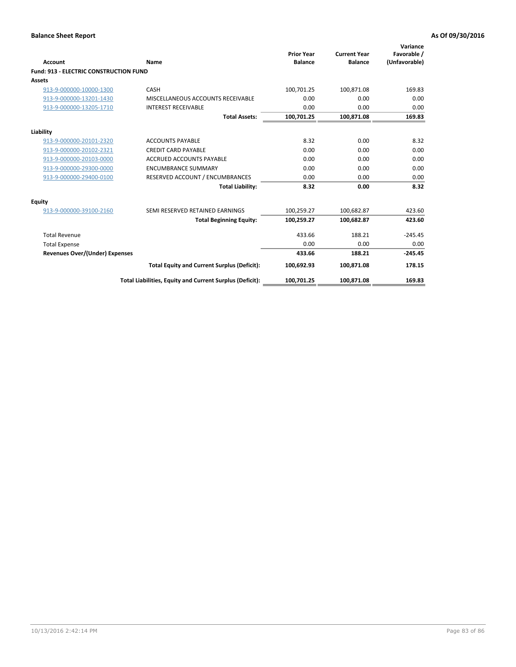| Account                                       | Name                                                     | <b>Prior Year</b><br><b>Balance</b> | <b>Current Year</b><br><b>Balance</b> | Variance<br>Favorable /<br>(Unfavorable) |
|-----------------------------------------------|----------------------------------------------------------|-------------------------------------|---------------------------------------|------------------------------------------|
| <b>Fund: 913 - ELECTRIC CONSTRUCTION FUND</b> |                                                          |                                     |                                       |                                          |
| Assets                                        |                                                          |                                     |                                       |                                          |
| 913-9-000000-10000-1300                       | CASH                                                     | 100,701.25                          | 100,871.08                            | 169.83                                   |
| 913-9-000000-13201-1430                       | MISCELLANEOUS ACCOUNTS RECEIVABLE                        | 0.00                                | 0.00                                  | 0.00                                     |
| 913-9-000000-13205-1710                       | <b>INTEREST RECEIVABLE</b>                               | 0.00                                | 0.00                                  | 0.00                                     |
|                                               | <b>Total Assets:</b>                                     | 100,701.25                          | 100,871.08                            | 169.83                                   |
| Liability                                     |                                                          |                                     |                                       |                                          |
| 913-9-000000-20101-2320                       | <b>ACCOUNTS PAYABLE</b>                                  | 8.32                                | 0.00                                  | 8.32                                     |
| 913-9-000000-20102-2321                       | <b>CREDIT CARD PAYABLE</b>                               | 0.00                                | 0.00                                  | 0.00                                     |
| 913-9-000000-20103-0000                       | <b>ACCRUED ACCOUNTS PAYABLE</b>                          | 0.00                                | 0.00                                  | 0.00                                     |
| 913-9-000000-29300-0000                       | <b>ENCUMBRANCE SUMMARY</b>                               | 0.00                                | 0.00                                  | 0.00                                     |
| 913-9-000000-29400-0100                       | RESERVED ACCOUNT / ENCUMBRANCES                          | 0.00                                | 0.00                                  | 0.00                                     |
|                                               | <b>Total Liability:</b>                                  | 8.32                                | 0.00                                  | 8.32                                     |
| <b>Equity</b>                                 |                                                          |                                     |                                       |                                          |
| 913-9-000000-39100-2160                       | SEMI RESERVED RETAINED EARNINGS                          | 100,259.27                          | 100,682.87                            | 423.60                                   |
|                                               | <b>Total Beginning Equity:</b>                           | 100,259.27                          | 100.682.87                            | 423.60                                   |
| <b>Total Revenue</b>                          |                                                          | 433.66                              | 188.21                                | $-245.45$                                |
| <b>Total Expense</b>                          |                                                          | 0.00                                | 0.00                                  | 0.00                                     |
| <b>Revenues Over/(Under) Expenses</b>         |                                                          | 433.66                              | 188.21                                | $-245.45$                                |
|                                               | <b>Total Equity and Current Surplus (Deficit):</b>       | 100,692.93                          | 100.871.08                            | 178.15                                   |
|                                               | Total Liabilities, Equity and Current Surplus (Deficit): | 100,701.25                          | 100,871.08                            | 169.83                                   |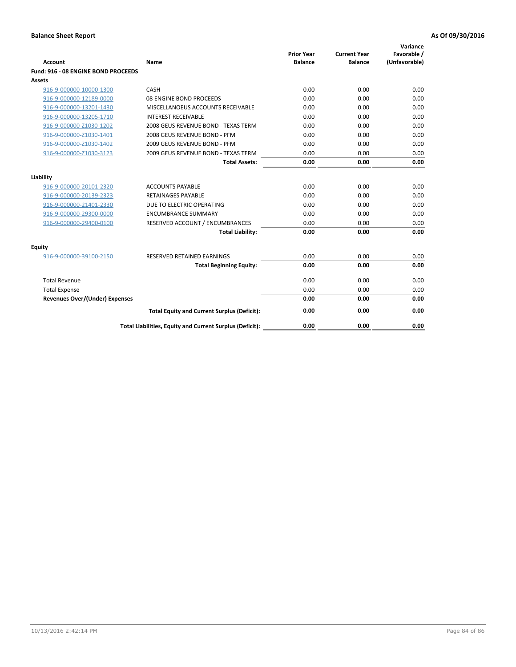|                                       |                                                          | <b>Prior Year</b> | <b>Current Year</b> | Variance<br>Favorable / |
|---------------------------------------|----------------------------------------------------------|-------------------|---------------------|-------------------------|
| <b>Account</b>                        | Name                                                     | <b>Balance</b>    | <b>Balance</b>      | (Unfavorable)           |
| Fund: 916 - 08 ENGINE BOND PROCEEDS   |                                                          |                   |                     |                         |
| Assets                                |                                                          |                   |                     |                         |
| 916-9-000000-10000-1300               | CASH                                                     | 0.00              | 0.00                | 0.00                    |
| 916-9-000000-12189-0000               | 08 ENGINE BOND PROCEEDS                                  | 0.00              | 0.00                | 0.00                    |
| 916-9-000000-13201-1430               | MISCELLANOEUS ACCOUNTS RECEIVABLE                        | 0.00              | 0.00                | 0.00                    |
| 916-9-000000-13205-1710               | <b>INTEREST RECEIVABLE</b>                               | 0.00              | 0.00                | 0.00                    |
| 916-9-000000-Z1030-1202               | 2008 GEUS REVENUE BOND - TEXAS TERM                      | 0.00              | 0.00                | 0.00                    |
| 916-9-000000-Z1030-1401               | 2008 GEUS REVENUE BOND - PFM                             | 0.00              | 0.00                | 0.00                    |
| 916-9-000000-Z1030-1402               | 2009 GEUS REVENUE BOND - PFM                             | 0.00              | 0.00                | 0.00                    |
| 916-9-000000-Z1030-3123               | 2009 GEUS REVENUE BOND - TEXAS TERM                      | 0.00              | 0.00                | 0.00                    |
|                                       | <b>Total Assets:</b>                                     | 0.00              | 0.00                | 0.00                    |
| Liability                             |                                                          |                   |                     |                         |
| 916-9-000000-20101-2320               | <b>ACCOUNTS PAYABLE</b>                                  | 0.00              | 0.00                | 0.00                    |
| 916-9-000000-20139-2323               | <b>RETAINAGES PAYABLE</b>                                | 0.00              | 0.00                | 0.00                    |
| 916-9-000000-21401-2330               | DUE TO ELECTRIC OPERATING                                | 0.00              | 0.00                | 0.00                    |
| 916-9-000000-29300-0000               | <b>ENCUMBRANCE SUMMARY</b>                               | 0.00              | 0.00                | 0.00                    |
| 916-9-000000-29400-0100               | RESERVED ACCOUNT / ENCUMBRANCES                          | 0.00              | 0.00                | 0.00                    |
|                                       | <b>Total Liability:</b>                                  | 0.00              | 0.00                | 0.00                    |
| Equity                                |                                                          |                   |                     |                         |
| 916-9-000000-39100-2150               | <b>RESERVED RETAINED EARNINGS</b>                        | 0.00              | 0.00                | 0.00                    |
|                                       | <b>Total Beginning Equity:</b>                           | 0.00              | 0.00                | 0.00                    |
| <b>Total Revenue</b>                  |                                                          | 0.00              | 0.00                | 0.00                    |
| <b>Total Expense</b>                  |                                                          | 0.00              | 0.00                | 0.00                    |
| <b>Revenues Over/(Under) Expenses</b> |                                                          | 0.00              | 0.00                | 0.00                    |
|                                       | <b>Total Equity and Current Surplus (Deficit):</b>       | 0.00              | 0.00                | 0.00                    |
|                                       | Total Liabilities, Equity and Current Surplus (Deficit): | 0.00              | 0.00                | 0.00                    |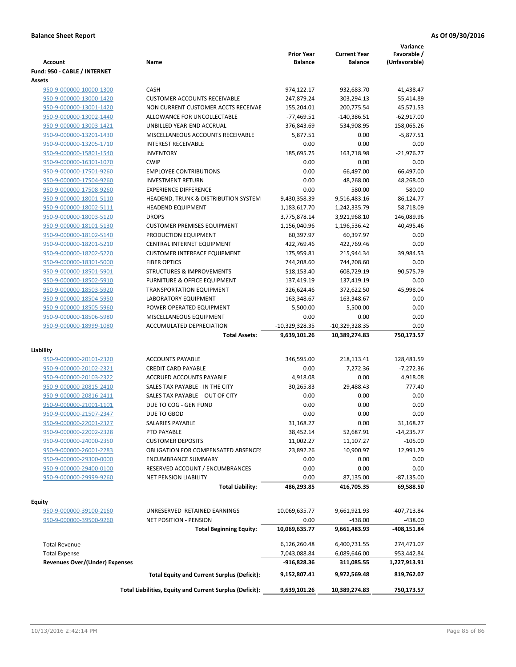| <b>Account</b>                        | Name                                                     | <b>Prior Year</b><br><b>Balance</b> | <b>Current Year</b><br><b>Balance</b> | Variance<br>Favorable /<br>(Unfavorable) |
|---------------------------------------|----------------------------------------------------------|-------------------------------------|---------------------------------------|------------------------------------------|
| Fund: 950 - CABLE / INTERNET          |                                                          |                                     |                                       |                                          |
| <b>Assets</b>                         |                                                          |                                     |                                       |                                          |
| 950-9-000000-10000-1300               | CASH                                                     | 974,122.17                          | 932,683.70                            | $-41,438.47$                             |
| 950-9-000000-13000-1420               | <b>CUSTOMER ACCOUNTS RECEIVABLE</b>                      | 247,879.24                          | 303,294.13                            | 55,414.89                                |
| 950-9-000000-13001-1420               | NON CURRENT CUSTOMER ACCTS RECEIVAE                      | 155,204.01                          | 200,775.54                            | 45,571.53                                |
| 950-9-000000-13002-1440               | ALLOWANCE FOR UNCOLLECTABLE                              | $-77,469.51$                        | -140,386.51                           | $-62,917.00$                             |
| 950-9-000000-13003-1421               | UNBILLED YEAR-END ACCRUAL                                | 376,843.69                          | 534,908.95                            | 158,065.26                               |
| 950-9-000000-13201-1430               | MISCELLANEOUS ACCOUNTS RECEIVABLE                        | 5,877.51                            | 0.00                                  | $-5,877.51$                              |
| 950-9-000000-13205-1710               | <b>INTEREST RECEIVABLE</b>                               | 0.00                                | 0.00                                  | 0.00                                     |
| 950-9-000000-15801-1540               | <b>INVENTORY</b>                                         | 185,695.75                          | 163,718.98                            | $-21,976.77$                             |
| 950-9-000000-16301-1070               | <b>CWIP</b>                                              | 0.00                                | 0.00                                  | 0.00                                     |
| 950-9-000000-17501-9260               | <b>EMPLOYEE CONTRIBUTIONS</b>                            | 0.00                                | 66,497.00                             | 66,497.00                                |
| 950-9-000000-17504-9260               | <b>INVESTMENT RETURN</b>                                 | 0.00                                | 48,268.00                             | 48,268.00                                |
| 950-9-000000-17508-9260               | <b>EXPERIENCE DIFFERENCE</b>                             | 0.00                                | 580.00                                | 580.00                                   |
| 950-9-000000-18001-5110               | HEADEND, TRUNK & DISTRIBUTION SYSTEM                     | 9,430,358.39                        | 9,516,483.16                          | 86,124.77                                |
| 950-9-000000-18002-5111               | <b>HEADEND EQUIPMENT</b>                                 | 1,183,617.70                        | 1,242,335.79                          | 58,718.09                                |
| 950-9-000000-18003-5120               | <b>DROPS</b>                                             | 3,775,878.14                        | 3,921,968.10                          | 146,089.96                               |
| 950-9-000000-18101-5130               | <b>CUSTOMER PREMISES EQUIPMENT</b>                       | 1,156,040.96                        | 1,196,536.42                          | 40,495.46                                |
| 950-9-000000-18102-5140               | PRODUCTION EQUIPMENT                                     | 60,397.97                           | 60,397.97                             | 0.00                                     |
| 950-9-000000-18201-5210               | CENTRAL INTERNET EQUIPMENT                               | 422,769.46                          | 422,769.46                            | 0.00                                     |
| 950-9-000000-18202-5220               | <b>CUSTOMER INTERFACE EQUIPMENT</b>                      | 175,959.81                          | 215,944.34                            | 39,984.53                                |
| 950-9-000000-18301-5000               | <b>FIBER OPTICS</b>                                      | 744,208.60                          | 744,208.60                            | 0.00                                     |
| 950-9-000000-18501-5901               | <b>STRUCTURES &amp; IMPROVEMENTS</b>                     | 518,153.40                          | 608,729.19                            | 90,575.79                                |
| 950-9-000000-18502-5910               | <b>FURNITURE &amp; OFFICE EQUIPMENT</b>                  | 137,419.19                          | 137,419.19                            | 0.00                                     |
| 950-9-000000-18503-5920               | <b>TRANSPORTATION EQUIPMENT</b>                          | 326,624.46                          | 372,622.50                            | 45,998.04                                |
| 950-9-000000-18504-5950               | LABORATORY EQUIPMENT                                     | 163,348.67                          | 163,348.67                            | 0.00                                     |
| 950-9-000000-18505-5960               | POWER OPERATED EQUIPMENT                                 | 5,500.00                            | 5,500.00                              | 0.00                                     |
| 950-9-000000-18506-5980               | MISCELLANEOUS EQUIPMENT                                  | 0.00                                | 0.00                                  | 0.00                                     |
| 950-9-000000-18999-1080               | ACCUMULATED DEPRECIATION<br><b>Total Assets:</b>         | $-10,329,328.35$<br>9,639,101.26    | $-10,329,328.35$<br>10,389,274.83     | 0.00<br>750,173.57                       |
|                                       |                                                          |                                     |                                       |                                          |
| Liability                             |                                                          |                                     |                                       |                                          |
| 950-9-000000-20101-2320               | <b>ACCOUNTS PAYABLE</b>                                  | 346,595.00                          | 218,113.41                            | 128,481.59                               |
| 950-9-000000-20102-2321               | <b>CREDIT CARD PAYABLE</b>                               | 0.00                                | 7,272.36                              | $-7,272.36$                              |
| 950-9-000000-20103-2322               | ACCRUED ACCOUNTS PAYABLE                                 | 4,918.08                            | 0.00                                  | 4,918.08                                 |
| 950-9-000000-20815-2410               | SALES TAX PAYABLE - IN THE CITY                          | 30,265.83                           | 29,488.43                             | 777.40                                   |
| 950-9-000000-20816-2411               | SALES TAX PAYABLE - OUT OF CITY                          | 0.00                                | 0.00                                  | 0.00                                     |
| 950-9-000000-21001-1101               | DUE TO COG - GEN FUND                                    | 0.00                                | 0.00                                  | 0.00                                     |
| 950-9-000000-21507-2347               | DUE TO GBOD                                              | 0.00                                | 0.00                                  | 0.00                                     |
| 950-9-000000-22001-2327               | SALARIES PAYABLE                                         | 31,168.27                           | 0.00                                  | 31,168.27                                |
| 950-9-000000-22002-2328               | PTO PAYABLE                                              | 38,452.14                           | 52,687.91                             | $-14,235.77$                             |
| 950-9-000000-24000-2350               | <b>CUSTOMER DEPOSITS</b>                                 | 11,002.27                           | 11,107.27                             | $-105.00$                                |
| 950-9-000000-26001-2283               | <b>OBLIGATION FOR COMPENSATED ABSENCES</b>               | 23,892.26                           | 10,900.97                             | 12,991.29                                |
| 950-9-000000-29300-0000               | <b>ENCUMBRANCE SUMMARY</b>                               | 0.00                                | 0.00                                  | 0.00                                     |
| 950-9-000000-29400-0100               | RESERVED ACCOUNT / ENCUMBRANCES                          | 0.00                                | 0.00                                  | 0.00                                     |
| 950-9-000000-29999-9260               | <b>NET PENSION LIABILITY</b>                             | 0.00                                | 87,135.00                             | -87,135.00                               |
|                                       | <b>Total Liability:</b>                                  | 486,293.85                          | 416,705.35                            | 69,588.50                                |
|                                       |                                                          |                                     |                                       |                                          |
| Equity                                | UNRESERVED RETAINED EARNINGS                             |                                     |                                       |                                          |
| 950-9-000000-39100-2160               | <b>NET POSITION - PENSION</b>                            | 10,069,635.77                       | 9,661,921.93                          | -407,713.84                              |
| 950-9-000000-39500-9260               |                                                          | 0.00                                | $-438.00$                             | $-438.00$                                |
|                                       | <b>Total Beginning Equity:</b>                           | 10,069,635.77                       | 9,661,483.93                          | -408,151.84                              |
| <b>Total Revenue</b>                  |                                                          | 6,126,260.48                        | 6,400,731.55                          | 274,471.07                               |
| <b>Total Expense</b>                  |                                                          | 7,043,088.84                        | 6,089,646.00                          | 953,442.84                               |
| <b>Revenues Over/(Under) Expenses</b> |                                                          | -916,828.36                         | 311,085.55                            | 1,227,913.91                             |
|                                       | <b>Total Equity and Current Surplus (Deficit):</b>       | 9,152,807.41                        | 9,972,569.48                          | 819,762.07                               |
|                                       |                                                          |                                     |                                       |                                          |
|                                       | Total Liabilities, Equity and Current Surplus (Deficit): | 9,639,101.26                        | 10,389,274.83                         | 750,173.57                               |